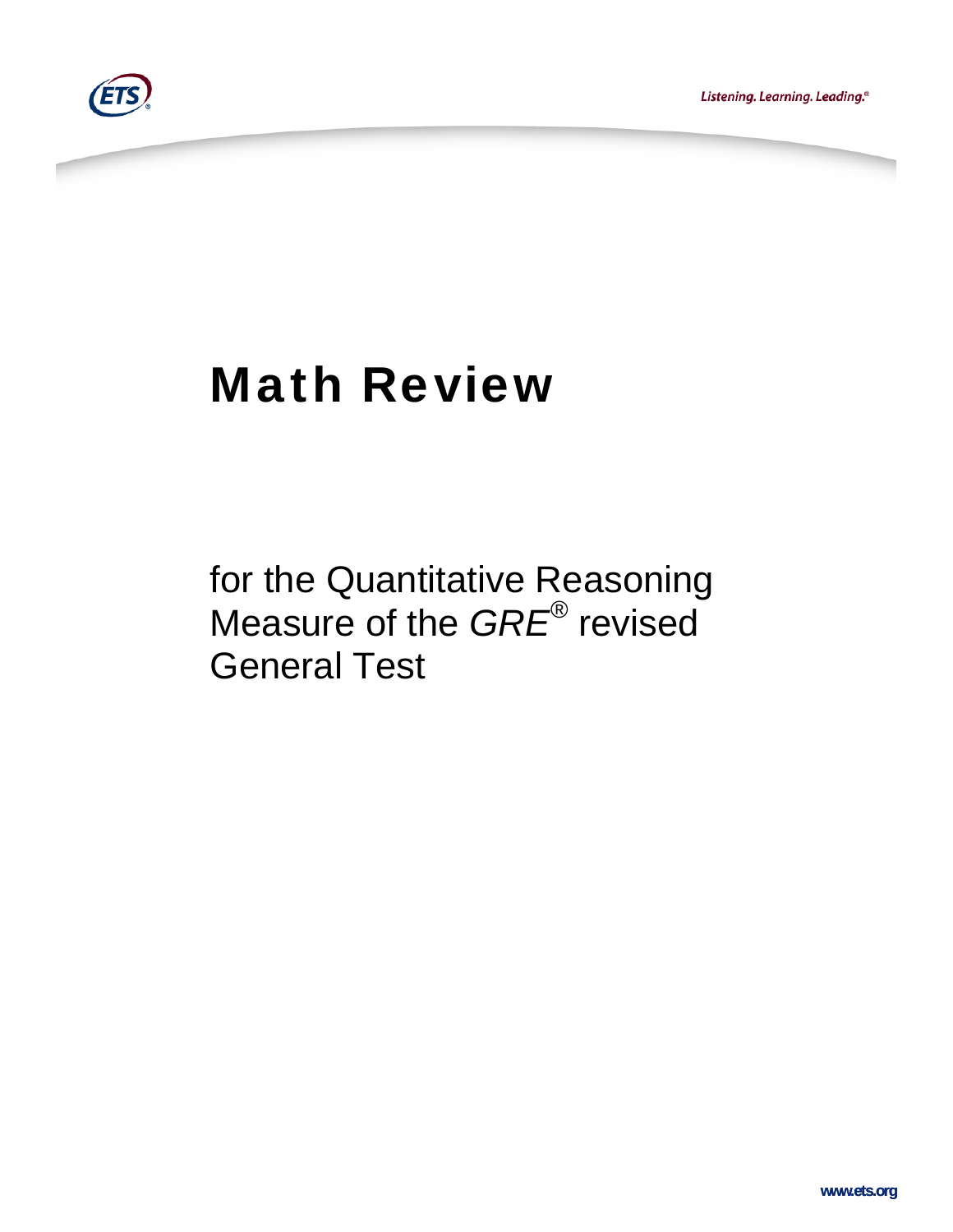Listening. Learning. Leading.<sup>®</sup>



# Math Review

for the Quantitative Reasoning Measure of the *GRE*® revised General Test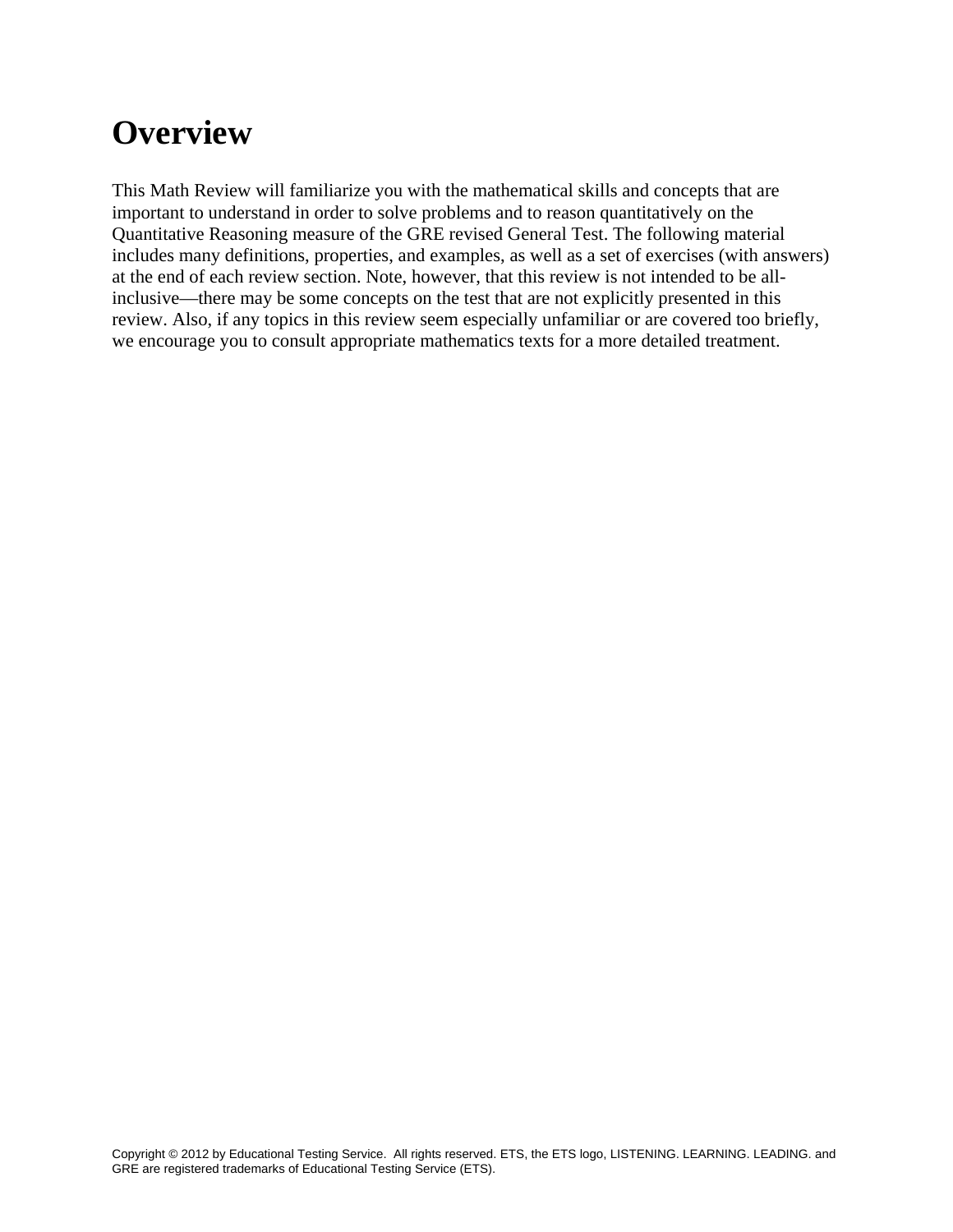# **Overview**

This Math Review will familiarize you with the mathematical skills and concepts that are important to understand in order to solve problems and to reason quantitatively on the Quantitative Reasoning measure of the GRE revised General Test. The following material includes many definitions, properties, and examples, as well as a set of exercises (with answers) at the end of each review section. Note, however, that this review is not intended to be allinclusive—there may be some concepts on the test that are not explicitly presented in this review. Also, if any topics in this review seem especially unfamiliar or are covered too briefly, we encourage you to consult appropriate mathematics texts for a more detailed treatment.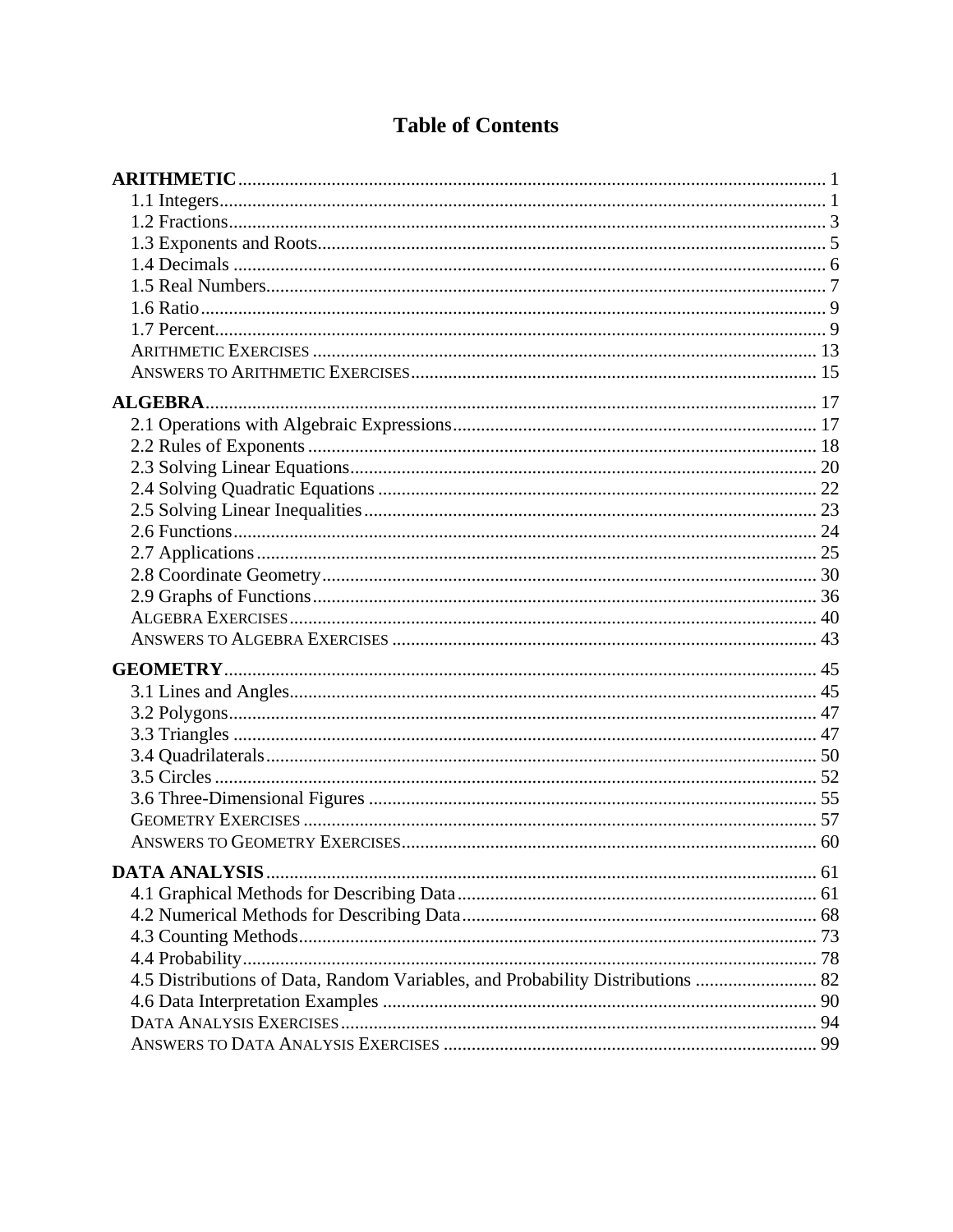| 4.5 Distributions of Data, Random Variables, and Probability Distributions  82 |  |
|--------------------------------------------------------------------------------|--|
|                                                                                |  |
|                                                                                |  |
|                                                                                |  |

### **Table of Contents**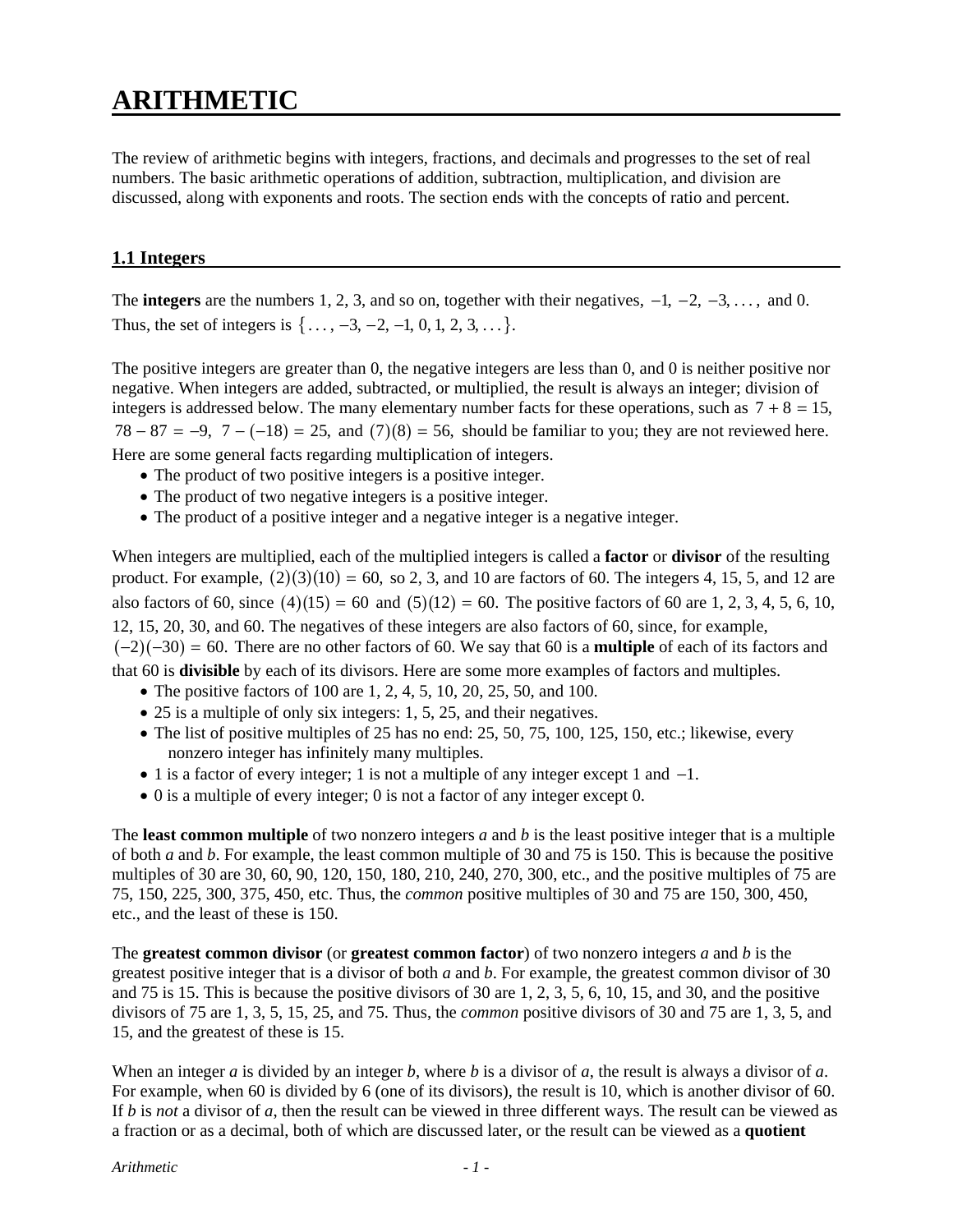# <span id="page-3-0"></span>**ARITHMETIC**

The review of arithmetic begins with integers, fractions, and decimals and progresses to the set of real numbers. The basic arithmetic operations of addition, subtraction, multiplication, and division are discussed, along with exponents and roots. The section ends with the concepts of ratio and percent.

#### **1.1 Integers**

The **integers** are the numbers 1, 2, 3, and so on, together with their negatives,  $-1$ ,  $-2$ ,  $-3$ , ..., and 0. Thus, the set of integers is  $\{\ldots, -3, -2, -1, 0, 1, 2, 3, \ldots\}$ .

The positive integers are greater than 0, the negative integers are less than 0, and 0 is neither positive nor negative. When integers are added, subtracted, or multiplied, the result is always an integer; division of integers is addressed below. The many elementary number facts for these operations, such as  $7 + 8 = 15$ ,  $78 - 87 = -9$ ,  $7 - (-18) = 25$ , and  $(7)(8) = 56$ , should be familiar to you; they are not reviewed here. Here are some general facts regarding multiplication of integers.

- The product of two positive integers is a positive integer.
- The product of two negative integers is a positive integer.
- The product of a positive integer and a negative integer is a negative integer.

When integers are multiplied, each of the multiplied integers is called a **factor** or **divisor** of the resulting product. For example,  $(2)(3)(10) = 60$ , so 2, 3, and 10 are factors of 60. The integers 4, 15, 5, and 12 are also factors of 60, since  $(4)(15) = 60$  and  $(5)(12) = 60$ . The positive factors of 60 are 1, 2, 3, 4, 5, 6, 10, 12, 15, 20, 30, and 60. The negatives of these integers are also factors of 60, since, for example,  $(-2)(-30) = 60$ . There are no other factors of 60. We say that 60 is a **multiple** of each of its factors and that 60 is **divisible** by each of its divisors. Here are some more examples of factors and multiples.

- The positive factors of 100 are 1, 2, 4, 5, 10, 20, 25, 50, and 100.
- 25 is a multiple of only six integers: 1, 5, 25, and their negatives.
- The list of positive multiples of 25 has no end: 25, 50, 75, 100, 125, 150, etc.; likewise, every nonzero integer has infinitely many multiples.
- $\bullet$  1 is a factor of every integer; 1 is not a multiple of any integer except 1 and  $-1$ .
- 0 is a multiple of every integer; 0 is not a factor of any integer except 0.

The **least common multiple** of two nonzero integers *a* and *b* is the least positive integer that is a multiple of both *a* and *b*. For example, the least common multiple of 30 and 75 is 150. This is because the positive multiples of 30 are 30, 60, 90, 120, 150, 180, 210, 240, 270, 300, etc., and the positive multiples of 75 are 75, 150, 225, 300, 375, 450, etc. Thus, the *common* positive multiples of 30 and 75 are 150, 300, 450, etc., and the least of these is 150.

The **greatest common divisor** (or **greatest common factor**) of two nonzero integers *a* and *b* is the greatest positive integer that is a divisor of both *a* and *b*. For example, the greatest common divisor of 30 and 75 is 15. This is because the positive divisors of 30 are 1, 2, 3, 5, 6, 10, 15, and 30, and the positive divisors of 75 are 1, 3, 5, 15, 25, and 75. Thus, the *common* positive divisors of 30 and 75 are 1, 3, 5, and 15, and the greatest of these is 15.

When an integer *a* is divided by an integer *b*, where *b* is a divisor of *a*, the result is always a divisor of *a*. For example, when 60 is divided by 6 (one of its divisors), the result is 10, which is another divisor of 60. If *b* is *not* a divisor of *a*, then the result can be viewed in three different ways. The result can be viewed as a fraction or as a decimal, both of which are discussed later, or the result can be viewed as a **quotient**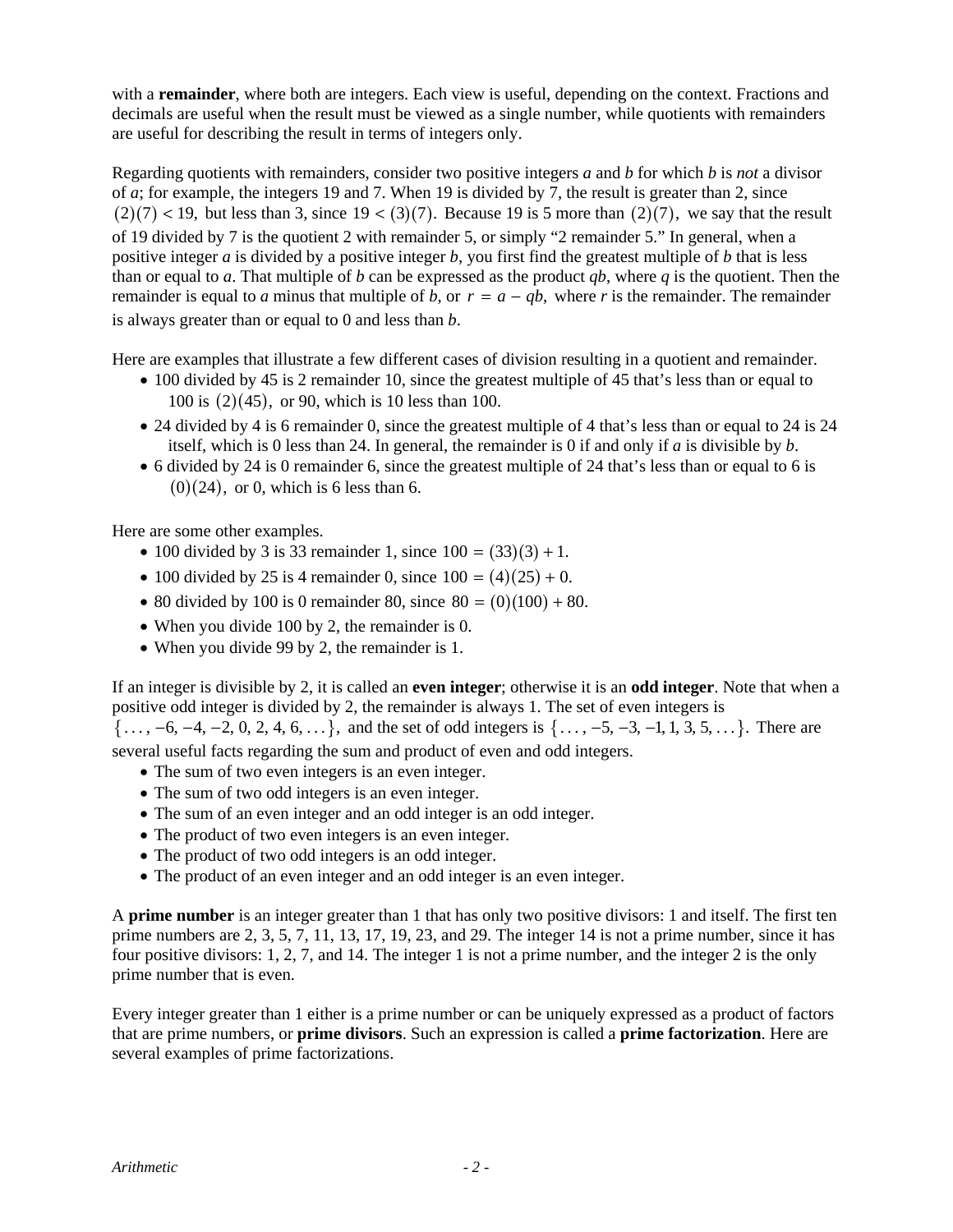with a **remainder**, where both are integers. Each view is useful, depending on the context. Fractions and decimals are useful when the result must be viewed as a single number, while quotients with remainders are useful for describing the result in terms of integers only.

Regarding quotients with remainders, consider two positive integers *a* and *b* for which *b* is *not* a divisor of *a*; for example, the integers 19 and 7. When 19 is divided by 7, the result is greater than 2, since  $(2)(7)$  < 19, but less than 3, since 19 < (3)(7). Because 19 is 5 more than (2)(7), we say that the result of 19 divided by 7 is the quotient 2 with remainder 5, or simply "2 remainder 5." In general, when a positive integer *a* is divided by a positive integer *b*, you first find the greatest multiple of *b* that is less than or equal to *a*. That multiple of *b* can be expressed as the product  $q$ *b*, where  $q$  is the quotient. Then the remainder is equal to *a* minus that multiple of *b*, or  $r = a - qb$ , where *r* is the remainder. The remainder is always greater than or equal to 0 and less than *b*.

Here are examples that illustrate a few different cases of division resulting in a quotient and remainder.

- 100 divided by 45 is 2 remainder 10, since the greatest multiple of 45 that's less than or equal to 100 is  $(2)(45)$ , or 90, which is 10 less than 100.
- 24 divided by 4 is 6 remainder 0, since the greatest multiple of 4 that's less than or equal to 24 is 24 itself, which is 0 less than 24. In general, the remainder is 0 if and only if  $a$  is divisible by  $b$ .
- 6 divided by 24 is 0 remainder 6, since the greatest multiple of 24 that's less than or equal to 6 is  $(0)(24)$ , or 0, which is 6 less than 6.

Here are some other examples.

- 100 divided by 3 is 33 remainder 1, since  $100 = (33)(3) + 1$ .
- 100 divided by 25 is 4 remainder 0, since  $100 = (4)(25) + 0$ .
- 80 divided by 100 is 0 remainder 80, since  $80 = (0)(100) + 80$ .
- When you divide 100 by 2, the remainder is 0.
- When you divide 99 by 2, the remainder is 1.

If an integer is divisible by 2, it is called an **even integer**; otherwise it is an **odd integer**. Note that when a positive odd integer is divided by 2, the remainder is always 1. The set of even integers is  $\{ \ldots, -6, -4, -2, 0, 2, 4, 6, \ldots \}$ , and the set of odd integers is  $\{ \ldots, -5, -3, -1, 1, 3, 5, \ldots \}$ . There are several useful facts regarding the sum and product of even and odd integers.

- The sum of two even integers is an even integer.
- The sum of two odd integers is an even integer.
- The sum of an even integer and an odd integer is an odd integer.
- The product of two even integers is an even integer.
- The product of two odd integers is an odd integer.
- The product of an even integer and an odd integer is an even integer.

A **prime number** is an integer greater than 1 that has only two positive divisors: 1 and itself. The first ten prime numbers are 2, 3, 5, 7, 11, 13, 17, 19, 23, and 29. The integer 14 is not a prime number, since it has four positive divisors: 1, 2, 7, and 14. The integer 1 is not a prime number, and the integer 2 is the only prime number that is even.

Every integer greater than 1 either is a prime number or can be uniquely expressed as a product of factors that are prime numbers, or **prime divisors**. Such an expression is called a **prime factorization**. Here are several examples of prime factorizations.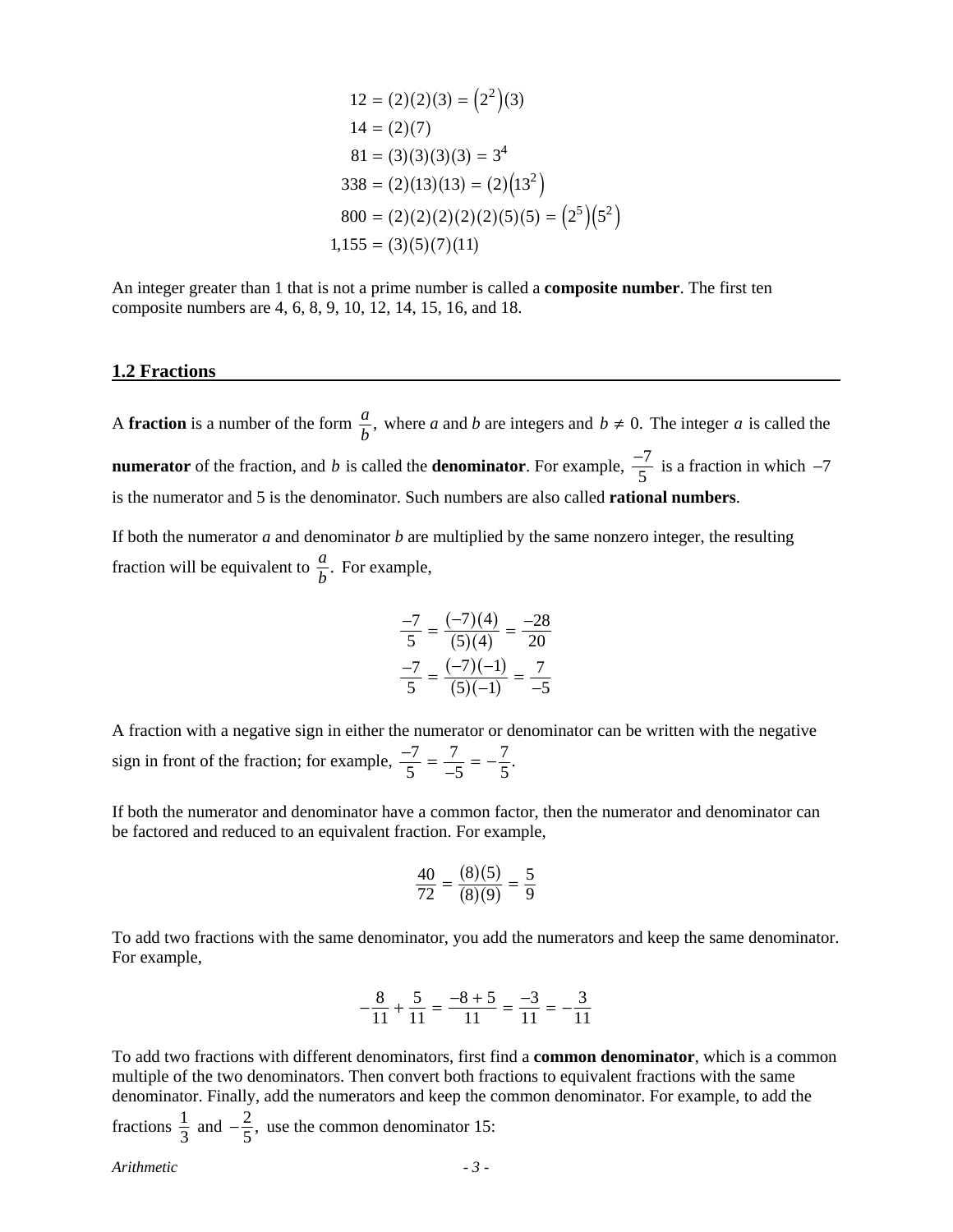$$
12 = (2)(2)(3) = (22)(3)
$$
  
\n
$$
14 = (2)(7)
$$
  
\n
$$
81 = (3)(3)(3)(3) = 34
$$
  
\n
$$
338 = (2)(13)(13) = (2)(132)
$$
  
\n
$$
800 = (2)(2)(2)(2)(2)(5)(5) = (25)(52)
$$
  
\n
$$
1,155 = (3)(5)(7)(11)
$$

<span id="page-5-0"></span>An integer greater than 1 that is not a prime number is called a **composite number**. The first ten composite numbers are 4, 6, 8, 9, 10, 12, 14, 15, 16, and 18.

#### **1.2 Fractions**

A **fraction** is a number of the form  $\frac{a}{b}$ , where *a* and *b* are integers and  $b \neq 0$ . The integer *a* is called the **numerator** of the fraction, and *b* is called the **denominator**. For example,  $\frac{-7}{5}$  $\frac{-7}{5}$  is a fraction in which  $-7$ is the numerator and 5 is the denominator. Such numbers are also called **rational numbers**.

If both the numerator *a* and denominator *b* are multiplied by the same nonzero integer, the resulting fraction will be equivalent to  $\frac{a}{b}$ . For example,

$$
\frac{-7}{5} = \frac{(-7)(4)}{(5)(4)} = \frac{-28}{20}
$$

$$
\frac{-7}{5} = \frac{(-7)(-1)}{(5)(-1)} = \frac{7}{-5}
$$

A fraction with a negative sign in either the numerator or denominator can be written with the negative sign in front of the fraction; for example,  $\frac{-7}{5} = \frac{7}{-5} = -\frac{7}{5}$ .

If both the numerator and denominator have a common factor, then the numerator and denominator can be factored and reduced to an equivalent fraction. For example,

$$
\frac{40}{72} = \frac{(8)(5)}{(8)(9)} = \frac{5}{9}
$$

To add two fractions with the same denominator, you add the numerators and keep the same denominator. For example,

$$
-\frac{8}{11} + \frac{5}{11} = \frac{-8+5}{11} = \frac{-3}{11} = -\frac{3}{11}
$$

To add two fractions with different denominators, first find a **common denominator**, which is a common multiple of the two denominators. Then convert both fractions to equivalent fractions with the same denominator. Finally, add the numerators and keep the common denominator. For example, to add the

fractions  $\frac{1}{3}$  and  $-\frac{2}{5}$ , use the common denominator 15:

*Arithmetic - 3 -*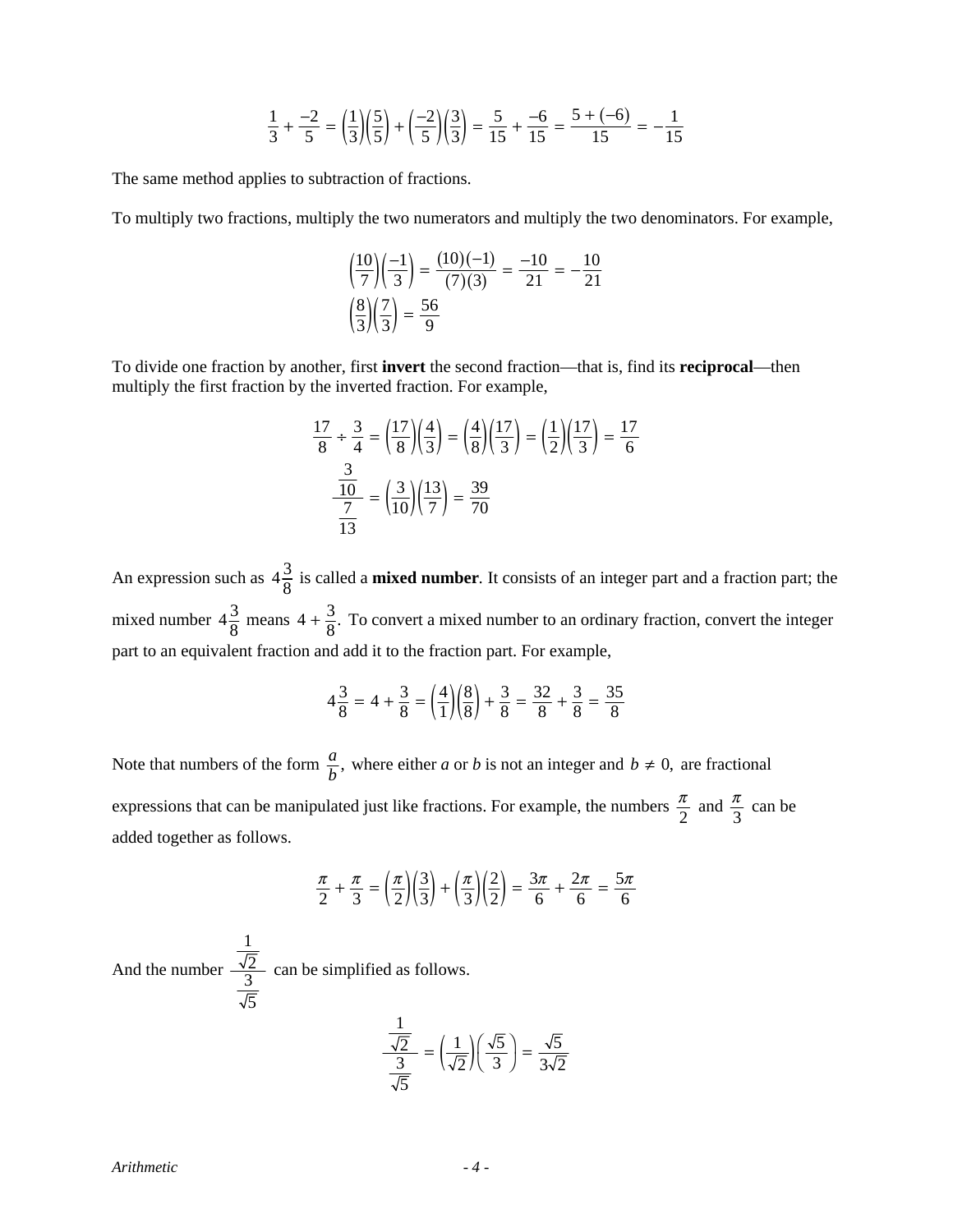$$
\frac{1}{3} + \frac{-2}{5} = \left(\frac{1}{3}\right)\left(\frac{5}{5}\right) + \left(\frac{-2}{5}\right)\left(\frac{3}{3}\right) = \frac{5}{15} + \frac{-6}{15} = \frac{5 + (-6)}{15} = -\frac{1}{15}
$$

The same method applies to subtraction of fractions.

To multiply two fractions, multiply the two numerators and multiply the two denominators. For example,

$$
\left(\frac{10}{7}\right)\left(\frac{-1}{3}\right) = \frac{(10)(-1)}{(7)(3)} = \frac{-10}{21} = -\frac{10}{21}
$$

$$
\left(\frac{8}{3}\right)\left(\frac{7}{3}\right) = \frac{56}{9}
$$

To divide one fraction by another, first **invert** the second fraction—that is, find its **reciprocal**—then multiply the first fraction by the inverted fraction. For example,

$$
\frac{17}{8} \div \frac{3}{4} = \left(\frac{17}{8}\right)\left(\frac{4}{3}\right) = \left(\frac{4}{8}\right)\left(\frac{17}{3}\right) = \left(\frac{1}{2}\right)\left(\frac{17}{3}\right) = \frac{17}{6}
$$

$$
\frac{\frac{3}{10}}{\frac{7}{13}} = \left(\frac{3}{10}\right)\left(\frac{13}{7}\right) = \frac{39}{70}
$$

An expression such as  $4\frac{3}{8}$  is called a **mixed number**. It consists of an integer part and a fraction part; the mixed number  $4\frac{3}{8}$  means  $4 + \frac{3}{8}$ . To convert a mixed number to an ordinary fraction, convert the integer part to an equivalent fraction and add it to the fraction part. For example,

$$
4\frac{3}{8} = 4 + \frac{3}{8} = \left(\frac{4}{1}\right)\left(\frac{8}{8}\right) + \frac{3}{8} = \frac{32}{8} + \frac{3}{8} = \frac{35}{8}
$$

Note that numbers of the form  $\frac{a}{b}$ , where either *a* or *b* is not an integer and  $b \neq 0$ , are fractional expressions that can be manipulated just like fractions. For example, the numbers  $\frac{\pi}{2}$  and  $\frac{\pi}{3}$  can be added together as follows.

$$
\frac{\pi}{2} + \frac{\pi}{3} = \left(\frac{\pi}{2}\right)\left(\frac{3}{3}\right) + \left(\frac{\pi}{3}\right)\left(\frac{2}{2}\right) = \frac{3\pi}{6} + \frac{2\pi}{6} = \frac{5\pi}{6}
$$

And the number 1 2 3 5 can be simplified as follows.  $\left(\overline{\sqrt{2}}\right)$ 1  $\sqrt{2}$   $\left(\frac{1}{\sqrt{5}}\right)\left(\frac{\sqrt{5}}{2}\right)\left(-\frac{\sqrt{5}}{2}\right)$  $3 \sqrt{2}/3 = 3$ 5  $=\left(\frac{1}{\sqrt{2}}\right)\left(\frac{\sqrt{5}}{3}\right)=\frac{\sqrt{5}}{3\sqrt{2}}$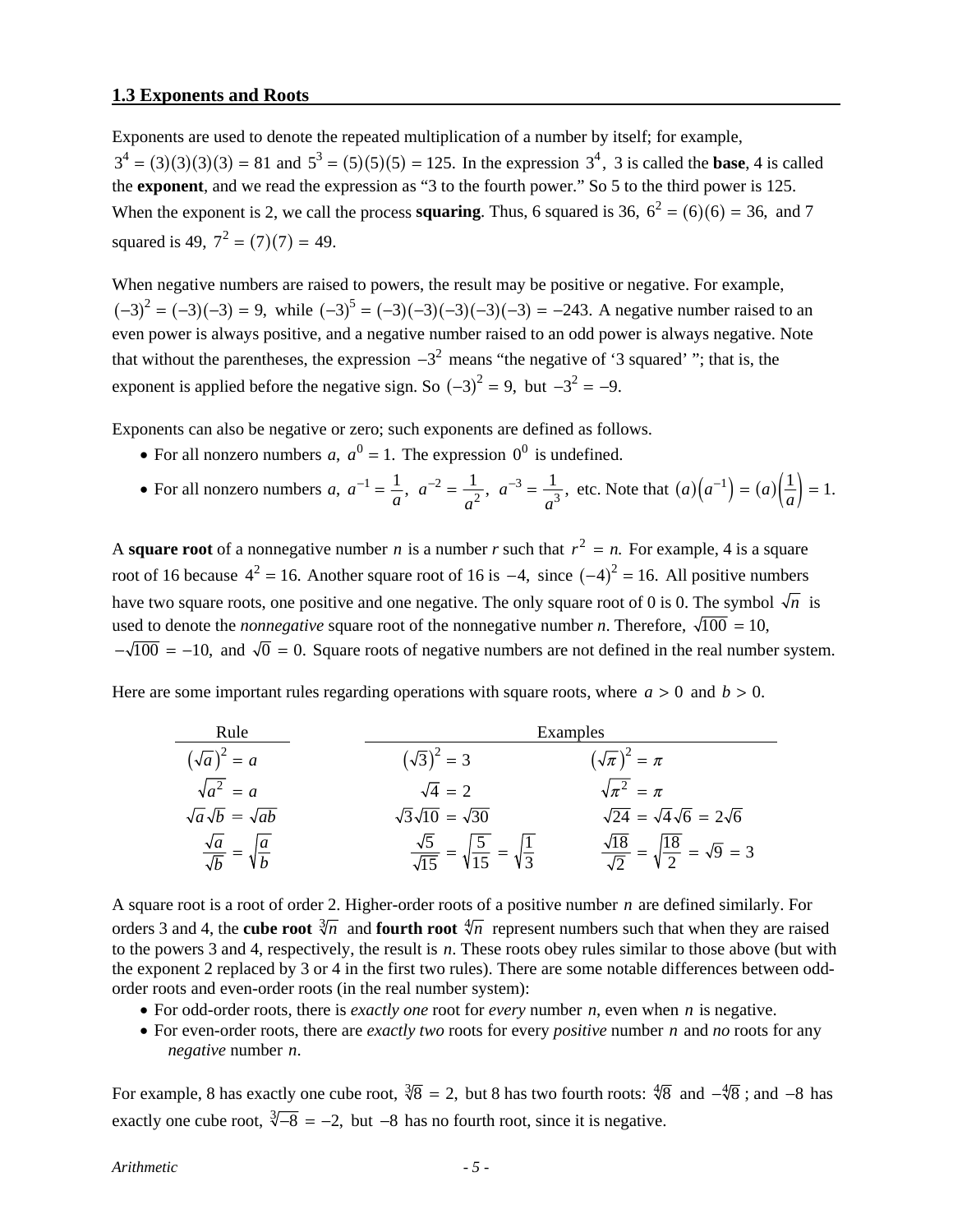<span id="page-7-0"></span>Exponents are used to denote the repeated multiplication of a number by itself; for example,  $3^4 = (3)(3)(3)(3) = 81$  and  $5^3 = (5)(5)(5) = 125$ . In the expression  $3^4$ , 3 is called the **base**, 4 is called the **exponent**, and we read the expression as "3 to the fourth power." So 5 to the third power is 125. When the exponent is 2, we call the process **squaring**. Thus, 6 squared is 36,  $6^2 = (6)(6) = 36$ , and 7 squared is 49,  $7^2 = (7)(7) = 49$ .

 $(-3)^2 = (-3)(-3) = 9$ , while  $(-3)^5 = (-3)(-3)(-3)(-3)(-3) = -243$ . A negative number raised to an exponent is applied before the negative sign. So  $(-3)^2 = 9$ , but  $-3^2 = -9$ . When negative numbers are raised to powers, the result may be positive or negative. For example, even power is always positive, and a negative number raised to an odd power is always negative. Note that without the parentheses, the expression  $-3^2$  means "the negative of '3 squared' "; that is, the

Exponents can also be negative or zero; such exponents are defined as follows.

- For all nonzero numbers *a*,  $a^0 = 1$ . The expression  $0^0$  is undefined.
- For all nonzero numbers *a*,  $a^{-1} = \frac{1}{a}$ ,  $a^{-2} = \frac{1}{a^2}$  $a^{-2} = \frac{1}{a^2}, \ a^{-3} = \frac{1}{a^3}$  $a^{-3} = \frac{1}{a^3}$ , etc. Note that  $(a)(a^{-1}) = (a)(\frac{1}{a}) = 1$ .

A **square root** of a nonnegative number *n* is a number *r* such that  $r^2 = n$ . For example, 4 is a square root of 16 because  $4^2 = 16$ . Another square root of 16 is  $-4$ , since  $(-4)^2 = 16$ . All positive numbers have two square roots, one positive and one negative. The only square root of 0 is 0. The symbol  $\sqrt{n}$  is used to denote the *nonnegative* square root of the nonnegative number *n*. Therefore,  $\sqrt{100} = 10$ ,  $-\sqrt{100}$  = -10, and  $\sqrt{0}$  = 0. Square roots of negative numbers are not defined in the real number system.

Here are some important rules regarding operations with square roots, where  $a > 0$  and  $b > 0$ .

| Rule                                             |                                                                         | Examples                                                          |  |  |
|--------------------------------------------------|-------------------------------------------------------------------------|-------------------------------------------------------------------|--|--|
| $(\sqrt{a})^2 = a$                               | $(\sqrt{3})^2 = 3$                                                      | $(\sqrt{\pi})^2 = \pi$                                            |  |  |
| $\sqrt{a^2} = a$                                 | $\sqrt{4} = 2$                                                          | $\sqrt{\pi^2} = \pi$                                              |  |  |
| $\sqrt{a}\sqrt{b} = \sqrt{ab}$                   | $\sqrt{3}\sqrt{10} = \sqrt{30}$                                         | $\sqrt{24} = \sqrt{4}\sqrt{6} = 2\sqrt{6}$                        |  |  |
| $\frac{\sqrt{a}}{\sqrt{b}} = \sqrt{\frac{a}{b}}$ | $\frac{\sqrt{5}}{\sqrt{15}} = \sqrt{\frac{5}{15}} = \sqrt{\frac{1}{3}}$ | $\frac{\sqrt{18}}{\sqrt{2}} = \sqrt{\frac{18}{2}} = \sqrt{9} = 3$ |  |  |

A square root is a root of order 2. Higher-order roots of a positive number *n* are defined similarly. For orders 3 and 4, the **cube root**  $\sqrt[3]{n}$  and **fourth root**  $\sqrt[4]{n}$  represent numbers such that when they are raised to the powers 3 and 4, respectively, the result is *n*. These roots obey rules similar to those above (but with the exponent 2 replaced by 3 or 4 in the first two rules). There are some notable differences between oddorder roots and even-order roots (in the real number system):

- For odd-order roots, there is *exactly one* root for *every* number *n*, even when *n* is negative.
- For even-order roots, there are *exactly two* roots for every *positive* number *n* and *no* roots for any *negative* number *n*.

For example, 8 has exactly one cube root,  $\sqrt[3]{8} = 2$ , but 8 has two fourth roots:  $\sqrt[4]{8}$  and  $-\sqrt[4]{8}$ ; and  $-8$  has exactly one cube root,  $\sqrt[3]{-8} = -2$ , but  $-8$  has no fourth root, since it is negative.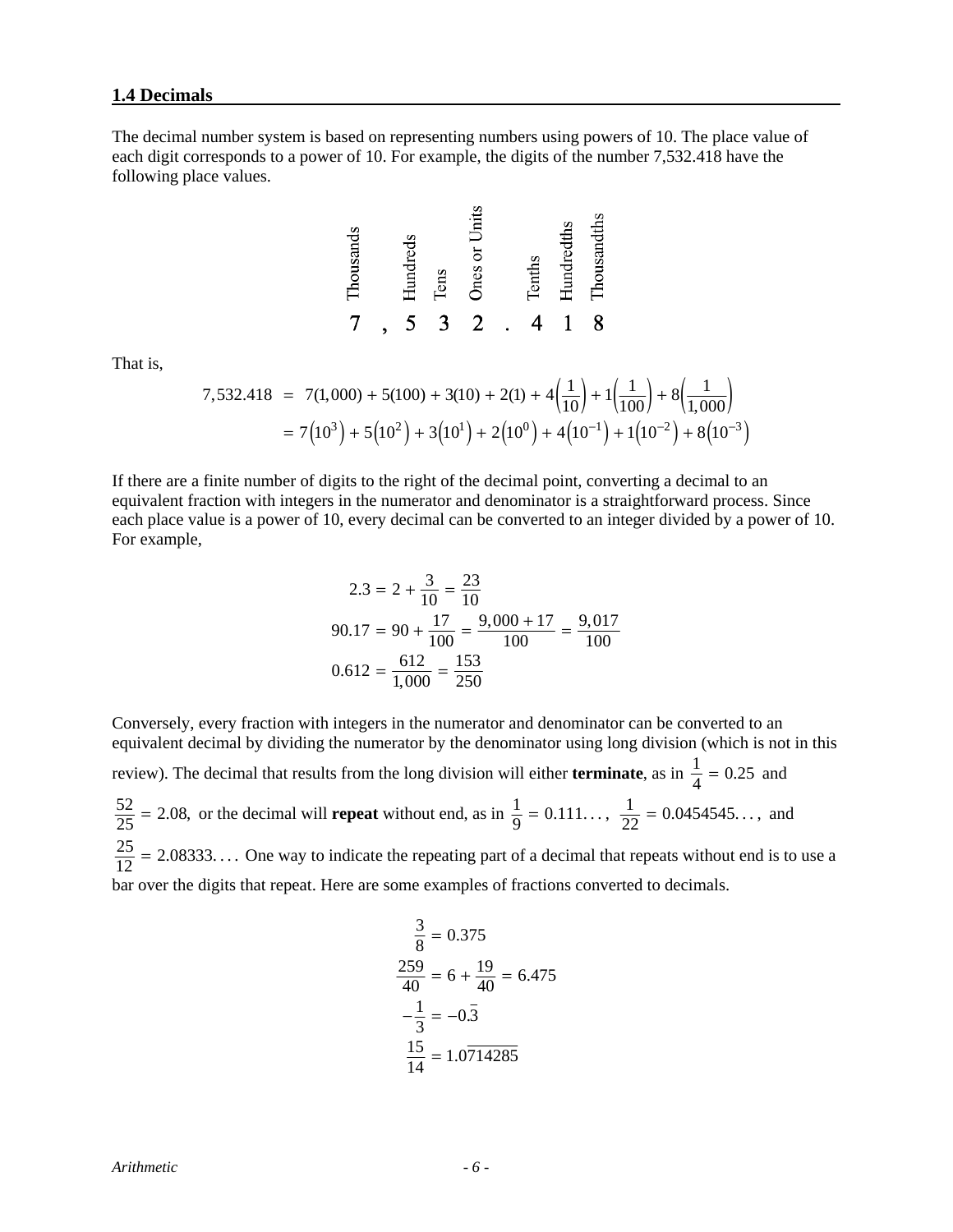#### <span id="page-8-0"></span>**1.4 Decimals**

The decimal number system is based on representing numbers using powers of 10. The place value of each digit corresponds to a power of 10. For example, the digits of the number 7,532.418 have the following place values.

That is,

$$
7,532.418 = 7(1,000) + 5(100) + 3(10) + 2(1) + 4\left(\frac{1}{10}\right) + 1\left(\frac{1}{100}\right) + 8\left(\frac{1}{1,000}\right)
$$

$$
= 7(10^3) + 5(10^2) + 3(10^1) + 2(10^0) + 4(10^{-1}) + 1(10^{-2}) + 8(10^{-3})
$$

If there are a finite number of digits to the right of the decimal point, converting a decimal to an equivalent fraction with integers in the numerator and denominator is a straightforward process. Since each place value is a power of 10, every decimal can be converted to an integer divided by a power of 10. For example,

$$
2.3 = 2 + \frac{3}{10} = \frac{23}{10}
$$
  
90.17 = 90 +  $\frac{17}{100} = \frac{9,000 + 17}{100} = \frac{9,017}{100}$   

$$
0.612 = \frac{612}{1,000} = \frac{153}{250}
$$

Conversely, every fraction with integers in the numerator and denominator can be converted to an equivalent decimal by dividing the numerator by the denominator using long division (which is not in this review). The decimal that results from the long division will either **terminate**, as in  $\frac{1}{4} = 0.25$  and  $\frac{52}{25}$  = 2.08, or the decimal will **repeat** without end, as in  $\frac{1}{9}$  = 0.111...,  $\frac{1}{22}$  = 0.0454545..., and  $\frac{25}{12}$  = 2.08333... One way to indicate the repeating part of a decimal that repeats without end is to use a bar over the digits that repeat. Here are some examples of fractions converted to decimals.

$$
\frac{3}{8} = 0.375
$$
  

$$
\frac{259}{40} = 6 + \frac{19}{40} = 6.475
$$
  

$$
-\frac{1}{3} = -0.\overline{3}
$$
  

$$
\frac{15}{14} = 1.0\overline{7}14285
$$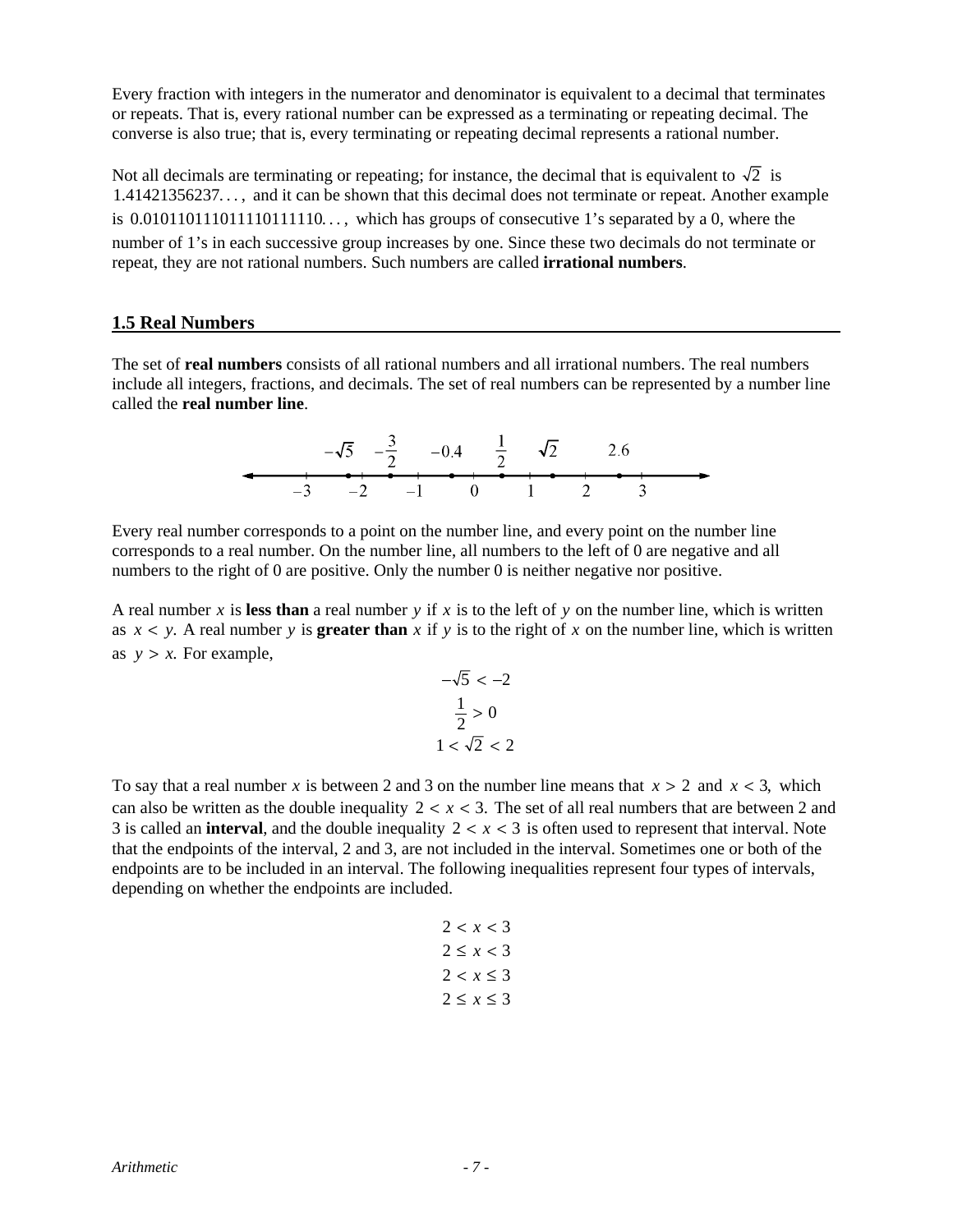<span id="page-9-0"></span>Every fraction with integers in the numerator and denominator is equivalent to a decimal that terminates or repeats. That is, every rational number can be expressed as a terminating or repeating decimal. The converse is also true; that is, every terminating or repeating decimal represents a rational number.

Not all decimals are terminating or repeating; for instance, the decimal that is equivalent to  $\sqrt{2}$  is 1.41421356237..., and it can be shown that this decimal does not terminate or repeat. Another example is  $0.01011011101111110...$ , which has groups of consecutive 1's separated by a 0, where the number of 1's in each successive group increases by one. Since these two decimals do not terminate or repeat, they are not rational numbers. Such numbers are called **irrational numbers**.

#### **1.5 Real Numbers**

The set of **real numbers** consists of all rational numbers and all irrational numbers. The real numbers include all integers, fractions, and decimals. The set of real numbers can be represented by a number line called the **real number line**.

$$
-\sqrt{5} \quad -\frac{3}{2} \quad -0.4 \quad \frac{1}{2} \quad \sqrt{2} \quad 2.6
$$

Every real number corresponds to a point on the number line, and every point on the number line corresponds to a real number. On the number line, all numbers to the left of 0 are negative and all numbers to the right of 0 are positive. Only the number 0 is neither negative nor positive.

A real number x is **less than** a real number y if x is to the left of y on the number line, which is written as  $x < y$ . A real number y is **greater than** x if y is to the right of x on the number line, which is written as  $y > x$ . For example,

$$
-\sqrt{5} < -2
$$
\n
$$
\frac{1}{2} > 0
$$
\n
$$
1 < \sqrt{2} < 2
$$

can also be written as the double inequality  $2 < x < 3$ . The set of all real numbers that are between 2 and To say that a real number x is between 2 and 3 on the number line means that  $x > 2$  and  $x < 3$ , which 3 is called an **interval**, and the double inequality  $2 < x < 3$  is often used to represent that interval. Note that the endpoints of the interval, 2 and 3, are not included in the interval. Sometimes one or both of the endpoints are to be included in an interval. The following inequalities represent four types of intervals, depending on whether the endpoints are included.

$$
2 < x < 3
$$
\n
$$
2 \leq x < 3
$$
\n
$$
2 < x \leq 3
$$
\n
$$
2 \leq x \leq 3
$$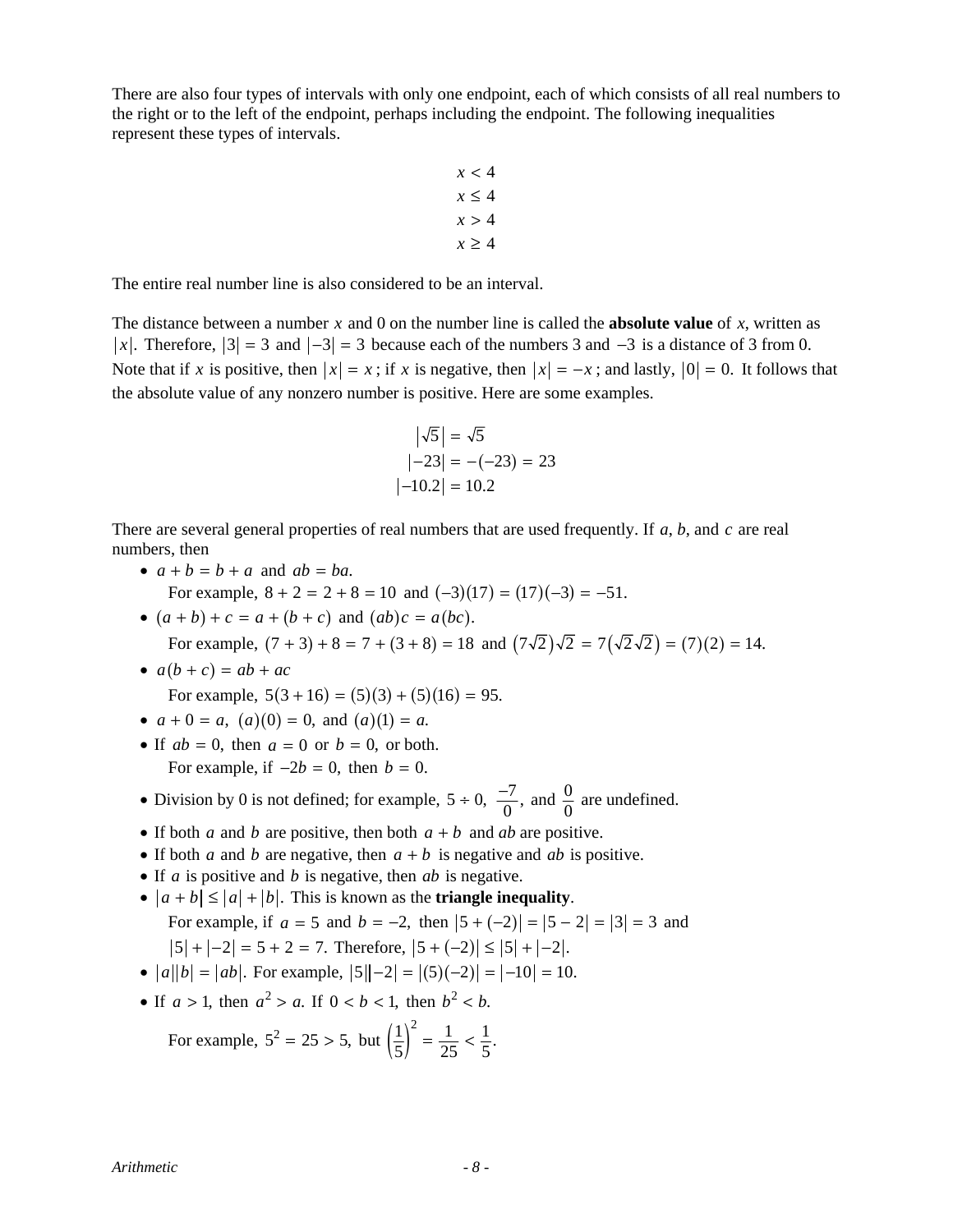There are also four types of intervals with only one endpoint, each of which consists of all real numbers to the right or to the left of the endpoint, perhaps including the endpoint. The following inequalities represent these types of intervals.

$$
x < 4
$$
  

$$
x \le 4
$$
  

$$
x > 4
$$
  

$$
x \ge 4
$$

The entire real number line is also considered to be an interval.

The distance between a number *x* and 0 on the number line is called the **absolute value** of *x*, written as *x*. Therefore,  $|3| = 3$  and  $|-3| = 3$  because each of the numbers 3 and  $-3$  is a distance of 3 from 0. Note that if *x* is positive, then  $|x| = x$ ; if *x* is negative, then  $|x| = -x$ ; and lastly,  $|0| = 0$ . It follows that the absolute value of any nonzero number is positive. Here are some examples.

$$
|\sqrt{5}| = \sqrt{5}
$$
  
|-23| = -(-23) = 23  
|-10.2| = 10.2

There are several general properties of real numbers that are used frequently. If *a*, *b*, and *c* are real numbers, then

- $a + b = b + a$  and  $ab = ba$ . For example,  $8 + 2 = 2 + 8 = 10$  and  $(-3)(17) = (17)(-3) = -51$ .
- $(a + b) + c = a + (b + c)$  and  $(ab)c = a(bc)$ . For example,  $(7 + 3) + 8 = 7 + (3 + 8) = 18$  and  $(7\sqrt{2})\sqrt{2} = 7(\sqrt{2}\sqrt{2}) = (7)(2) = 14$ .
- $a(b+c) = ab + ac$

For example,  $5(3+16) = (5)(3) + (5)(16) = 95$ .

- $a + 0 = a$ ,  $(a)(0) = 0$ , and  $(a)(1) = a$ .
- If  $ab = 0$ , then  $a = 0$  or  $b = 0$ , or both. For example, if  $-2b = 0$ , then  $b = 0$ .
- Division by 0 is not defined; for example,  $5 \div 0$ ,  $\frac{-7}{0}$ , and  $\frac{0}{0}$  are undefined.
- If both *a* and *b* are positive, then both  $a + b$  and *ab* are positive.
- If both *a* and *b* are negative, then  $a + b$  is negative and *ab* is positive.
- If *a* is positive and *b* is negative, then *ab* is negative.
- $|a + b| \le |a| + |b|$ . This is known as the **triangle inequality**. For example, if  $a = 5$  and  $b = -2$ , then  $|5 + (-2)| = |5 - 2| = |3| = 3$  and  $|5| + |-2| = 5 + 2 = 7$ . Therefore,  $|5 + (-2)| \le |5| + |-2|$ .
- $|a||b| = |ab|$ . For example,  $|5||-2| = |(5)(-2)| = |-10| = 10$ .
- If  $a > 1$ , then  $a^2 > a$ . If  $0 < b < 1$ , then  $b^2 < b$ .

For example, 
$$
5^2 = 25 > 5
$$
, but  $\left(\frac{1}{5}\right)^2 = \frac{1}{25} < \frac{1}{5}$ .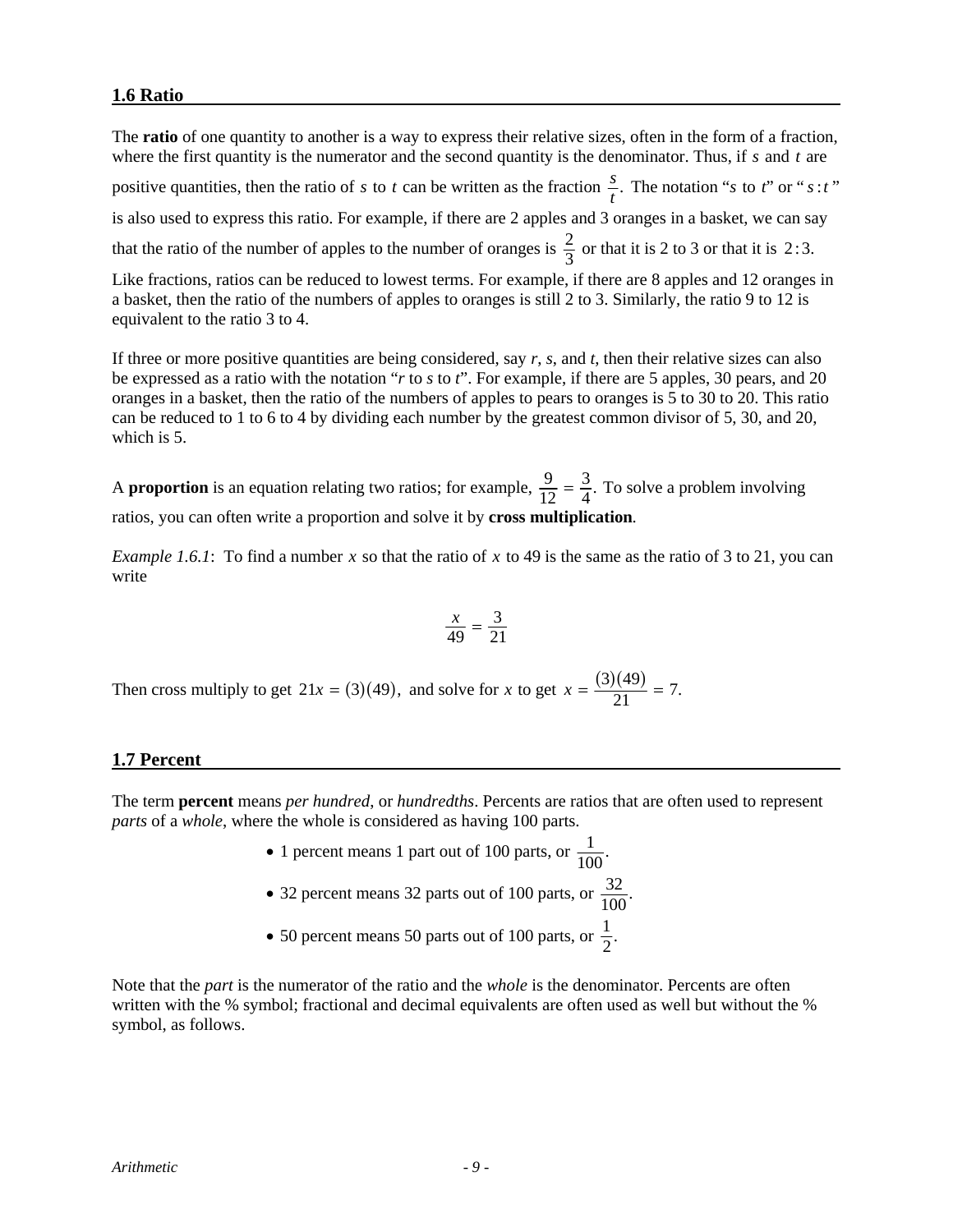#### <span id="page-11-0"></span>**1.6 Ratio**

The **ratio** of one quantity to another is a way to express their relative sizes, often in the form of a fraction, where the first quantity is the numerator and the second quantity is the denominator. Thus, if *s* and *t* are

positive quantities, then the ratio of *s* to *t* can be written as the fraction  $\frac{s}{t}$ . The notation "*s* to *t*" or "*s*:*t*" is also used to express this ratio. For example, if there are 2 apples and 3 oranges in a basket, we can say

that the ratio of the number of apples to the number of oranges is  $\frac{2}{3}$  or that it is 2 to 3 or that it is 2:3.

Like fractions, ratios can be reduced to lowest terms. For example, if there are 8 apples and 12 oranges in a basket, then the ratio of the numbers of apples to oranges is still 2 to 3. Similarly, the ratio 9 to 12 is equivalent to the ratio 3 to 4.

If three or more positive quantities are being considered, say *r*, *s*, and *t*, then their relative sizes can also be expressed as a ratio with the notation "*r* to *s* to *t*". For example, if there are 5 apples, 30 pears, and 20 oranges in a basket, then the ratio of the numbers of apples to pears to oranges is 5 to 30 to 20. This ratio can be reduced to 1 to 6 to 4 by dividing each number by the greatest common divisor of 5, 30, and 20, which is 5.

A **proportion** is an equation relating two ratios; for example,  $\frac{9}{12} = \frac{3}{4}$ . To solve a problem involving ratios, you can often write a proportion and solve it by **cross multiplication***.*

*Example 1.6.1*: To find a number *x* so that the ratio of *x* to 49 is the same as the ratio of 3 to 21, you can write

$$
\frac{x}{49} = \frac{3}{21}
$$

Then cross multiply to get  $21x = (3)(49)$ , and solve for *x* to get  $x = \frac{(3)(49)}{21} = 7$ .

#### **1.7 Percent**

The term **percent** means *per hundred*, or *hundredths*. Percents are ratios that are often used to represent *parts* of a *whole*, where the whole is considered as having 100 parts.

- 1 percent means 1 part out of 100 parts, or  $\frac{1}{100}$ .
- 32 percent means 32 parts out of 100 parts, or  $\frac{32}{100}$ .
- 50 percent means 50 parts out of 100 parts, or  $\frac{1}{2}$ .

Note that the *part* is the numerator of the ratio and the *whole* is the denominator. Percents are often written with the % symbol; fractional and decimal equivalents are often used as well but without the % symbol, as follows.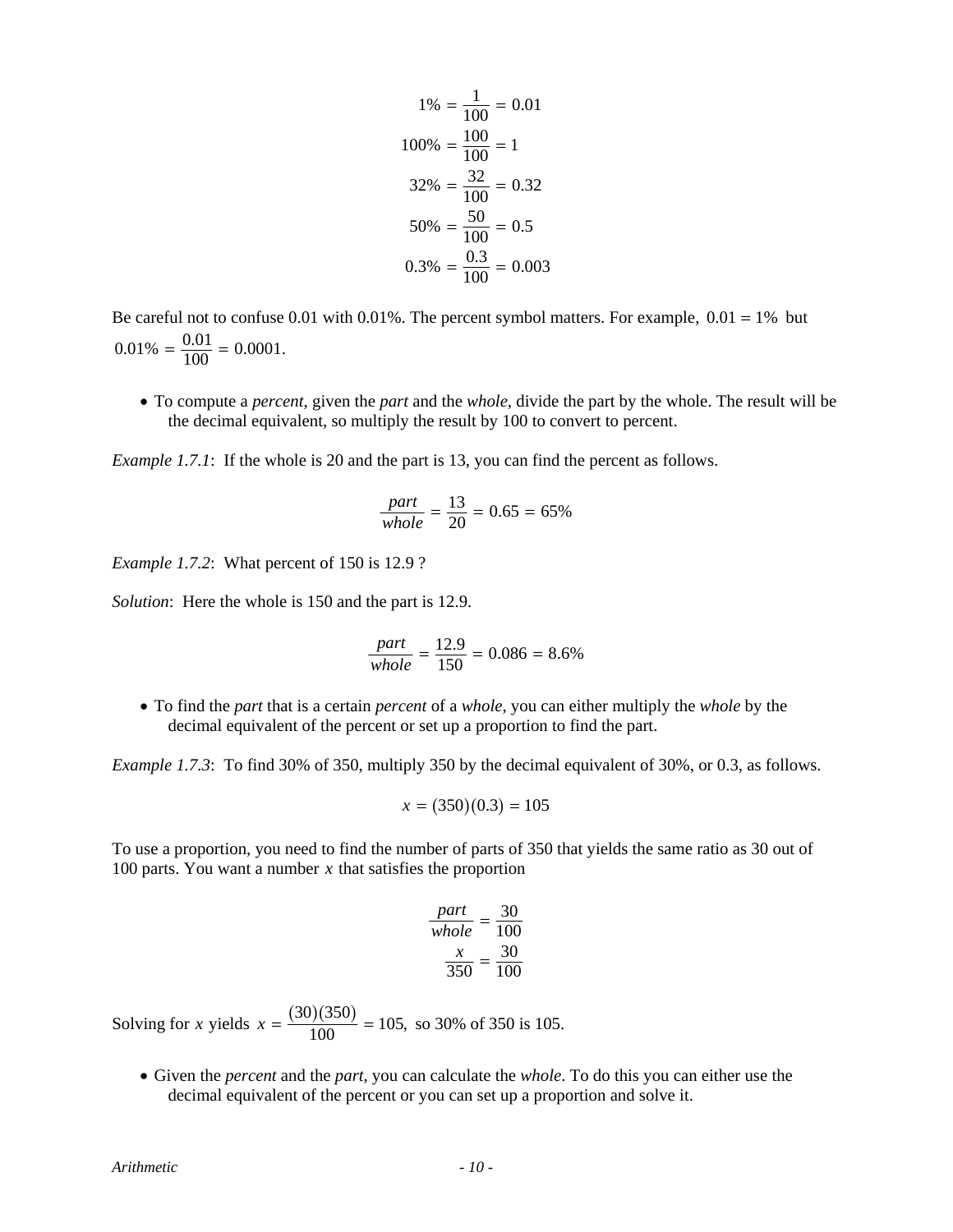$$
1\% = \frac{1}{100} = 0.01
$$
  

$$
100\% = \frac{100}{100} = 1
$$
  

$$
32\% = \frac{32}{100} = 0.32
$$
  

$$
50\% = \frac{50}{100} = 0.5
$$
  

$$
0.3\% = \frac{0.3}{100} = 0.003
$$

Be careful not to confuse 0.01 with 0.01%. The percent symbol matters. For example,  $0.01 = 1\%$  but  $0.01\% = \frac{0.01}{100} = 0.0001.$ 

• To compute a *percent*, given the *part* and the *whole*, divide the part by the whole. The result will be the decimal equivalent, so multiply the result by 100 to convert to percent.

*Example 1.7.1*: If the whole is 20 and the part is 13, you can find the percent as follows.

$$
\frac{part}{whole} = \frac{13}{20} = 0.65 = 65\%
$$

*Example 1.7.2*: What percent of 150 is 12.9 ?

*Solution*: Here the whole is 150 and the part is 12.9.

$$
\frac{part}{whole} = \frac{12.9}{150} = 0.086 = 8.6\%
$$

• To find the *part* that is a certain *percent* of a *whole*, you can either multiply the *whole* by the decimal equivalent of the percent or set up a proportion to find the part.

*Example 1.7.3*: To find 30% of 350, multiply 350 by the decimal equivalent of 30%, or 0.3, as follows.

$$
x = (350)(0.3) = 105
$$

To use a proportion, you need to find the number of parts of 350 that yields the same ratio as 30 out of 100 parts. You want a number *x* that satisfies the proportion

$$
\frac{part}{whole} = \frac{30}{100}
$$

$$
\frac{x}{350} = \frac{30}{100}
$$

Solving for *x* yields  $x = \frac{(30)(350)}{100} = 105$ , so 30% of 350 is 105.

• Given the *percent* and the *part*, you can calculate the *whole*. To do this you can either use the decimal equivalent of the percent or you can set up a proportion and solve it.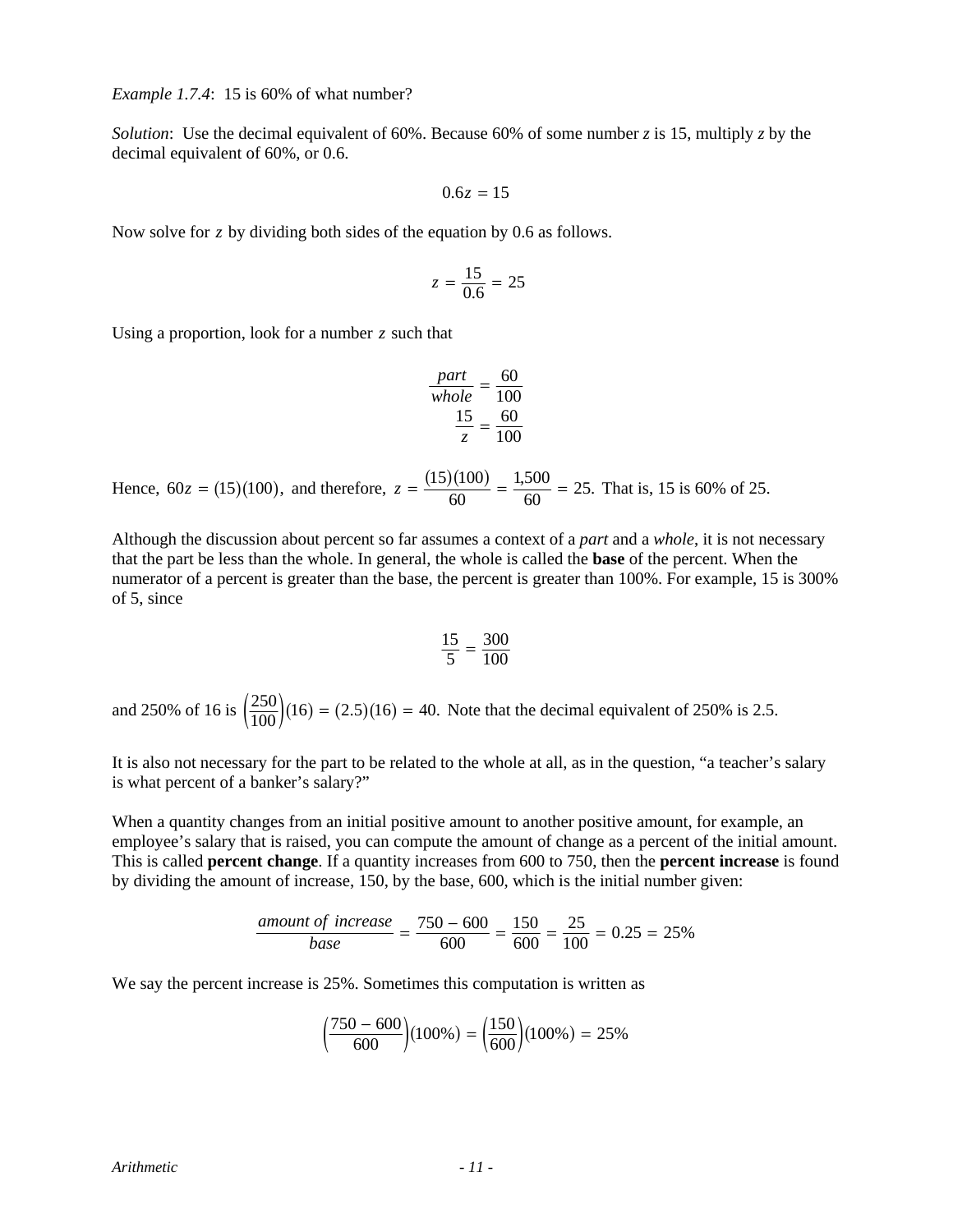*Example 1.7.4*: 15 is 60% of what number?

*Solution*: Use the decimal equivalent of 60%. Because 60% of some number *z* is 15, multiply *z* by the decimal equivalent of 60%, or 0.6.

$$
0.6z=15
$$

Now solve for *z* by dividing both sides of the equation by 0.6 as follows.

$$
z = \frac{15}{0.6} = 25
$$

Using a proportion, look for a number *z* such that

$$
\frac{part}{whole} = \frac{60}{100}
$$

$$
\frac{15}{z} = \frac{60}{100}
$$

Hence,  $60z = (15)(100)$ , and therefore,  $z = \frac{(15)(100)}{60} = \frac{1,500}{60} = 25$ . That is, 15 is 60% of 25.

Although the discussion about percent so far assumes a context of a *part* and a *whole*, it is not necessary that the part be less than the whole. In general, the whole is called the **base** of the percent. When the numerator of a percent is greater than the base, the percent is greater than 100%. For example, 15 is 300% of 5, since

$$
\frac{15}{5} = \frac{300}{100}
$$

and 250% of 16 is  $\left(\frac{250}{100}\right)$ (16) = (2.5)(16) = 40. Note that the decimal equivalent of 250% is 2.5.

It is also not necessary for the part to be related to the whole at all, as in the question, "a teacher's salary is what percent of a banker's salary?"

When a quantity changes from an initial positive amount to another positive amount, for example, an employee's salary that is raised, you can compute the amount of change as a percent of the initial amount. This is called **percent change**. If a quantity increases from 600 to 750, then the **percent increase** is found by dividing the amount of increase, 150, by the base, 600, which is the initial number given:

$$
\frac{amount\ of\ increase}{base} = \frac{750 - 600}{600} = \frac{150}{600} = \frac{25}{100} = 0.25 = 25\%
$$

We say the percent increase is 25%. Sometimes this computation is written as

$$
\left(\frac{750 - 600}{600}\right)(100\%) = \left(\frac{150}{600}\right)(100\%) = 25\%
$$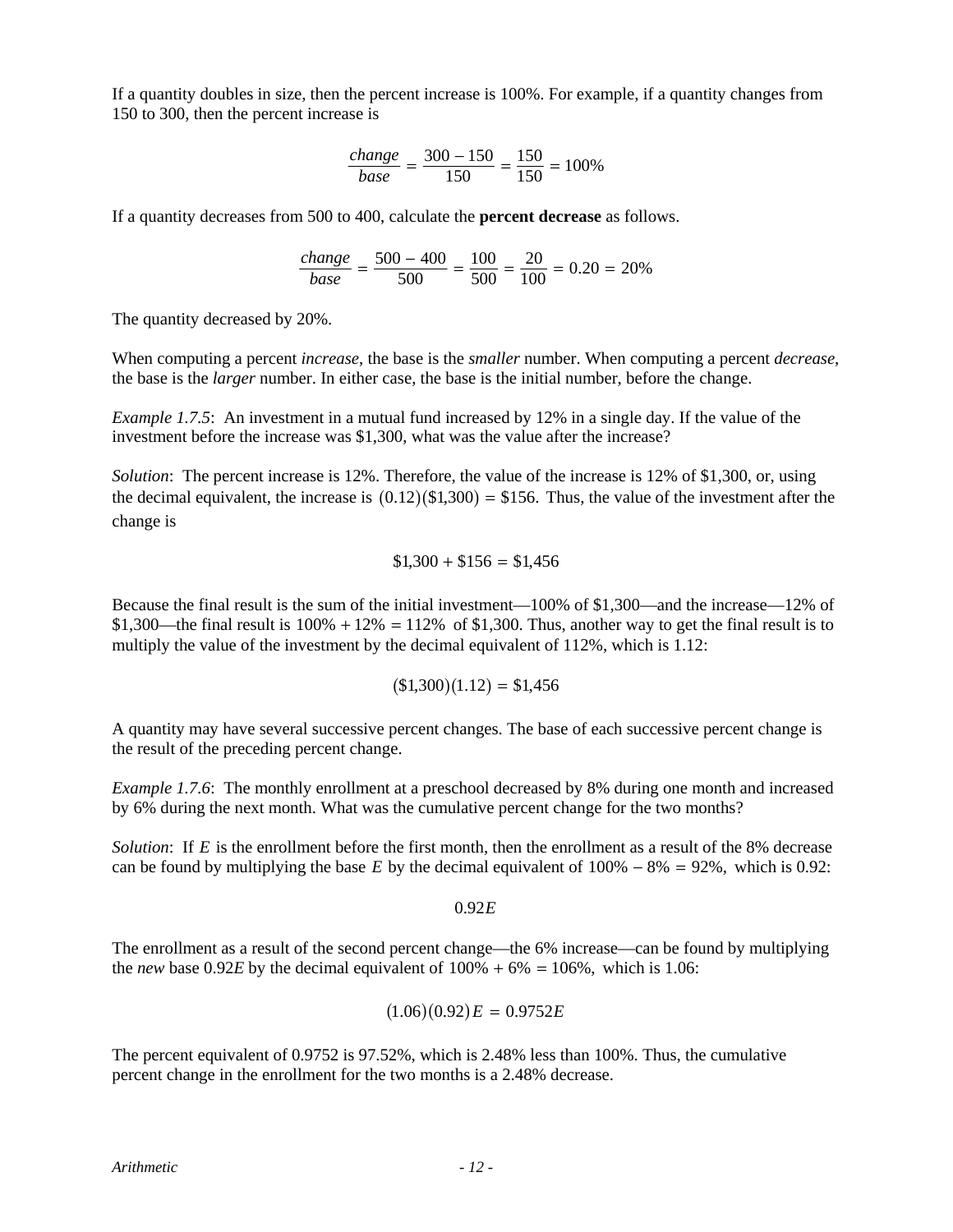If a quantity doubles in size, then the percent increase is 100%. For example, if a quantity changes from 150 to 300, then the percent increase is

$$
\frac{change}{base} = \frac{300 - 150}{150} = \frac{150}{150} = 100\%
$$

If a quantity decreases from 500 to 400, calculate the **percent decrease** as follows.

$$
\frac{change}{base} = \frac{500 - 400}{500} = \frac{100}{500} = \frac{20}{100} = 0.20 = 20\%
$$

The quantity decreased by 20%.

When computing a percent *increase*, the base is the *smaller* number. When computing a percent *decrease*, the base is the *larger* number. In either case, the base is the initial number, before the change.

*Example 1.7.5*: An investment in a mutual fund increased by 12% in a single day. If the value of the investment before the increase was \$1,300, what was the value after the increase?

*Solution*: The percent increase is 12%. Therefore, the value of the increase is 12% of \$1,300, or, using the decimal equivalent, the increase is  $(0.12)(\$1,300) = \$156$ . Thus, the value of the investment after the change is

$$
$1,300 + $156 = $1,456
$$

Because the final result is the sum of the initial investment—100% of \$1,300—and the increase—12% of  $$1,300$ —the final result is  $100\% + 12\% = 112\%$  of \$1,300. Thus, another way to get the final result is to multiply the value of the investment by the decimal equivalent of 112%, which is 1.12:

$$
(\$1,300)(1.12) = \$1,456
$$

A quantity may have several successive percent changes. The base of each successive percent change is the result of the preceding percent change.

*Example 1.7.6*: The monthly enrollment at a preschool decreased by 8% during one month and increased by 6% during the next month. What was the cumulative percent change for the two months?

*Solution*: If *E* is the enrollment before the first month, then the enrollment as a result of the 8% decrease can be found by multiplying the base *E* by the decimal equivalent of  $100\% - 8\% = 92\%$ , which is 0.92:

#### 0.92*E*

The enrollment as a result of the second percent change—the 6% increase—can be found by multiplying the *new* base 0.92*E* by the decimal equivalent of  $100\% + 6\% = 106\%$ , which is 1.06:

$$
(1.06)(0.92)E = 0.9752E
$$

The percent equivalent of 0.9752 is 97.52%, which is 2.48% less than 100%. Thus, the cumulative percent change in the enrollment for the two months is a 2.48% decrease.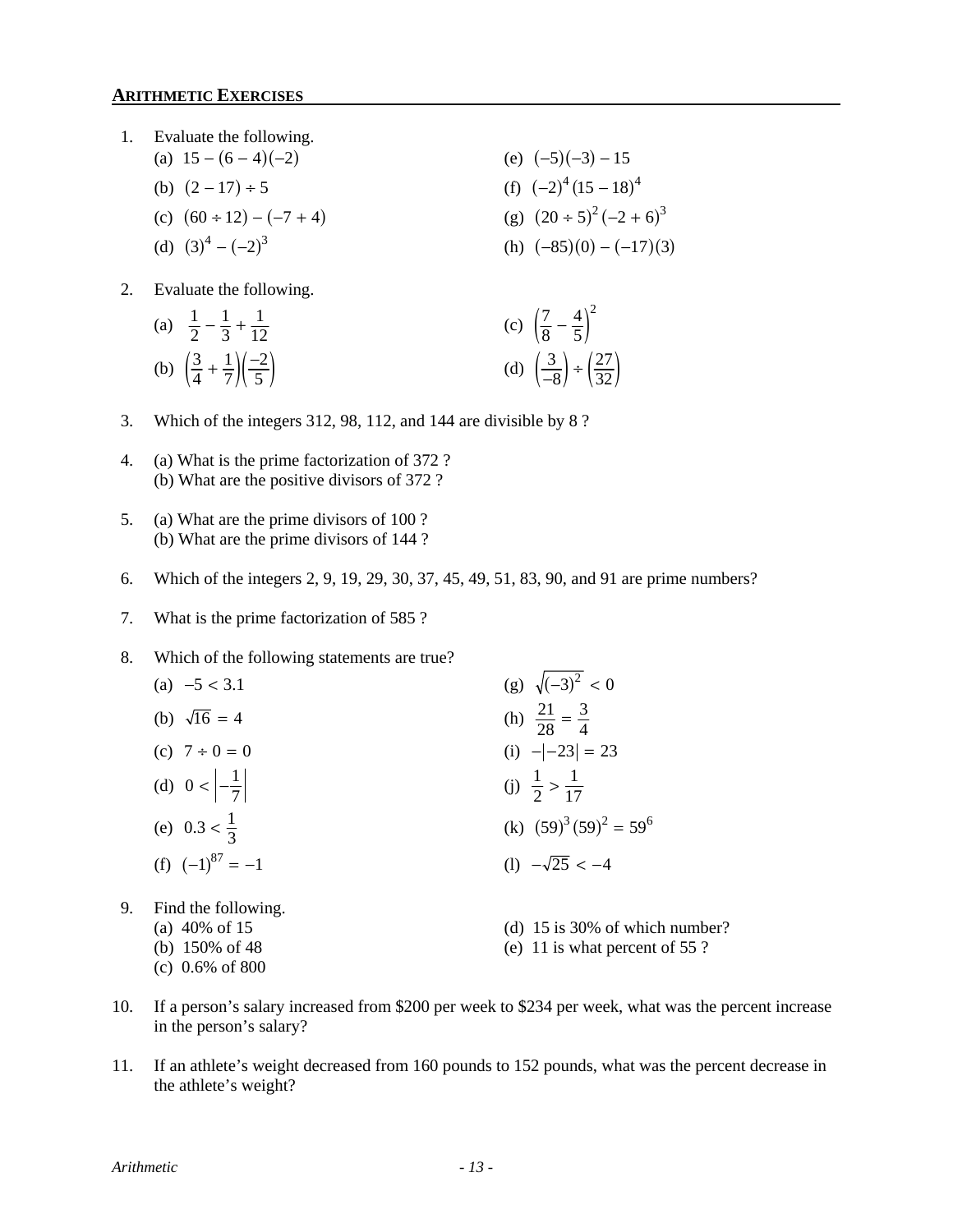- <span id="page-15-0"></span> 1. Evaluate the following. (a)  $15 - (6 - 4)(-2)$  (e)  $(-5)(-3) - 15$ (b)  $(2-17) \div 5$   $(f) (-2)^4 (15-18)^4$ (c)  $(60 \div 12) - (-7 + 4)$  (g)  $(20 \div 5)^2 (-2 + 6)^3$ (d)  $(3)^4 - (-2)^3$ <br>(h)  $(-85)(0) - (-17)(3)$
- 2. Evaluate the following.

(a) 
$$
\frac{1}{2} - \frac{1}{3} + \frac{1}{12}
$$
  
\n(b)  $\left(\frac{3}{4} + \frac{1}{7}\right)\left(\frac{-2}{5}\right)$   
\n(c)  $\left(\frac{7}{8} - \frac{4}{5}\right)^2$   
\n(d)  $\left(\frac{3}{-8}\right) \div \left(\frac{27}{32}\right)$ 

- 3. Which of the integers 312, 98, 112, and 144 are divisible by 8 ?
- 4. (a) What is the prime factorization of 372 ? (b) What are the positive divisors of 372 ?
- 5. (a) What are the prime divisors of 100 ? (b) What are the prime divisors of 144 ?
- 6. Which of the integers 2, 9, 19, 29, 30, 37, 45, 49, 51, 83, 90, and 91 are prime numbers?
- 7. What is the prime factorization of 585 ?
- 8. Which of the following statements are true?
- (a)  $-5 < 3.1$  (g)  $\sqrt{(-3)^2} < 0$ (b)  $\sqrt{16} = 4$  (h)  $\frac{21}{28} = \frac{3}{4}$ (c)  $7 \div 0 = 0$  (i)  $-|-23| = 23$ (d)  $0 < \left| -\frac{1}{7} \right|$ (j)  $\frac{1}{2} > \frac{1}{17}$ (e)  $0.3 < \frac{1}{3}$  (k)  $(59)^3 (59)^2 = 59^6$ (f)  $(-1)^{87} = -1$  (l)  $-\sqrt{25} < -4$  9. Find the following.
	-
	-
	- (c) 0.6% of 800
	- (a)  $40\%$  of 15 (d) 15 is 30% of which number?
	- (b) 150% of 48 (e) 11 is what percent of 55 ?
- 10. If a person's salary increased from \$200 per week to \$234 per week, what was the percent increase in the person's salary?
- 11. If an athlete's weight decreased from 160 pounds to 152 pounds, what was the percent decrease in the athlete's weight?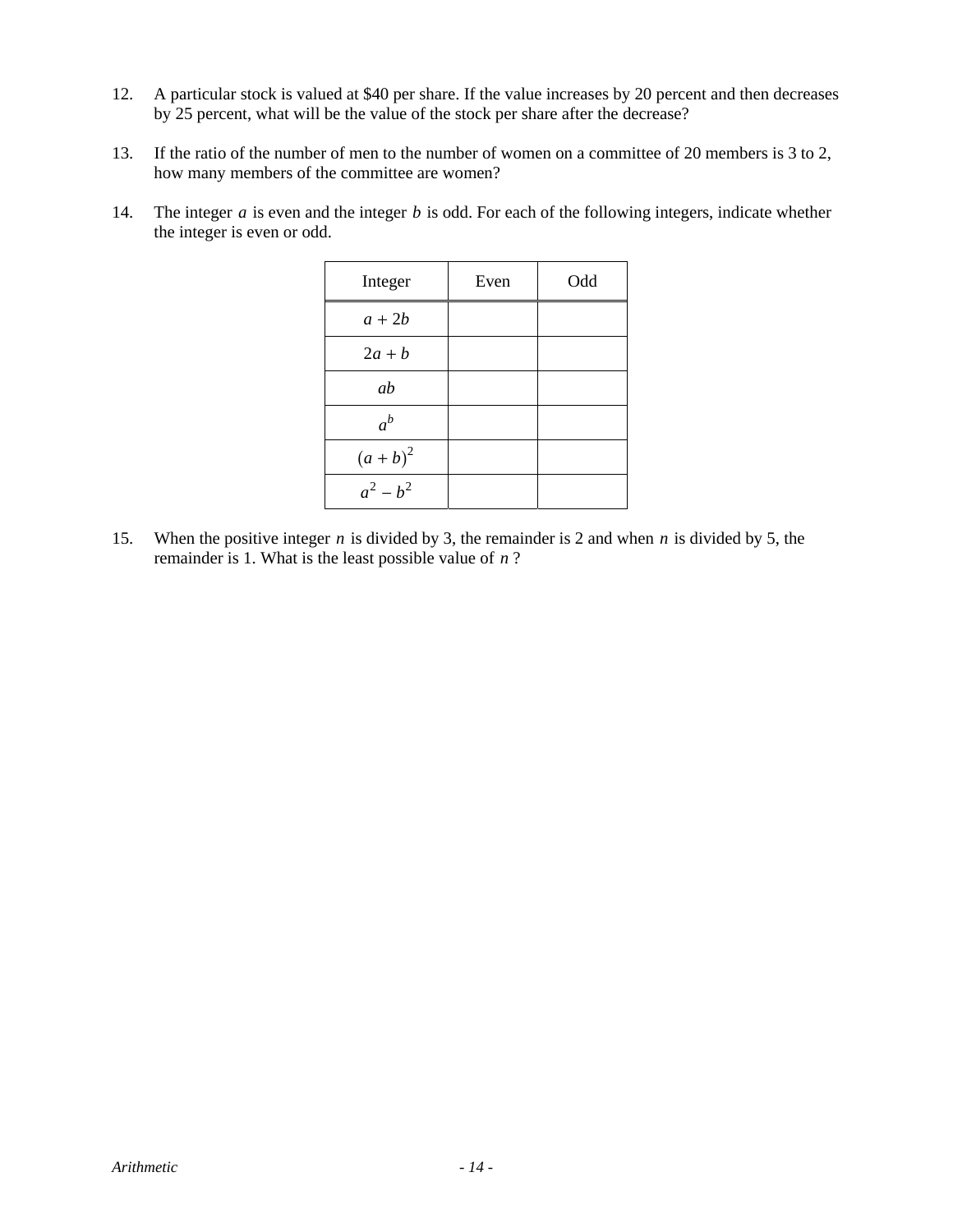- 12. A particular stock is valued at \$40 per share. If the value increases by 20 percent and then decreases by 25 percent, what will be the value of the stock per share after the decrease?
- 13. If the ratio of the number of men to the number of women on a committee of 20 members is 3 to 2, how many members of the committee are women?
- 14. The integer *a* is even and the integer *b* is odd. For each of the following integers, indicate whether the integer is even or odd.

| Integer     | Even | Odd |
|-------------|------|-----|
| $a + 2b$    |      |     |
| $2a + b$    |      |     |
| ab          |      |     |
| $a^b$       |      |     |
| $(a + b)^2$ |      |     |
| $a^2 - b^2$ |      |     |

15. When the positive integer *n* is divided by 3, the remainder is 2 and when *n* is divided by 5, the remainder is 1. What is the least possible value of *n* ?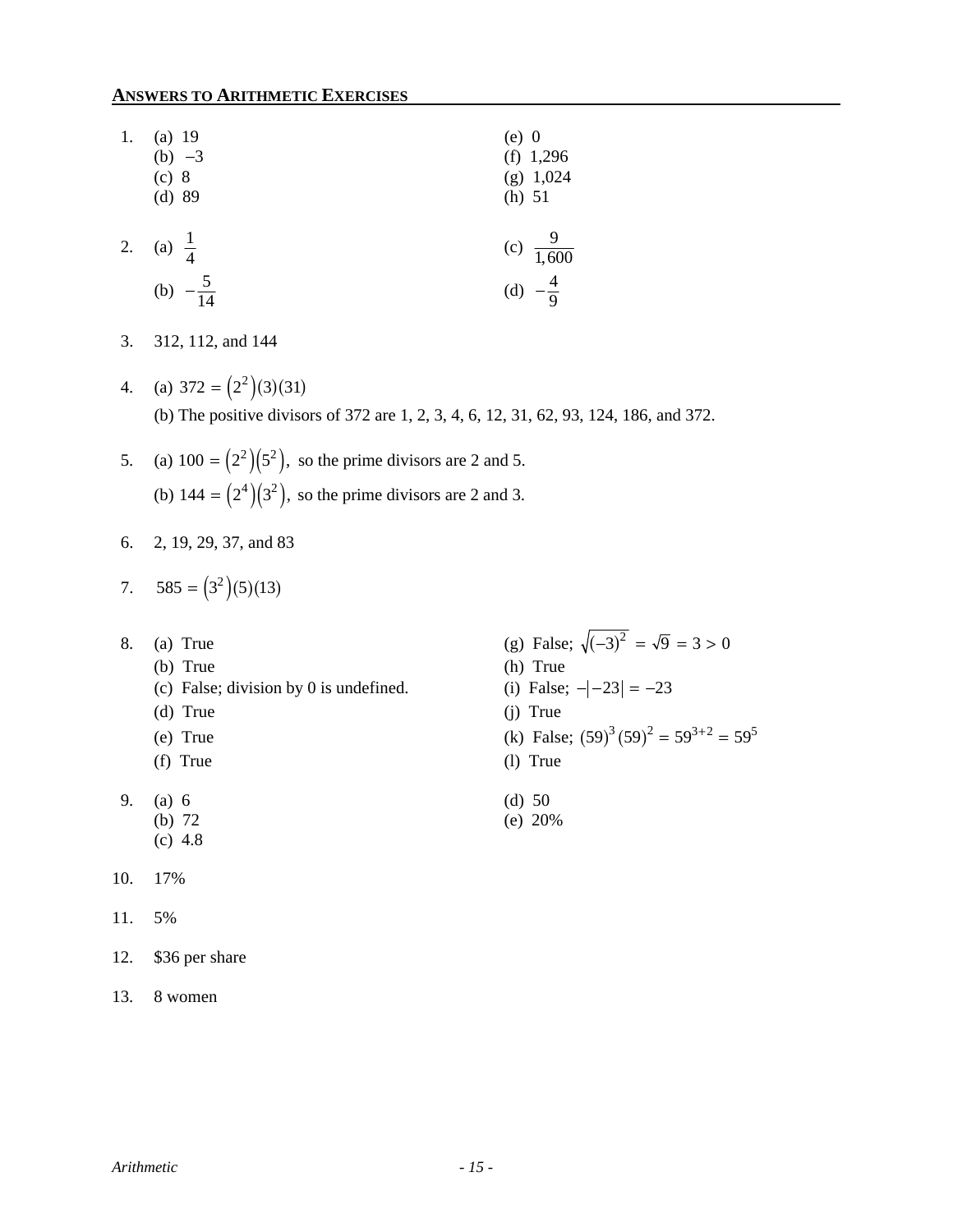<span id="page-17-0"></span>

| 1. | (a) 19<br>(b) $-3$<br>(c) 8<br>(d) 89 | $(e)$ 0<br>$(f)$ 1,296<br>$(g)$ 1,024<br>(h) 51 |
|----|---------------------------------------|-------------------------------------------------|
|    | 2. (a) $\frac{1}{4}$                  | (c) $\frac{9}{1,600}$                           |
|    | $-\frac{5}{14}$<br>(b)                | $-\frac{4}{9}$<br>(d)                           |

- 3. 312, 112, and 144
- 4. (a)  $372 = (2^2)(3)(31)$ (b) The positive divisors of 372 are 1, 2, 3, 4, 6, 12, 31, 62, 93, 124, 186, and 372.
- 5. (a)  $100 = (2^2)(5^2)$ , so the prime divisors are 2 and 5. (b)  $144 = (2^4)(3^2)$ , so the prime divisors are 2 and 3.
- 6. 2, 19, 29, 37, and 83

7. 
$$
585 = (3^2)(5)(13)
$$

- -
	- (c) False; division by  $0$  is undefined.
	-
	-
	-
- 9. (a) 6 (d) 50
	- (c) 4.8
- 10. 17%
- 
- 11. 5%
- 12. \$36 per share
- 13. 8 women
- 8. (a) True (g) False;  $\sqrt{(-3)^2} = \sqrt{9} = 3 > 0$ (b) True<br>
(c) False; division by 0 is undefined.<br>
(i) False;  $-|-23| = -23$ 
	- (d) True (j) True
	- (e) True (k) False;  $(59)^3 (59)^2 = 59^{3+2} = 59^5$
	- (f) True (l) True
		-
	- (b) 72 (e) 20%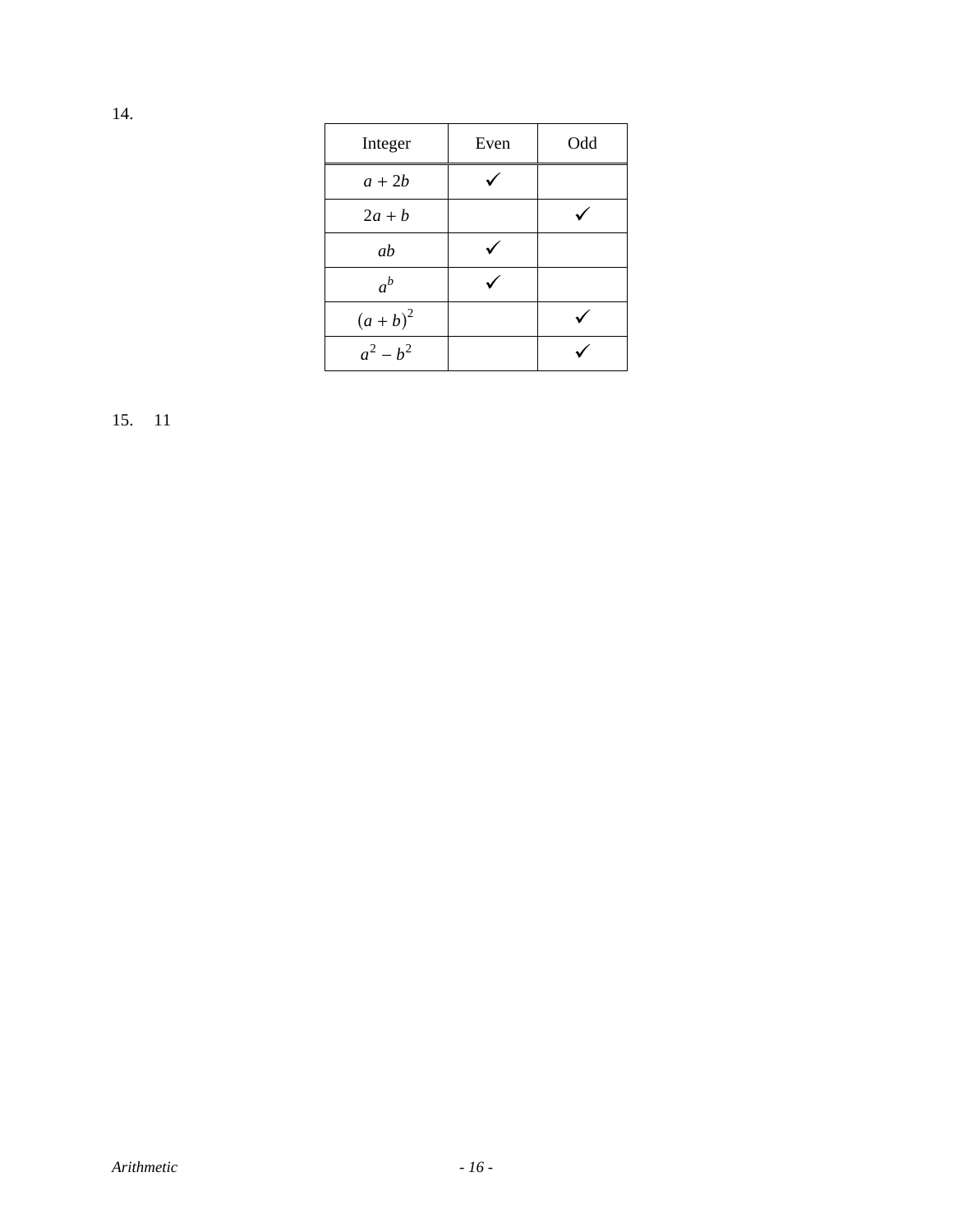| Integer     | Even | Odd |
|-------------|------|-----|
| $a + 2b$    |      |     |
| $2a + b$    |      |     |
| ab          |      |     |
| $a^b$       |      |     |
| $(a + b)^2$ |      |     |
| $a^2-b^2$   |      |     |

15. 11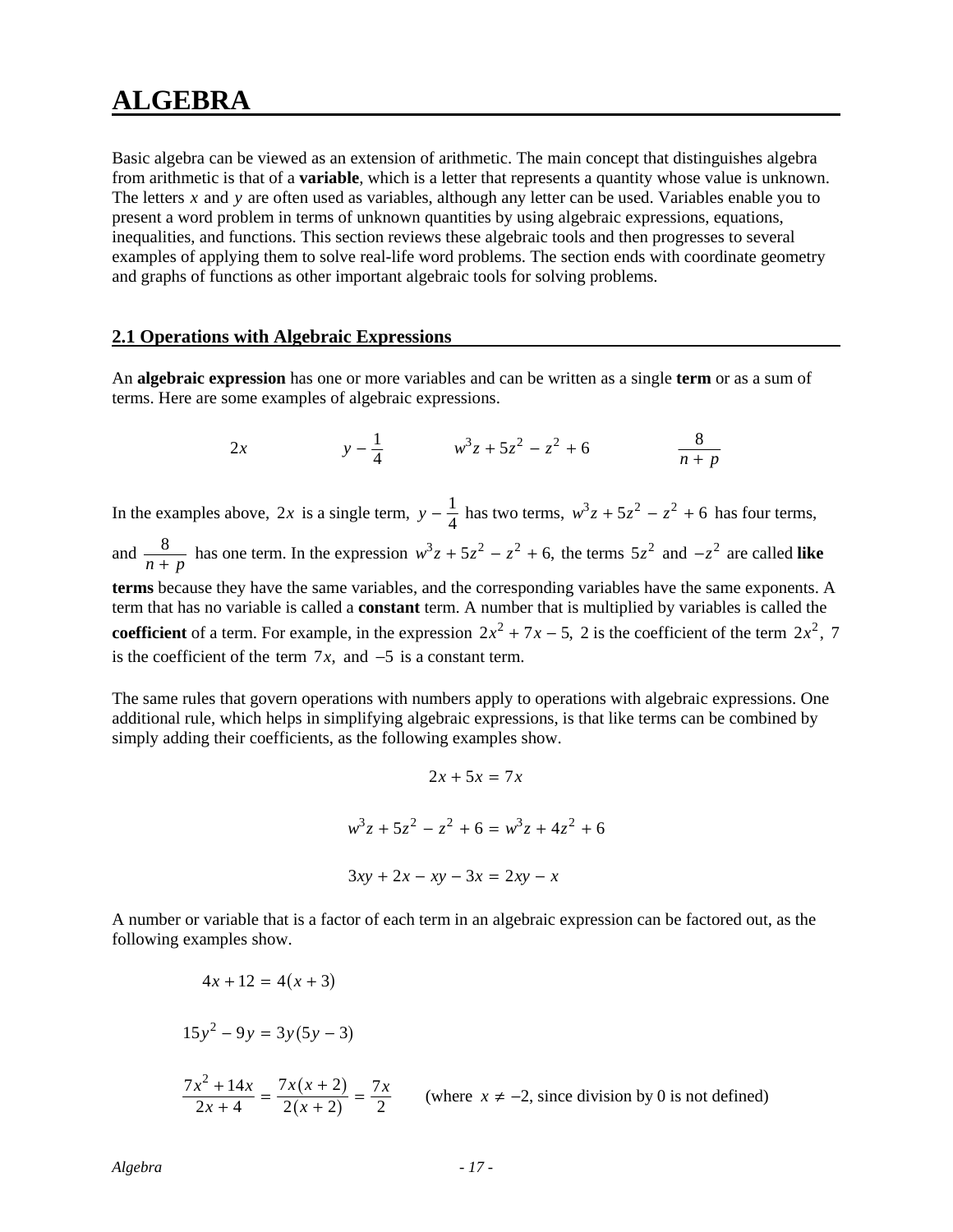## <span id="page-19-0"></span>**ALGEBRA**

Basic algebra can be viewed as an extension of arithmetic. The main concept that distinguishes algebra from arithmetic is that of a **variable**, which is a letter that represents a quantity whose value is unknown. The letters x and y are often used as variables, although any letter can be used. Variables enable you to present a word problem in terms of unknown quantities by using algebraic expressions, equations, inequalities, and functions. This section reviews these algebraic tools and then progresses to several examples of applying them to solve real-life word problems. The section ends with coordinate geometry and graphs of functions as other important algebraic tools for solving problems.

#### **2.1 Operations with Algebraic Expressions**

An **algebraic expression** has one or more variables and can be written as a single **term** or as a sum of terms. Here are some examples of algebraic expressions.

2x 
$$
y - \frac{1}{4}
$$
  $w^3 z + 5z^2 - z^2 + 6$   $\frac{8}{n+p}$ 

In the examples above, 2x is a single term,  $y - \frac{1}{4}$  has two terms,  $w^3z + 5z^2 - z^2 + 6$  has four terms, and  $\frac{8}{n+p}$  has one term. In the expression  $w^3z + 5z^2 - z^2 + 6$ , the terms  $5z^2$  and  $-z^2$  are called **like terms** because they have the same variables, and the corresponding variables have the same exponents. A term that has no variable is called a **constant** term. A number that is multiplied by variables is called the **coefficient** of a term. For example, in the expression  $2x^2 + 7x - 5$ , 2 is the coefficient of the term  $2x^2$ , 7 is the coefficient of the term  $7x$ , and  $-5$  is a constant term.

The same rules that govern operations with numbers apply to operations with algebraic expressions. One additional rule, which helps in simplifying algebraic expressions, is that like terms can be combined by simply adding their coefficients, as the following examples show.

$$
2x + 5x = 7x
$$
  

$$
w3z + 5z2 - z2 + 6 = w3z + 4z2 + 6
$$
  

$$
3xy + 2x - xy - 3x = 2xy - x
$$

A number or variable that is a factor of each term in an algebraic expression can be factored out, as the following examples show.

$$
4x + 12 = 4(x + 3)
$$
  
\n
$$
15y^{2} - 9y = 3y(5y - 3)
$$
  
\n
$$
\frac{7x^{2} + 14x}{2x + 4} = \frac{7x(x + 2)}{2(x + 2)} = \frac{7x}{2}
$$
 (where  $x \neq -2$ , since division by 0 is not defined)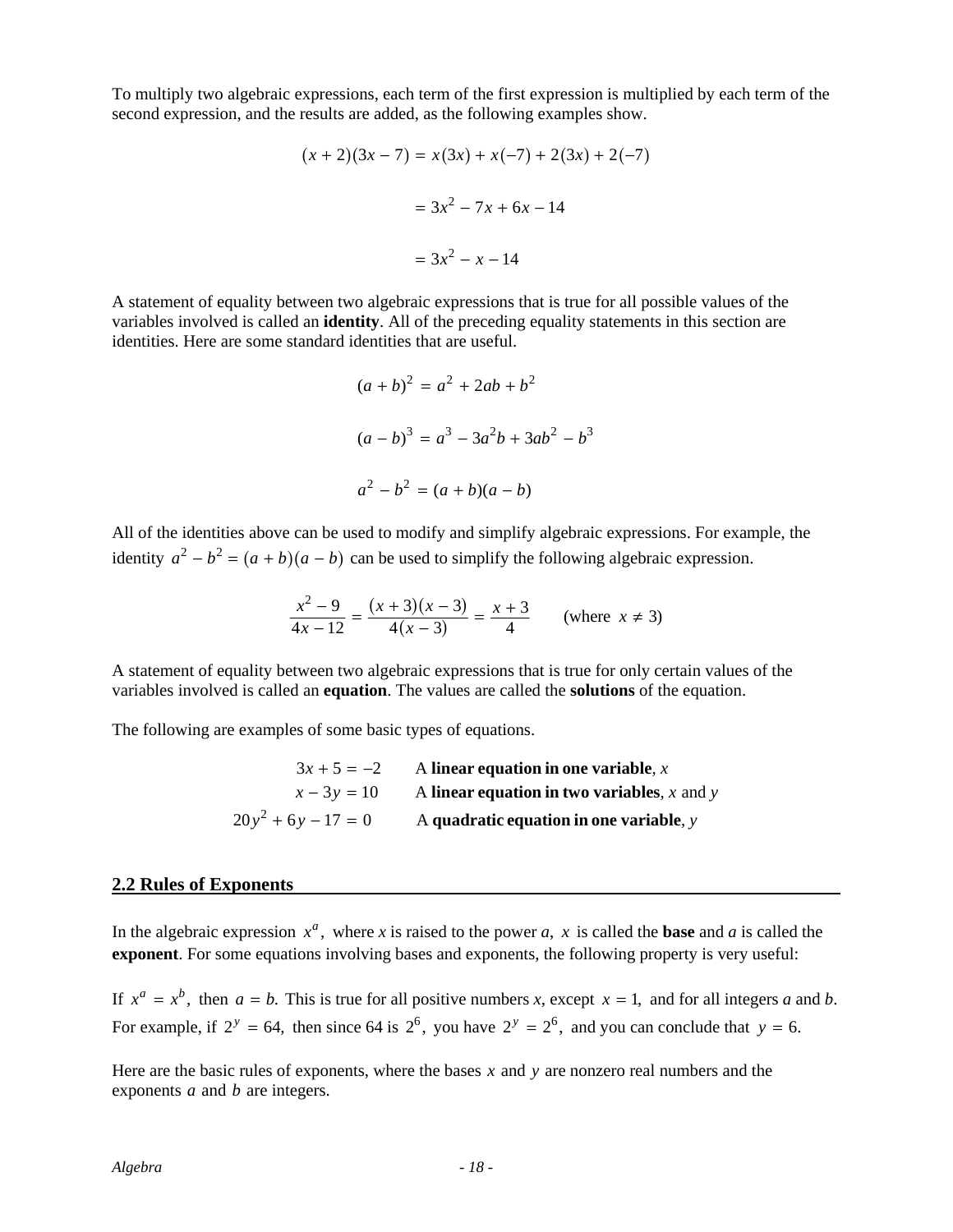<span id="page-20-0"></span>To multiply two algebraic expressions, each term of the first expression is multiplied by each term of the second expression, and the results are added, as the following examples show.

$$
(x + 2)(3x - 7) = x(3x) + x(-7) + 2(3x) + 2(-7)
$$

$$
= 3x2 - 7x + 6x - 14
$$

$$
= 3x2 - x - 14
$$

A statement of equality between two algebraic expressions that is true for all possible values of the variables involved is called an **identity**. All of the preceding equality statements in this section are identities. Here are some standard identities that are useful.

$$
(a + b)2 = a2 + 2ab + b2
$$
  

$$
(a - b)3 = a3 - 3a2b + 3ab2 - b3
$$
  

$$
a2 - b2 = (a + b)(a - b)
$$

identity  $a^2 - b^2 = (a + b)(a - b)$  can be used to simplify the following algebraic expression. All of the identities above can be used to modify and simplify algebraic expressions. For example, the

$$
\frac{x^2 - 9}{4x - 12} = \frac{(x + 3)(x - 3)}{4(x - 3)} = \frac{x + 3}{4}
$$
 (where  $x \neq 3$ )

A statement of equality between two algebraic expressions that is true for only certain values of the variables involved is called an **equation**. The values are called the **solutions** of the equation.

The following are examples of some basic types of equations.

$$
3x + 5 = -2
$$
 A linear equation in one variable, x  
x - 3y = 10 A linear equation in two variables, x and y  
20y<sup>2</sup> + 6y - 17 = 0 A quadratic equation in one variable, y

#### **2.2 Rules of Exponents**

In the algebraic expression  $x^a$ , where *x* is raised to the power *a*, *x* is called the **base** and *a* is called the **exponent**. For some equations involving bases and exponents, the following property is very useful:

If  $x^a = x^b$ , then  $a = b$ . This is true for all positive numbers *x*, except  $x = 1$ , and for all integers *a* and *b*. For example, if  $2^y = 64$ , then since 64 is  $2^6$ , you have  $2^y = 2^6$ , and you can conclude that  $y = 6$ .

Here are the basic rules of exponents, where the bases *x* and *y* are nonzero real numbers and the exponents *a* and *b* are integers.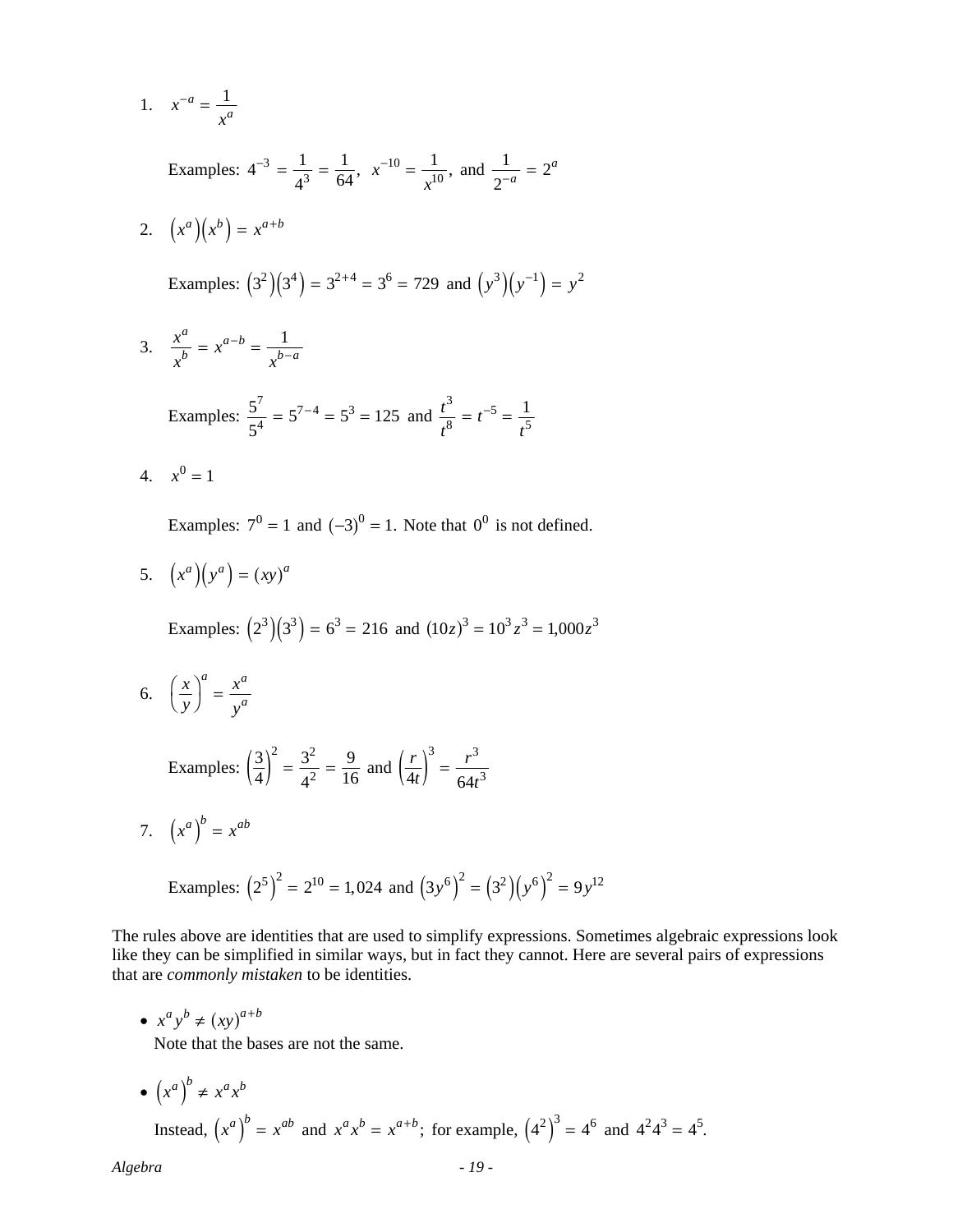1.  $x^{-a} = \frac{1}{x^a}$  $a =$ 

Examples:  $4^{-3} = \frac{1}{4^3} = \frac{1}{64}$ ,  $x^{-10} = \frac{1}{x^{10}}$  $x^{-10} = \frac{1}{x^{10}}$ , and  $\frac{1}{2^{-a}} = 2$ 2  $\frac{1}{-a} = 2^a$ 

2.  $(x^a)(x^b) = x^{a+b}$ 

Examples:  $(3^2)(3^4) = 3^{2+4} = 3^6 = 729$  and  $(y^3)(y^{-1}) = y^2$ 

- 3.  $\frac{x^a}{b^b} = x^{a-b} = \frac{1}{x^{b-a}}$  $\frac{x^a}{b} = x$ *x*  $\frac{x^2}{x^b} = x^{a-b} = \frac{1}{x^{b-b}}$  Examples:  $\frac{7}{2}$  = 5<sup>7-4</sup> = 5<sup>3</sup>  $\frac{5^7}{5^4} = 5^{7-4} = 5^3 = 12$ 5  $= 5^{7-4} = 5^3 = 125$  and  $\frac{t^3}{8} = t^{-5}$  $\frac{t^3}{t^8} = t^{-5} = \frac{1}{t^5}$  $t^8$  t  $= t^{-5} =$ 
	- 4.  $x^0 = 1$

Examples:  $7^0 = 1$  and  $(-3)^0 = 1$ . Note that  $0^0$  is not defined.

5.  $(x^a)(y^a) = (xy)^a$ 

Examples:  $(2^3)(3^3) = 6^3 = 216$  and  $(10z)^3 = 10^3 z^3 = 1,000z^3$ 

6. *a a a*  $\left(x\right)^{a}$   $\left(x\right)$  $\left(\frac{x}{y}\right)^{u} = \frac{x}{y}$ 

Examples: 
$$
\left(\frac{3}{4}\right)^2 = \frac{3^2}{4^2} = \frac{9}{16}
$$
 and  $\left(\frac{r}{4t}\right)^3 = \frac{r^3}{64t^3}$ 

7.  $(x^a)^b = x^{ab}$ 

Examples: 
$$
(2^5)^2 = 2^{10} = 1,024
$$
 and  $(3y^6)^2 = (3^2)(y^6)^2 = 9y^{12}$ 

The rules above are identities that are used to simplify expressions. Sometimes algebraic expressions look like they can be simplified in similar ways, but in fact they cannot. Here are several pairs of expressions that are *commonly mistaken* to be identities.

• 
$$
x^a y^b \neq (xy)^{a+b}
$$
  
Note that the bases are not the same.

• 
$$
(x^a)^b \neq x^a x^b
$$
  
Instead,  $(x^a)^b = x^{ab}$  and  $x^a x^b = x^{a+b}$ ; for example,  $(4^2)^3 = 4^6$  and  $4^2 4^3 = 4^5$ .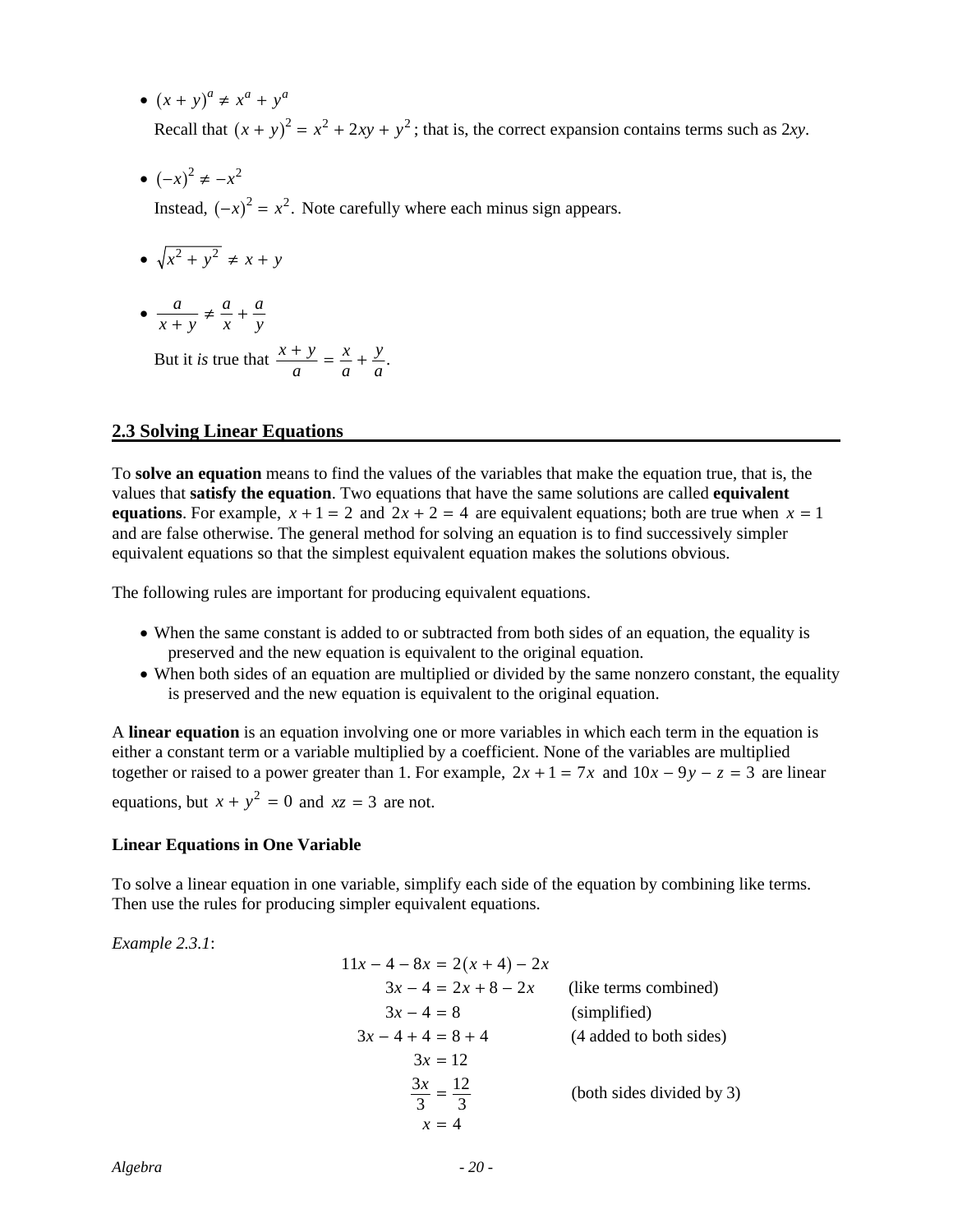•  $(x + y)^a \neq x^a + y^a$ 

<span id="page-22-0"></span>Recall that  $(x + y)^2 = x^2 + 2xy + y^2$ ; that is, the correct expansion contains terms such as 2*xy*.

•  $(-x)^2 \neq -x^2$ 

Instead,  $(-x)^2 = x^2$ . Note carefully where each minus sign appears.

- $\sqrt{x^2 + y^2} \neq x + y$
- $\frac{a}{x+y} \neq \frac{a}{x} + \frac{a}{y}$

But it *is* true that  $\frac{x+y}{a} = \frac{x}{a} + \frac{y}{a}$ .  $\frac{+y}{a} = \frac{x}{a} + \frac{y}{a}$ 

#### **2.3 Solving Linear Equations**

To **solve an equation** means to find the values of the variables that make the equation true, that is, the values that **satisfy the equation**. Two equations that have the same solutions are called **equivalent equations**. For example,  $x + 1 = 2$  and  $2x + 2 = 4$  are equivalent equations; both are true when  $x = 1$ and are false otherwise. The general method for solving an equation is to find successively simpler equivalent equations so that the simplest equivalent equation makes the solutions obvious.

The following rules are important for producing equivalent equations.

- When the same constant is added to or subtracted from both sides of an equation, the equality is preserved and the new equation is equivalent to the original equation.
- When both sides of an equation are multiplied or divided by the same nonzero constant, the equality is preserved and the new equation is equivalent to the original equation.

A **linear equation** is an equation involving one or more variables in which each term in the equation is either a constant term or a variable multiplied by a coefficient. None of the variables are multiplied together or raised to a power greater than 1. For example,  $2x + 1 = 7x$  and  $10x - 9y - z = 3$  are linear

equations, but  $x + y^2 = 0$  and  $xz = 3$  are not.

#### **Linear Equations in One Variable**

To solve a linear equation in one variable, simplify each side of the equation by combining like terms. Then use the rules for producing simpler equivalent equations.

*Example 2.3.1*:

$$
11x - 4 - 8x = 2(x + 4) - 2x
$$
  
\n
$$
3x - 4 = 2x + 8 - 2x
$$
 (like terms combined)  
\n
$$
3x - 4 = 8
$$
 (simplified)  
\n
$$
3x - 4 + 4 = 8 + 4
$$
 (4 added to both sides)  
\n
$$
3x = 12
$$
  
\n
$$
\frac{3x}{3} = \frac{12}{3}
$$
 (both sides divided by 3)  
\n
$$
x = 4
$$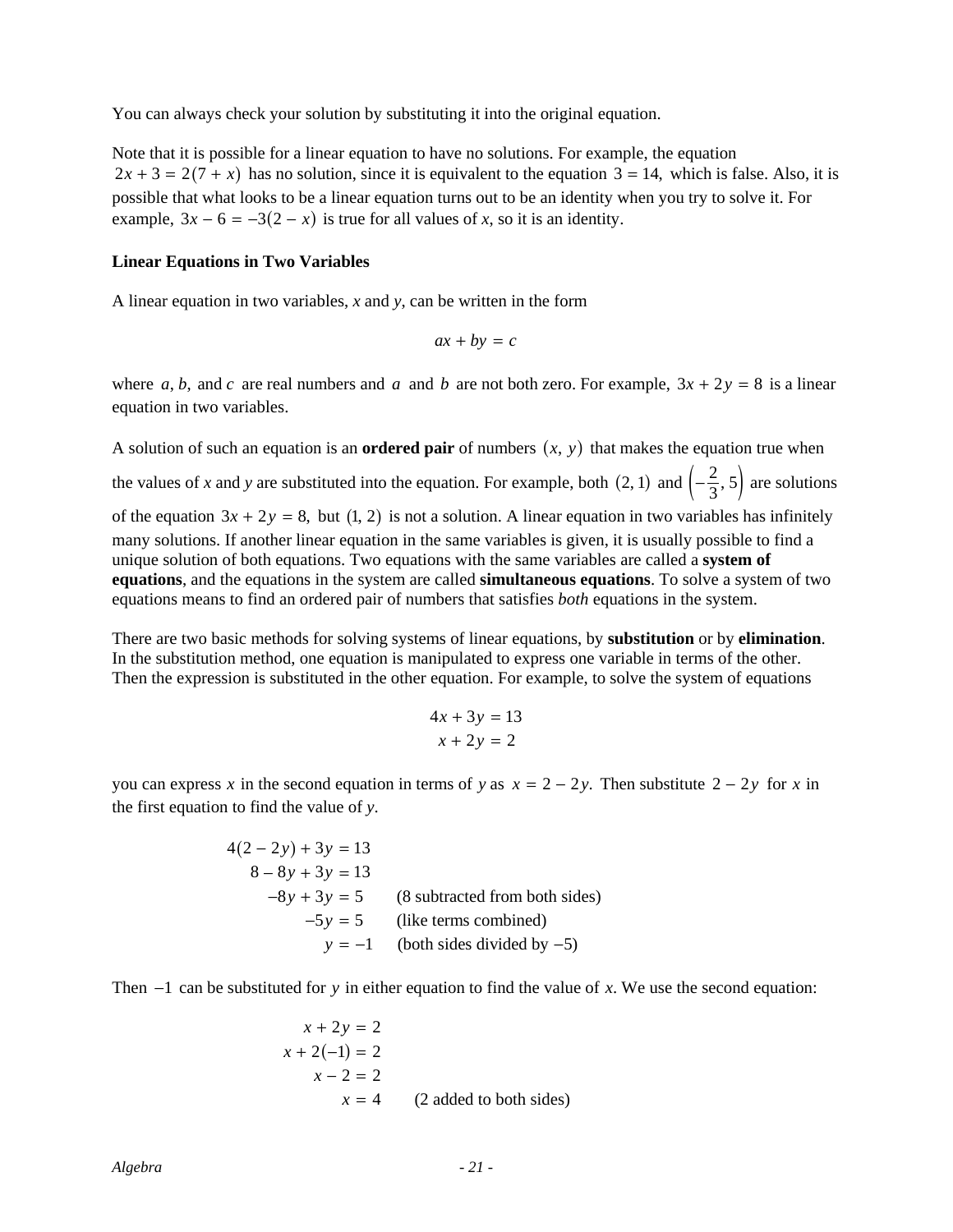You can always check your solution by substituting it into the original equation.

Note that it is possible for a linear equation to have no solutions. For example, the equation  $2x + 3 = 2(7 + x)$  has no solution, since it is equivalent to the equation  $3 = 14$ , which is false. Also, it is possible that what looks to be a linear equation turns out to be an identity when you try to solve it. For example,  $3x - 6 = -3(2 - x)$  is true for all values of *x*, so it is an identity.

#### **Linear Equations in Two Variables**

A linear equation in two variables, *x* and *y*, can be written in the form

$$
ax + by = c
$$

where a, b, and c are real numbers and a and b are not both zero. For example,  $3x + 2y = 8$  is a linear equation in two variables.

A solution of such an equation is an **ordered pair** of numbers  $(x, y)$  that makes the equation true when the values of *x* and *y* are substituted into the equation. For example, both (2, 1) and  $\left(-\frac{2}{3}, 5\right)$  are solutions of the equation  $3x + 2y = 8$ , but (1, 2) is not a solution. A linear equation in two variables has infinitely many solutions. If another linear equation in the same variables is given, it is usually possible to find a unique solution of both equations. Two equations with the same variables are called a **system of equations**, and the equations in the system are called **simultaneous equations**. To solve a system of two equations means to find an ordered pair of numbers that satisfies *both* equations in the system.

There are two basic methods for solving systems of linear equations, by **substitution** or by **elimination**. In the substitution method, one equation is manipulated to express one variable in terms of the other. Then the expression is substituted in the other equation. For example, to solve the system of equations

$$
4x + 3y = 13
$$

$$
x + 2y = 2
$$

you can express x in the second equation in terms of y as  $x = 2 - 2y$ . Then substitute  $2 - 2y$  for x in the first equation to find the value of *y*.

$$
4(2-2y) + 3y = 13
$$
  
8-8y+3y = 13  
-8y+3y = 5 (8 subtracted from both sides)  
-5y = 5 (like terms combined)  

$$
y = -1
$$
 (both sides divided by -5)

Then  $-1$  can be substituted for *y* in either equation to find the value of *x*. We use the second equation:

$$
x + 2y = 2
$$
  

$$
x + 2(-1) = 2
$$
  

$$
x - 2 = 2
$$
  

$$
x = 4
$$
 (2 added to both sides)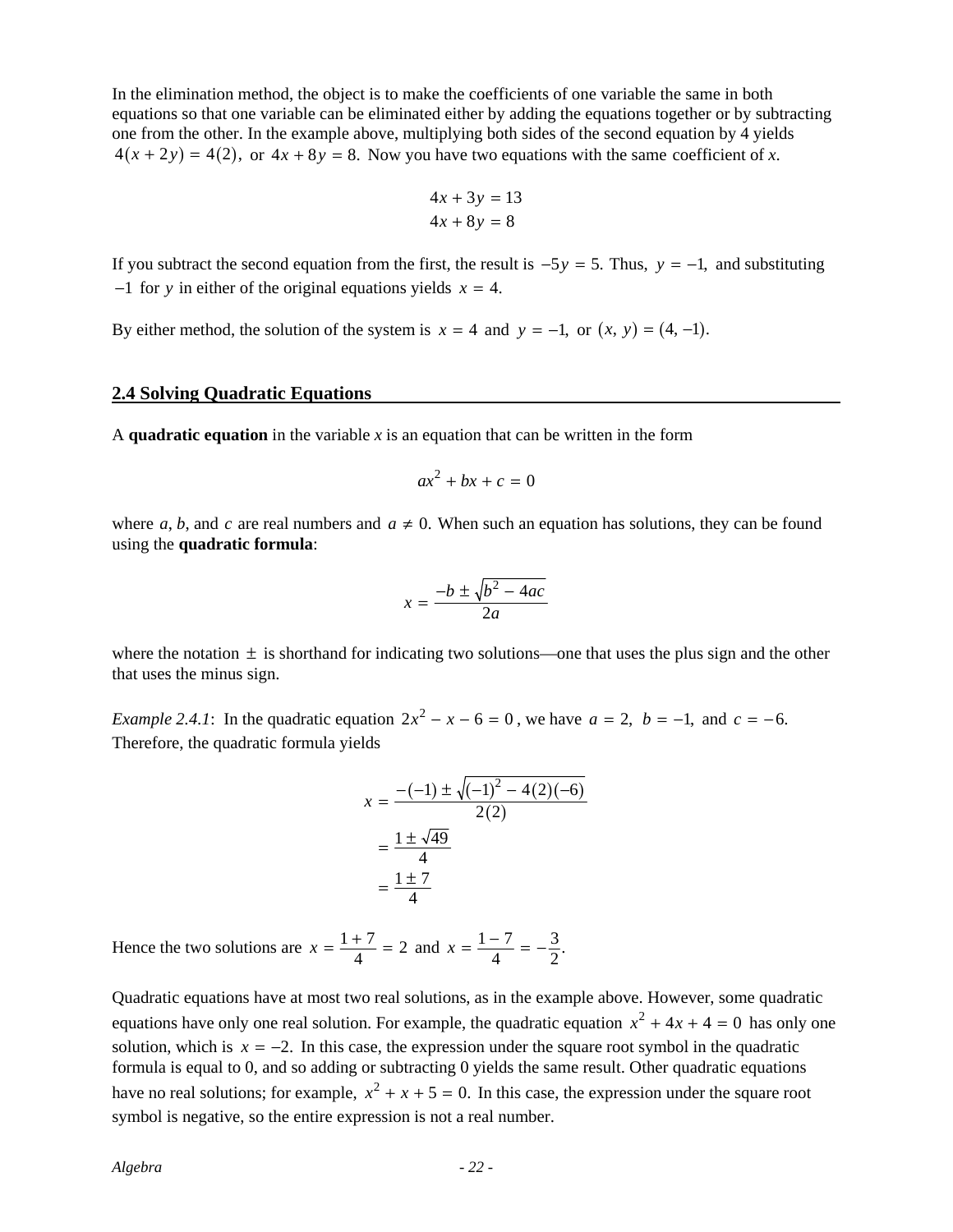<span id="page-24-0"></span>In the elimination method, the object is to make the coefficients of one variable the same in both equations so that one variable can be eliminated either by adding the equations together or by subtracting one from the other. In the example above, multiplying both sides of the second equation by 4 yields  $4(x + 2y) = 4(2)$ , or  $4x + 8y = 8$ . Now you have two equations with the same coefficient of *x*.

$$
4x + 3y = 13
$$

$$
4x + 8y = 8
$$

If you subtract the second equation from the first, the result is  $-5y = 5$ . Thus,  $y = -1$ , and substituting  $-1$  for y in either of the original equations yields  $x = 4$ .

By either method, the solution of the system is  $x = 4$  and  $y = -1$ , or  $(x, y) = (4, -1)$ .

#### **2.4 Solving Quadratic Equations**

A **quadratic equation** in the variable  $x$  is an equation that can be written in the form

$$
ax^2 + bx + c = 0
$$

where *a*, *b*, and *c* are real numbers and  $a \neq 0$ . When such an equation has solutions, they can be found using the **quadratic formula**:

$$
x = \frac{-b \pm \sqrt{b^2 - 4ac}}{2a}
$$

where the notation  $\pm$  is shorthand for indicating two solutions—one that uses the plus sign and the other that uses the minus sign.

*Example 2.4.1*: In the quadratic equation  $2x^2 - x - 6 = 0$ , we have  $a = 2$ ,  $b = -1$ , and  $c = -6$ . Therefore, the quadratic formula yields

$$
x = \frac{-(-1) \pm \sqrt{(-1)^2 - 4(2)(-6)}}{2(2)}
$$
  
=  $\frac{1 \pm \sqrt{49}}{4}$   
=  $\frac{1 \pm 7}{4}$ 

Hence the two solutions are  $x = \frac{1+7}{4} = 2$  and  $x = \frac{1-7}{4} = -\frac{3}{2}$ .

Quadratic equations have at most two real solutions, as in the example above. However, some quadratic equations have only one real solution. For example, the quadratic equation  $x^2 + 4x + 4 = 0$  has only one solution, which is  $x = -2$ . In this case, the expression under the square root symbol in the quadratic formula is equal to 0, and so adding or subtracting 0 yields the same result. Other quadratic equations have no real solutions; for example,  $x^2 + x + 5 = 0$ . In this case, the expression under the square root symbol is negative, so the entire expression is not a real number.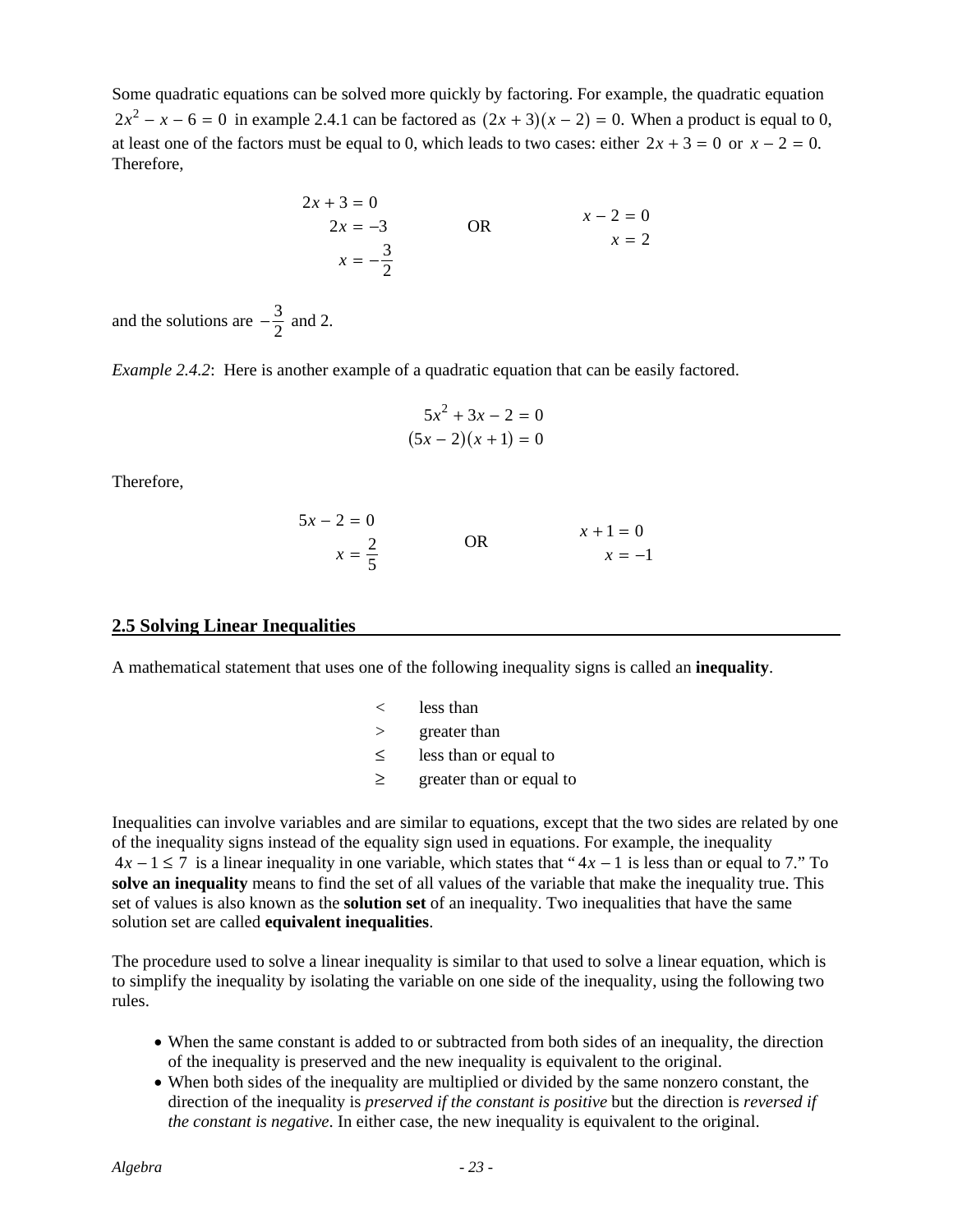<span id="page-25-0"></span>Some quadratic equations can be solved more quickly by factoring. For example, the quadratic equation  $2x^2 - x - 6 = 0$  in example 2.4.1 can be factored as  $(2x + 3)(x - 2) = 0$ . When a product is equal to 0, at least one of the factors must be equal to 0, which leads to two cases: either  $2x + 3 = 0$  or  $x - 2 = 0$ . Therefore,

$$
2x + 3 = 0
$$
  
\n
$$
2x = -3
$$
  
\n
$$
x = -\frac{3}{2}
$$
  
\nOR  
\n
$$
x - 2 = 0
$$
  
\n
$$
x = 2
$$

and the solutions are  $-\frac{3}{2}$  and 2.

*Example 2.4.2*: Here is another example of a quadratic equation that can be easily factored.

$$
5x2 + 3x - 2 = 0
$$
  
(5x - 2)(x + 1) = 0

Therefore,

$$
5x - 2 = 0
$$
  

$$
x = \frac{2}{5}
$$
 OR 
$$
x + 1 = 0
$$
  

$$
x = -1
$$

#### **2.5 Solving Linear Inequalities**

A mathematical statement that uses one of the following inequality signs is called an **inequality**.

| $\lt$  | less than                |
|--------|--------------------------|
| $\geq$ | greater than             |
| $\leq$ | less than or equal to    |
| ≥      | greater than or equal to |

Inequalities can involve variables and are similar to equations, except that the two sides are related by one of the inequality signs instead of the equality sign used in equations. For example, the inequality  $4x - 1 \le 7$  is a linear inequality in one variable, which states that " $4x - 1$  is less than or equal to 7." To **solve an inequality** means to find the set of all values of the variable that make the inequality true. This set of values is also known as the **solution set** of an inequality. Two inequalities that have the same solution set are called **equivalent inequalities**.

The procedure used to solve a linear inequality is similar to that used to solve a linear equation, which is to simplify the inequality by isolating the variable on one side of the inequality, using the following two rules.

- When the same constant is added to or subtracted from both sides of an inequality, the direction of the inequality is preserved and the new inequality is equivalent to the original.
- When both sides of the inequality are multiplied or divided by the same nonzero constant, the direction of the inequality is *preserved if the constant is positive* but the direction is *reversed if the constant is negative*. In either case, the new inequality is equivalent to the original.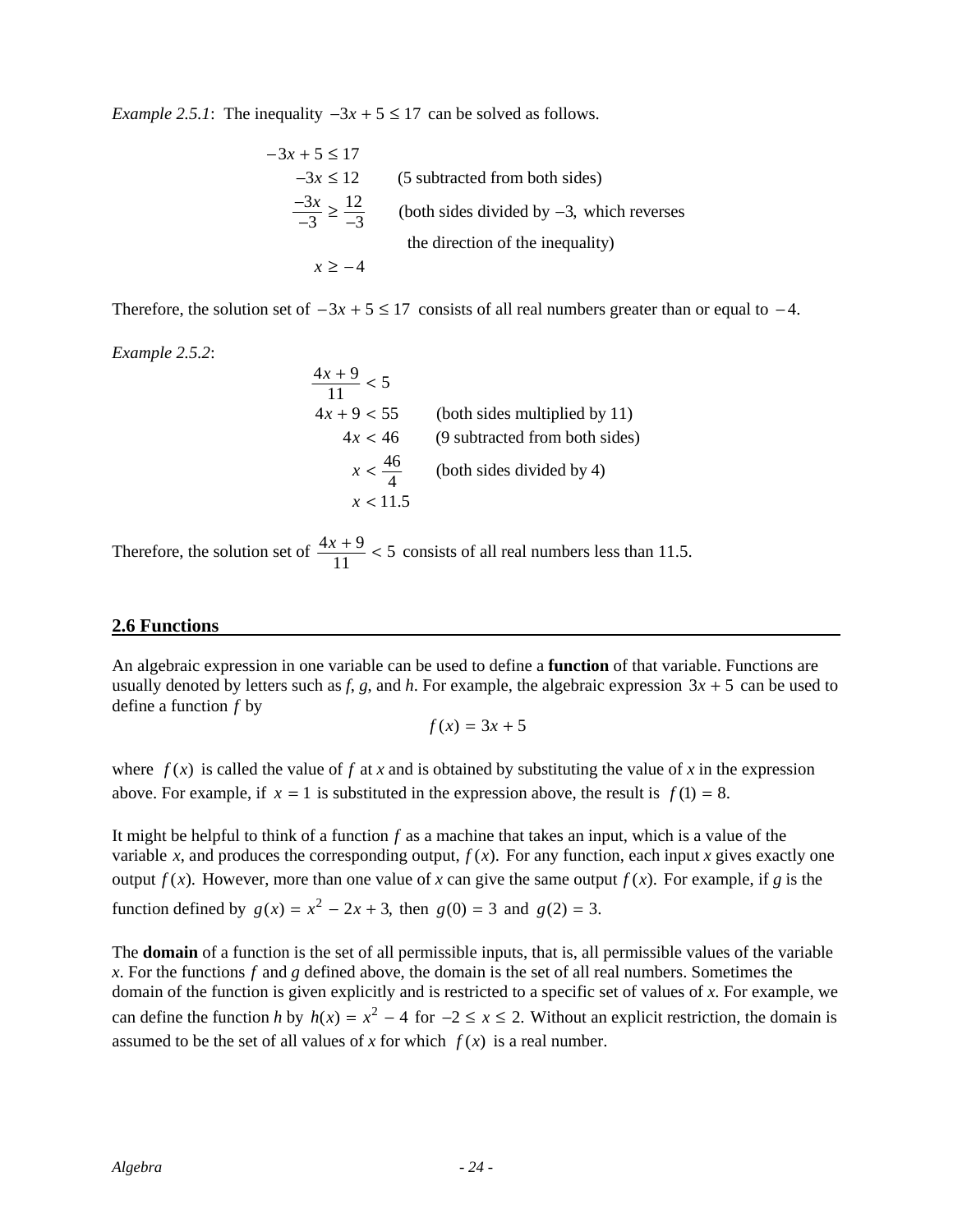<span id="page-26-0"></span>*Example 2.5.1*: The inequality  $-3x + 5 \le 17$  can be solved as follows.

$$
-3x + 5 \le 17
$$
  
\n
$$
-3x \le 12
$$
 (5 subtracted from both sides)  
\n
$$
\frac{-3x}{-3} \ge \frac{12}{-3}
$$
 (both sides divided by -3, which reverses  
\nthe direction of the inequality)  
\n
$$
x \ge -4
$$

Therefore, the solution set of  $-3x + 5 \le 17$  consists of all real numbers greater than or equal to  $-4$ .

*Example 2.5.2*:

$$
\frac{4x+9}{11} < 5
$$
\n
$$
4x + 9 < 55 \qquad \text{(both sides multiplied by 11)}
$$
\n
$$
4x < 46 \qquad \text{(9 subtracted from both sides)}
$$
\n
$$
x < \frac{46}{4} \qquad \text{(both sides divided by 4)}
$$
\n
$$
x < 11.5
$$

Therefore, the solution set of  $\frac{4x+9}{11} < 5$  consists of all real numbers less than 11.5.

#### **2.6 Functions**

An algebraic expression in one variable can be used to define a **function** of that variable. Functions are usually denoted by letters such as *f*, *g*, and *h*. For example, the algebraic expression  $3x + 5$  can be used to define a function *f* by

$$
f(x) = 3x + 5
$$

where  $f(x)$  is called the value of f at x and is obtained by substituting the value of x in the expression above. For example, if  $x = 1$  is substituted in the expression above, the result is  $f(1) = 8$ .

It might be helpful to think of a function *f* as a machine that takes an input, which is a value of the variable *x*, and produces the corresponding output,  $f(x)$ . For any function, each input *x* gives exactly one output  $f(x)$ . However, more than one value of x can give the same output  $f(x)$ . For example, if g is the function defined by  $g(x) = x^2 - 2x + 3$ , then  $g(0) = 3$  and  $g(2) = 3$ .

The **domain** of a function is the set of all permissible inputs, that is, all permissible values of the variable *x*. For the functions *f* and *g* defined above, the domain is the set of all real numbers. Sometimes the domain of the function is given explicitly and is restricted to a specific set of values of *x*. For example, we can define the function *h* by  $h(x) = x^2 - 4$  for  $-2 \le x \le 2$ . Without an explicit restriction, the domain is assumed to be the set of all values of x for which  $f(x)$  is a real number.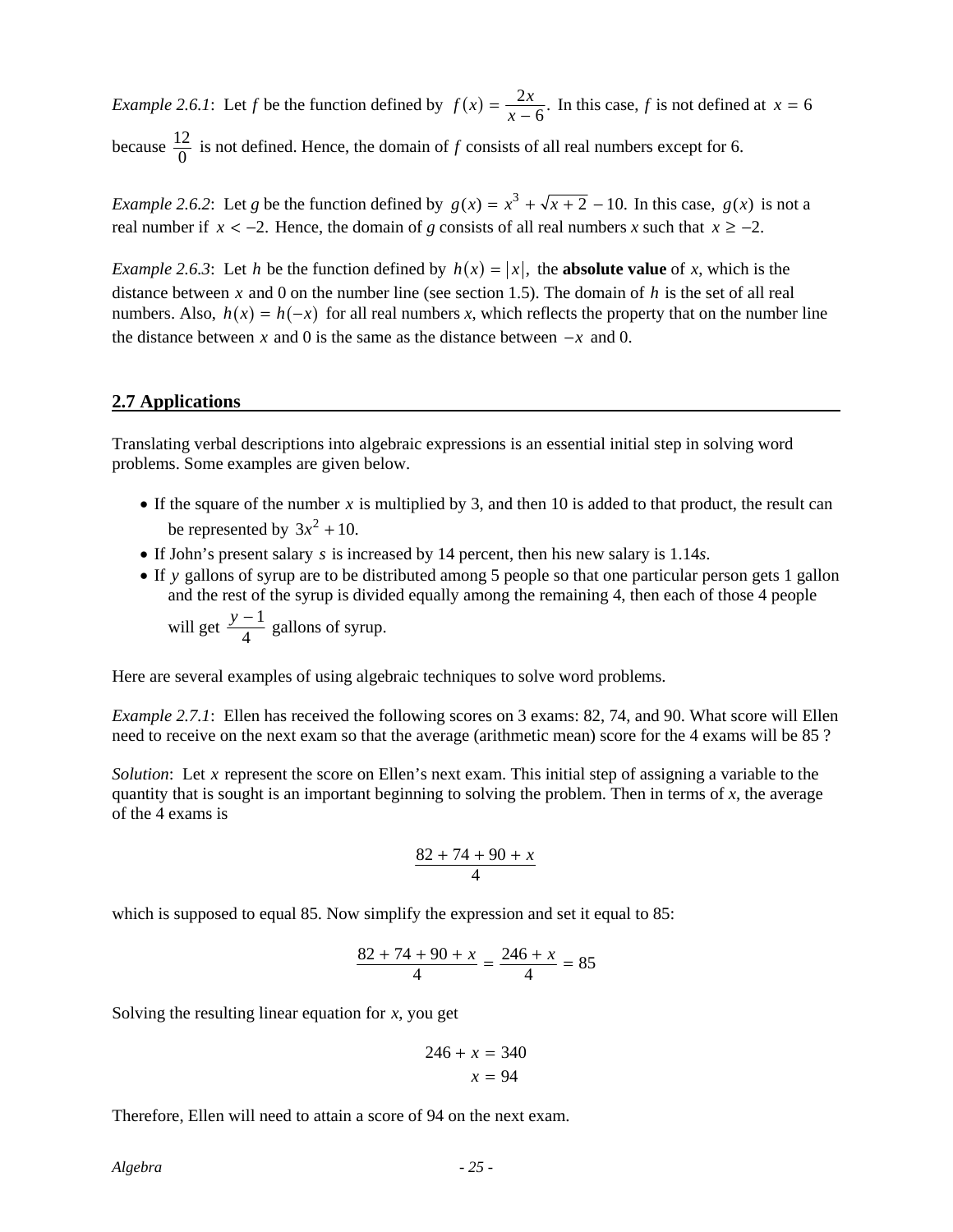<span id="page-27-0"></span>*Example 2.6.1*: Let *f* be the function defined by  $f(x) = \frac{2x}{x-6}$ . In this case, *f* is not defined at  $x = 6$ because  $\frac{12}{0}$  is not defined. Hence, the domain of *f* consists of all real numbers except for 6.

*Example 2.6.2:* Let *g* be the function defined by  $g(x) = x^3 + \sqrt{x+2} - 10$ . In this case,  $g(x)$  is not a real number if  $x < -2$ . Hence, the domain of *g* consists of all real numbers *x* such that  $x \ge -2$ .

*Example 2.6.3*: Let *h* be the function defined by  $h(x) = |x|$ , the **absolute value** of *x*, which is the distance between *x* and 0 on the number line (see section 1.5). The domain of *h* is the set of all real numbers. Also,  $h(x) = h(-x)$  for all real numbers x, which reflects the property that on the number line the distance between x and 0 is the same as the distance between  $-x$  and 0.

#### **2.7 Applications**

Translating verbal descriptions into algebraic expressions is an essential initial step in solving word problems. Some examples are given below.

- If the square of the number  $x$  is multiplied by 3, and then 10 is added to that product, the result can be represented by  $3x^2 + 10$ .
- If John's present salary *s* is increased by 14 percent, then his new salary is 1.14*s*.
- If *y* gallons of syrup are to be distributed among 5 people so that one particular person gets 1 gallon and the rest of the syrup is divided equally among the remaining 4, then each of those 4 people

will get  $\frac{y-1}{4}$  gallons of syrup.

Here are several examples of using algebraic techniques to solve word problems.

*Example 2.7.1*: Ellen has received the following scores on 3 exams: 82, 74, and 90. What score will Ellen need to receive on the next exam so that the average (arithmetic mean) score for the 4 exams will be 85 ?

*Solution*: Let *x* represent the score on Ellen's next exam. This initial step of assigning a variable to the quantity that is sought is an important beginning to solving the problem. Then in terms of *x*, the average of the 4 exams is

$$
\frac{82+74+90+x}{4}
$$

which is supposed to equal 85. Now simplify the expression and set it equal to 85:

$$
\frac{82 + 74 + 90 + x}{4} = \frac{246 + x}{4} = 85
$$

Solving the resulting linear equation for *x*, you get

$$
246 + x = 340
$$

$$
x = 94
$$

Therefore, Ellen will need to attain a score of 94 on the next exam.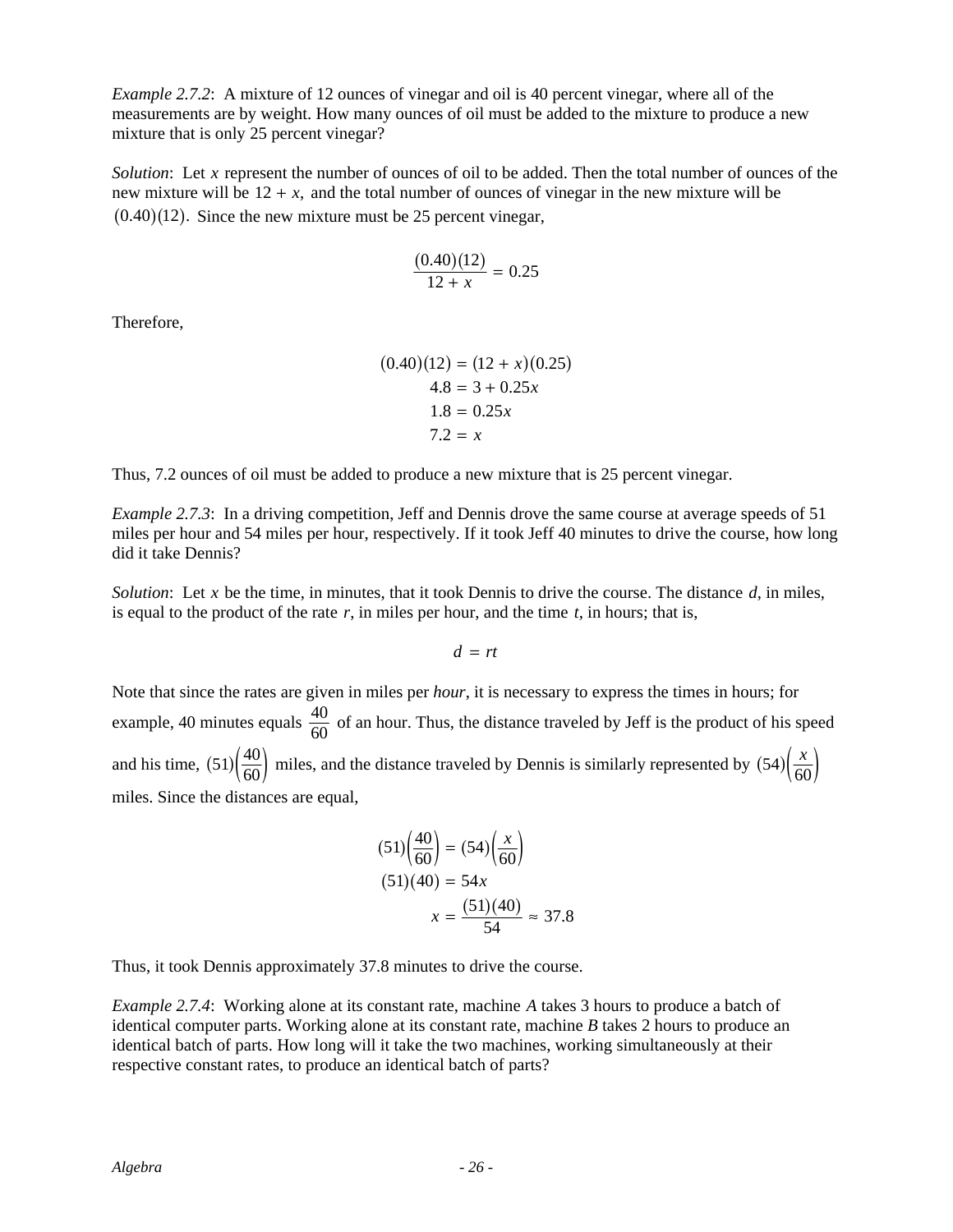*Example 2.7.2*: A mixture of 12 ounces of vinegar and oil is 40 percent vinegar, where all of the measurements are by weight. How many ounces of oil must be added to the mixture to produce a new mixture that is only 25 percent vinegar?

*Solution*: Let *x* represent the number of ounces of oil to be added. Then the total number of ounces of the new mixture will be  $12 + x$ , and the total number of ounces of vinegar in the new mixture will be  $(0.40)(12)$ . Since the new mixture must be 25 percent vinegar,

$$
\frac{(0.40)(12)}{12 + x} = 0.25
$$

Therefore,

$$
(0.40)(12) = (12 + x)(0.25)
$$
  

$$
4.8 = 3 + 0.25x
$$
  

$$
1.8 = 0.25x
$$
  

$$
7.2 = x
$$

Thus, 7.2 ounces of oil must be added to produce a new mixture that is 25 percent vinegar.

*Example 2.7.3*: In a driving competition, Jeff and Dennis drove the same course at average speeds of 51 miles per hour and 54 miles per hour, respectively. If it took Jeff 40 minutes to drive the course, how long did it take Dennis?

*Solution*: Let *x* be the time, in minutes, that it took Dennis to drive the course. The distance *d*, in miles, is equal to the product of the rate  $r$ , in miles per hour, and the time  $t$ , in hours; that is,

$$
d = rt
$$

Note that since the rates are given in miles per *hour*, it is necessary to express the times in hours; for example, 40 minutes equals  $\frac{40}{60}$  of an hour. Thus, the distance traveled by Jeff is the product of his speed and his time,  $(51)(\frac{40}{60})$  miles, and the distance traveled by Dennis is similarly represented by  $(54)(\frac{x}{60})$ miles. Since the distances are equal,

$$
(51)\left(\frac{40}{60}\right) = (54)\left(\frac{x}{60}\right)
$$

$$
(51)(40) = 54x
$$

$$
x = \frac{(51)(40)}{54} \approx 37.8
$$

Thus, it took Dennis approximately 37.8 minutes to drive the course.

*Example 2.7.4*: Working alone at its constant rate, machine *A* takes 3 hours to produce a batch of identical computer parts. Working alone at its constant rate, machine *B* takes 2 hours to produce an identical batch of parts. How long will it take the two machines, working simultaneously at their respective constant rates, to produce an identical batch of parts?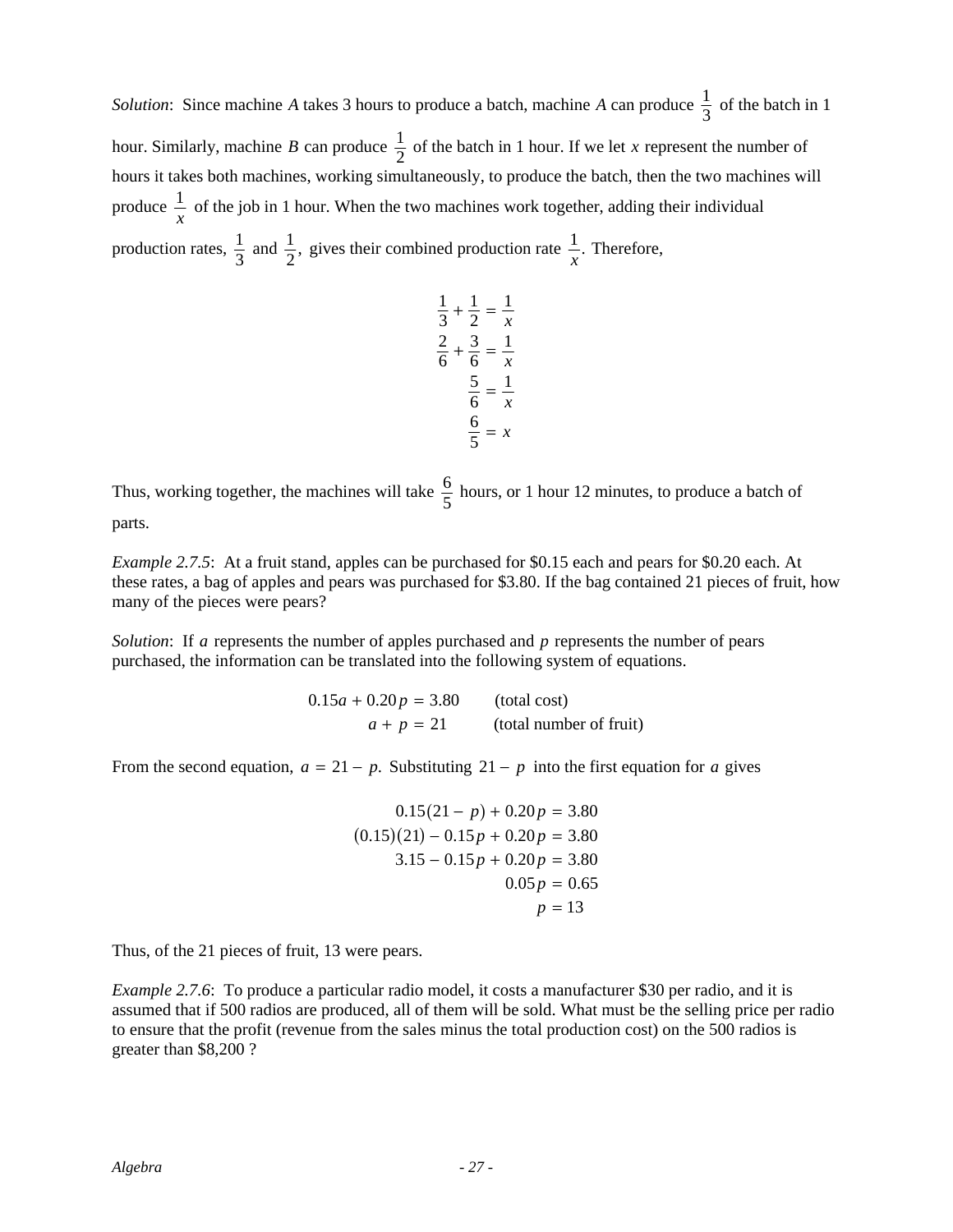*Solution*: Since machine *A* takes 3 hours to produce a batch, machine *A* can produce  $\frac{1}{3}$  of the batch in 1 hour. Similarly, machine *B* can produce  $\frac{1}{2}$  of the batch in 1 hour. If we let *x* represent the number of hours it takes both machines, working simultaneously, to produce the batch, then the two machines will produce  $\frac{1}{x}$  of the job in 1 hour. When the two machines work together, adding their individual production rates,  $\frac{1}{3}$  and  $\frac{1}{2}$ , gives their combined production rate  $\frac{1}{x}$ . Therefore,

$$
\frac{1}{3} + \frac{1}{2} = \frac{1}{x}
$$
  

$$
\frac{2}{6} + \frac{3}{6} = \frac{1}{x}
$$
  

$$
\frac{5}{6} = \frac{1}{x}
$$
  

$$
\frac{6}{5} = x
$$

Thus, working together, the machines will take  $\frac{6}{5}$  hours, or 1 hour 12 minutes, to produce a batch of

parts.

*Example 2.7.5*: At a fruit stand, apples can be purchased for \$0.15 each and pears for \$0.20 each. At these rates, a bag of apples and pears was purchased for \$3.80. If the bag contained 21 pieces of fruit, how many of the pieces were pears?

*Solution*: If *a* represents the number of apples purchased and *p* represents the number of pears purchased, the information can be translated into the following system of equations.

> $0.15a + 0.20p = 3.80$  (total cost)  $a + p = 21$  (total number of fruit)

From the second equation,  $a = 21 - p$ . Substituting  $21 - p$  into the first equation for *a* gives

$$
0.15(21 - p) + 0.20p = 3.80
$$
  
(0.15)(21) - 0.15p + 0.20p = 3.80  
3.15 - 0.15p + 0.20p = 3.80  
0.05p = 0.65  
p = 13

Thus, of the 21 pieces of fruit, 13 were pears.

*Example 2.7.6*: To produce a particular radio model, it costs a manufacturer \$30 per radio, and it is assumed that if 500 radios are produced, all of them will be sold. What must be the selling price per radio to ensure that the profit (revenue from the sales minus the total production cost) on the 500 radios is greater than \$8,200 ?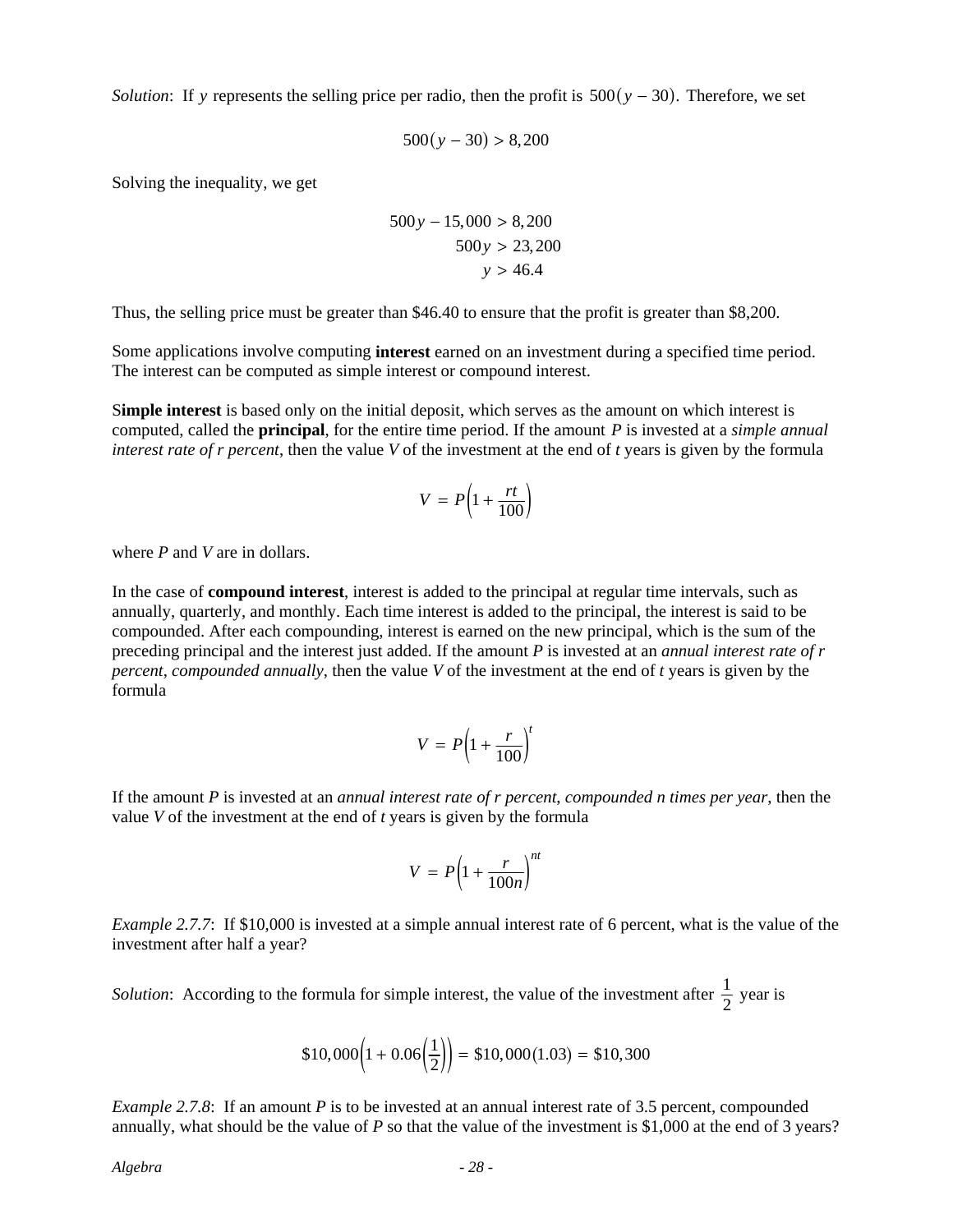*Solution*: If y represents the selling price per radio, then the profit is  $500(y - 30)$ . Therefore, we set

$$
500(y - 30) > 8,200
$$

Solving the inequality, we get

$$
500y - 15,000 > 8,200
$$
  

$$
500y > 23,200
$$
  

$$
y > 46.4
$$

Thus, the selling price must be greater than \$46.40 to ensure that the profit is greater than \$8,200.

Some applications involve computing **interest** earned on an investment during a specified time period. The interest can be computed as simple interest or compound interest.

S**imple interest** is based only on the initial deposit, which serves as the amount on which interest is computed, called the **principal**, for the entire time period. If the amount *P* is invested at a *simple annual interest rate of r percent*, then the value *V* of the investment at the end of *t* years is given by the formula

$$
V = P\left(1 + \frac{rt}{100}\right)
$$

where *P* and *V* are in dollars.

In the case of **compound interest**, interest is added to the principal at regular time intervals, such as annually, quarterly, and monthly. Each time interest is added to the principal, the interest is said to be compounded. After each compounding, interest is earned on the new principal, which is the sum of the preceding principal and the interest just added. If the amount *P* is invested at an *annual interest rate of r percent*, *compounded annually*, then the value *V* of the investment at the end of *t* years is given by the formula

$$
V = P \left( 1 + \frac{r}{100} \right)^t
$$

If the amount *P* is invested at an *annual interest rate of r percent*, *compounded n times per year*, then the value *V* of the investment at the end of *t* years is given by the formula

$$
V = P \left( 1 + \frac{r}{100n} \right)^{nt}
$$

*Example 2.7.7*: If \$10,000 is invested at a simple annual interest rate of 6 percent, what is the value of the investment after half a year?

*Solution*: According to the formula for simple interest, the value of the investment after  $\frac{1}{2}$  year is

$$
$10,000\left(1+0.06\left(\frac{1}{2}\right)\right) = $10,000(1.03) = $10,300
$$

*Example 2.7.8*: If an amount *P* is to be invested at an annual interest rate of 3.5 percent, compounded annually, what should be the value of *P* so that the value of the investment is \$1,000 at the end of 3 years?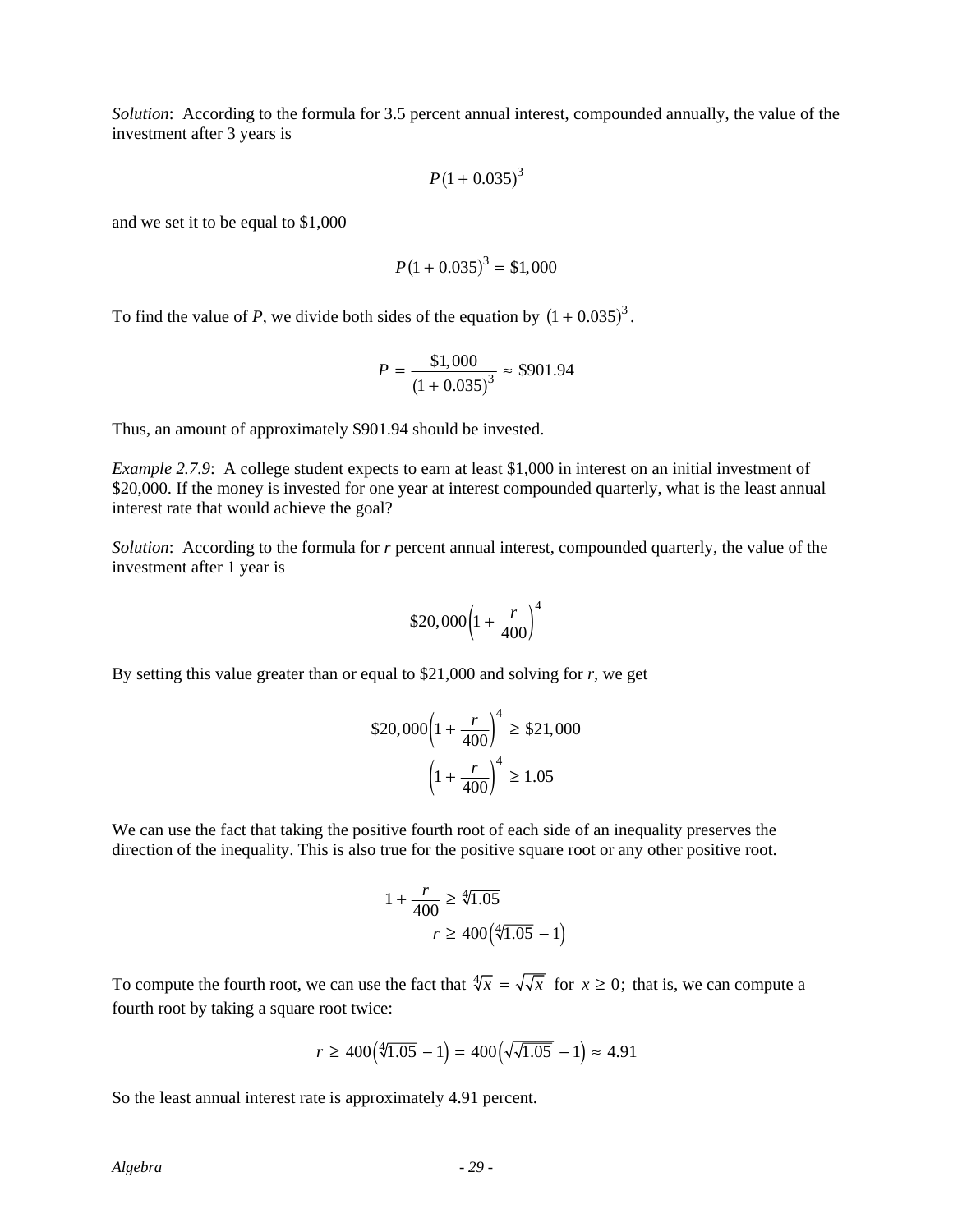*Solution*: According to the formula for 3.5 percent annual interest, compounded annually, the value of the investment after 3 years is

$$
P(1+0.035)^3
$$

and we set it to be equal to \$1,000

$$
P(1+0.035)^3 = $1,000
$$

To find the value of *P*, we divide both sides of the equation by  $(1 + 0.035)^3$ .

$$
P = \frac{\$1,000}{\left(1 + 0.035\right)^3} \approx \$901.94
$$

Thus, an amount of approximately \$901.94 should be invested.

*Example 2.7.9*: A college student expects to earn at least \$1,000 in interest on an initial investment of \$20,000. If the money is invested for one year at interest compounded quarterly, what is the least annual interest rate that would achieve the goal?

*Solution*: According to the formula for *r* percent annual interest, compounded quarterly, the value of the investment after 1 year is

$$
\$20,000\left(1+\frac{r}{400}\right)^4
$$

By setting this value greater than or equal to \$21,000 and solving for *r*, we get

$$
$20,000 \left(1 + \frac{r}{400}\right)^4 \ge $21,000
$$

$$
\left(1 + \frac{r}{400}\right)^4 \ge 1.05
$$

We can use the fact that taking the positive fourth root of each side of an inequality preserves the direction of the inequality. This is also true for the positive square root or any other positive root.

$$
1 + \frac{r}{400} \ge \sqrt[4]{1.05}
$$
  

$$
r \ge 400(\sqrt[4]{1.05} - 1)
$$

To compute the fourth root, we can use the fact that  $\sqrt[4]{x} = \sqrt{\sqrt{x}}$  for  $x \ge 0$ ; that is, we can compute a fourth root by taking a square root twice:

$$
r \ge 400 \left(\sqrt[4]{1.05} - 1\right) = 400 \left(\sqrt{\sqrt{1.05}} - 1\right) \approx 4.91
$$

So the least annual interest rate is approximately 4.91 percent.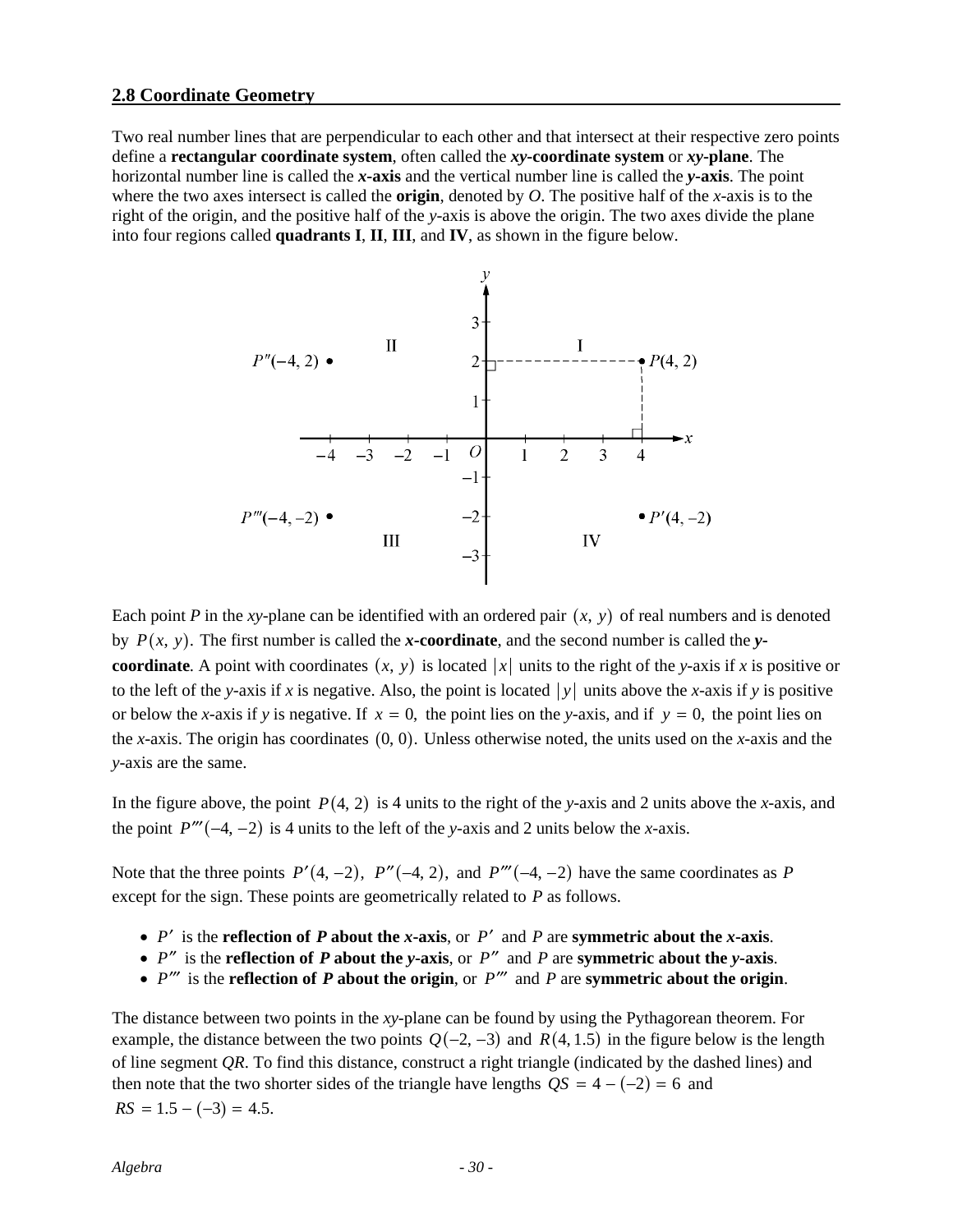#### <span id="page-32-0"></span>**2.8 Coordinate Geometry**

Two real number lines that are perpendicular to each other and that intersect at their respective zero points define a **rectangular coordinate system**, often called the *xy***-coordinate system** or *xy***-plane**. The horizontal number line is called the *x***-axis** and the vertical number line is called the *y***-axis**. The point where the two axes intersect is called the **origin**, denoted by *O*. The positive half of the *x*-axis is to the right of the origin, and the positive half of the *y*-axis is above the origin. The two axes divide the plane into four regions called **quadrants I**, **II**, **III**, and **IV**, as shown in the figure below.



Each point *P* in the *xy*-plane can be identified with an ordered pair  $(x, y)$  of real numbers and is denoted by  $P(x, y)$ . The first number is called the **x-coordinate**, and the second number is called the **y coordinate**. A point with coordinates  $(x, y)$  is located  $|x|$  units to the right of the *y*-axis if *x* is positive or to the left of the *y*-axis if *x* is negative. Also, the point is located  $|y|$  units above the *x*-axis if *y* is positive or below the *x*-axis if *y* is negative. If  $x = 0$ , the point lies on the *y*-axis, and if  $y = 0$ , the point lies on the *x*-axis. The origin has coordinates  $(0, 0)$ . Unless otherwise noted, the units used on the *x*-axis and the *y*-axis are the same.

In the figure above, the point  $P(4, 2)$  is 4 units to the right of the *y*-axis and 2 units above the *x*-axis, and the point  $P'''(-4, -2)$  is 4 units to the left of the *y*-axis and 2 units below the *x*-axis.

Note that the three points  $P'(4, -2)$ ,  $P''(-4, 2)$ , and  $P'''(-4, -2)$  have the same coordinates as *P* except for the sign. These points are geometrically related to *P* as follows.

- $P'$  is the **reflection of** *P* about the *x*-axis, or  $P'$  and *P* are symmetric about the *x*-axis.
- $P''$  is the **reflection of** *P* about the *y*-axis, or  $P''$  and *P* are **symmetric about the** *y***-axis**.
- $P^{\prime\prime\prime}$  is the **reflection of** *P* about the origin, or  $P^{\prime\prime\prime}$  and *P* are symmetric about the origin.

The distance between two points in the *xy*-plane can be found by using the Pythagorean theorem. For example, the distance between the two points  $Q(-2, -3)$  and  $R(4, 1.5)$  in the figure below is the length of line segment *QR*. To find this distance, construct a right triangle (indicated by the dashed lines) and then note that the two shorter sides of the triangle have lengths  $QS = 4 - (-2) = 6$  and  $RS = 1.5 - (-3) = 4.5.$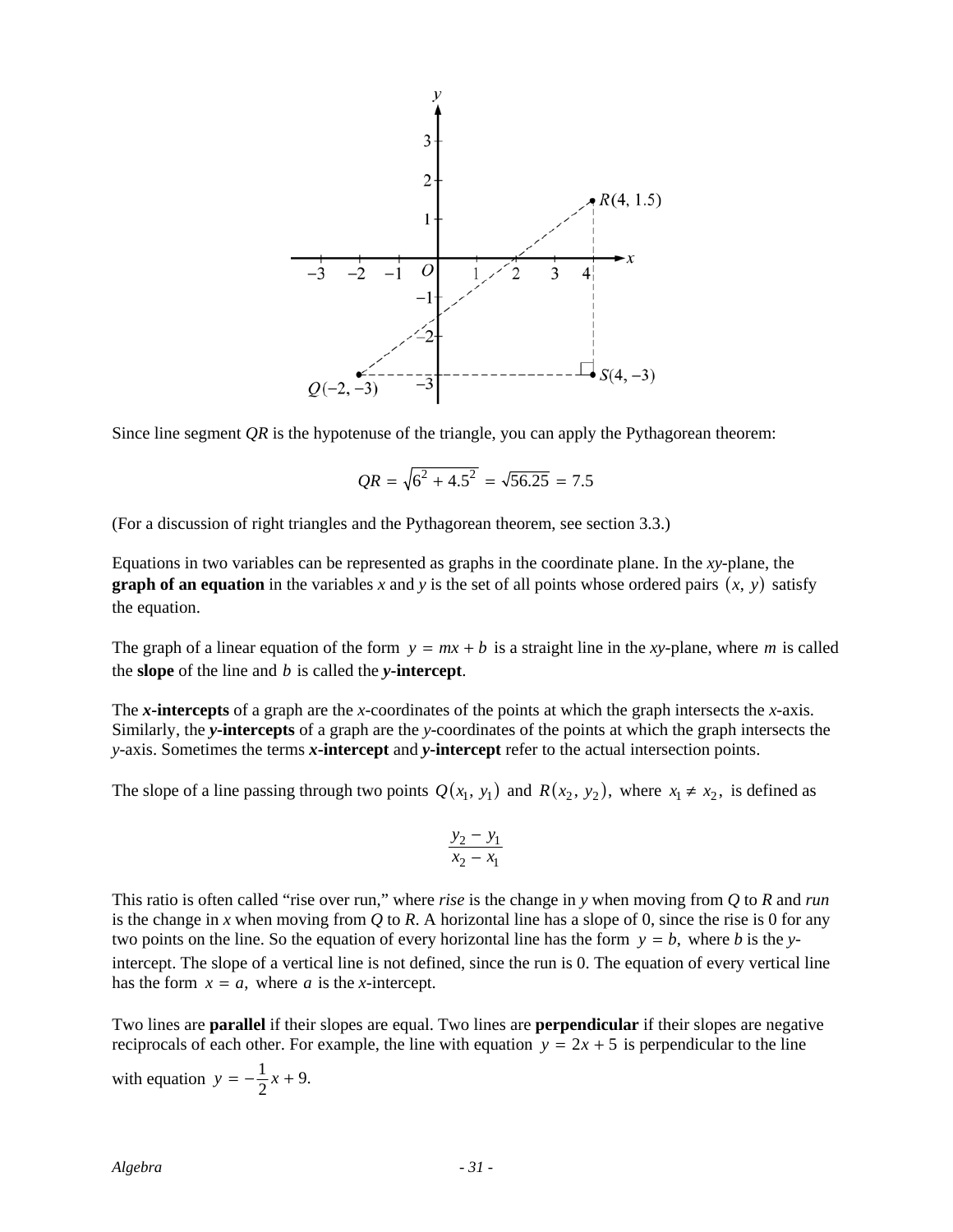

Since line segment *QR* is the hypotenuse of the triangle, you can apply the Pythagorean theorem:

$$
QR = \sqrt{6^2 + 4.5^2} = \sqrt{56.25} = 7.5
$$

(For a discussion of right triangles and the Pythagorean theorem, see section 3.3.)

Equations in two variables can be represented as graphs in the coordinate plane. In the *xy*-plane, the **graph of an equation** in the variables x and y is the set of all points whose ordered pairs  $(x, y)$  satisfy the equation.

The graph of a linear equation of the form  $y = mx + b$  is a straight line in the *xy*-plane, where *m* is called the **slope** of the line and *b* is called the *y***-intercept**.

The *x***-intercepts** of a graph are the *x*-coordinates of the points at which the graph intersects the *x*-axis. Similarly, the *y***-intercepts** of a graph are the *y*-coordinates of the points at which the graph intersects the *y*-axis. Sometimes the terms *x***-intercept** and *y***-intercept** refer to the actual intersection points.

The slope of a line passing through two points  $Q(x_1, y_1)$  and  $R(x_2, y_2)$ , where  $x_1 \neq x_2$ , is defined as

$$
\frac{y_2 - y_1}{x_2 - x_1}
$$

This ratio is often called "rise over run," where *rise* is the change in *y* when moving from *Q* to *R* and *run* is the change in *x* when moving from *Q* to *R*. A horizontal line has a slope of 0, since the rise is 0 for any two points on the line. So the equation of every horizontal line has the form  $y = b$ , where *b* is the *y*intercept. The slope of a vertical line is not defined, since the run is 0. The equation of every vertical line has the form  $x = a$ , where *a* is the *x*-intercept.

Two lines are **parallel** if their slopes are equal. Two lines are **perpendicular** if their slopes are negative reciprocals of each other. For example, the line with equation  $y = 2x + 5$  is perpendicular to the line with equation  $y = -\frac{1}{2}x + 9$ .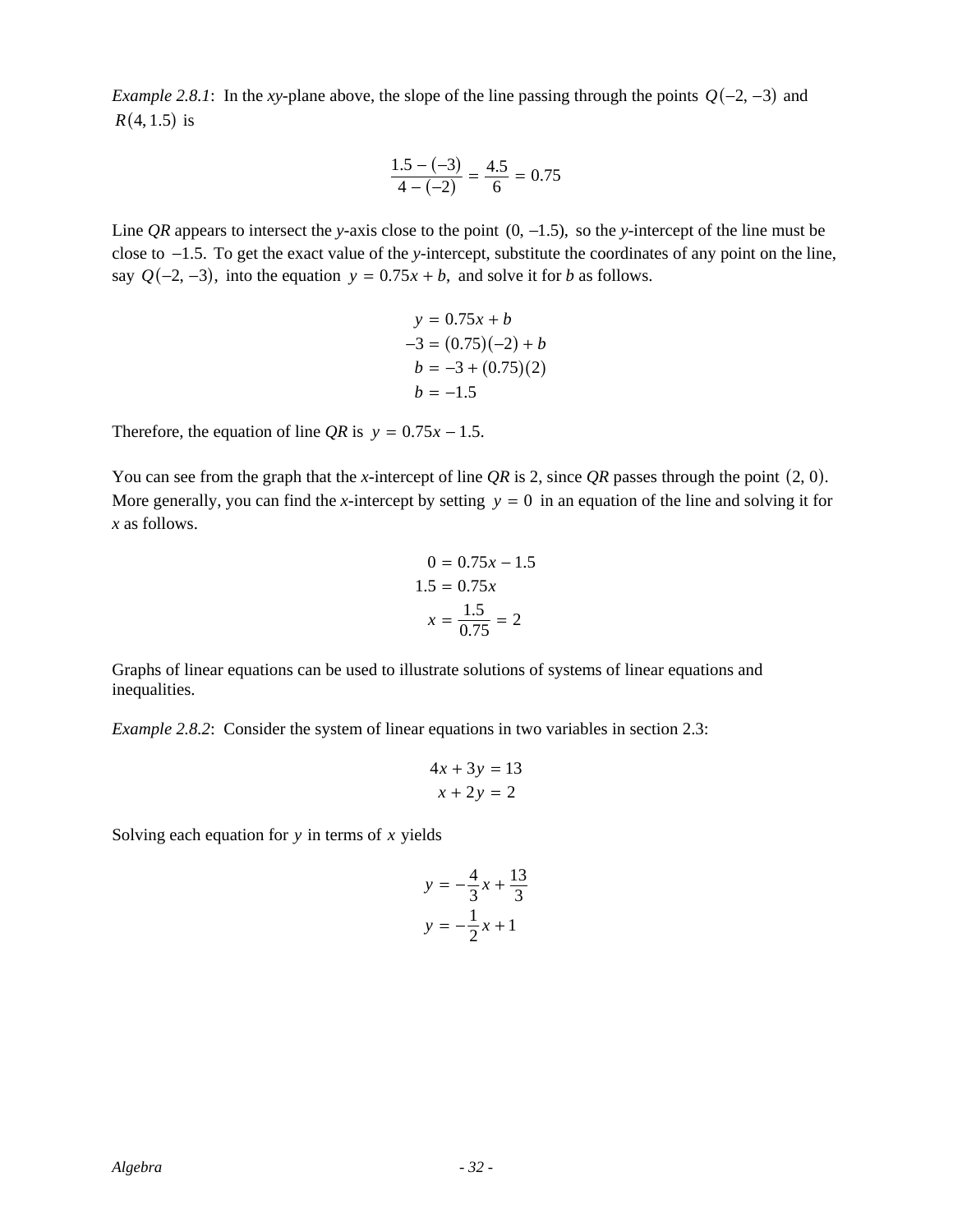*Example 2.8.1*: In the *xy*-plane above, the slope of the line passing through the points  $Q(-2, -3)$  and *R*(4, 1.5) is

$$
\frac{1.5 - (-3)}{4 - (-2)} = \frac{4.5}{6} = 0.75
$$

Line QR appears to intersect the *y*-axis close to the point  $(0, -1.5)$ , so the *y*-intercept of the line must be close to  $-1.5$ . To get the exact value of the *y*-intercept, substitute the coordinates of any point on the line, say  $Q(-2, -3)$ , into the equation  $y = 0.75x + b$ , and solve it for *b* as follows.

$$
y = 0.75x + b
$$
  
-3 = (0.75)(-2) + b  

$$
b = -3 + (0.75)(2)
$$
  

$$
b = -1.5
$$

Therefore, the equation of line *QR* is  $y = 0.75x - 1.5$ .

You can see from the graph that the *x*-intercept of line  $QR$  is 2, since  $QR$  passes through the point  $(2, 0)$ . More generally, you can find the *x*-intercept by setting  $y = 0$  in an equation of the line and solving it for *x* as follows.

$$
0 = 0.75x - 1.5
$$
  

$$
1.5 = 0.75x
$$
  

$$
x = \frac{1.5}{0.75} = 2
$$

Graphs of linear equations can be used to illustrate solutions of systems of linear equations and inequalities.

*Example 2.8.2*: Consider the system of linear equations in two variables in section 2.3:

$$
4x + 3y = 13
$$

$$
x + 2y = 2
$$

Solving each equation for *y* in terms of *x* yields

$$
y = -\frac{4}{3}x + \frac{13}{3}
$$

$$
y = -\frac{1}{2}x + 1
$$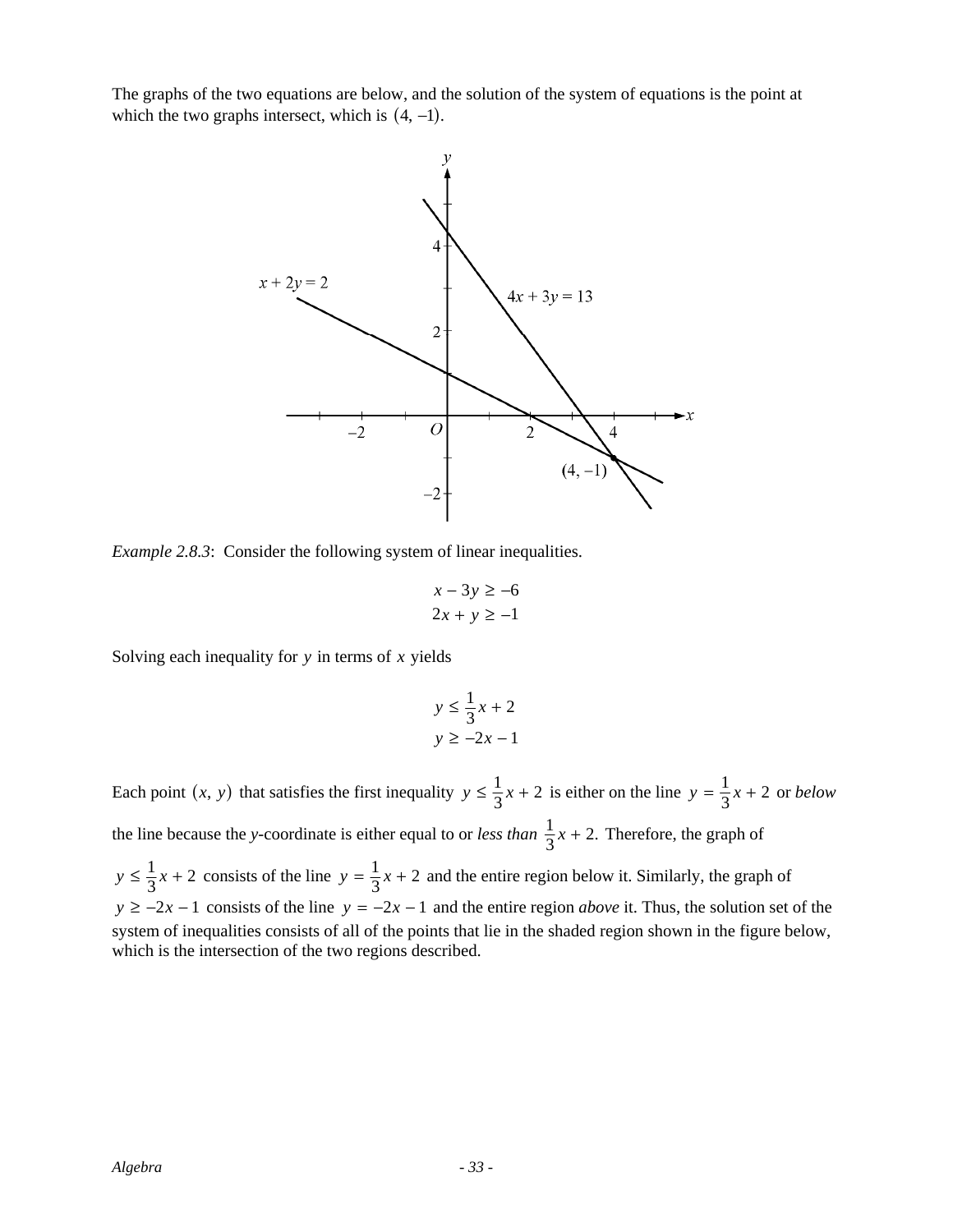The graphs of the two equations are below, and the solution of the system of equations is the point at which the two graphs intersect, which is  $(4, -1)$ .



*Example 2.8.3*: Consider the following system of linear inequalities.

$$
x - 3y \ge -6
$$
  

$$
2x + y \ge -1
$$

Solving each inequality for *y* in terms of *x* yields

$$
y \le \frac{1}{3}x + 2
$$
  

$$
y \ge -2x - 1
$$

Each point  $(x, y)$  that satisfies the first inequality  $y \le \frac{1}{3}x + 2$  is either on the line  $y = \frac{1}{3}x + 2$  or *below* the line because the *y*-coordinate is either equal to or *less than*  $\frac{1}{3}x + 2$ . Therefore, the graph of  $y \le \frac{1}{3}x + 2$  consists of the line  $y = \frac{1}{3}x + 2$  and the entire region below it. Similarly, the graph of  $y \ge -2x - 1$  consists of the line  $y = -2x - 1$  and the entire region *above* it. Thus, the solution set of the system of inequalities consists of all of the points that lie in the shaded region shown in the figure below,

which is the intersection of the two regions described.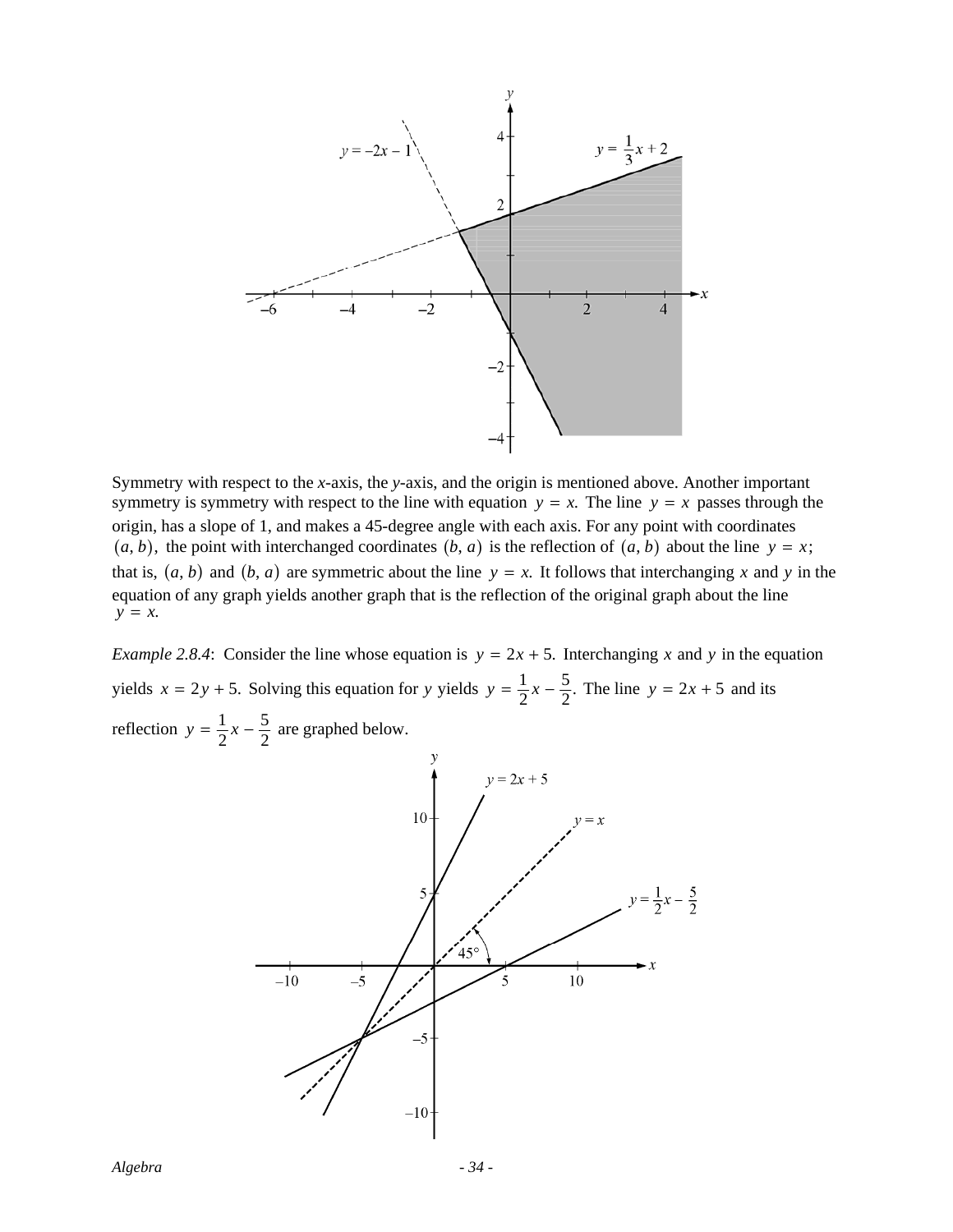

Symmetry with respect to the *x*-axis, the *y*-axis, and the origin is mentioned above. Another important symmetry is symmetry with respect to the line with equation  $y = x$ . The line  $y = x$  passes through the origin, has a slope of 1, and makes a 45-degree angle with each axis. For any point with coordinates  $(a, b)$ , the point with interchanged coordinates  $(b, a)$  is the reflection of  $(a, b)$  about the line  $y = x$ ;  $y = x$ . that is,  $(a, b)$  and  $(b, a)$  are symmetric about the line  $y = x$ . It follows that interchanging x and y in the equation of any graph yields another graph that is the reflection of the original graph about the line

*Example 2.8.4*: Consider the line whose equation is  $y = 2x + 5$ . Interchanging x and y in the equation yields  $x = 2y + 5$ . Solving this equation for *y* yields  $y = \frac{1}{2}x - \frac{5}{2}$ . The line  $y = 2x + 5$  and its

reflection  $y = \frac{1}{2}x - \frac{5}{2}$  are graphed below.

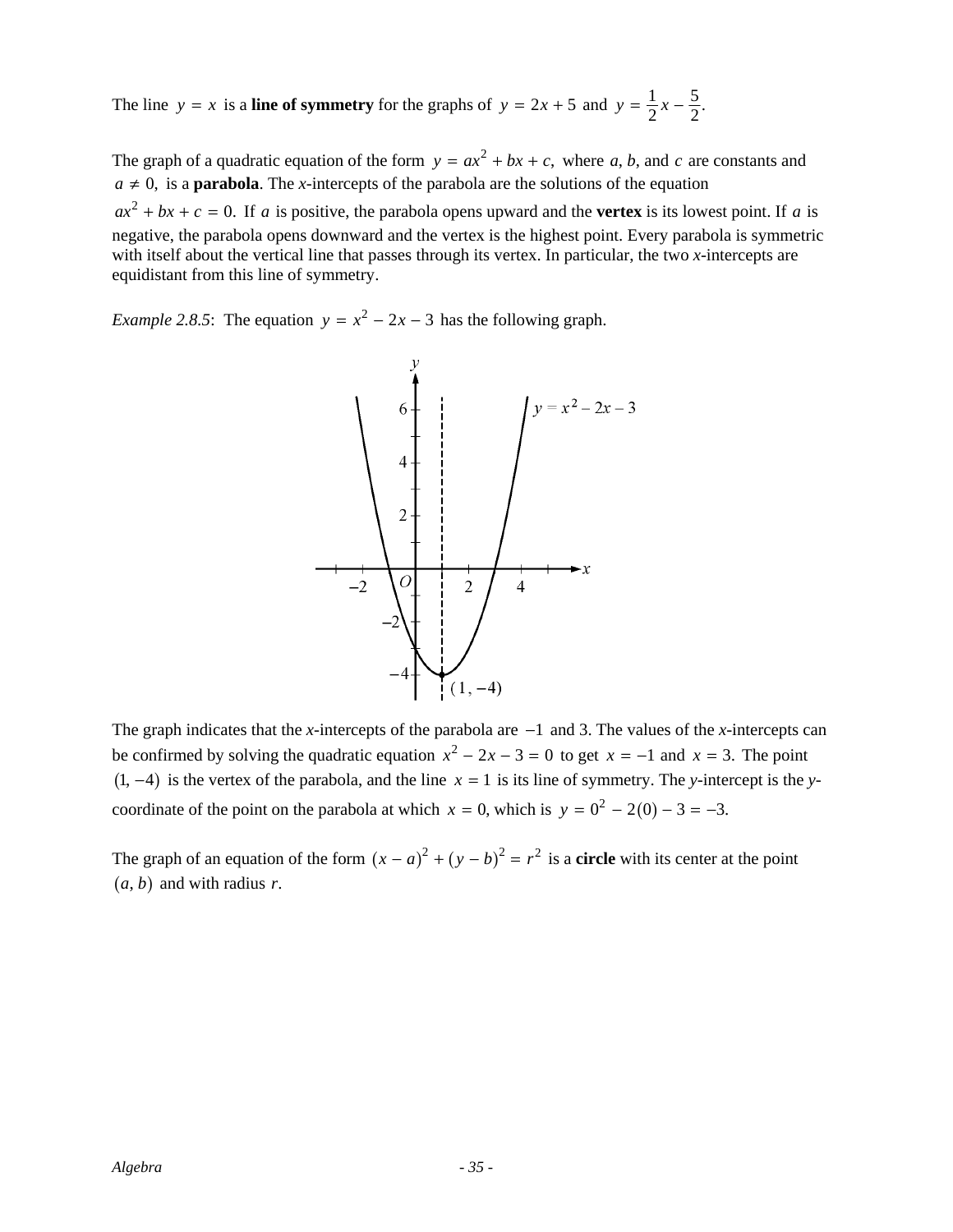The line  $y = x$  is a **line of symmetry** for the graphs of  $y = 2x + 5$  and  $y = \frac{1}{2}x - \frac{5}{2}$ .

The graph of a quadratic equation of the form  $y = ax^2 + bx + c$ , where a, b, and c are constants and  $a \neq 0$ , is a **parabola**. The *x*-intercepts of the parabola are the solutions of the equation  $ax^2 + bx + c = 0$ . If *a* is positive, the parabola opens upward and the **vertex** is its lowest point. If *a* is negative, the parabola opens downward and the vertex is the highest point. Every parabola is symmetri c with itself about the vertical line that passes through its vertex. In particular, the two *x*-intercepts are equidistant from this line of s ymmetry.

*Example 2.8.5*: The equation  $y = x^2 - 2x - 3$  has the following graph.



The graph indicates that the *x*-intercepts of the parabola are  $-1$  and 3. The values of the *x*-intercepts can be confirmed by solving the quadratic equation  $x^2 - 2x - 3 = 0$  to get  $x = -1$  and  $x = 3$ . The point  $(1, -4)$  is the vertex of the parabola, and the line  $x = 1$  is its line of symmetry. The *y*-intercept is the *y*coordinate of the point on the parabola at which  $x = 0$ , which is  $y = 0^2 - 2(0) - 3 = -3$ .

The graph of an equation of the form  $(x - a)^2 + (y - b)^2 = r^2$  is a **circle** with its center at the point  $(a, b)$  and with radius *r*.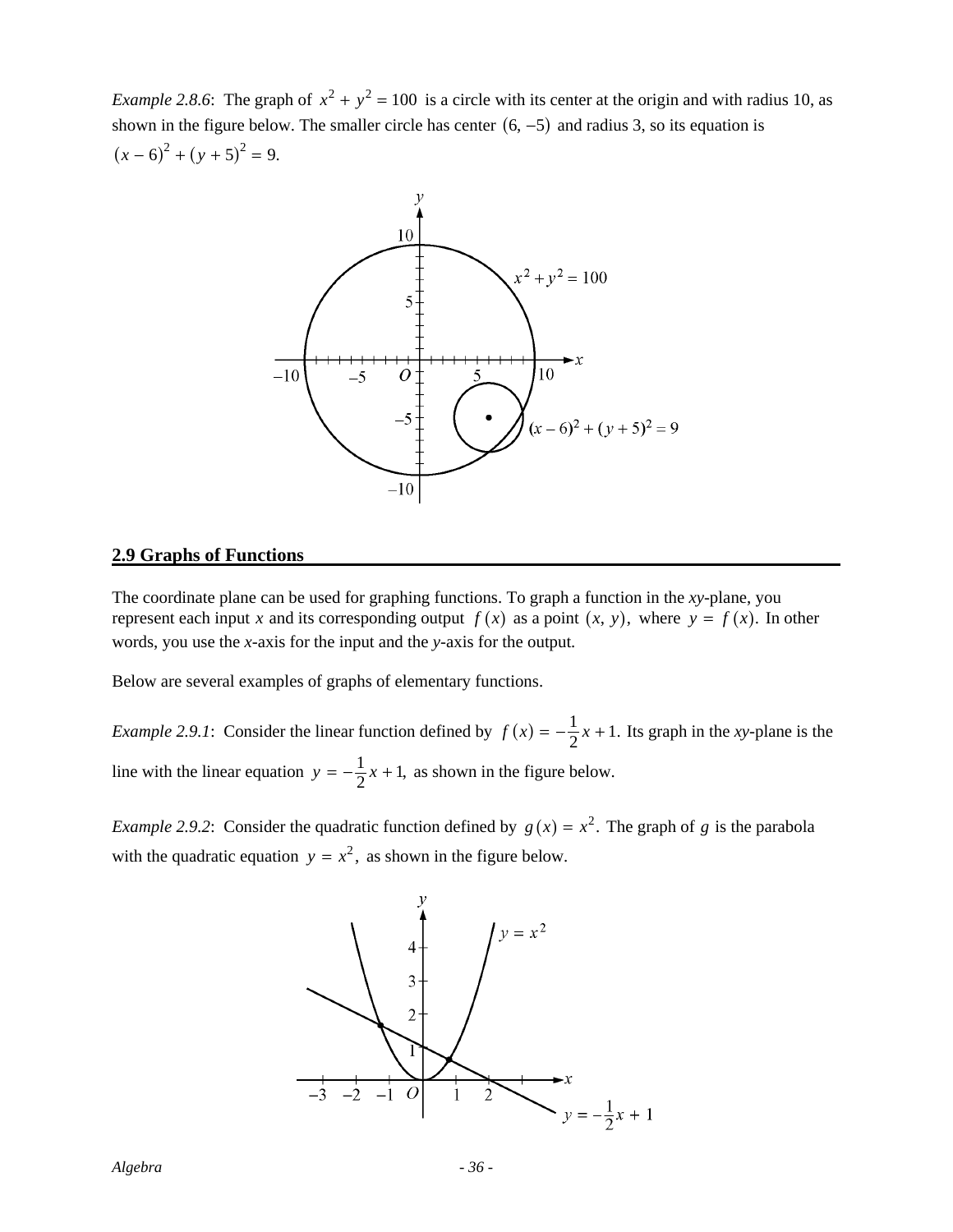*Example 2.8.6*: The graph of  $x^2 + y^2 = 100$  is a circle with its center at the origin and with radius 10, as shown in the figure below. The smaller circle has center  $(6, -5)$  and radius 3, so its equation is  $(x-6)^2 + (y+5)^2 = 9.$ 



#### **2.9 Graphs of Functions**

The coordinate plane can be used for graphing functions. To graph a function in the *xy*-plane, you represent each input *x* and its corresponding output  $f(x)$  as a point  $(x, y)$ , where  $y = f(x)$ . In other words, you use the *x*-axis for the input and the *y*-axis for the output.

Below are several examples of graphs of elementary functions.

*Example 2.9.1*: Consider the linear function defined by  $f(x) = -\frac{1}{2}x + 1$ . Its graph in the *xy*-plane is the line with the linear equation  $y = -\frac{1}{2}x + 1$ , as shown in the figure below.

*Example 2.9.2*: Consider the quadratic function defined by  $g(x) = x^2$ . The graph of *g* is the parabola with the quadratic equation  $y = x^2$ , as shown in the figure below.

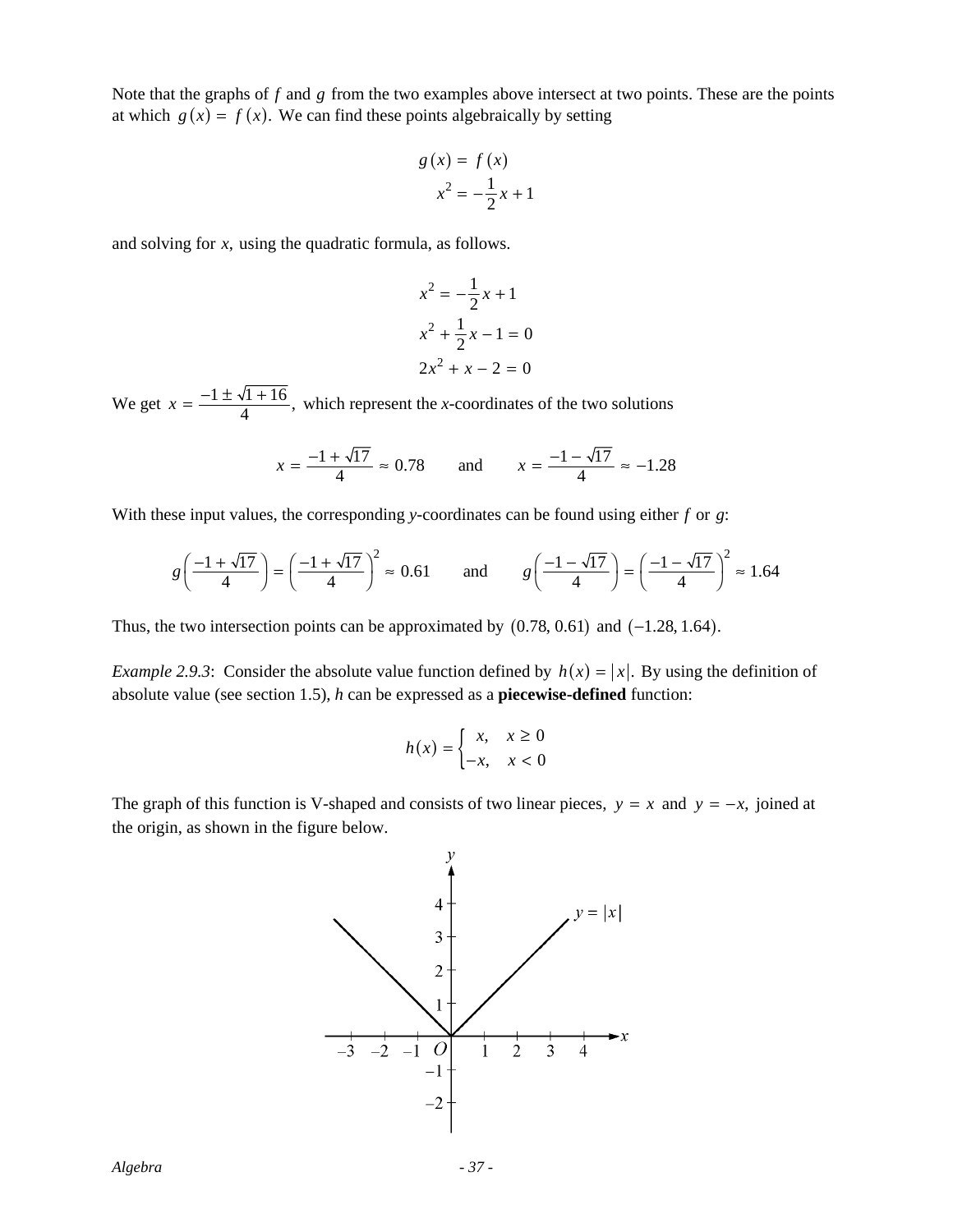Note that the graphs of *f* and *g* from the two examples above intersect at two points. These are the points at which  $g(x) = f(x)$ . We can find these points algebraically by setting

$$
g(x) = f(x)
$$

$$
x2 = -\frac{1}{2}x + 1
$$

and solving for *x*, using the quadratic formula, as follows.

$$
x^{2} = -\frac{1}{2}x + 1
$$
  

$$
x^{2} + \frac{1}{2}x - 1 = 0
$$
  

$$
2x^{2} + x - 2 = 0
$$

We get  $x = \frac{-1 \pm \sqrt{1 + 16}}{4}$ , which represent the *x*-coordinates of the two solutions

$$
x = \frac{-1 + \sqrt{17}}{4} \approx 0.78
$$
 and  $x = \frac{-1 - \sqrt{17}}{4} \approx -1.28$ 

With these input values, the corresponding *y*-coordinates can be found using either *f* or *g*:

$$
g\left(\frac{-1+\sqrt{17}}{4}\right) = \left(\frac{-1+\sqrt{17}}{4}\right)^2 \approx 0.61 \quad \text{and} \quad g\left(\frac{-1-\sqrt{17}}{4}\right) = \left(\frac{-1-\sqrt{17}}{4}\right)^2 \approx 1.64
$$

Thus, the two intersection points can be approximated by  $(0.78, 0.61)$  and  $(-1.28, 1.64)$ .

*Example 2.9.3*: Consider the absolute value function defined by  $h(x) = |x|$ . By using the definition of absolute value (see section 1.5), *h* can be expressed as a **piecewise-defined** function:

$$
h(x) = \begin{cases} x, & x \ge 0 \\ -x, & x < 0 \end{cases}
$$

The graph of this function is V-shaped and consists of two linear pieces,  $y = x$  and  $y = -x$ , joined at the origin, as shown in the figure below.

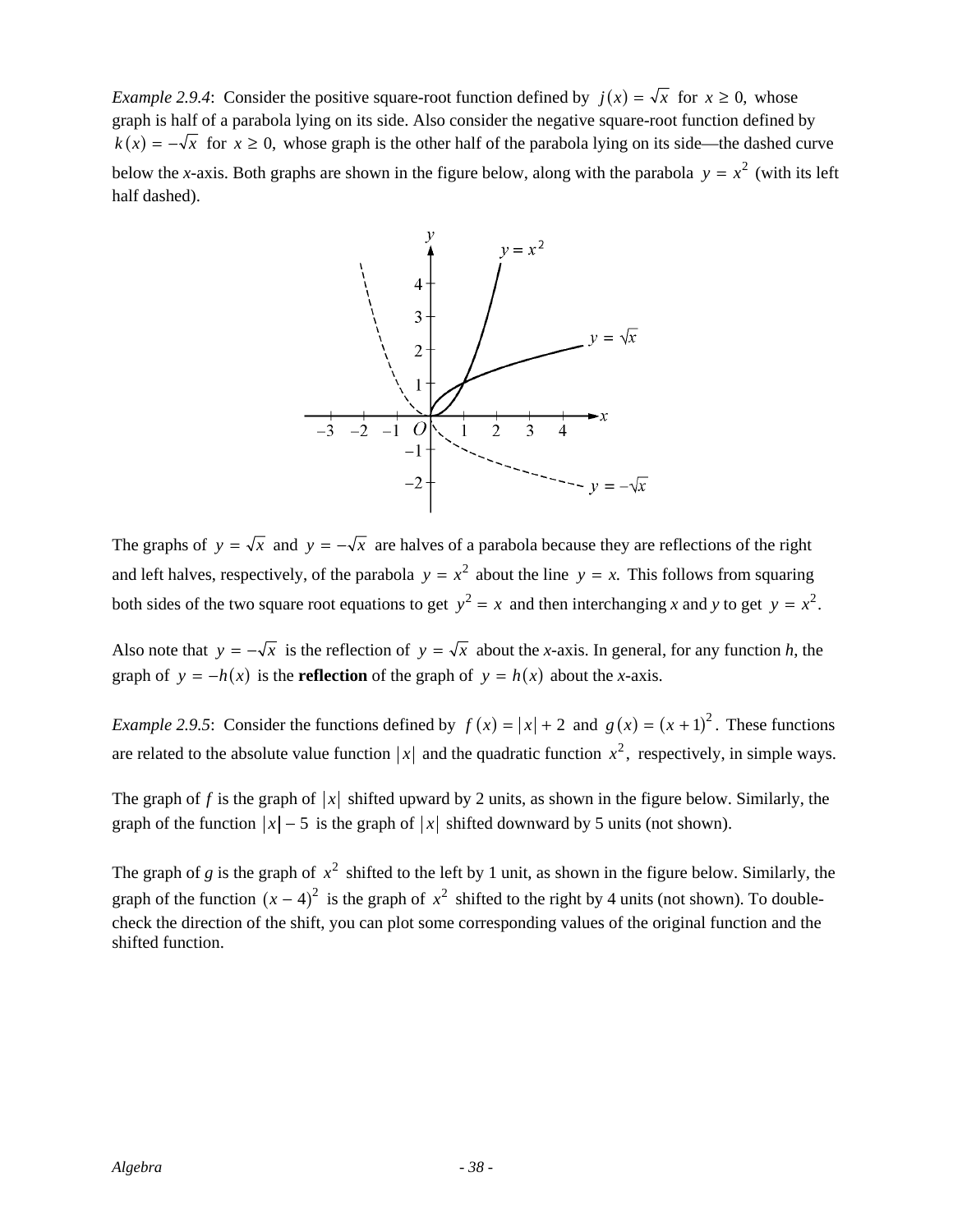*Example 2.9.4:* Consider the positive square-root function defined by  $j(x) = \sqrt{x}$  for  $x \ge 0$ , whose graph is half of a parabola lying on its side. Also consider the negative square-root function defined by  $k(x) = -\sqrt{x}$  for  $x \ge 0$ , whose graph is the other half of the parabola lying on its side—the dashed curve below the *x*-axis. Both graphs are shown in the figure below, along with the parabola  $y = x^2$  (with its left half dashed).



The graphs of  $y = \sqrt{x}$  and  $y = -\sqrt{x}$  are halves of a parabola because they are reflections of the right and left halves, respectively, of the parabola  $y = x^2$  about the line  $y = x$ . This follows from squaring both sides of the two square root equations to get  $y^2 = x$  and then interchanging *x* and *y* to get  $y = x^2$ .

Also note that  $y = -\sqrt{x}$  is the reflection of  $y = \sqrt{x}$  about the *x*-axis. In general, for any function *h*, the graph of  $y = -h(x)$  is the **reflection** of the graph of  $y = h(x)$  about the *x*-axis.

*Example 2.9.5*: Consider the functions defined by  $f(x) = |x| + 2$  and  $g(x) = (x + 1)^2$ . These functions are related to the absolute value function  $|x|$  and the quadratic function  $x^2$ , respectively, in simple ways.

The graph of f is the graph of  $|x|$  shifted upward by 2 units, as shown in the figure below. Similarly, the graph of the function  $|x| - 5$  is the graph of  $|x|$  shifted downward by 5 units (not shown).

The graph of *g* is the graph of  $x^2$  shifted to the left by 1 unit, as shown in the figure below. Similarly, the graph of the function  $(x - 4)^2$  is the graph of  $x^2$  shifted to the right by 4 units (not shown). To doublecheck the direction of the shift, you can plot some corresponding values of the original function and the shifted function.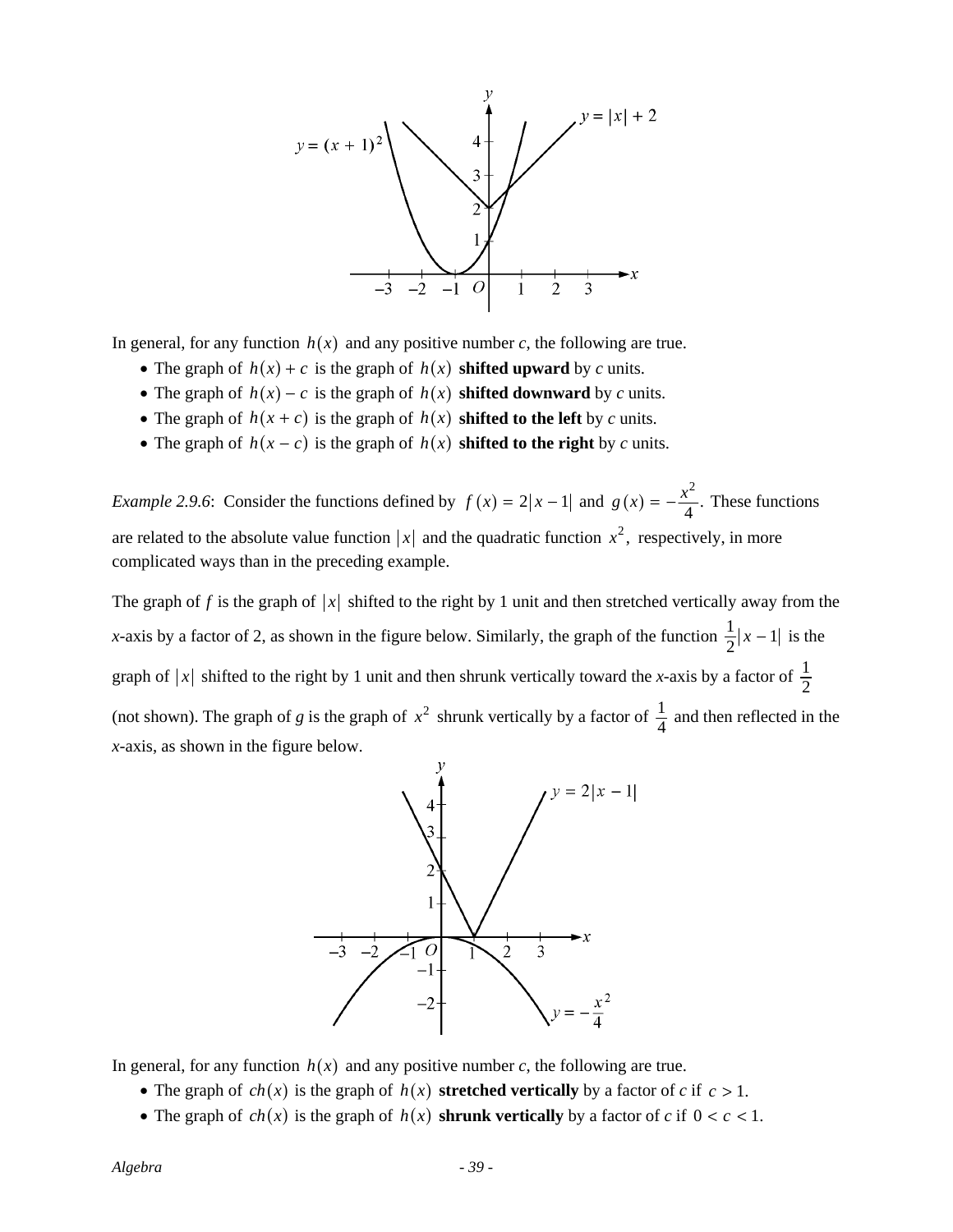

In general, for any function  $h(x)$  and any positive number *c*, the following are true.

- The graph of  $h(x) + c$  is the graph of  $h(x)$  **shifted upward** by *c* units.
- The graph of  $h(x) c$  is the graph of  $h(x)$  **shifted downward** by *c* units.
- The graph of  $h(x + c)$  is the graph of  $h(x)$  **shifted to the left** by *c* units.
- The graph of  $h(x c)$  is the graph of  $h(x)$  **shifted to the right** by *c* units.

*Example 2.9.6*: Consider the functions defined by  $f(x) = 2|x-1|$  and  $g(x)$ 2  $g(x) = -\frac{x^2}{4}$ . These functions are related to the absolute value function  $|x|$  and the quadratic function  $x^2$ , respectively, in more complicated ways than in the preceding example.

The graph of f is the graph of  $|x|$  shifted to the right by 1 unit and then stretched vertically away from the *x*-axis by a factor of 2, as shown in the figure below. Similarly, the graph of the function  $\frac{1}{2}|x-1|$  is the graph of  $|x|$  shifted to the right by 1 unit and then shrunk vertically toward the *x*-axis by a factor of  $\frac{1}{2}$ (not shown). The graph of *g* is the graph of  $x^2$  shrunk vertically by a factor of  $\frac{1}{4}$  and then reflected in the *x*-axis, as shown in the figure below.



In general, for any function  $h(x)$  and any positive number *c*, the following are true.

- The graph of  $ch(x)$  is the graph of  $h(x)$  **stretched vertically** by a factor of c if  $c > 1$ .
- The graph of  $ch(x)$  is the graph of  $h(x)$  **shrunk vertically** by a factor of *c* if  $0 < c < 1$ .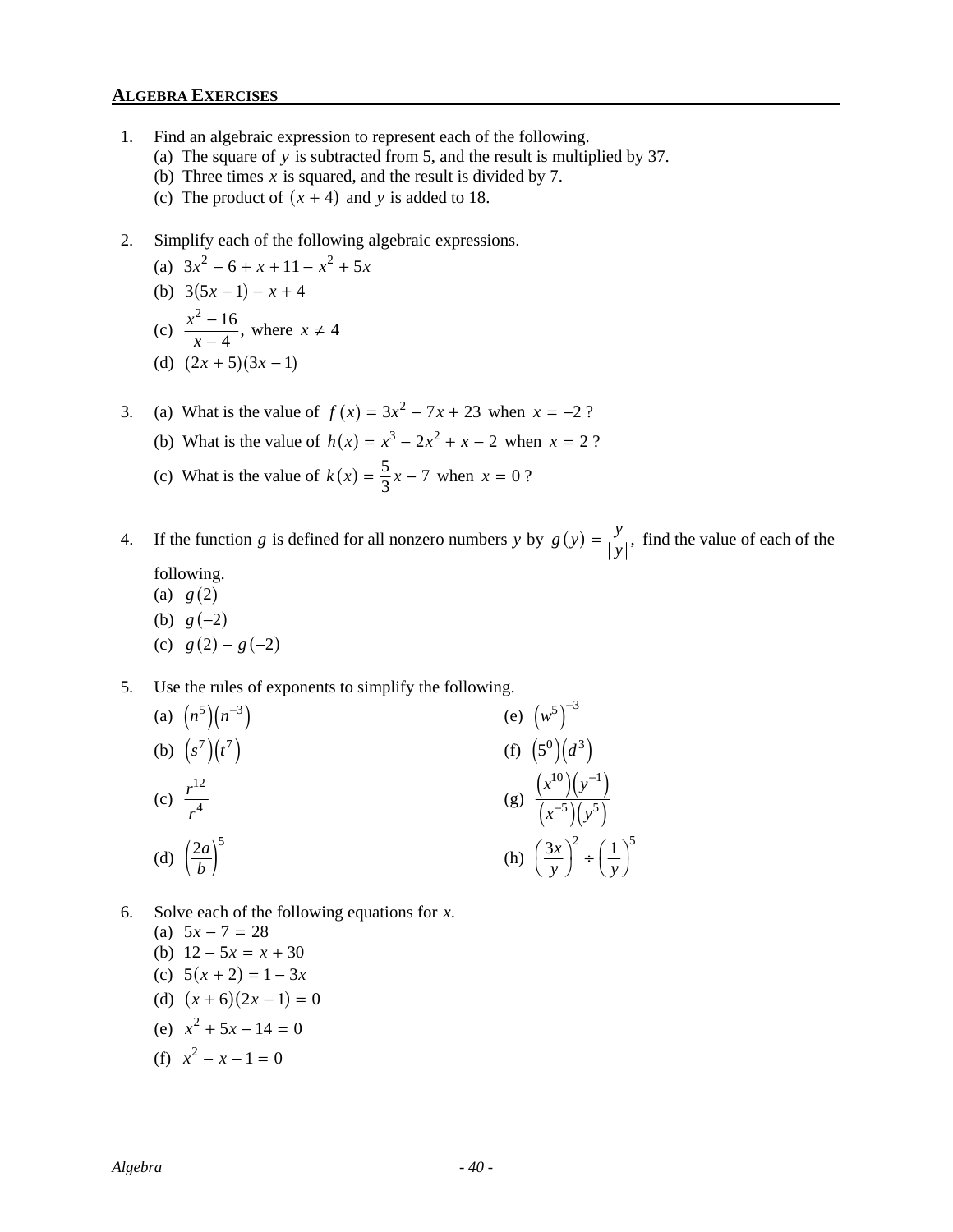#### **ALGEBRA EXERCISES**

- 1. Find an algebraic expression to represent each of the following.
	- (a) The square of *y* is subtracted from 5, and the result is multiplied by 37.
	- (b) Three times *x* is squared, and the result is divided by 7.
	- (c) The product of  $(x + 4)$  and *y* is added to 18.
- 2. Simplify each of the following algebraic expressions.
- (a)  $3x^2 6 + x + 11 x^2 + 5x$ (b)  $3(5x-1) - x + 4$ (c)  $\frac{x^2-16}{x-4}$ , *x*  $\frac{-16}{-4}$ , where  $x \neq 4$ (d)  $(2x+5)(3x-1)$

3. (a) What is the value of  $f(x) = 3x^2 - 7x + 23$  when  $x = -2$ ? (b) What is the value of  $h(x) = x^3 - 2x^2 + x - 2$  when  $x = 2$ ?

(c) What is the value of  $k(x) = \frac{5}{3}x - 7$  when  $x = 0$  ?

4. If the function *g* is defined for all nonzero numbers *y* by  $g(y) = \frac{y}{|y|}$ , find the value of each of the following.

- (a) *g* (2)
- (b)  $g(-2)$
- (c)  $g(2) g(-2)$
- 5. Use the rules of exponents to simplify the following.

(a) 
$$
(n^5)(n^{-3})
$$
  
\n(b)  $(s^7)(t^7)$   
\n(c)  $\frac{r^{12}}{r^4}$   
\n(d)  $(\frac{2a}{b})^5$   
\n(e)  $(w^5)^{-3}$   
\n(f)  $(5^0)(d^3)$   
\n(g)  $\frac{(x^{10})(y^{-1})}{(x^{-5})(y^5)}$   
\n(h)  $(\frac{3x}{y})^2 \div (\frac{1}{y})^5$ 

- 6. Solve each of the following equations for *x*.
	- (a)  $5x 7 = 28$
	- (b)  $12 5x = x + 30$
	- (c)  $5(x + 2) = 1 3x$
	- (d)  $(x+6)(2x-1) = 0$
- (e)  $x^2 + 5x 14 = 0$
- (f)  $x^2 x 1 = 0$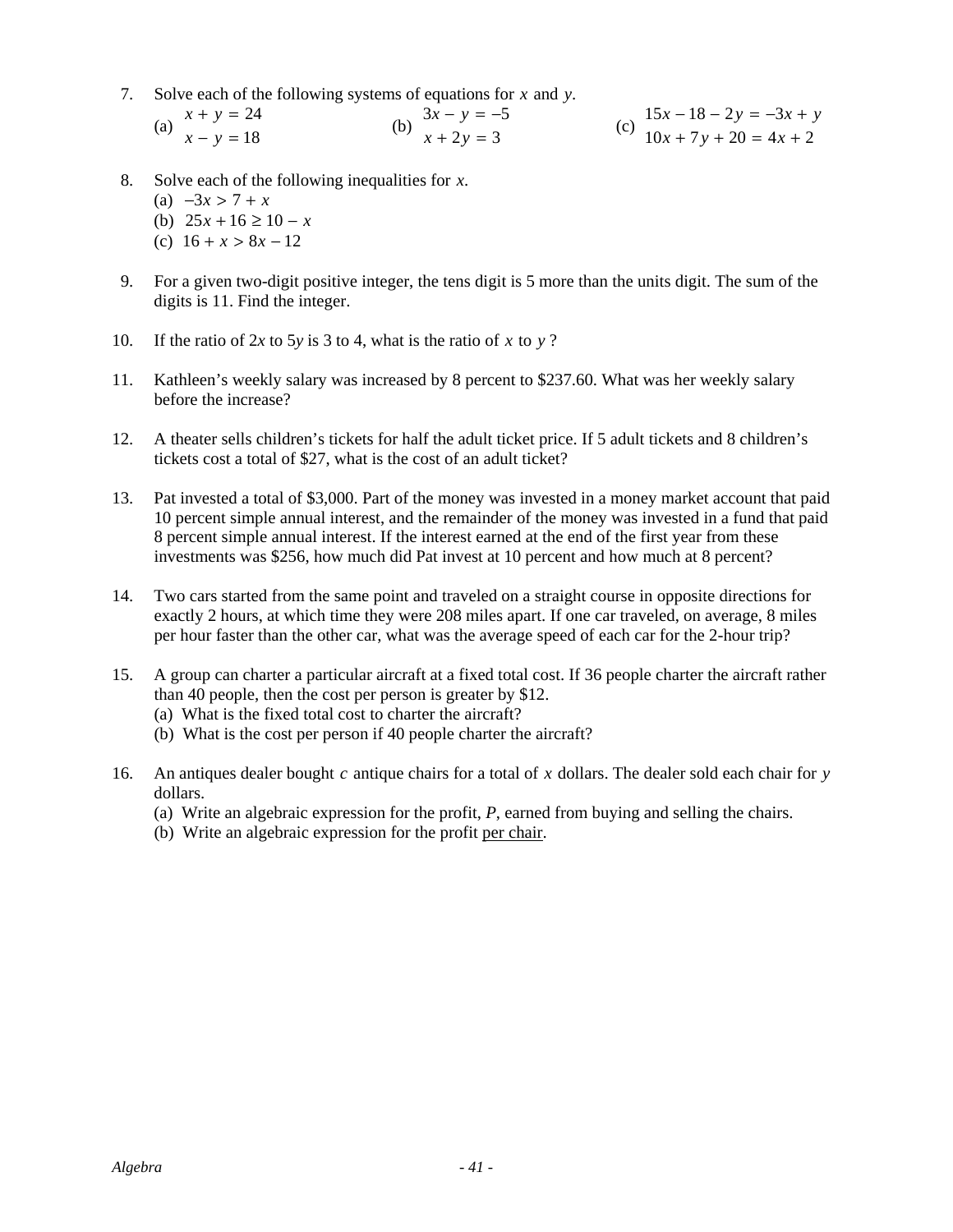- 7. Solve each of the following systems of equations for *x* and *y*.
- (a)  $x + y = 24$  (b)  $3x y = -5$  (c) 24 18  $x + y$  $x - y$  $+ y =$  $-y =$  $2y = 3$  $x - y$  $x + 2y$  $-y = + 2y =$  $15x - 18 - 2y = -3$  $10x + 7y + 20 = 4x + 2$  $x - 18 - 2y = -3x$  $x + 7y + 20 = 4x$  $-18 - 2y = -3x +$  $+7y+20=4x+$ *y*
- 8. Solve each of the following inequalities for *x*.
	- (a)  $-3x > 7 + x$
	- (b)  $25x + 16 \ge 10 x$
	- (c)  $16 + x > 8x 12$
- 9. For a given two-digit positive integer, the tens digit is 5 more than the units digit. The sum of the digits is 11. Find the integer.
- 10. If the ratio of  $2x$  to  $5y$  is 3 to 4, what is the ratio of *x* to *y* ?
- 11. Kathleen's weekly salary was increased by 8 percent to \$237.60. What was her weekly salary before the increase?
- 12. A theater sells children's tickets for half the adult ticket price. If 5 adult tickets and 8 children's tickets cost a total of \$27, what is the cost of an adult ticket?
- 13. Pat invested a total of \$3,000. Part of the money was invested in a money market account that paid 10 percent simple annual interest, and the remainder of the money was invested in a fund that paid 8 percent simple annual interest. If the interest earned at the end of the first year from these investments was \$256, how much did Pat invest at 10 percent and how much at 8 percent?
- 14. Two cars started from the same point and traveled on a straight course in opposite directions for exactly 2 hours, at which time they were 208 miles apart. If one car traveled, on average, 8 miles per hour faster than the other car, what was the average speed of each car for the 2-hour trip?
- 15. A group can charter a particular aircraft at a fixed total cost. If 36 people charter the aircraft rather than 40 people, then the cost per person is greater by \$12.
	- (a) What is the fixed total cost to charter the aircraft?
	- (b) What is the cost per person if 40 people charter the aircraft?
- 16. An antiques dealer bought *c* antique chairs for a total of *x* dollars. The dealer sold each chair for *y* dollars.
	- (a) Write an algebraic expression for the profit, *P*, earned from buying and selling the chairs.
	- (b) Write an algebraic expression for the profit per chair.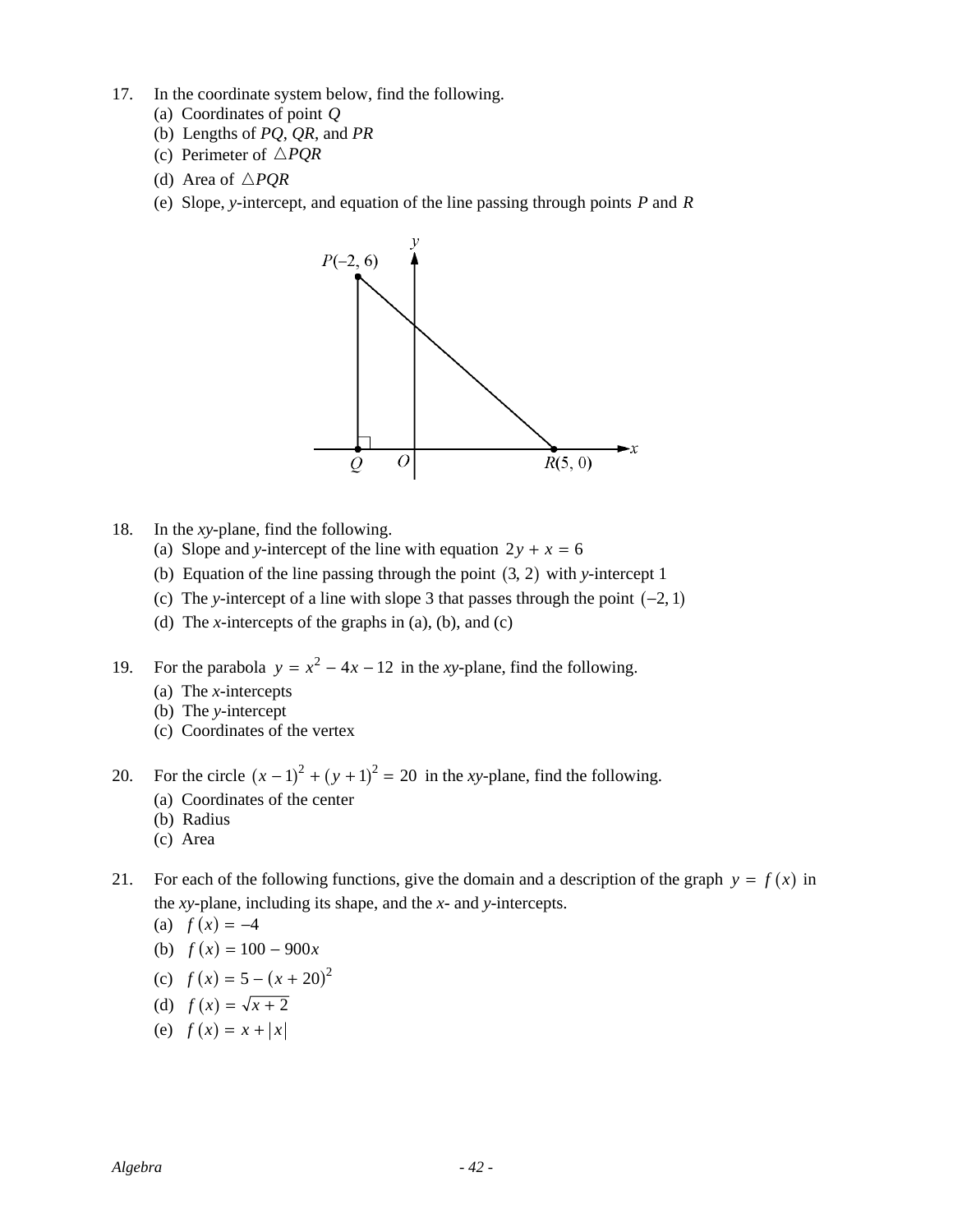- 17. In the coordinate system below, find the following.
	- (a) Coordinates of point *Q*
	- (b) Lengths of *PQ*, *QR*, and *PR*
- (c) Perimeter of  $\triangle PQR$
- (d) Area of  $\triangle PQR$ 
	- (e) Slope, *y*-intercept, and equation of the line passing through points *P* and *R*



- 18. In the *xy*-plane, find the following.
	- (a) Slope and *y*-intercept of the line with equation  $2y + x = 6$
	- (b) Equation of the line passing through the point (3, 2) with *y*-intercept 1
	- (c) The *y*-intercept of a line with slope 3 that passes through the point  $(-2, 1)$
	- (d) The *x*-intercepts of the graphs in (a), (b), and (c)
- 19. For the parabola  $y = x^2 4x 12$  in the *xy*-plane, find the following.
	- (a) The *x*-intercepts
	- (b) The *y*-intercept
	- (c) Coordinates of the vertex
- 20. For the circle  $(x 1)^2 + (y + 1)^2 = 20$  in the *xy*-plane, find the following.
	- (a) Coordinates of the center
	- (b) Radius
	- (c) Area
- 21. For each of the following functions, give the domain and a description of the graph  $y = f(x)$  in the *xy*-plane, including its shape, and the *x*- and *y*-intercepts.

$$
(a) \quad f(x) = -4
$$

- (b)  $f(x) = 100 900x$
- (c)  $f(x) = 5 (x + 20)^2$
- (d)  $f(x) = \sqrt{x+2}$
- (e)  $f(x) = x + |x|$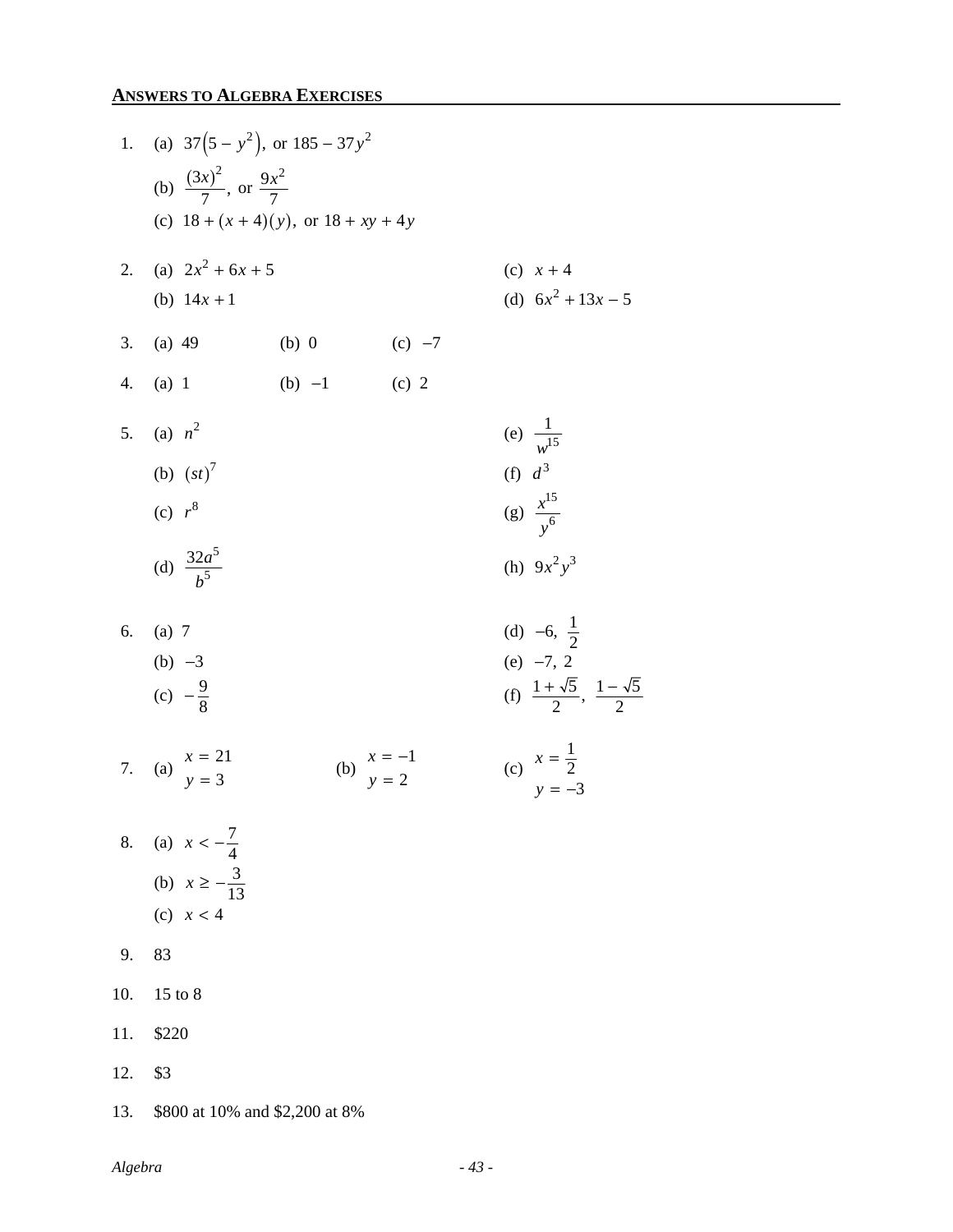|     | 1. (a) $37(5 - y^2)$ , or $185 - 37y^2$      |                |                                                   |                                                  |
|-----|----------------------------------------------|----------------|---------------------------------------------------|--------------------------------------------------|
|     | (b) $\frac{(3x)^2}{7}$ , or $\frac{9x^2}{7}$ |                |                                                   |                                                  |
|     | (c) $18 + (x + 4)(y)$ , or $18 + xy + 4y$    |                |                                                   |                                                  |
|     | 2. (a) $2x^2 + 6x + 5$                       |                |                                                   | (c) $x + 4$                                      |
|     | (b) $14x + 1$                                |                |                                                   | (d) $6x^2 + 13x - 5$                             |
|     | 3. (a) 49                                    |                | (b) 0 (c) $-7$                                    |                                                  |
| 4.  | $(a)$ 1                                      | (b) $-1$ (c) 2 |                                                   |                                                  |
|     | 5. (a) $n^2$                                 |                |                                                   | (e) $\frac{1}{w^{15}}$                           |
|     | (b) $(st)^7$                                 |                |                                                   | (f) $d^3$                                        |
|     | (c) $r^8$                                    |                |                                                   | (g) $\frac{x^{15}}{y^6}$                         |
|     | (d) $\frac{32a^5}{b^5}$                      |                |                                                   | (h) $9x^2y^3$                                    |
|     | 6. (a) 7                                     |                |                                                   | (d) -6, $\frac{1}{2}$                            |
|     | (b) $-3$                                     |                |                                                   | (e) $-7, 2$                                      |
|     | (c) $-\frac{9}{8}$                           |                |                                                   | (f) $\frac{1+\sqrt{5}}{2}, \frac{1-\sqrt{5}}{2}$ |
| 7.  | (a) $x = 21$<br>$y = 3$                      |                | (b) $\begin{cases}\nx = -1 \\ y = 2\n\end{cases}$ | (c) $x = \frac{1}{2}$<br>$y = -3$                |
| 8.  | (a) $x < -\frac{7}{4}$                       |                |                                                   |                                                  |
|     | (b) $x \ge -\frac{3}{13}$                    |                |                                                   |                                                  |
|     | (c) $x < 4$                                  |                |                                                   |                                                  |
| 9.  | 83                                           |                |                                                   |                                                  |
| 10. | 15 to 8                                      |                |                                                   |                                                  |
| 11. | \$220                                        |                |                                                   |                                                  |
| 12. | \$3                                          |                |                                                   |                                                  |

13. \$800 at 10% and \$2,200 at 8%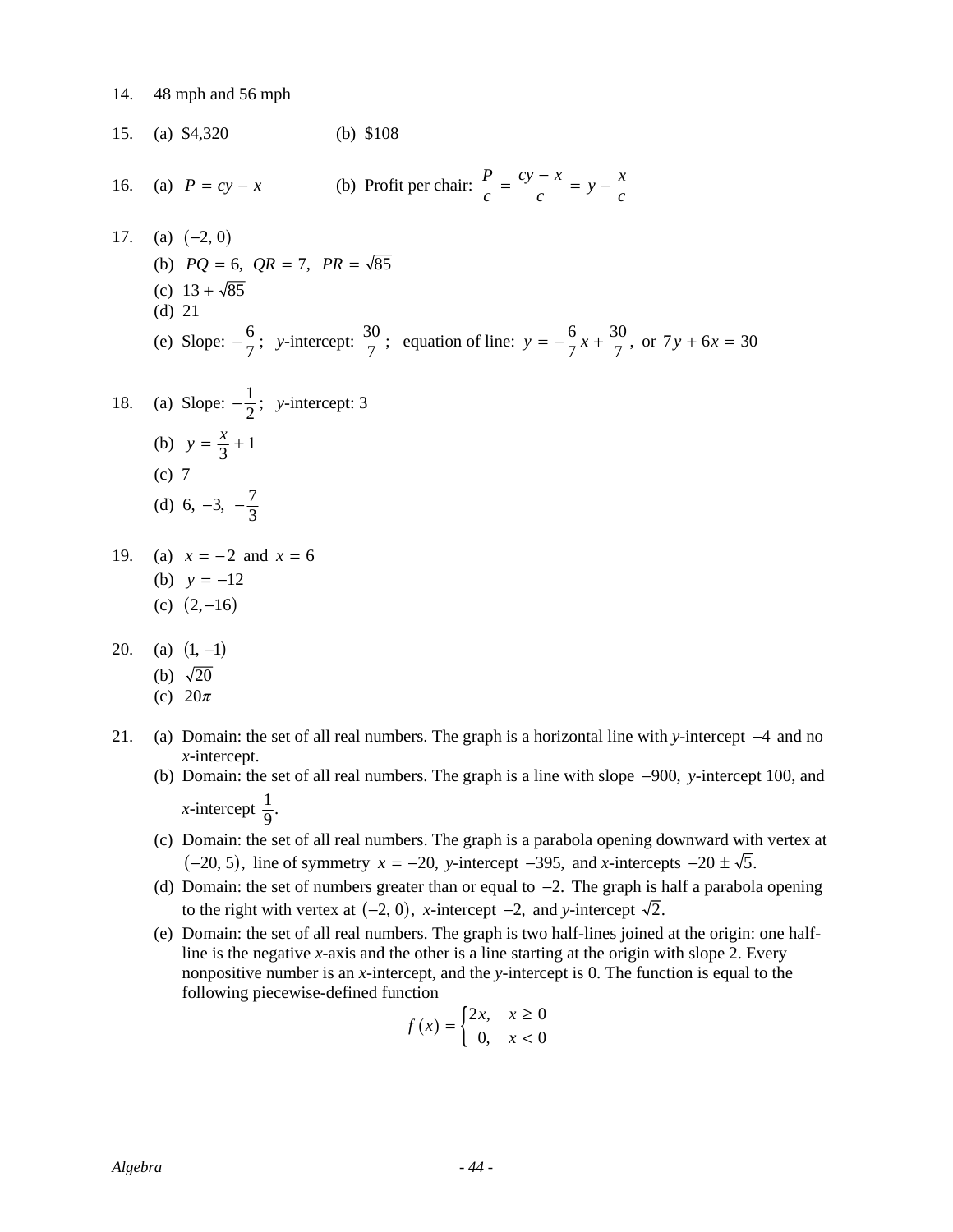14. 48 mph and 56 mph

15. (a) \$4,320 (b) \$108

- 16. (a)  $P = cy x$  (b) Profit per chair:  $\frac{P}{c} = \frac{cy x}{c} = y \frac{x}{c}$
- 17. (a)  $(-2, 0)$ (b)  $PQ = 6$ ,  $QR = 7$ ,  $PR = \sqrt{85}$ (c)  $13 + \sqrt{85}$  (d) 21 (e) Slope:  $-\frac{6}{7}$ ; *y*-intercept:  $\frac{30}{7}$ ; equation of line:  $y = -\frac{6}{7}x + \frac{30}{7}$ , or  $7y + 6x = 30$
- 18. (a) Slope:  $-\frac{1}{2}$ ; *y*-intercept: 3 (b)  $y = \frac{x}{3} + 1$  (c) 7 (d) 6, -3,  $-\frac{7}{3}$
- 19. (a)  $x = -2$  and  $x = 6$ 
	- (b)  $y = -12$
	- (c)  $(2, -16)$
- 20. (a)  $(1, -1)$ 
	- (b)  $\sqrt{20}$
	- (c)  $20\pi$
- 21. (a) Domain: the set of all real numbers. The graph is a horizontal line with *y*-intercept  $-4$  and no *x*-intercept.
- (b) Domain: the set of all real numbers. The graph is a line with slope  $-900$ , y-intercept 100, and *x*-intercept  $\frac{1}{9}$ .
	- (c) Domain: the set of all real numbers. The graph is a parabola opening downward with vertex at (-20, 5), line of symmetry  $x = -20$ , *y*-intercept -395, and *x*-intercepts  $-20 \pm \sqrt{5}$ .
- (d) Domain: the set of numbers greater than or equal to  $-2$ . The graph is half a parabola opening to the right with vertex at  $(-2, 0)$ , *x*-intercept  $-2$ , and *y*-intercept  $\sqrt{2}$ .
	- (e) Domain: the set of all real numbers. The graph is two half-lines joined at the origin: one halfline is the negative *x*-axis and the other is a line starting at the origin with slope 2. Every nonpositive number is an *x*-intercept, and the *y*-intercept is 0. The function is equal to the following piecewise-defined function

$$
f(x) = \begin{cases} 2x, & x \ge 0 \\ 0, & x < 0 \end{cases}
$$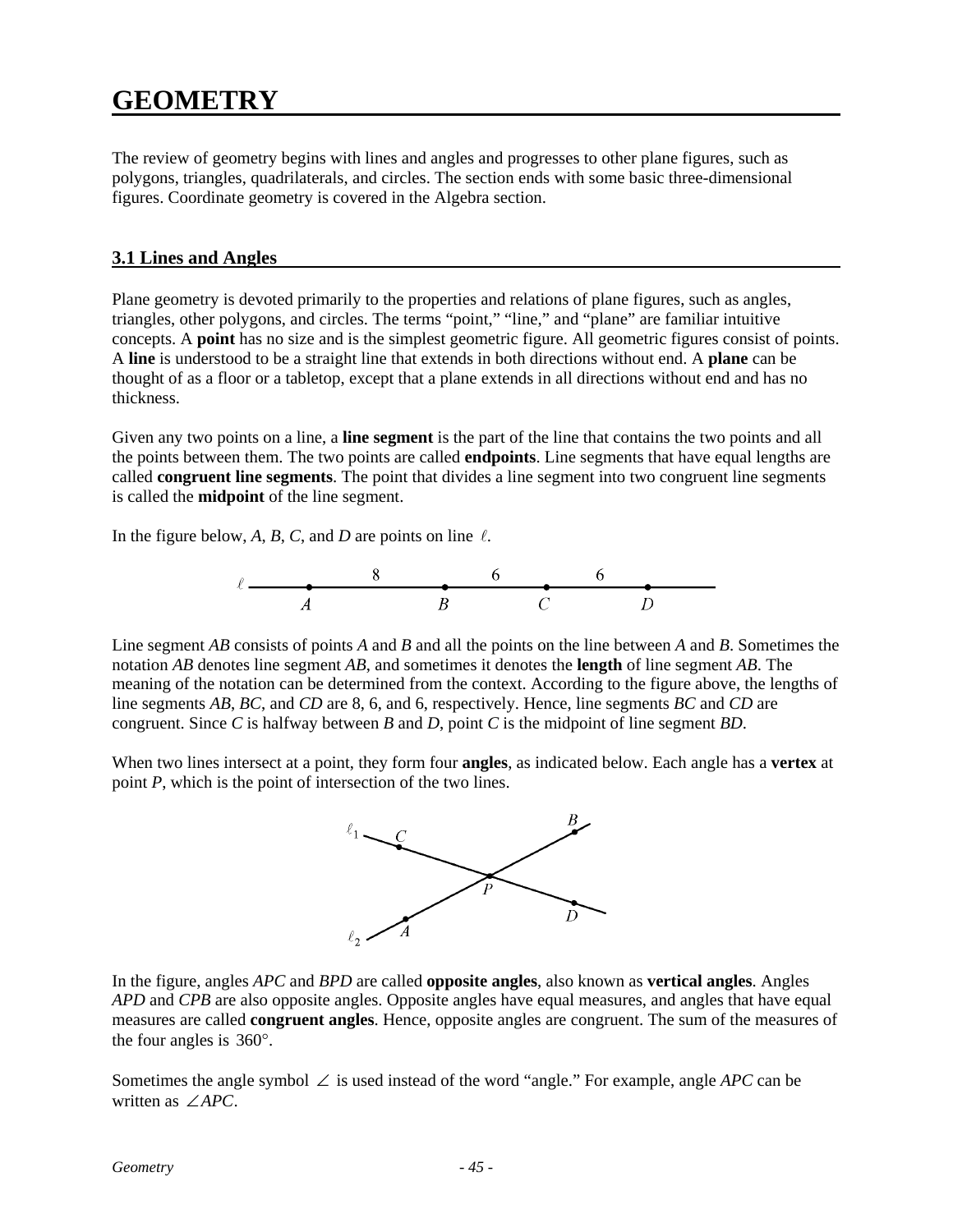## **GEOMETRY**

The review of geometry begins with lines and angles and progresses to other plane figures, such as polygons, triangles, quadrilaterals, and circles. The section ends with some basic three-dimensional figures. Coordinate geometry is covered in the Algebra section.

## **3.1 Lines and Angles**

Plane geometry is devoted primarily to the properties and relations of plane figures, such as angles, triangles, other polygons, and circles. The terms "point," "line," and "plane" are familiar intuitive concepts. A **point** has no size and is the simplest geometric figure. All geometric figures consist of points. A **line** is understood to be a straight line that extends in both directions without end. A **plane** can be thought of as a floor or a tabletop, except that a plane extends in all directions without end and has no thickness.

Given any two points on a line, a **line segment** is the part of the line that contains the two points and all the points between them. The two points are called **endpoints**. Line segments that have equal lengths are called **congruent line segments**. The point that divides a line segment into two congruent line segments is called the **midpoint** of the line segment.

In the figure below,  $A$ ,  $B$ ,  $C$ , and  $D$  are points on line  $\ell$ .



Line segment *AB* consists of points *A* and *B* and all the points on the line between *A* and *B*. Sometimes the notation *AB* denotes line segment *AB*, and sometimes it denotes the **length** of line segment *AB*. The meaning of the notation can be determined from the context. According to the figure above, the lengths of line segments *AB*, *BC*, and *CD* are 8, 6, and 6, respectively. Hence, line segments *BC* and *CD* are congruent. Since *C* is halfway between *B* and *D*, point *C* is the midpoint of line segment *BD*.

When two lines intersect at a point, they form four **angles**, as indicated below. Each angle has a **vertex** at point *P*, which is the point of intersection of the two lines.



In the figure, angles *APC* and *BPD* are called **opposite angles**, also known as **vertical angles**. Angles *APD* and *CPB* are also opposite angles. Opposite angles have equal measures, and angles that have equal measures are called **congruent angles**. Hence, opposite angles are congruent. The sum of the measures of the four angles is  $360^\circ$ .

Sometimes the angle symbol  $\angle$  is used instead of the word "angle." For example, angle *APC* can be written as  $\angle APC$ .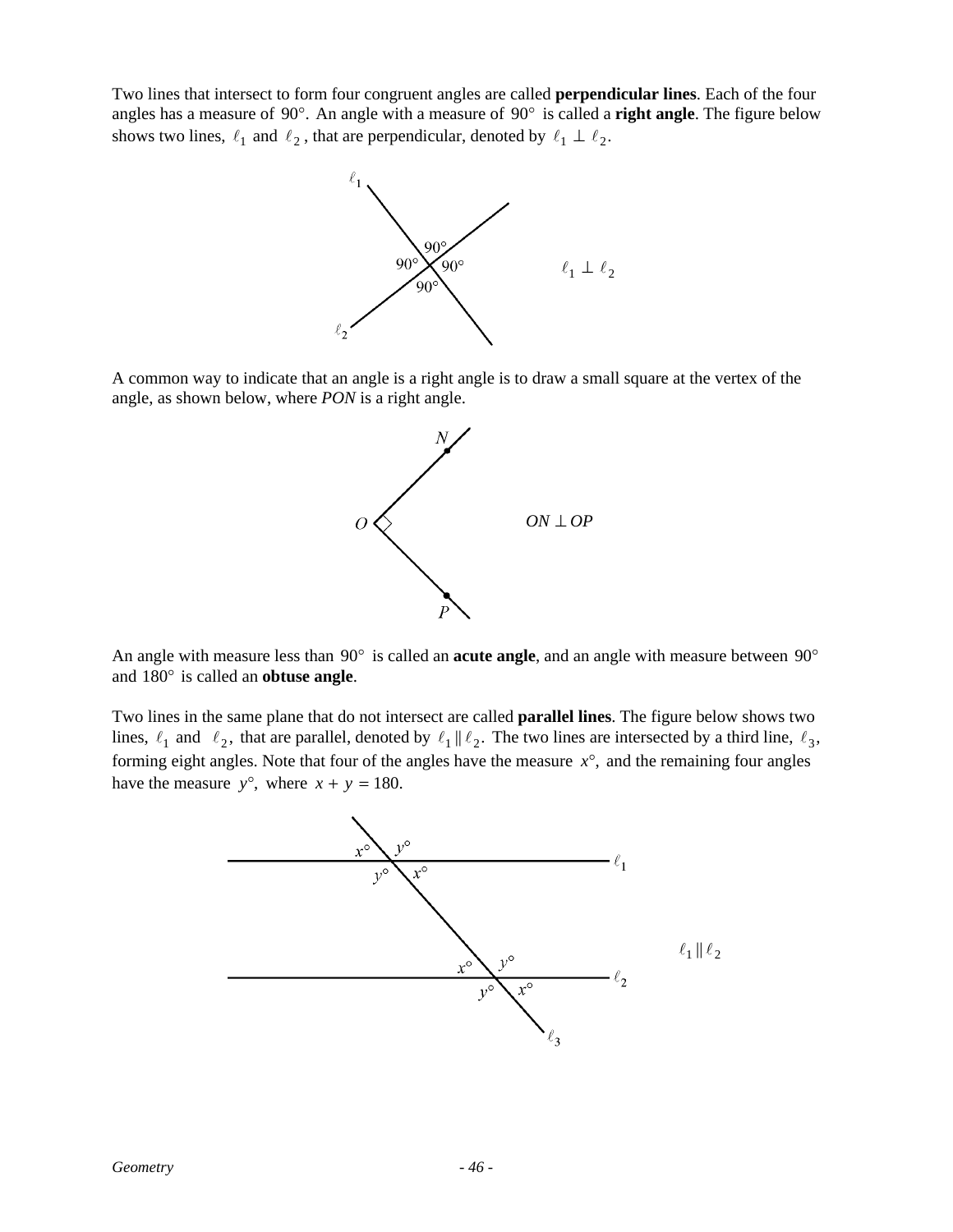Two lines that intersect to form four congruent angles are called **perpendicular lines**. Each of the four angles has a measure of 90°. An angle with a measure of 90° is called a **right angle**. The figure below shows two lines,  $\ell_1$  and  $\ell_2$ , that are perpendicular, denoted by  $\ell_1 \perp \ell_2$ .



A common way to indicate that an angle is a right angle is to draw a small square at the vertex of the angle, as shown below, where *PON* is a right angle.



An angle with measure less than 90° is called an **acute angle**, and an angle with measure between 90° and 180° is called an **obtuse angle**.

Two lines in the same plane that do not intersect are called **parallel lines**. The figure below shows two lines,  $\ell_1$  and  $\ell_2$ , that are parallel, denoted by  $\ell_1 || \ell_2$ . The two lines are intersected by a third line,  $\ell_3$ , forming eight angles. Note that four of the angles have the measure  $x^{\circ}$ , and the remaining four angles have the measure  $y^{\circ}$ , where  $x + y = 180$ .

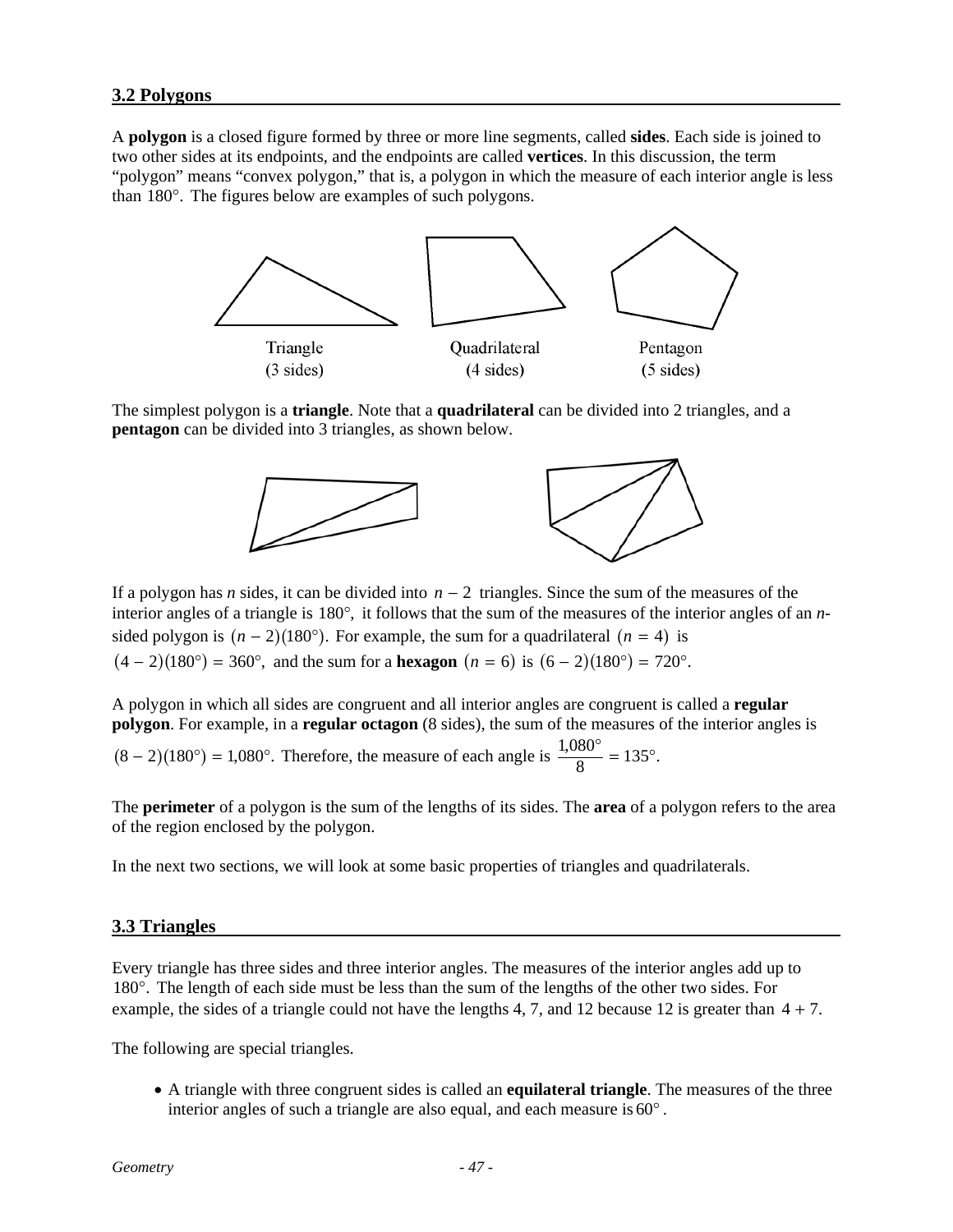## **3.2 Polygons**

A **polygon** is a closed figure formed by three or more line segments, called **sides**. Each side is joined to two other sides at its endpoints, and the endpoints are called **vertices**. In this discussion, the term "polygon" means "convex polygon," that is, a polygon in which the measure of each interior angle is less than 180∞. The figures below are examples of such polygons.



The simplest polygon is a **triangle**. Note that a **quadrilateral** can be divided into 2 triangles, and a **pentagon** can be divided into 3 triangles, as shown below.



If a polygon has *n* sides, it can be divided into  $n - 2$  triangles. Since the sum of the measures of the interior angles of a triangle is 180°, it follows that the sum of the measures of the interior angles of an *n*sided polygon is  $(n-2)(180^{\circ})$ . For example, the sum for a quadrilateral  $(n = 4)$  is  $(4 - 2)(180^\circ) = 360^\circ$ , and the sum for a **hexagon**  $(n = 6)$  is  $(6 - 2)(180^\circ) = 720^\circ$ .

A polygon in which all sides are congruent and all interior angles are congruent is called a **regular polygon**. For example, in a **regular octagon** (8 sides), the sum of the measures of the interior angles is

 $(8-2)(180^\circ) = 1,080^\circ$ . Therefore, the measure of each angle is  $\frac{1,080^\circ}{8} = 135^\circ$ .

The **perimeter** of a polygon is the sum of the lengths of its sides. The **area** of a polygon refers to the area of the region enclosed by the polygon.

In the next two sections, we will look at some basic properties of triangles and quadrilaterals.

#### **3.3 Triangles**

Every triangle has three sides and three interior angles. The measures of the interior angles add up to 180°. The length of each side must be less than the sum of the lengths of the other two sides. For example, the sides of a triangle could not have the lengths 4, 7, and 12 because 12 is greater than  $4 + 7$ .

The following are special triangles.

• A triangle with three congruent sides is called an **equilateral triangle**. The measures of the three interior angles of such a triangle are also equal, and each measure is 60∞ .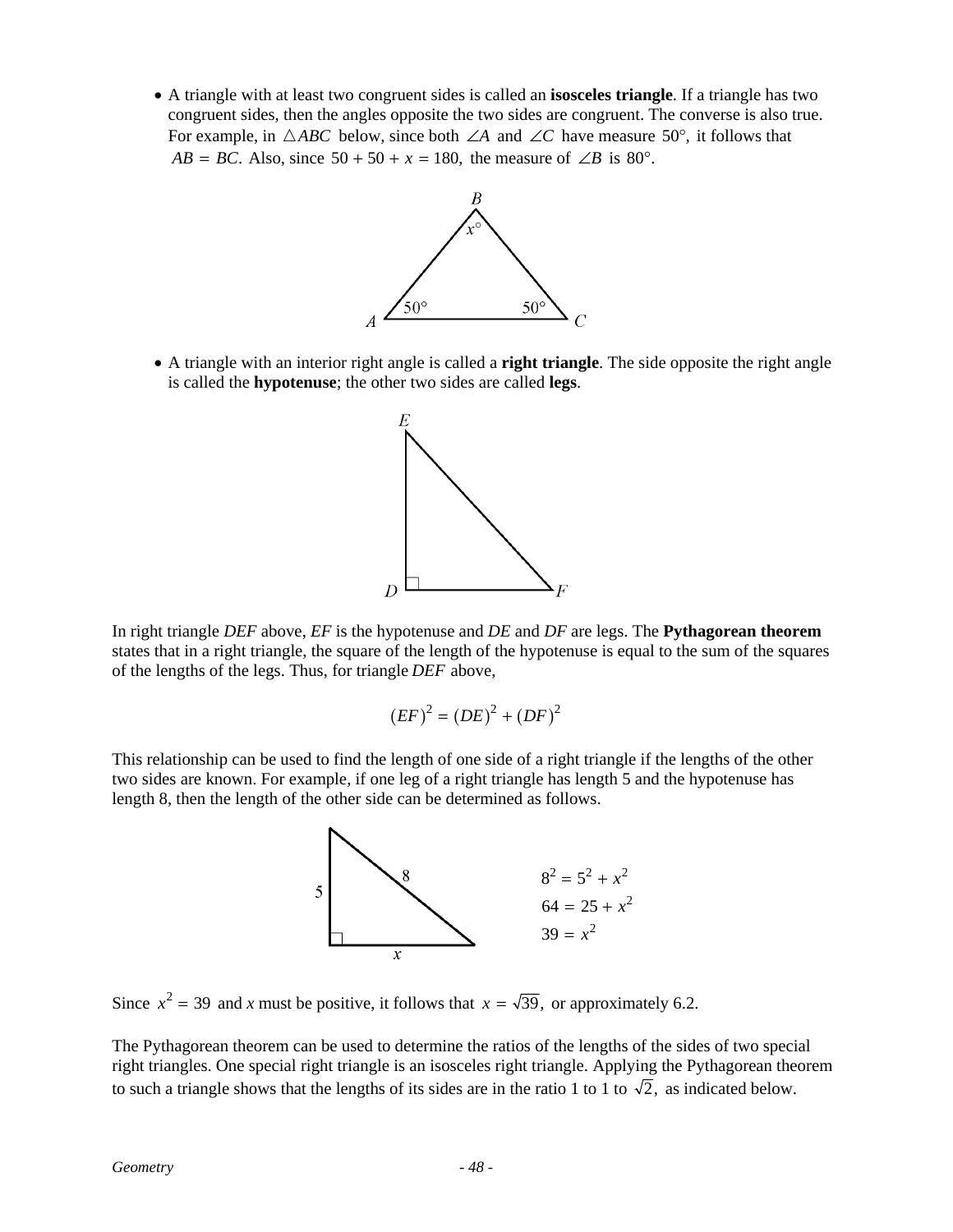• A triangle with at least two congruent sides is called an **isosceles triangle**. If a triangle has two congruent sides, then the angles opposite the two sides are congruent. The converse is also true. For example, in  $\triangle ABC$  below, since both  $\angle A$  and  $\angle C$  have measure 50°, it follows that  $AB = BC$ . Also, since  $50 + 50 + x = 180$ , the measure of  $\angle B$  is 80°.



• A triangle with an interior right angle is called a **right triangle**. The side opposite the right angle is called the **hypotenuse**; the other two sides are called **legs**.



In right triangle *DEF* above, *EF* is the hypotenuse and *DE* and *DF* are legs. The **Pythagorean theorem** states that in a right triangle, the square of the length of the hypotenuse is equal to the sum of the squares of the lengths of the legs. Thus, for triangle *DEF* above,

$$
(EF)^2 = (DE)^2 + (DF)^2
$$

This relationship can be used to find the length of one side of a right triangle if the lengths of the other two sides are known. For example, if one leg of a right triangle has length 5 and the hypotenuse has length 8, then the length of the other side can be determined as follows.



Since  $x^2 = 39$  and *x* must be positive, it follows that  $x = \sqrt{39}$ , or approximately 6.2.

The Pythagorean theorem can be used to determine the ratios of the lengths of the sides of two special right triangles. One special right triangle is an isosceles right triangle. Applying the Pythagorean theorem to such a triangle shows that the lengths of its sides are in the ratio 1 to 1 to  $\sqrt{2}$ , as indicated below.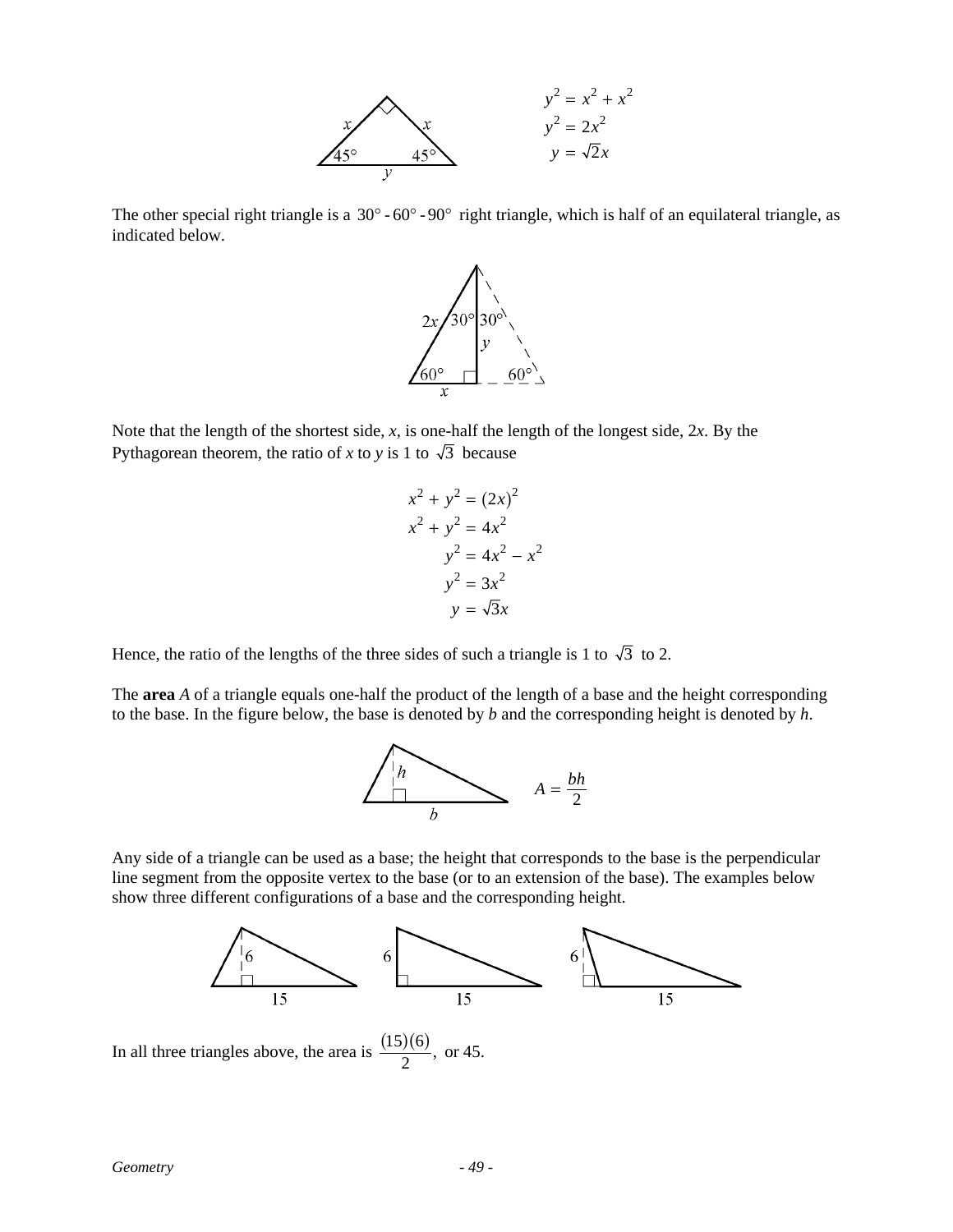

The other special right triangle is a  $30^{\circ}$  -  $60^{\circ}$  -  $90^{\circ}$  right triangle, which is half of an equilateral triangle, as indicated below.



Note that the length of the shortest side, *x*, is one-half the length of the longest side, 2*x*. By the Pythagorean theorem, the ratio of *x* to *y* is 1 to  $\sqrt{3}$  because

$$
x2 + y2 = (2x)2
$$
  

$$
x2 + y2 = 4x2
$$
  

$$
y2 = 4x2 - x2
$$
  

$$
y2 = 3x2
$$
  

$$
y = \sqrt{3}x
$$

Hence, the ratio of the lengths of the three sides of such a triangle is 1 to  $\sqrt{3}$  to 2.

The **area** *A* of a triangle equals one-half the product of the length of a base and the height corresponding to the base. In the figure below, the base is denoted by *b* and the corresponding height is denoted by *h*.



Any side of a triangle can be used as a base; the height that corresponds to the base is the perpendicular line segment from the opposite vertex to the base (or to an extension of the base). The examples below show three different configurations of a base and the corresponding height.



In all three triangles above, the area is  $\frac{(15)(6)}{2}$ , or 45.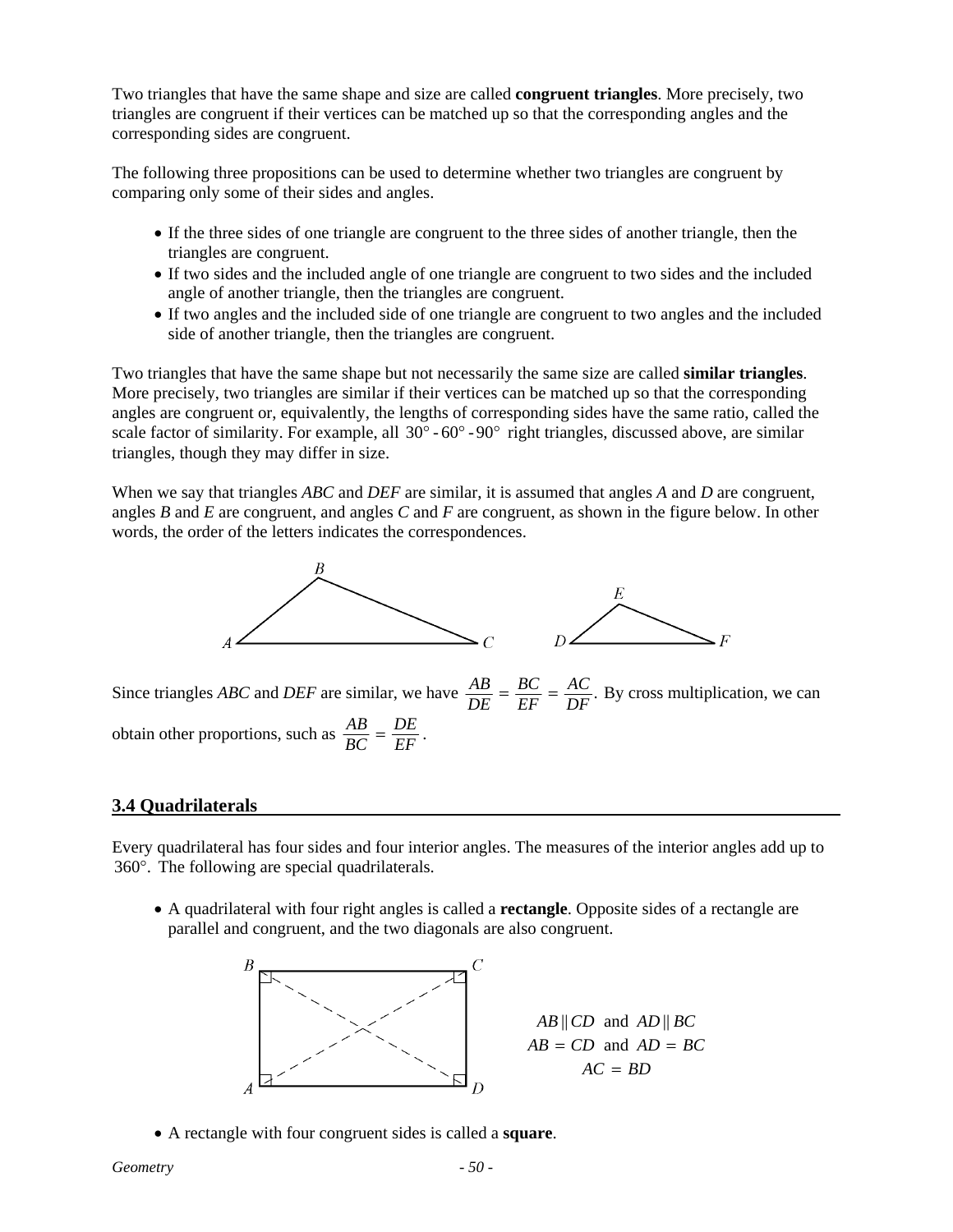Two triangles that have the same shape and size are called **congruent triangles**. More precisely, two triangles are congruent if their vertices can be matched up so that the corresponding angles and the corresponding sides are congruent.

The following three propositions can be used to determine whether two triangles are congruent by comparing only some of their sides and angles.

- If the three sides of one triangle are congruent to the three sides of another triangle, then the triangles are congruent.
- If two sides and the included angle of one triangle are congruent to two sides and the included angle of another triangle, then the triangles are congruent.
- If two angles and the included side of one triangle are congruent to two angles and the included side of another triangle, then the triangles are congruent.

Two triangles that have the same shape but not necessarily the same size are called **similar triangles**. More precisely, two triangles are similar if their vertices can be matched up so that the corresponding angles are congruent or, equivalently, the lengths of corresponding sides have the same ratio, called the scale factor of similarity. For example, all 30° - 60° - 90° right triangles, discussed above, are similar triangles, though they may differ in size.

When we say that triangles *ABC* and *DEF* are similar, it is assumed that angles *A* and *D* are congruent, angles *B* and *E* are congruent, and angles *C* and *F* are congruent, as shown in the figure below. In other words, the order of the letters indicates the correspondences.



Since triangles *ABC* and *DEF* are similar, we have  $\frac{AB}{DE} = \frac{BC}{EF} = \frac{AC}{DF}$ . By cross multiplication, we can obtain other proportions, such as  $\frac{AB}{BC} = \frac{DE}{EF}$ .

#### **3.4 Quadrilaterals**

Every quadrilateral has four sides and four interior angles. The measures of the interior angles add up to  $360^\circ$ . The following are special quadrilaterals.

• A quadrilateral with four right angles is called a **rectangle**. Opposite sides of a rectangle are parallel and congruent, and the two diagonals are also congruent.



• A rectangle with four congruent sides is called a **square**.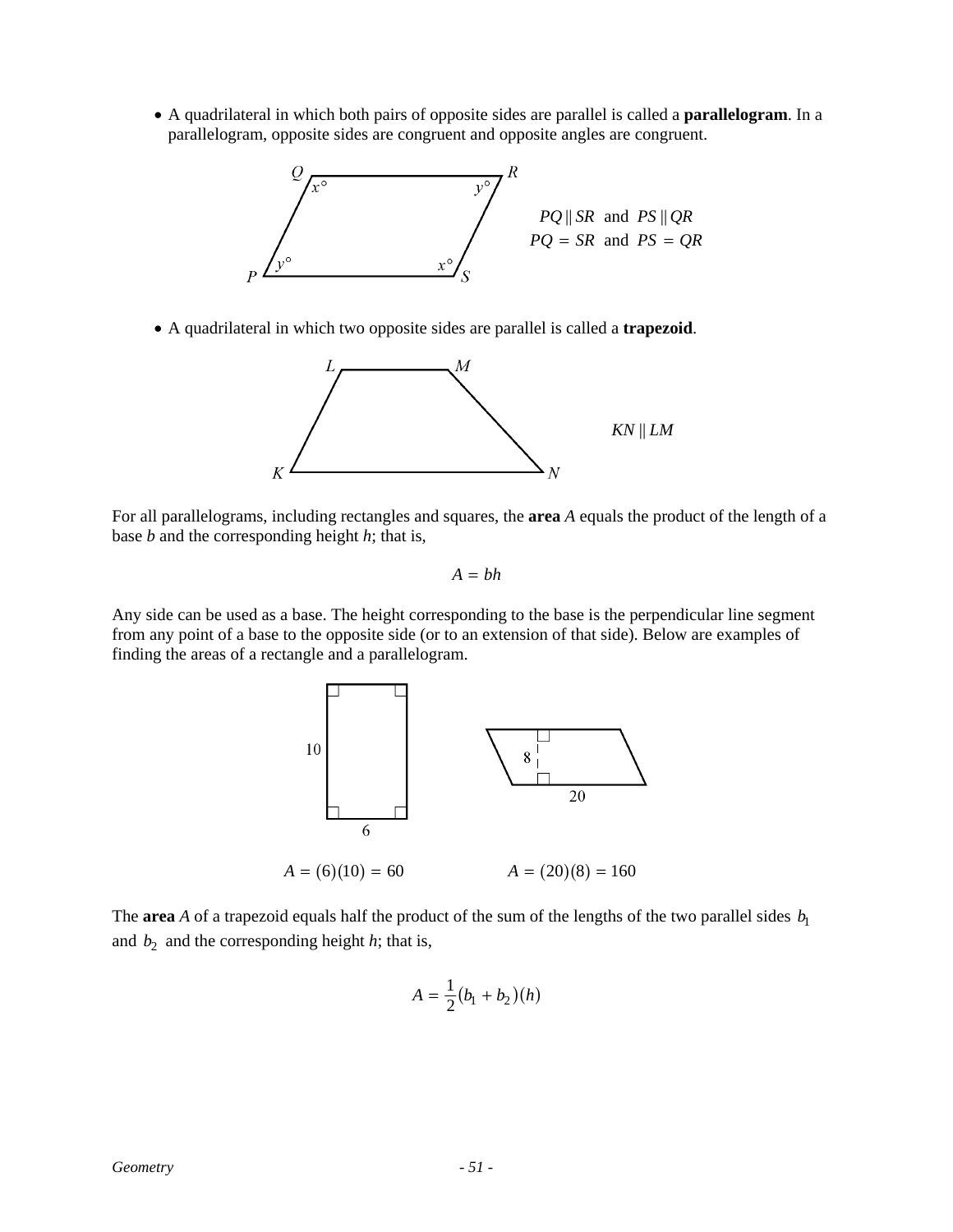• A quadrilateral in which both pairs of opposite sides are parallel is called a **parallelogram**. In a parallelogram, opposite sides are congruent and opposite angles are congruent.



• A quadrilateral in which two opposite sides are parallel is called a **trapezoid**.



For all parallelograms, including rectangles and squares, the **area** *A* equals the product of the length of a base *b* and the corresponding height *h*; that is,

 $A = bh$ 

Any side can be used as a base. The height corresponding to the base is the perpendicular line segment from any point of a base to the opposite side (or to an extension of that side). Below are examples of finding the areas of a rectangle and a parallelogram.



The **area** *A* of a trapezoid equals half the product of the sum of the lengths of the two parallel sides  $b_1$ and  $b_2$  and the corresponding height *h*; that is,

$$
A = \frac{1}{2}(b_1 + b_2)(h)
$$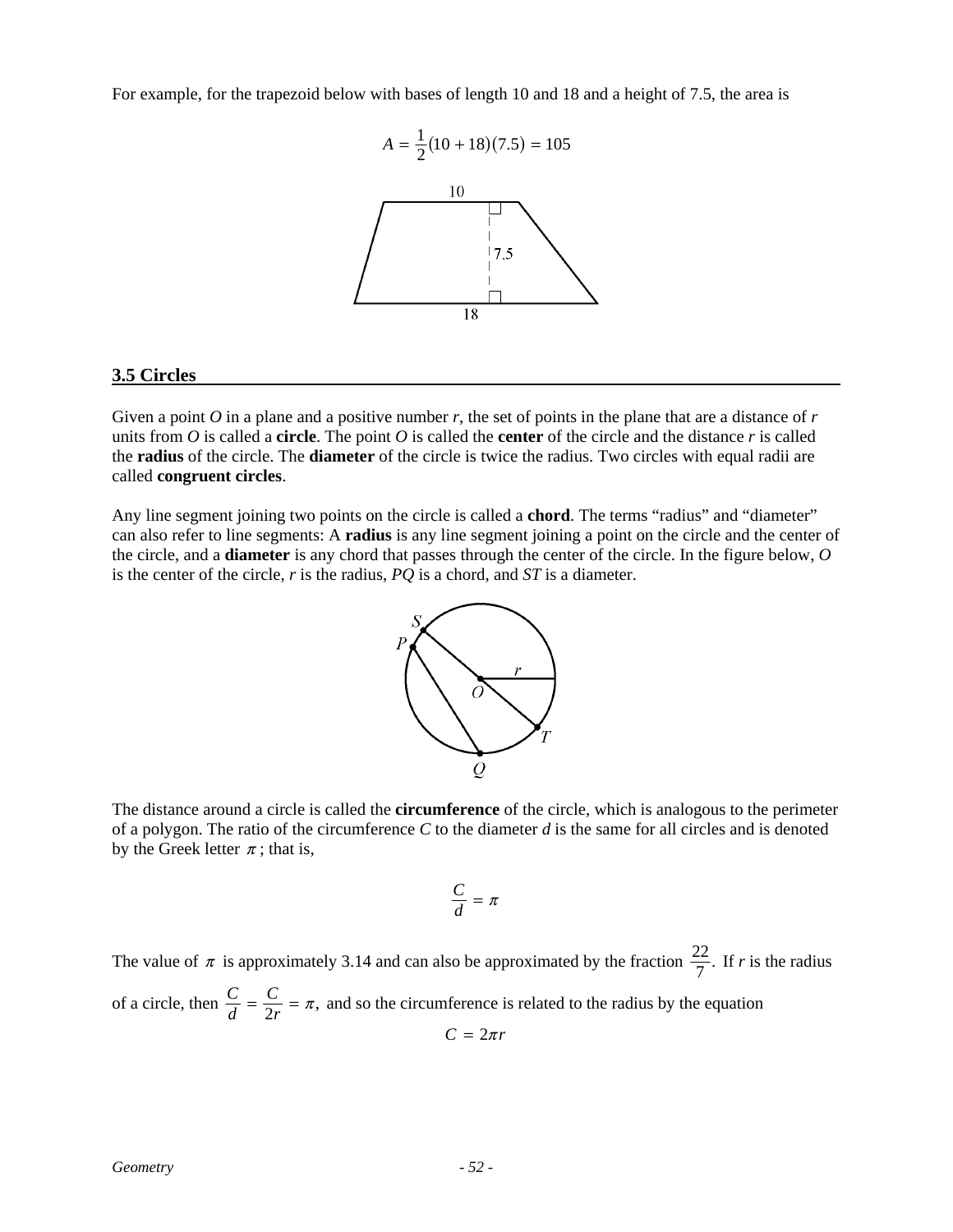For example, for the trapezoid below with bases of length 10 and 18 and a height of 7.5, the area is



## **3.5 Circles**

Given a point *O* in a plane and a positive number *r*, the set of points in the plane that are a distance of *r* units from *O* is called a **circle**. The point *O* is called the **center** of the circle and the distance *r* is called the **radius** of the circle. The **diameter** of the circle is twice the radius. Two circles with equal radii are called **congruent circles**.

Any line segment joining two points on the circle is called a **chord**. The terms "radius" and "diameter" can also refer to line segments: A **radius** is any line segment joining a point on the circle and the center of the circle, and a **diameter** is any chord that passes through the center of the circle. In the figure below, *O* is the center of the circle, *r* is the radius, *PQ* is a chord, and *ST* is a diameter.



The distance around a circle is called the **circumference** of the circle, which is analogous to the perimeter of a polygon. The ratio of the circumference *C* to the diameter *d* is the same for all circles and is denoted by the Greek letter  $\pi$ ; that is,

$$
\frac{C}{d}=\pi
$$

The value of  $\pi$  is approximately 3.14 and can also be approximated by the fraction  $\frac{22}{7}$ . If *r* is the radius of a circle, then  $\frac{C}{d} = \frac{C}{2r} = \pi$ , and so the circumference is related to the radius by the equation  $C = 2\pi r$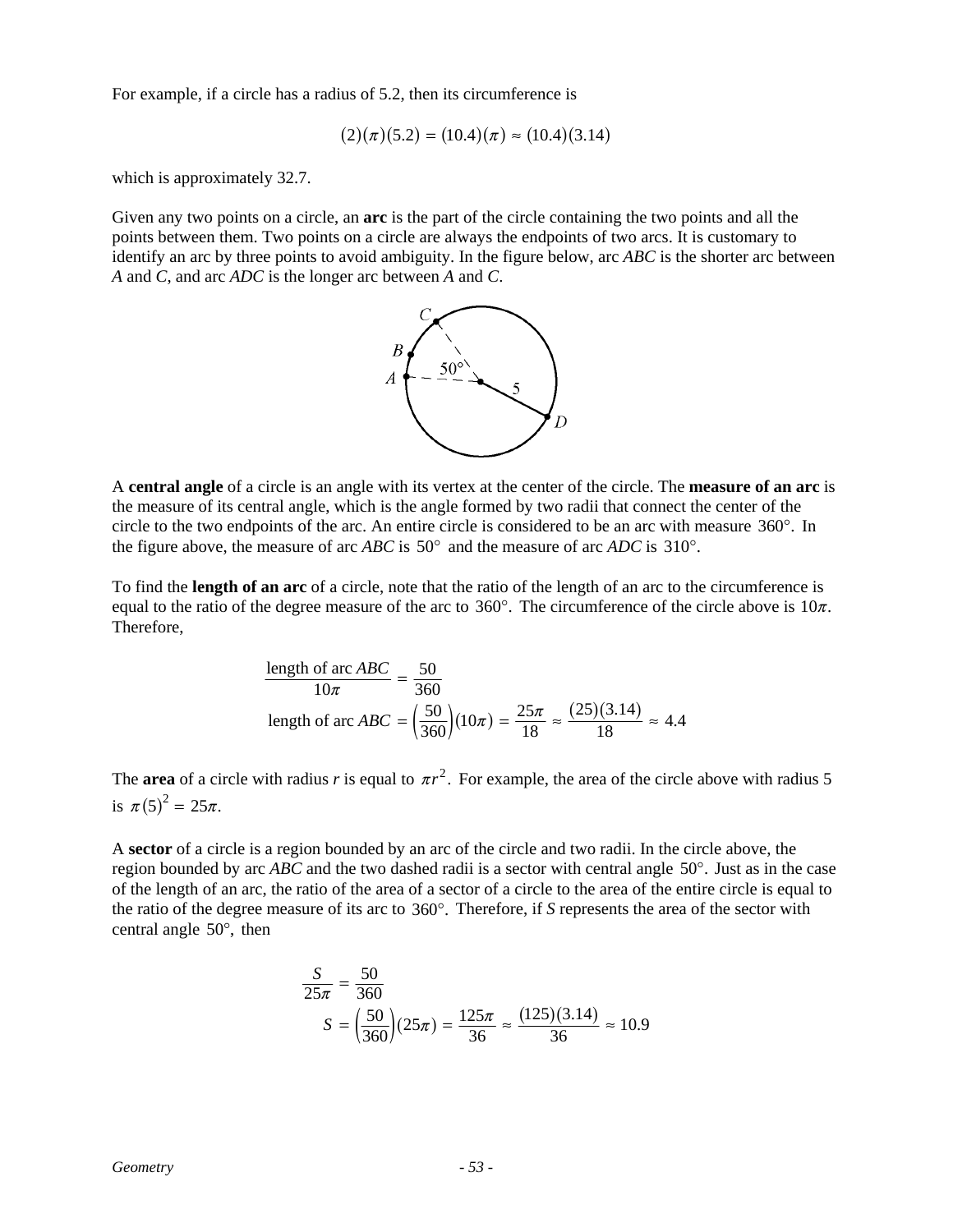For example, if a circle has a radius of 5.2, then its circumference is

$$
(2)(\pi)(5.2) = (10.4)(\pi) \approx (10.4)(3.14)
$$

which is approximately 32.7.

Given any two points on a circle, an **arc** is the part of the circle containing the two points and all the points between them. Two points on a circle are always the endpoints of two arcs. It is customary to identify an arc by three points to avoid ambiguity. In the figure below, arc *ABC* is the shorter arc between *A* and *C*, and arc *ADC* is the longer arc between *A* and *C*.



A **central angle** of a circle is an angle with its vertex at the center of the circle. The **measure of an arc** is the measure of its central angle, which is the angle formed by two radii that connect the center of the circle to the two endpoints of the arc. An entire circle is considered to be an arc with measure  $360^\circ$ . In the figure above, the measure of arc  $ABC$  is  $50^{\circ}$  and the measure of arc  $ADC$  is  $310^{\circ}$ .

To find the **length of an arc** of a circle, note that the ratio of the length of an arc to the circumference is equal to the ratio of the degree measure of the arc to 360 $^{\circ}$ . The circumference of the circle above is  $10\pi$ . Therefore,

$$
\frac{\text{length of arc} \, ABC}{10\pi} = \frac{50}{360}
$$
\n
$$
\text{length of arc} \, ABC = \left(\frac{50}{360}\right)(10\pi) = \frac{25\pi}{18} \approx \frac{(25)(3.14)}{18} \approx 4.4
$$

The **area** of a circle with radius *r* is equal to  $\pi r^2$ . For example, the area of the circle above with radius 5 is  $\pi (5)^2 = 25\pi$ .

A **sector** of a circle is a region bounded by an arc of the circle and two radii. In the circle above, the region bounded by arc  $ABC$  and the two dashed radii is a sector with central angle  $50^\circ$ . Just as in the case of the length of an arc, the ratio of the area of a sector of a circle to the area of the entire circle is equal to the ratio of the degree measure of its arc to 360°. Therefore, if *S* represents the area of the sector with central angle  $50^{\circ}$ , then

$$
\frac{S}{25\pi} = \frac{50}{360}
$$

$$
S = \left(\frac{50}{360}\right)(25\pi) = \frac{125\pi}{36} \approx \frac{(125)(3.14)}{36} \approx 10.9
$$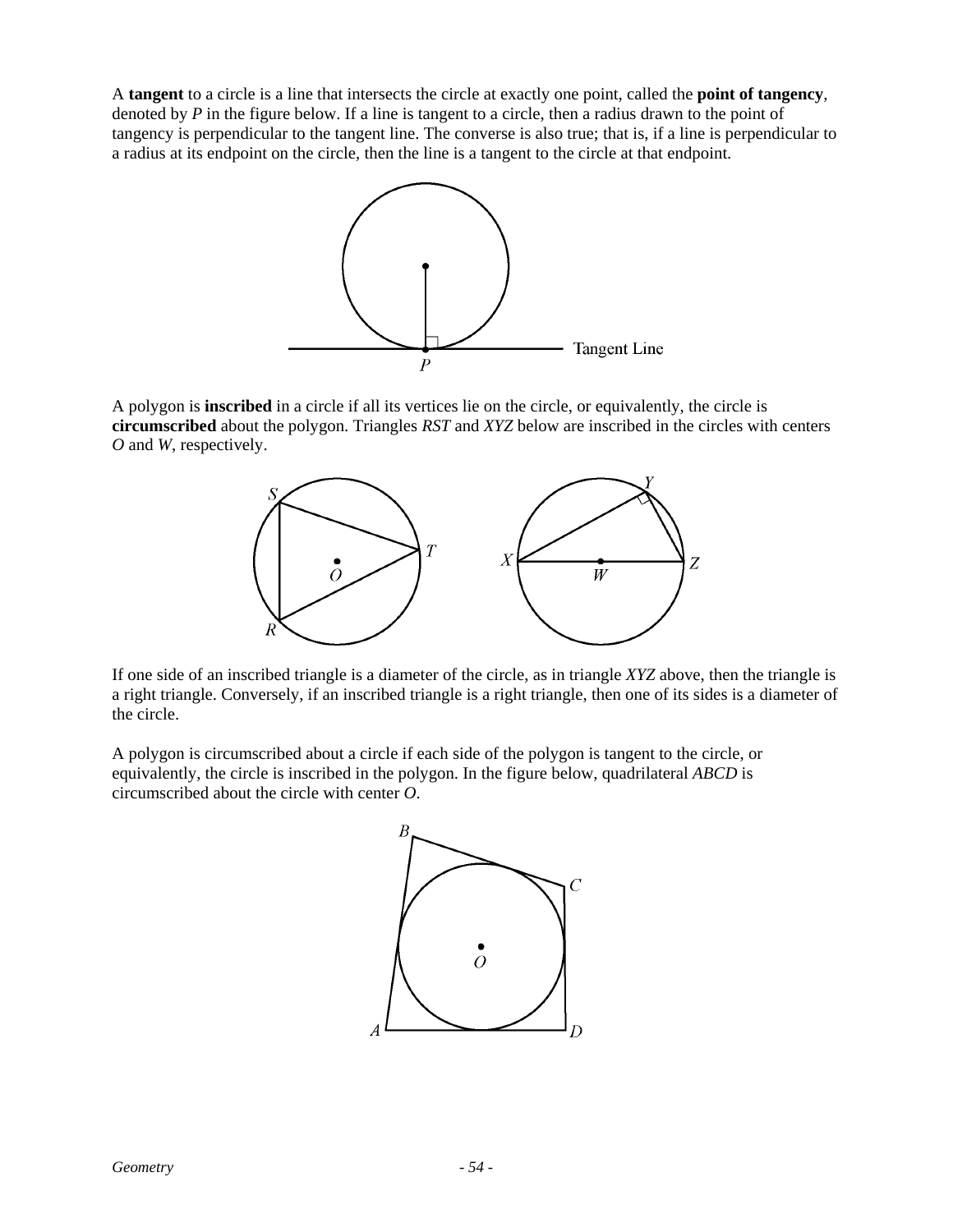A **tangent** to a circle is a line that intersects the circle at exactly one point, called the **point of tangency**, denoted by *P* in the figure below. If a line is tangent to a circle, then a radius drawn to the point of tangency is perpendicular to the tangent line. The converse is also true; that is, if a line is perpendicular to a radius at its endpoint on the circle, then the line is a tangent to the circle at that endpoint.



A polygon is **inscribed** in a circle if all its vertices lie on the circle, or equivalently, the circle is **circumscribed** about the polygon. Triangles *RST* and *XYZ* below are inscribed in the circles with centers *O* and *W*, respectively.



If one side of an inscribed triangle is a diameter of the circle, as in triangle *XYZ* above, then the triangle is a right triangle. Conversely, if an inscribed triangle is a right triangle, then one of its sides is a diameter of the circle.

A polygon is circumscribed about a circle if each side of the polygon is tangent to the circle, or equivalently, the circle is inscribed in the polygon. In the figure below, quadrilateral *ABCD* is circumscribed about the circle with center *O*.

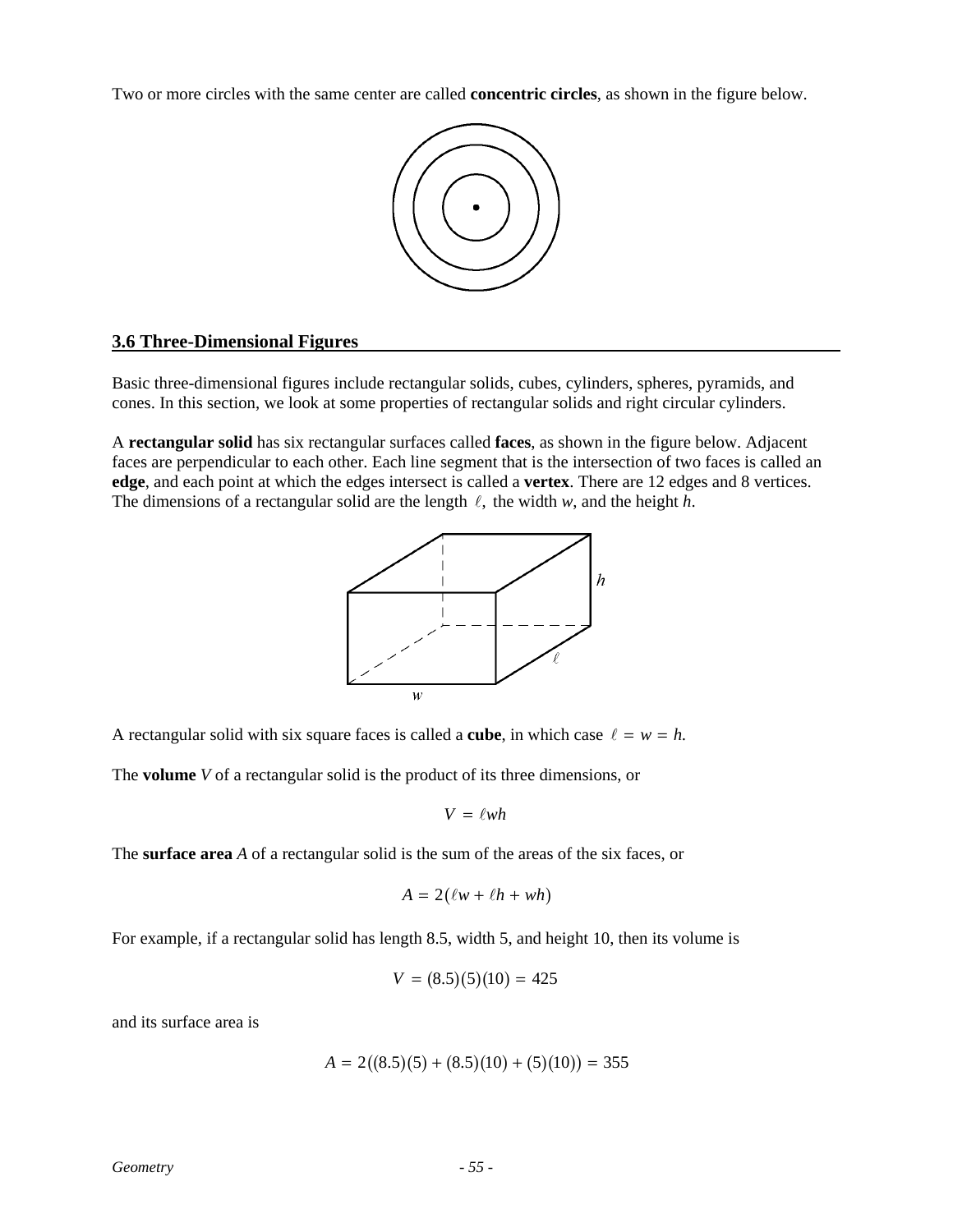Two or more circles with the same center are called **concentric circles**, as shown in the figure below.



## **3.6 Three-Dimensional Figures**

Basic three-dimensional figures include rectangular solids, cubes, cylinders, spheres, pyramids, and cones. In this section, we look at some properties of rectangular solids and right circular cylinders.

A **rectangular solid** has six rectangular surfaces called **faces**, as shown in the figure below. Adjacent faces are perpendicular to each other. Each line segment that is the intersection of two faces is called an **edge**, and each point at which the edges intersect is called a **vertex**. There are 12 edges and 8 vertices. The dimensions of a rectangular solid are the length  $\ell$ , the width  $w$ , and the height  $h$ .



A rectangular solid with six square faces is called a **cube**, in which case  $\ell = w = h$ .

The **volume** *V* of a rectangular solid is the product of its three dimensions, or

$$
V = \ell wh
$$

The **surface area** *A* of a rectangular solid is the sum of the areas of the six faces, or

$$
A = 2(\ell w + \ell h + wh)
$$

For example, if a rectangular solid has length 8.5, width 5, and height 10, then its volume is

$$
V = (8.5)(5)(10) = 425
$$

and its surface area is

$$
A = 2((8.5)(5) + (8.5)(10) + (5)(10)) = 355
$$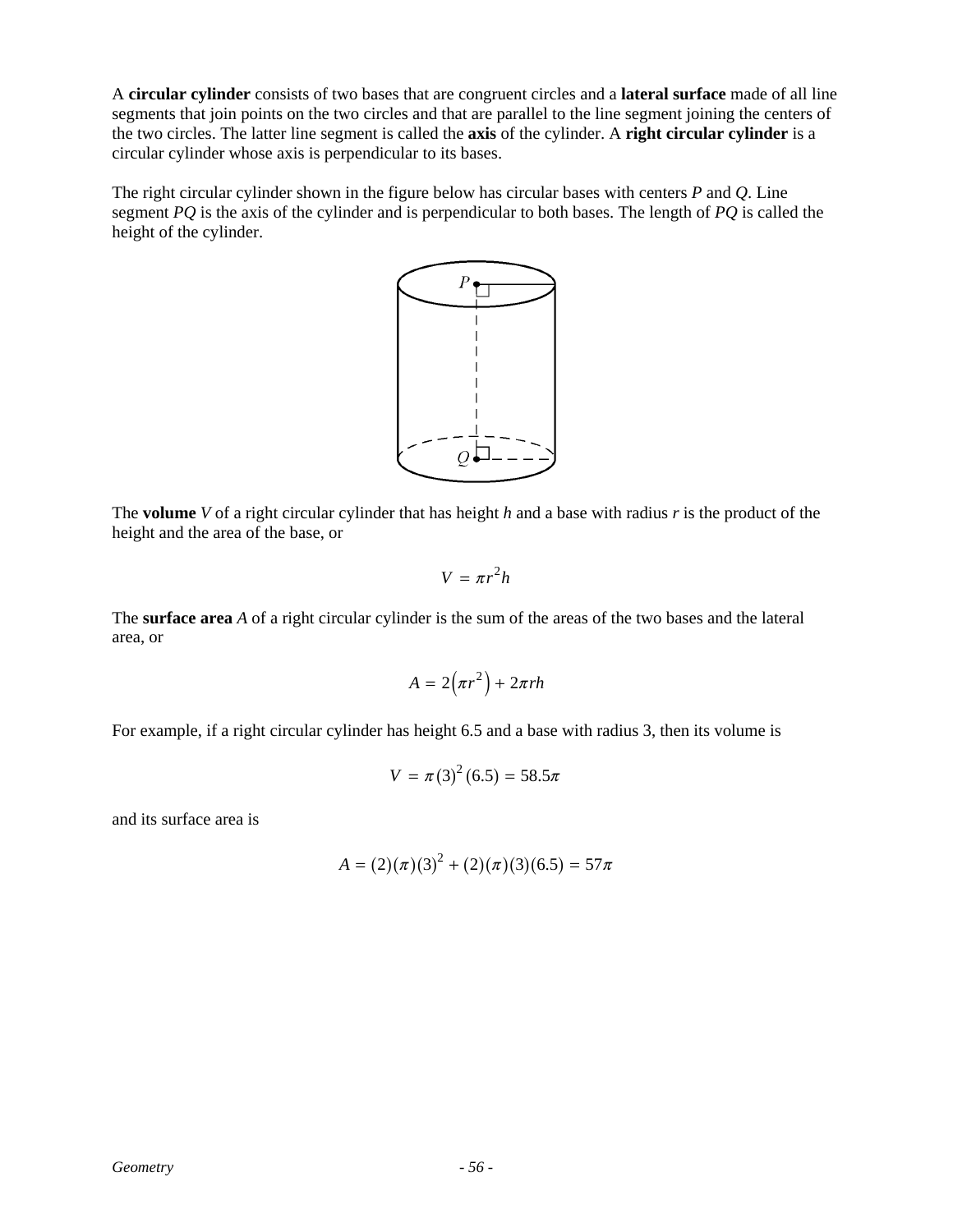A **circular cylinder** consists of two bases that are congruent circles and a **lateral surface** made of all line segments that join points on the two circles and that are parallel to the line segment joining the centers of the two circles. The latter line segment is called the **axis** of the cylinder. A **right circular cylinder** is a circular cylinder whose axis is perpendicular to its bases.

The right circular cylinder shown in the figure below has circular bases with centers *P* and *Q*. Line segment *PQ* is the axis of the cylinder and is perpendicular to both bases. The length of *PQ* is called the height of the cylinder.



The **volume** *V* of a right circular cylinder that has height *h* and a base with radius *r* is the product of the height and the area of the base, or

$$
V = \pi r^2 h
$$

The **surface area** *A* of a right circular cylinder is the sum of the areas of the two bases and the lateral area, or

$$
A = 2(\pi r^2) + 2\pi rh
$$

For example, if a right circular cylinder has height 6.5 and a base with radius 3, then its volume is

$$
V = \pi (3)^2 (6.5) = 58.5 \pi
$$

and its surface area is

$$
A = (2)(\pi)(3)^{2} + (2)(\pi)(3)(6.5) = 57\pi
$$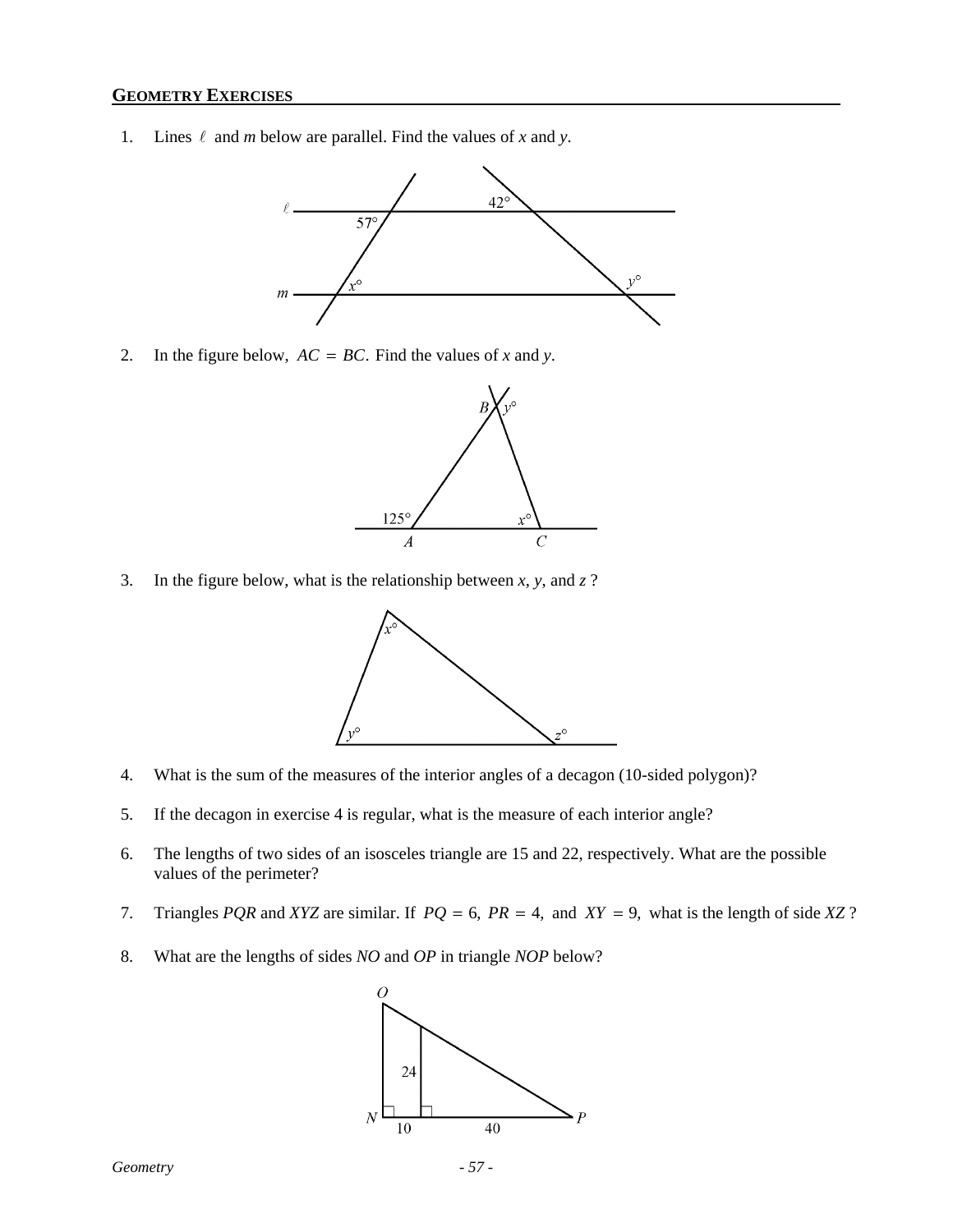#### **GEOMETRY EXERCISES**

1. Lines  $\ell$  and *m* below are parallel. Find the values of *x* and *y*.



2. In the figure below,  $AC = BC$ . Find the values of *x* and *y*.



3. In the figure below, what is the relationship between *x*, *y*, and *z* ?



- 4. What is the sum of the measures of the interior angles of a decagon (10-sided polygon)?
- 5. If the decagon in exercise 4 is regular, what is the measure of each interior angle?
- 6. The lengths of two sides of an isosceles triangle are 15 and 22, respectively. What are the possible values of the perimeter?
- 7. Triangles *PQR* and *XYZ* are similar. If  $PQ = 6$ ,  $PR = 4$ , and  $XY = 9$ , what is the length of side *XZ* ?
- 8. What are the lengths of sides *NO* and *OP* in triangle *NOP* below?

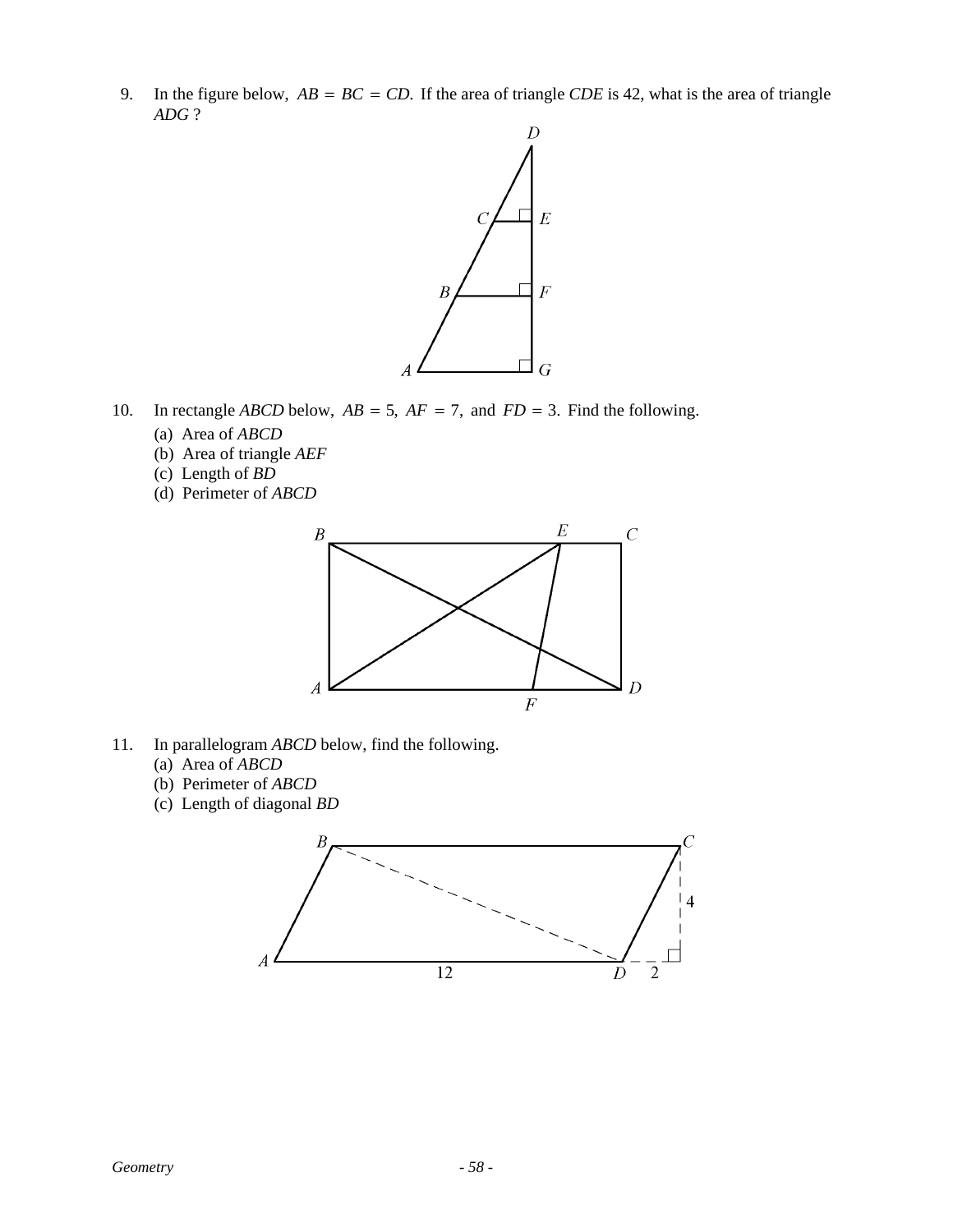9. In the figure below,  $AB = BC = CD$ . If the area of triangle *CDE* is 42, what is the area of triangle *ADG* ?



- 10. In rectangle *ABCD* below,  $AB = 5$ ,  $AF = 7$ , and  $FD = 3$ . Find the following.
	- (a) Area of *ABCD*
	- (b) Area of triangle *AEF*
	- (c) Length of *BD*
	- (d) Perimeter of *ABCD*



- 11. In parallelogram *ABCD* below, find the following.
	- (a) Area of *ABCD*
	- (b) Perimeter of *ABCD*
	- (c) Length of diagonal *BD*

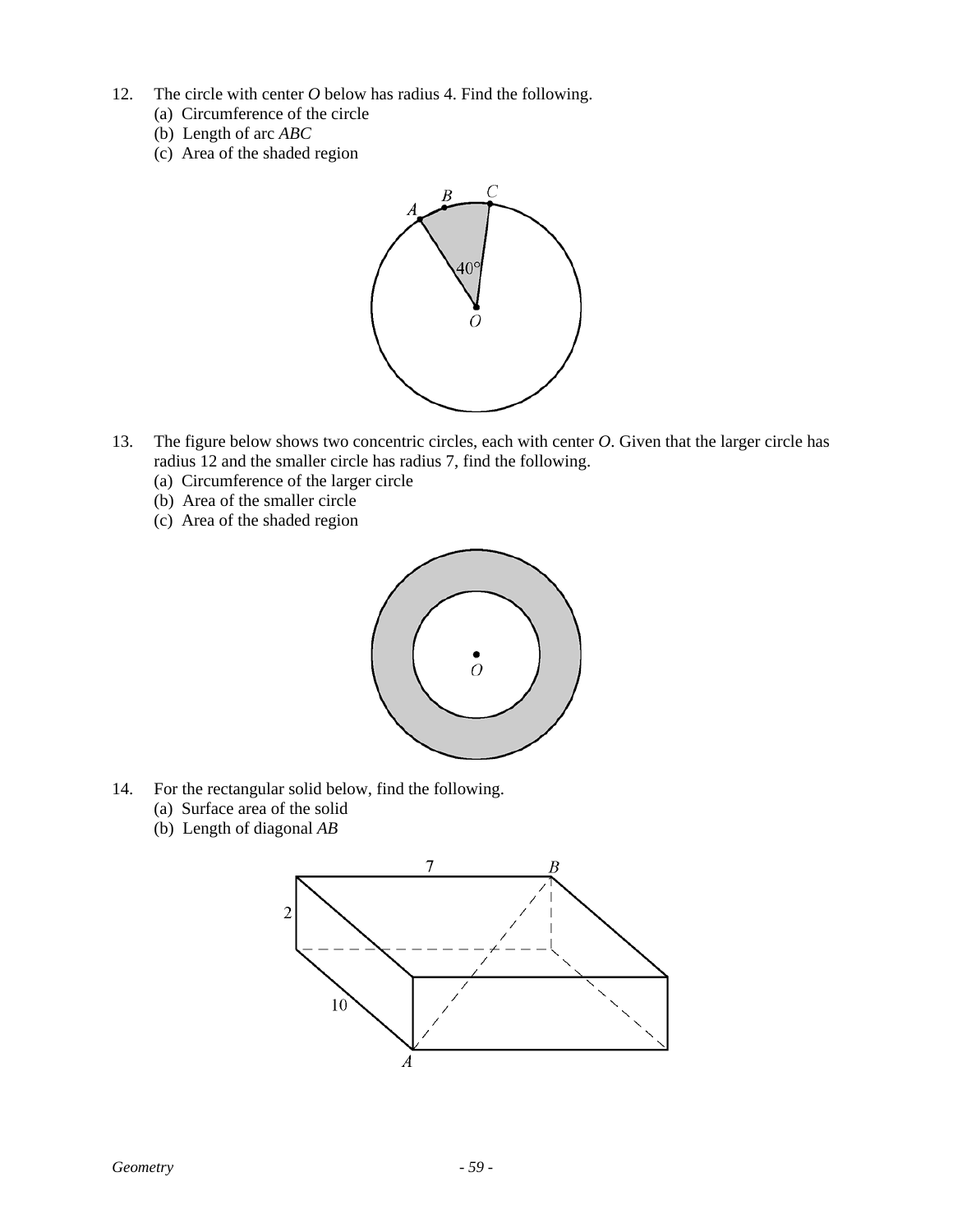- 12. The circle with center *O* below has radius 4. Find the following.
	- (a) Circumference of the circle
	- (b) Length of arc *ABC*
	- (c) Area of the shaded region



- 13. The figure below shows two concentric circles, each with center *O*. Given that the larger circle has radius 12 and the smaller circle has radius 7, find the following.
	- (a) Circumference of the larger circle
	- (b) Area of the smaller circle
	- (c) Area of the shaded region



- 14. For the rectangular solid below, find the following.
	- (a) Surface area of the solid
	- (b) Length of diagonal *AB*

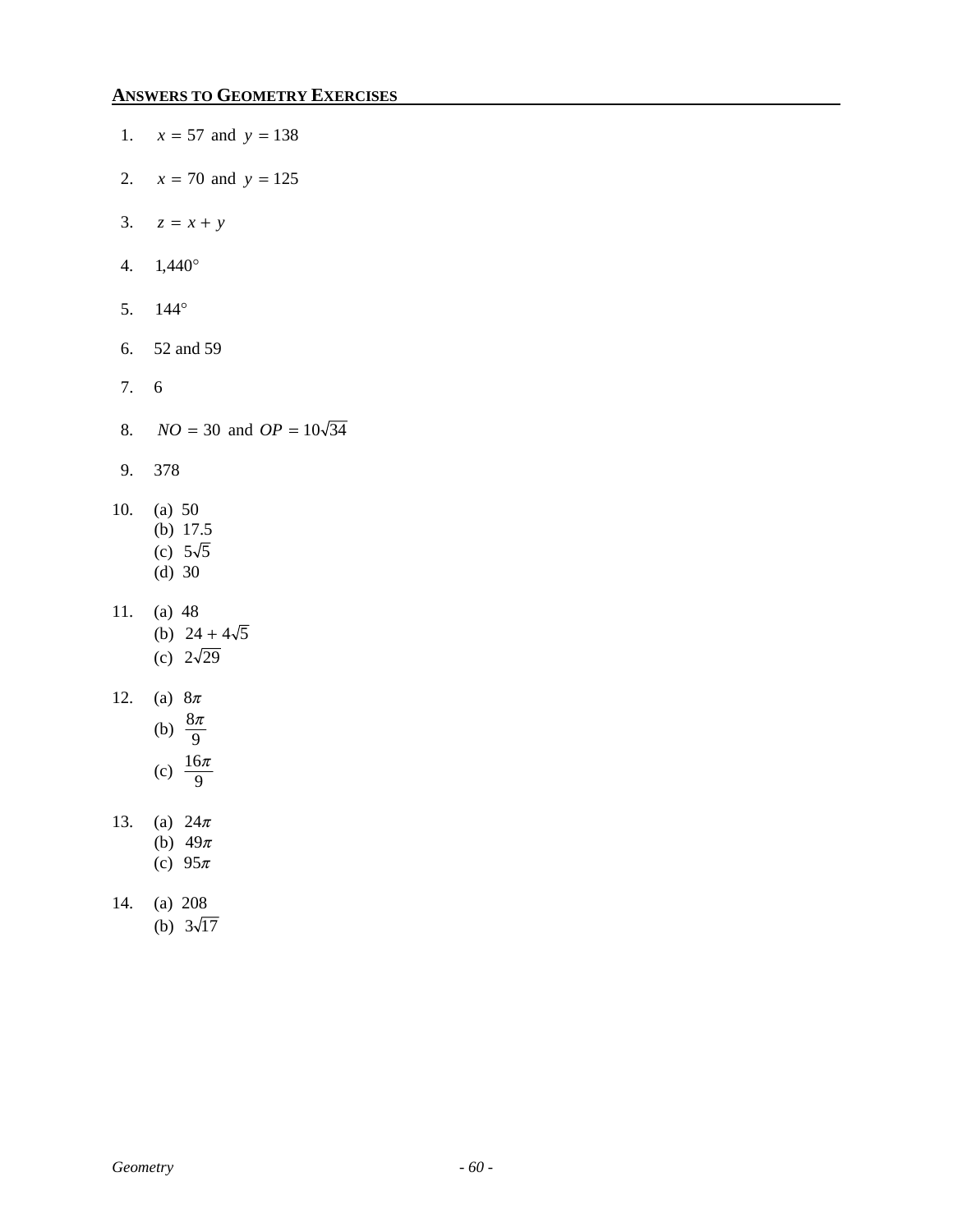| 1.  | $x = 57$ and $y = 138$                                      |
|-----|-------------------------------------------------------------|
| 2.  | $x = 70$ and $y = 125$                                      |
|     | 3. $z = x + y$                                              |
| 4.  | $1,440^{\circ}$                                             |
|     | 5. $144^{\circ}$                                            |
|     | 6. 52 and 59                                                |
| 7.  | 6                                                           |
| 8.  | $NO = 30$ and $OP = 10\sqrt{34}$                            |
|     | 9. 378                                                      |
|     | 10. (a) 50<br>(b) $17.5$<br>(c) $5\sqrt{5}$<br>(d) 30       |
| 11. | (a) $48$<br>(b) $24 + 4\sqrt{5}$<br>(c) $2\sqrt{29}$        |
| 12. | (a) $8\pi$<br>(b) $\frac{8\pi}{9}$<br>(c) $\frac{16\pi}{9}$ |
| 13. | (a) $24\pi$<br>(b) $49\pi$<br>(c) $95\pi$                   |
| 14. | (a) 208<br>(b) $3\sqrt{17}$                                 |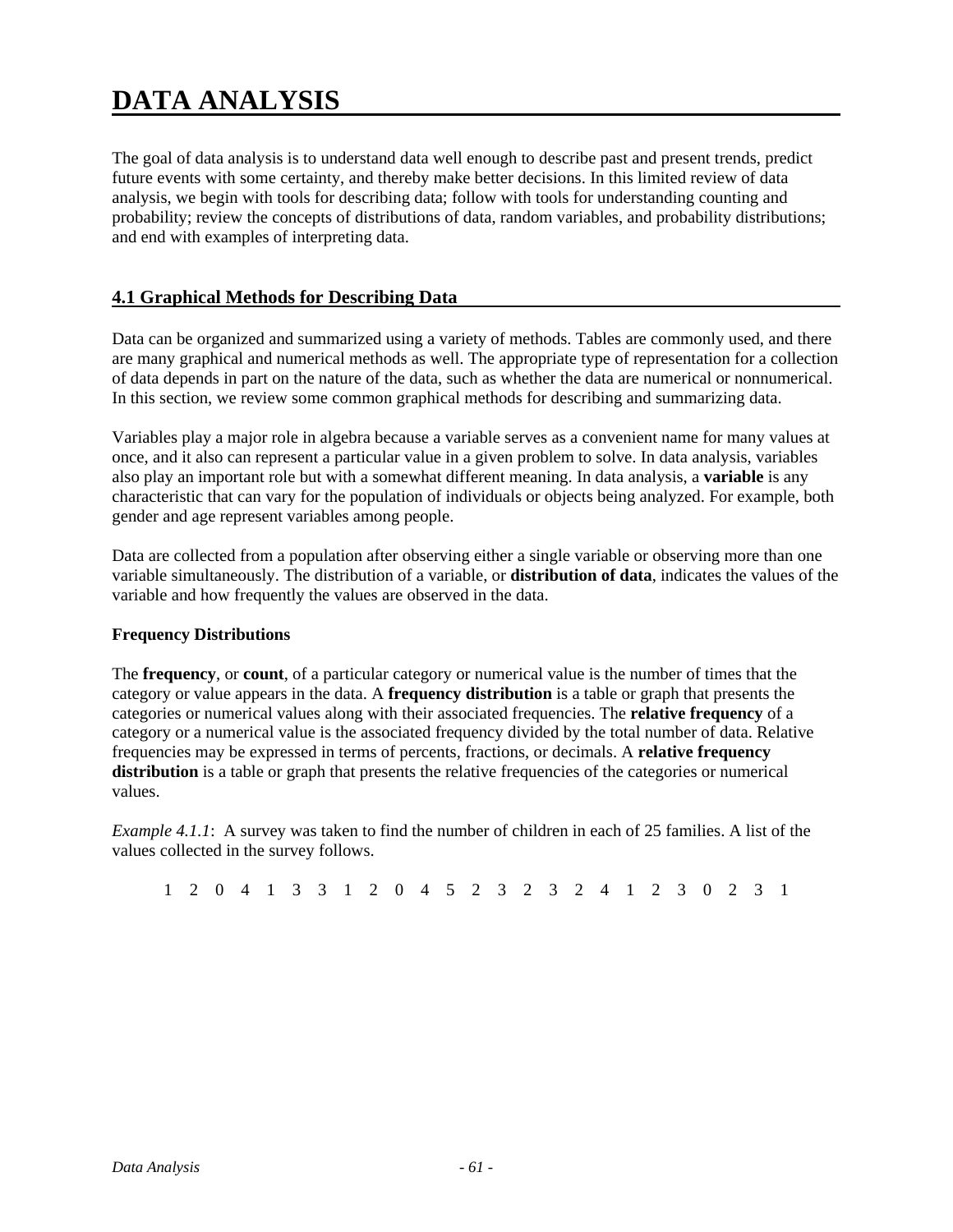# **DATA ANALYSIS**

The goal of data analysis is to understand data well enough to describe past and present trends, predict future events with some certainty, and thereby make better decisions. In this limited review of data analysis, we begin with tools for describing data; follow with tools for understanding counting and probability; review the concepts of distributions of data, random variables, and probability distributions; and end with examples of interpreting data.

## **4.1 Graphical Methods for Describing Data**

Data can be organized and summarized using a variety of methods. Tables are commonly used, and there are many graphical and numerical methods as well. The appropriate type of representation for a collection of data depends in part on the nature of the data, such as whether the data are numerical or nonnumerical. In this section, we review some common graphical methods for describing and summarizing data.

Variables play a major role in algebra because a variable serves as a convenient name for many values at once, and it also can represent a particular value in a given problem to solve. In data analysis, variables also play an important role but with a somewhat different meaning. In data analysis, a **variable** is any characteristic that can vary for the population of individuals or objects being analyzed. For example, both gender and age represent variables among people.

Data are collected from a population after observing either a single variable or observing more than one variable simultaneously. The distribution of a variable, or **distribution of data**, indicates the values of the variable and how frequently the values are observed in the data.

#### **Frequency Distributions**

The **frequency**, or **count**, of a particular category or numerical value is the number of times that the category or value appears in the data. A **frequency distribution** is a table or graph that presents the categories or numerical values along with their associated frequencies. The **relative frequency** of a category or a numerical value is the associated frequency divided by the total number of data. Relative frequencies may be expressed in terms of percents, fractions, or decimals. A **relative frequency distribution** is a table or graph that presents the relative frequencies of the categories or numerical values.

*Example 4.1.1*: A survey was taken to find the number of children in each of 25 families. A list of the values collected in the survey follows.

1 2 0 4 1 3 3 1 2 0 4 5 2 3 2 3 2 4 1 2 3 0 2 3 1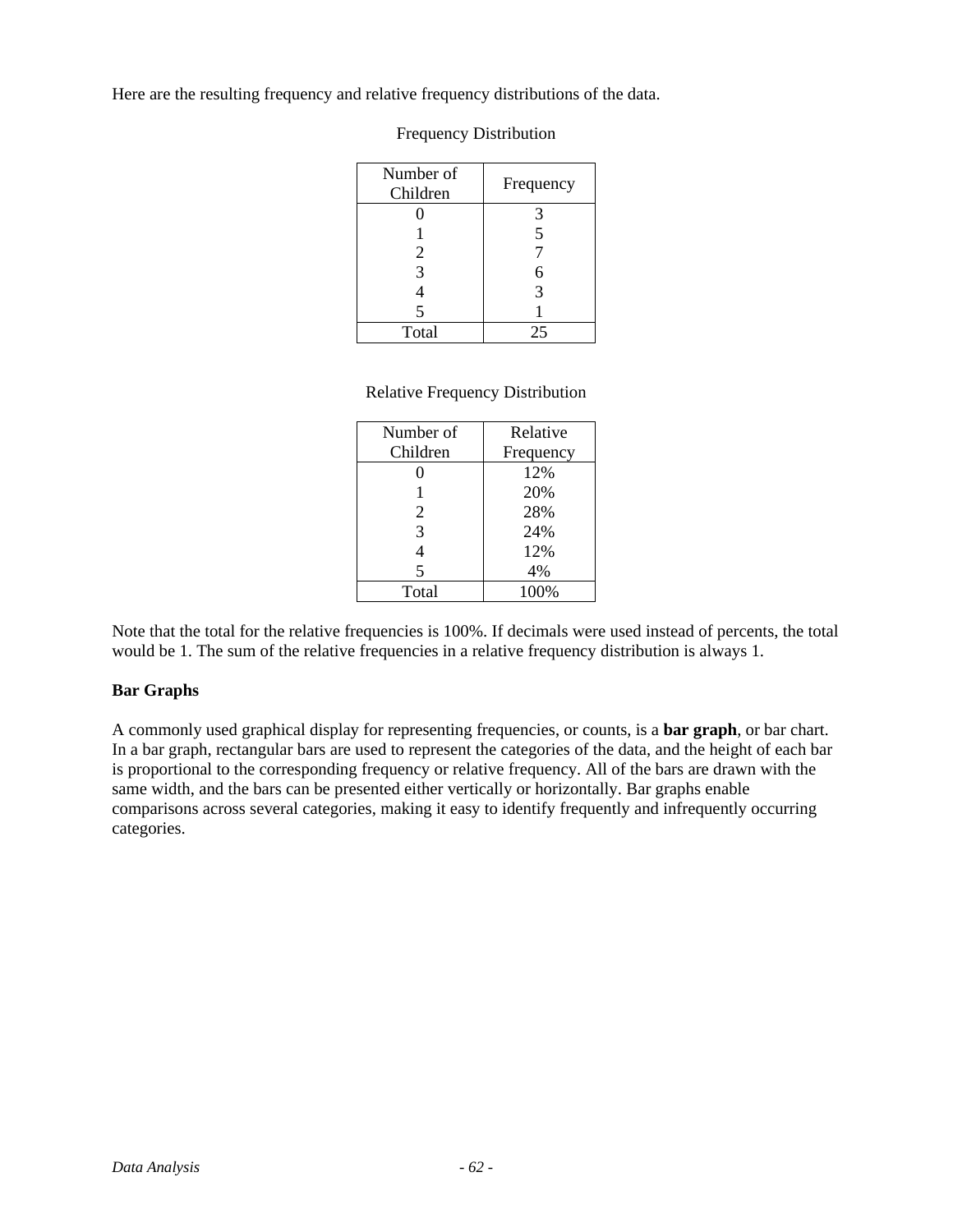Here are the resulting frequency and relative frequency distributions of the data.

| Number of<br>Children | Frequency |
|-----------------------|-----------|
|                       | 3         |
|                       | 5         |
| 2                     |           |
| 3                     | 6         |
| 4                     | 3         |
| 5                     |           |
| Total                 | 2.5       |

#### Frequency Distribution

#### Relative Frequency Distribution

| Number of                | Relative  |
|--------------------------|-----------|
| Children                 | Frequency |
| 0                        | 12%       |
|                          | 20%       |
| 2                        | 28%       |
| 3                        | 24%       |
| 4                        | 12%       |
| $\overline{\phantom{0}}$ | 4%        |
| Total                    | 100%      |

Note that the total for the relative frequencies is 100%. If decimals were used instead of percents, the total would be 1. The sum of the relative frequencies in a relative frequency distribution is always 1.

#### **Bar Graphs**

A commonly used graphical display for representing frequencies, or counts, is a **bar graph**, or bar chart. In a bar graph, rectangular bars are used to represent the categories of the data, and the height of each bar is proportional to the corresponding frequency or relative frequency. All of the bars are drawn with the same width, and the bars can be presented either vertically or horizontally. Bar graphs enable comparisons across several categories, making it easy to identify frequently and infrequently occurring categories.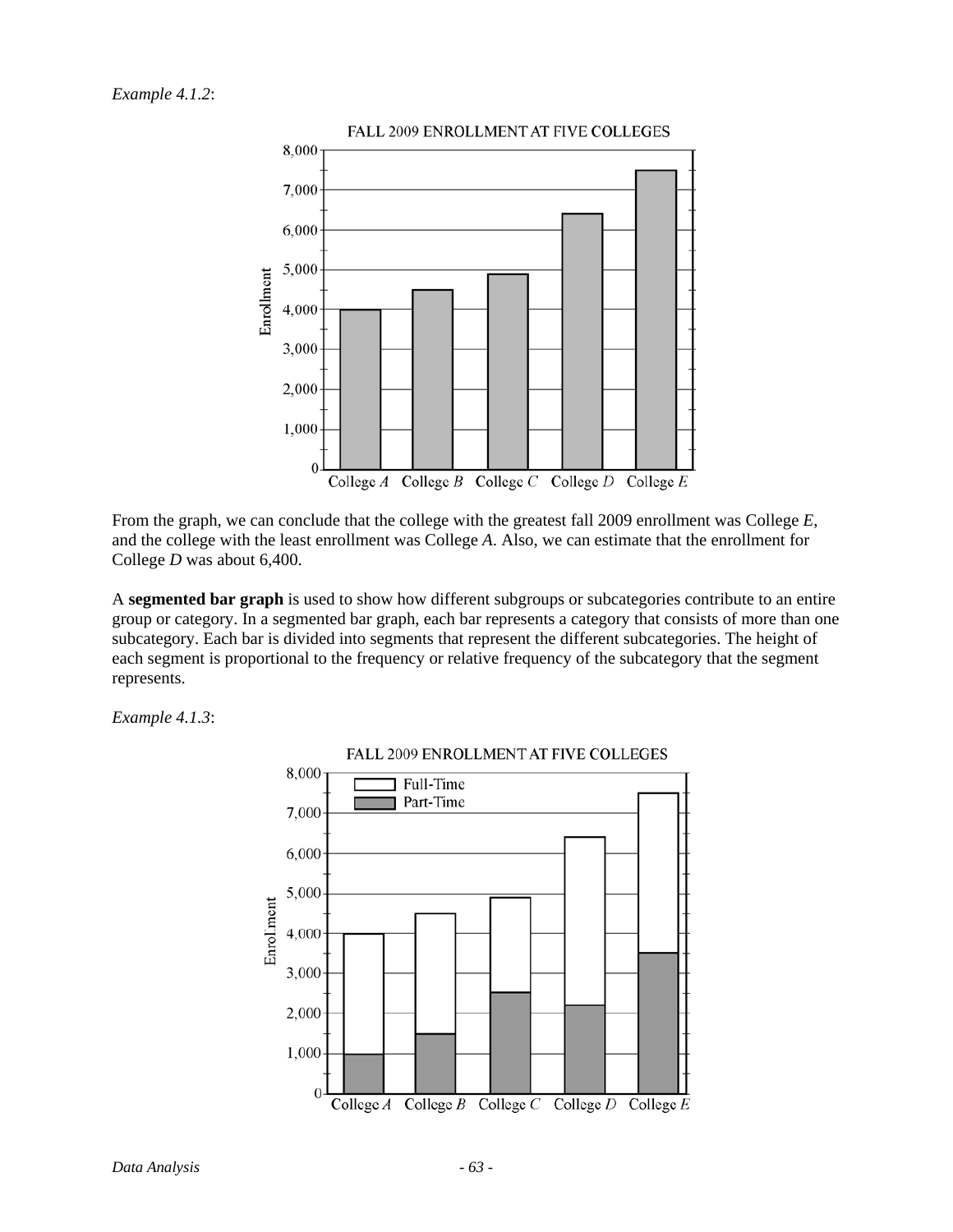

From the graph, we can conclude that the college with the greatest fall 2009 enrollment was College *E*, and the college with the least enrollment was College *A*. Also, we can estimate that the enrollment for College *D* was about 6,400.

A **segmented bar graph** is used to show how different subgroups or subcategories contribute to an entire group or category. In a segmented bar graph, each bar represents a category that consists of more than one subcategory. Each bar is divided into segments that represent the different subcategories. The height of each segment is proportional to the frequency or relative frequency of the subcategory that the segment represents.

*Example 4.1.3*:



FALL 2009 ENROLLMENT AT FIVE COLLEGES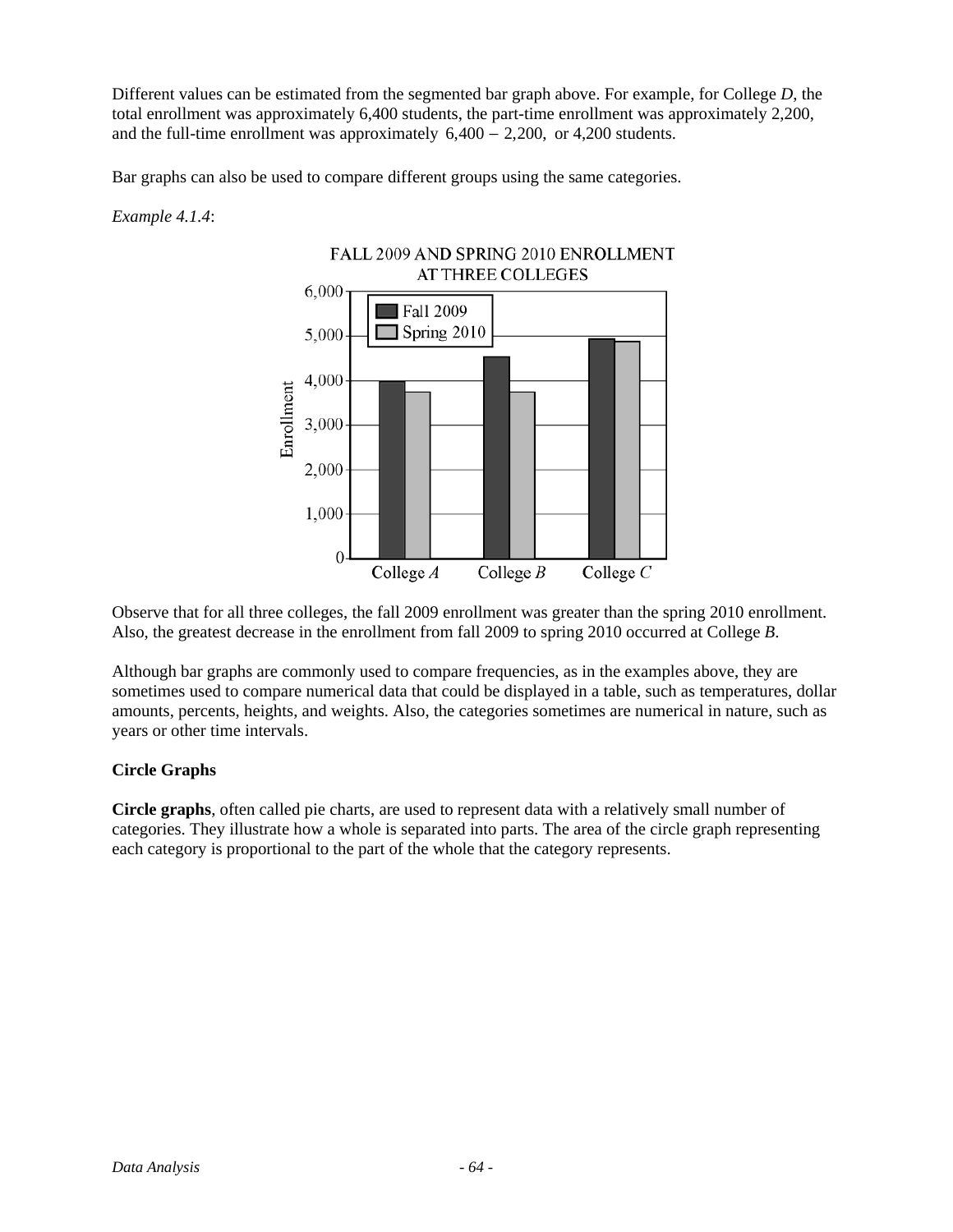Different values can be estimated from the segmented bar graph above. For example, for College *D*, the total enrollment was approximately 6,400 students, the part-time enrollment was approximately 2,200, and the full-time enrollment was approximately  $6,400 - 2,200$ , or 4,200 students.

Bar graphs can also be used to compare different groups using the same categories.

## *Example 4.1.4*:



Observe that for all three colleges, the fall 2009 enrollment was greater than the spring 2010 enrollment. Also, the greatest decrease in the enrollment from fall 2009 to spring 2010 occurred at College *B*.

Although bar graphs are commonly used to compare frequencies, as in the examples above, they are sometimes used to compare numerical data that could be displayed in a table, such as temperatures, dollar amounts, percents, heights, and weights. Also, the categories sometimes are numerical in nature, such as years or other time intervals.

## **Circle Graphs**

**Circle graphs**, often called pie charts, are used to represent data with a relatively small number of categories. They illustrate how a whole is separated into parts. The area of the circle graph representing each category is proportional to the part of the whole that the category represents.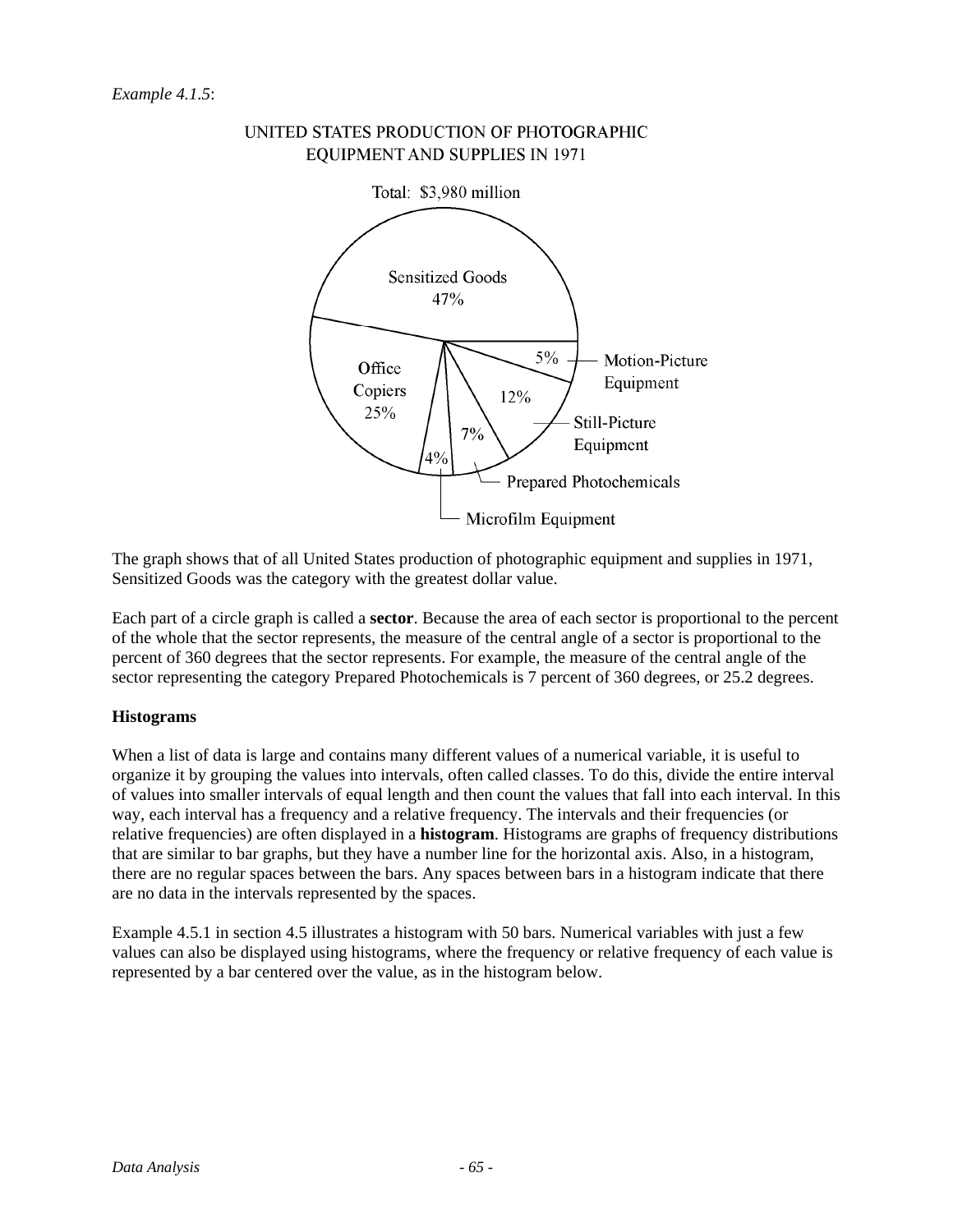## UNITED STATES PRODUCTION OF PHOTOGRAPHIC **EQUIPMENT AND SUPPLIES IN 1971**



The graph shows that of all United States production of photographic equipment and supplies in 1971, Sensitized Goods was the category with the greatest dollar value.

Each part of a circle graph is called a **sector**. Because the area of each sector is proportional to the percent of the whole that the sector represents, the measure of the central angle of a sector is proportional to the percent of 360 degrees that the sector represents. For example, the measure of the central angle of the sector representing the category Prepared Photochemicals is 7 percent of 360 degrees, or 25.2 degrees.

#### **Histograms**

When a list of data is large and contains many different values of a numerical variable, it is useful to organize it by grouping the values into intervals, often called classes. To do this, divide the entire interval of values into smaller intervals of equal length and then count the values that fall into each interval. In this way, each interval has a frequency and a relative frequency. The intervals and their frequencies (or relative frequencies) are often displayed in a **histogram**. Histograms are graphs of frequency distributions that are similar to bar graphs, but they have a number line for the horizontal axis. Also, in a histogram, there are no regular spaces between the bars. Any spaces between bars in a histogram indicate that there are no data in the intervals represented by the spaces.

Example 4.5.1 in section 4.5 illustrates a histogram with 50 bars. Numerical variables with just a few values can also be displayed using histograms, where the frequency or relative frequency of each value is represented by a bar centered over the value, as in the histogram below.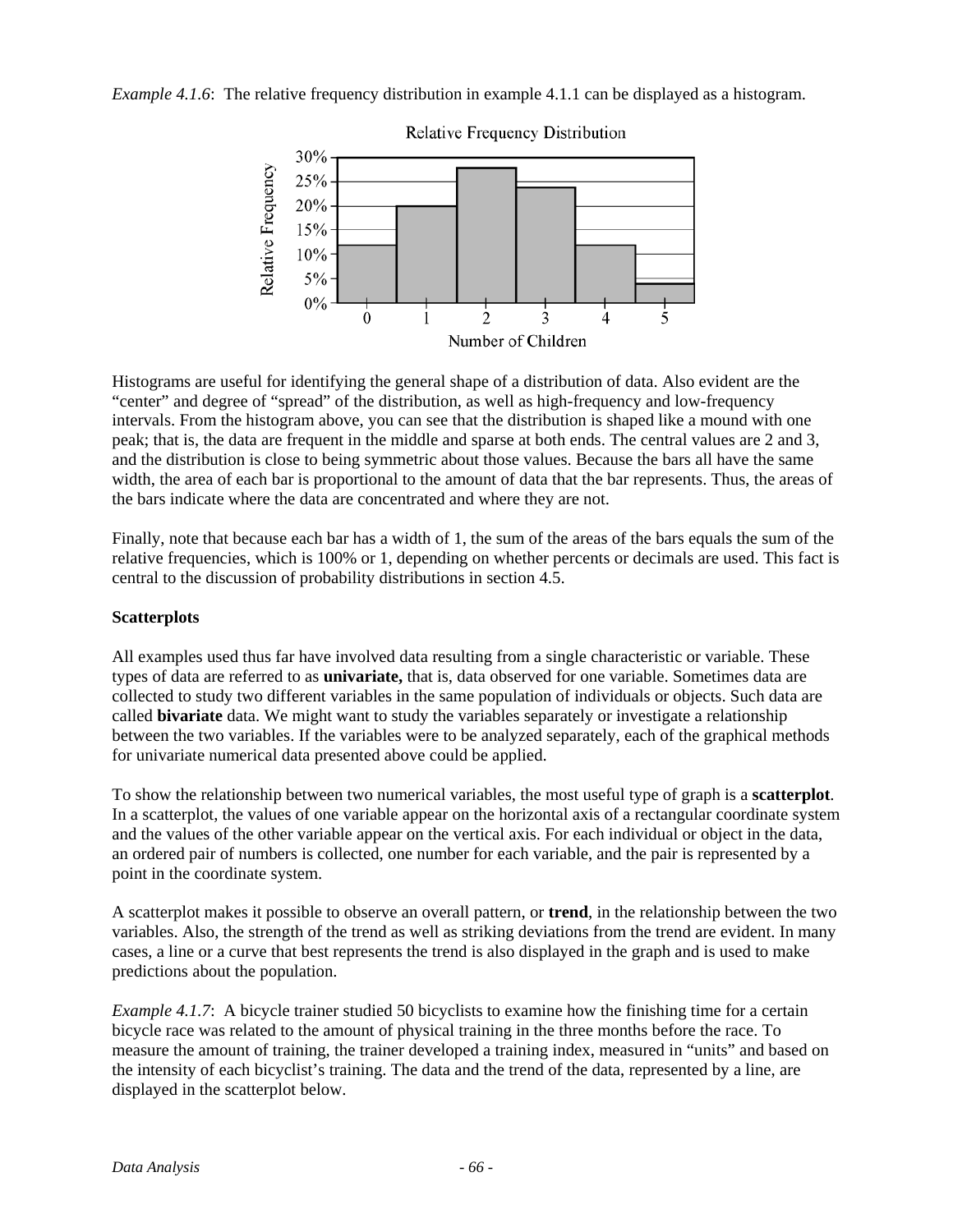*Example 4.1.6*: The relative frequency distribution in example 4.1.1 can be displayed as a histogram.



**Relative Frequency Distribution** 

Histograms are useful for identifying the general shape of a distribution of data. Also evident are the "center" and degree of "spread" of the distribution, as well as high-frequency and low-frequency intervals. From the histogram above, you can see that the distribution is shaped like a mound with one peak; that is, the data are frequent in the middle and sparse at both ends. The central values are 2 and 3, and the distribution is close to being symmetric about those values. Because the bars all have the same width, the area of each bar is proportional to the amount of data that the bar represents. Thus, the areas of the bars indicate where the data are concentrated and where they are not.

Finally, note that because each bar has a width of 1, the sum of the areas of the bars equals the sum of the relative frequencies, which is 100% or 1, depending on whether percents or decimals are used. This fact is central to the discussion of probability distributions in section 4.5.

#### **Scatterplots**

All examples used thus far have involved data resulting from a single characteristic or variable. These types of data are referred to as **univariate,** that is, data observed for one variable. Sometimes data are collected to study two different variables in the same population of individuals or objects. Such data are called **bivariate** data. We might want to study the variables separately or investigate a relationship between the two variables. If the variables were to be analyzed separately, each of the graphical methods for univariate numerical data presented above could be applied.

To show the relationship between two numerical variables, the most useful type of graph is a **scatterplot**. In a scatterplot, the values of one variable appear on the horizontal axis of a rectangular coordinate system and the values of the other variable appear on the vertical axis. For each individual or object in the data, an ordered pair of numbers is collected, one number for each variable, and the pair is represented by a point in the coordinate system.

A scatterplot makes it possible to observe an overall pattern, or **trend**, in the relationship between the two variables. Also, the strength of the trend as well as striking deviations from the trend are evident. In many cases, a line or a curve that best represents the trend is also displayed in the graph and is used to make predictions about the population.

*Example 4.1.7*: A bicycle trainer studied 50 bicyclists to examine how the finishing time for a certain bicycle race was related to the amount of physical training in the three months before the race. To measure the amount of training, the trainer developed a training index, measured in "units" and based on the intensity of each bicyclist's training. The data and the trend of the data, represented by a line, are displayed in the scatterplot below.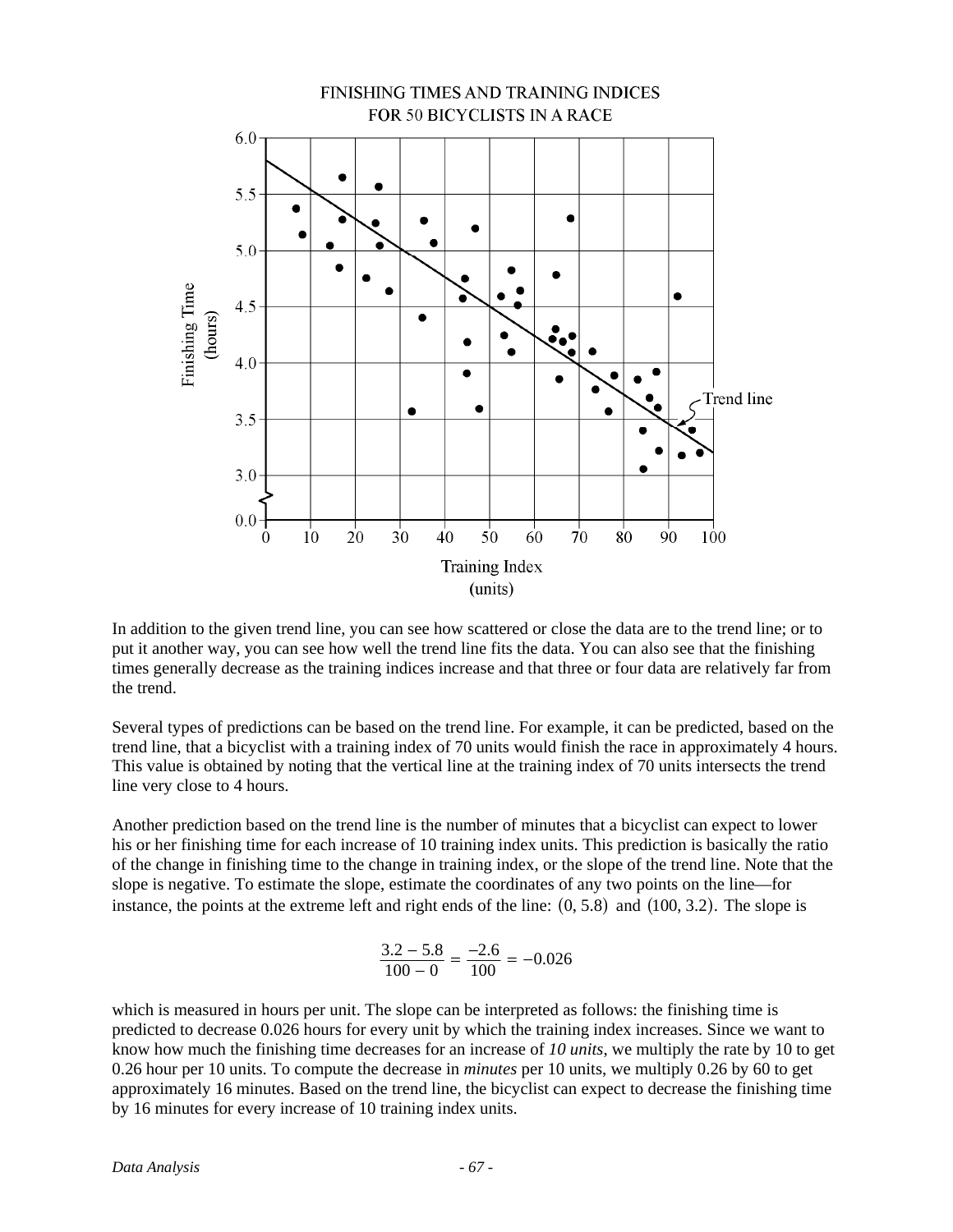

In addition to the given trend line, you can see how scattered or close the data are to the trend line; or to put it another way, you can see how well the trend line fits the data. You can also see that the finishing times generally decrease as the training indices increase and that three or four data are relatively far from the trend.

Several types of predictions can be based on the trend line. For example, it can be predicted, based on the trend line, that a bicyclist with a training index of 70 units would finish the race in approximately 4 hours. This value is obtained by noting that the vertical line at the training index of 70 units intersects the trend line very close to 4 hours.

Another prediction based on the trend line is the number of minutes that a bicyclist can expect to lower his or her finishing time for each increase of 10 training index units. This prediction is basically the ratio of the change in finishing time to the change in training index, or the slope of the trend line. Note that the slope is negative. To estimate the slope, estimate the coordinates of any two points on the line—for instance, the points at the extreme left and right ends of the line:  $(0, 5.8)$  and  $(100, 3.2)$ . The slope is

$$
\frac{3.2 - 5.8}{100 - 0} = \frac{-2.6}{100} = -0.026
$$

which is measured in hours per unit. The slope can be interpreted as follows: the finishing time is predicted to decrease 0.026 hours for every unit by which the training index increases. Since we want to know how much the finishing time decreases for an increase of *10 units*, we multiply the rate by 10 to get 0.26 hour per 10 units. To compute the decrease in *minutes* per 10 units, we multiply 0.26 by 60 to get approximately 16 minutes. Based on the trend line, the bicyclist can expect to decrease the finishing time by 16 minutes for every increase of 10 training index units.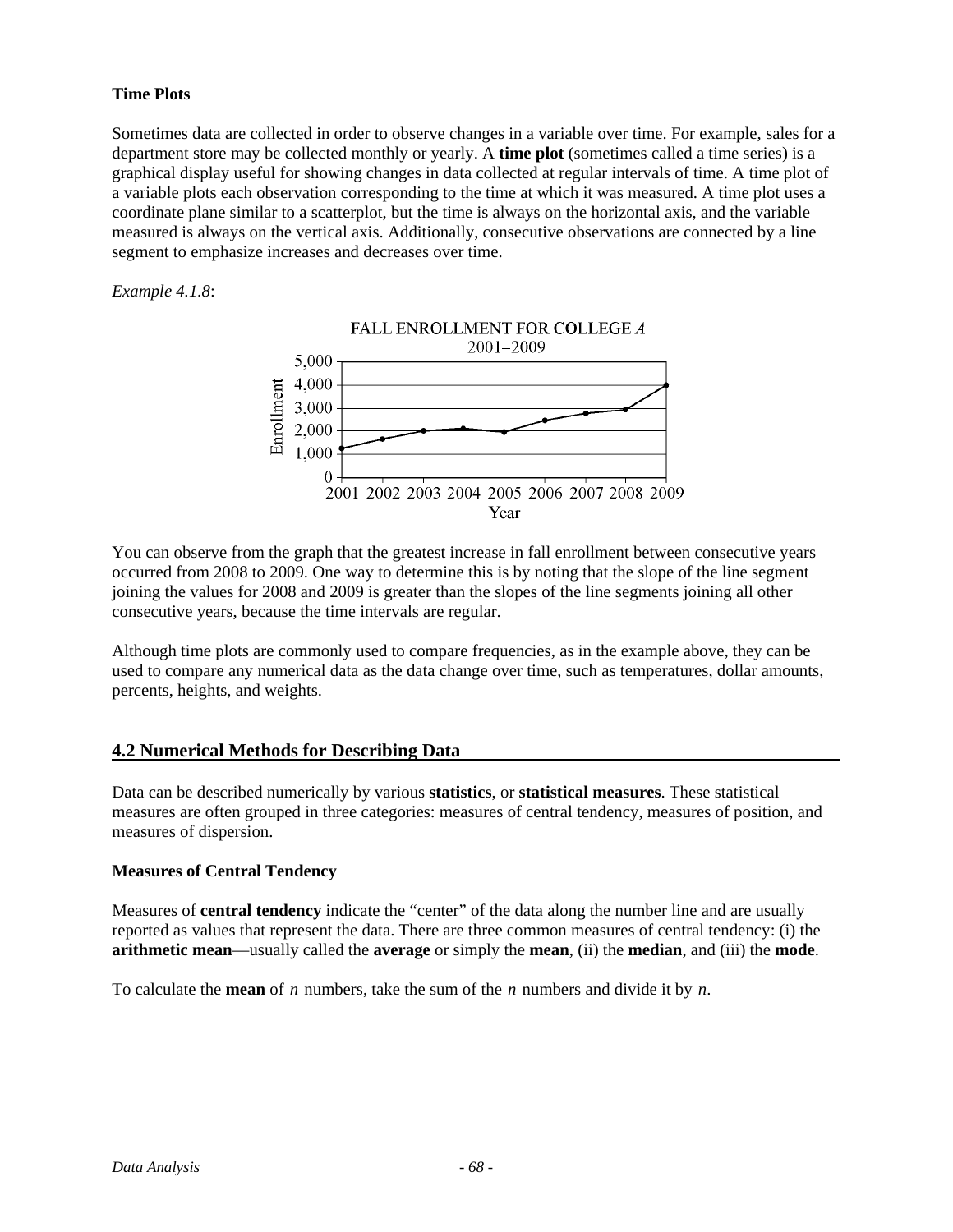## **Time Plots**

Sometimes data are collected in order to observe changes in a variable over time. For example, sales for a department store may be collected monthly or yearly. A **time plot** (sometimes called a time series) is a graphical display useful for showing changes in data collected at regular intervals of time. A time plot of a variable plots each observation corresponding to the time at which it was measured. A time plot uses a coordinate plane similar to a scatterplot, but the time is always on the horizontal axis, and the variable measured is always on the vertical axis. Additionally, consecutive observations are connected by a line segment to emphasize increases and decreases over time.

*Example 4.1.8*:



You can observe from the graph that the greatest increase in fall enrollment between consecutive years occurred from 2008 to 2009. One way to determine this is by noting that the slope of the line segment joining the values for 2008 and 2009 is greater than the slopes of the line segments joining all other consecutive years, because the time intervals are regular.

Although time plots are commonly used to compare frequencies, as in the example above, they can be used to compare any numerical data as the data change over time, such as temperatures, dollar amounts, percents, heights, and weights.

## **4.2 Numerical Methods for Describing Data**

Data can be described numerically by various **statistics**, or **statistical measures**. These statistical measures are often grouped in three categories: measures of central tendency, measures of position, and measures of dispersion.

#### **Measures of Central Tendency**

Measures of **central tendency** indicate the "center" of the data along the number line and are usually reported as values that represent the data. There are three common measures of central tendency: (i) the **arithmetic mean**—usually called the **average** or simply the **mean**, (ii) the **median**, and (iii) the **mode**.

To calculate the **mean** of *n* numbers, take the sum of the *n* numbers and divide it by *n*.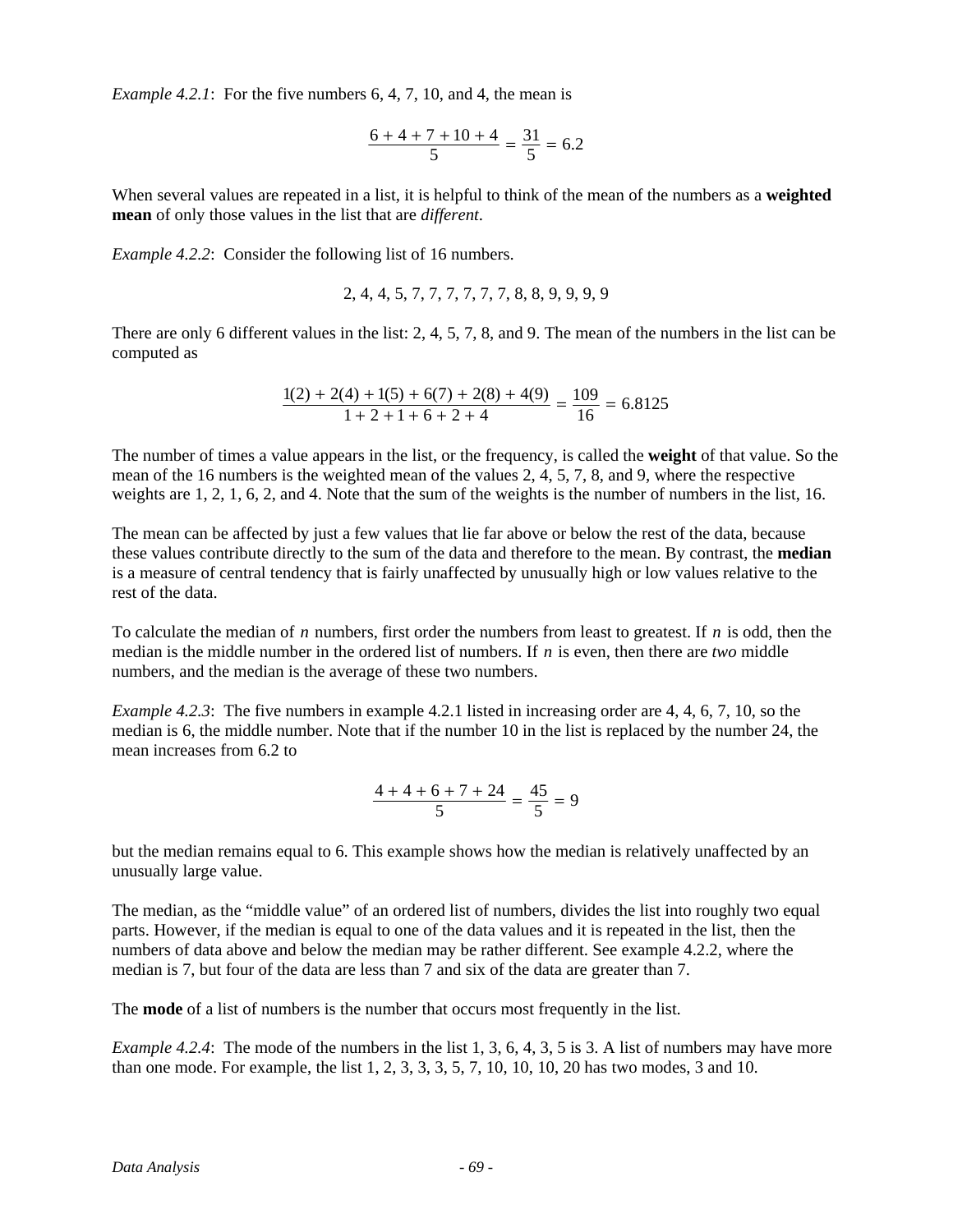*Example 4.2.1*: For the five numbers 6, 4, 7, 10, and 4, the mean is

$$
\frac{6+4+7+10+4}{5} = \frac{31}{5} = 6.2
$$

When several values are repeated in a list, it is helpful to think of the mean of the numbers as a **weighted mean** of only those values in the list that are *different*.

*Example 4.2.2*: Consider the following list of 16 numbers.

$$
2, 4, 4, 5, 7, 7, 7, 7, 7, 7, 8, 8, 9, 9, 9, 9
$$

There are only 6 different values in the list: 2, 4, 5, 7, 8, and 9. The mean of the numbers in the list can be computed as

$$
\frac{1(2) + 2(4) + 1(5) + 6(7) + 2(8) + 4(9)}{1 + 2 + 1 + 6 + 2 + 4} = \frac{109}{16} = 6.8125
$$

The number of times a value appears in the list, or the frequency, is called the **weight** of that value. So the mean of the 16 numbers is the weighted mean of the values 2, 4, 5, 7, 8, and 9, where the respective weights are 1, 2, 1, 6, 2, and 4. Note that the sum of the weights is the number of numbers in the list, 16.

The mean can be affected by just a few values that lie far above or below the rest of the data, because these values contribute directly to the sum of the data and therefore to the mean. By contrast, the **median** is a measure of central tendency that is fairly unaffected by unusually high or low values relative to the rest of the data.

To calculate the median of *n* numbers, first order the numbers from least to greatest. If *n* is odd, then the median is the middle number in the ordered list of numbers. If *n* is even, then there are *two* middle numbers, and the median is the average of these two numbers.

*Example 4.2.3*: The five numbers in example 4.2.1 listed in increasing order are 4, 4, 6, 7, 10, so the median is 6, the middle number. Note that if the number 10 in the list is replaced by the number 24, the mean increases from 6.2 to

$$
\frac{4+4+6+7+24}{5} = \frac{45}{5} = 9
$$

but the median remains equal to 6. This example shows how the median is relatively unaffected by an unusually large value.

The median, as the "middle value" of an ordered list of numbers, divides the list into roughly two equal parts. However, if the median is equal to one of the data values and it is repeated in the list, then the numbers of data above and below the median may be rather different. See example 4.2.2, where the median is 7, but four of the data are less than 7 and six of the data are greater than 7.

The **mode** of a list of numbers is the number that occurs most frequently in the list.

*Example 4.2.4*: The mode of the numbers in the list 1, 3, 6, 4, 3, 5 is 3. A list of numbers may have more than one mode. For example, the list 1, 2, 3, 3, 3, 5, 7, 10, 10, 10, 20 has two modes, 3 and 10.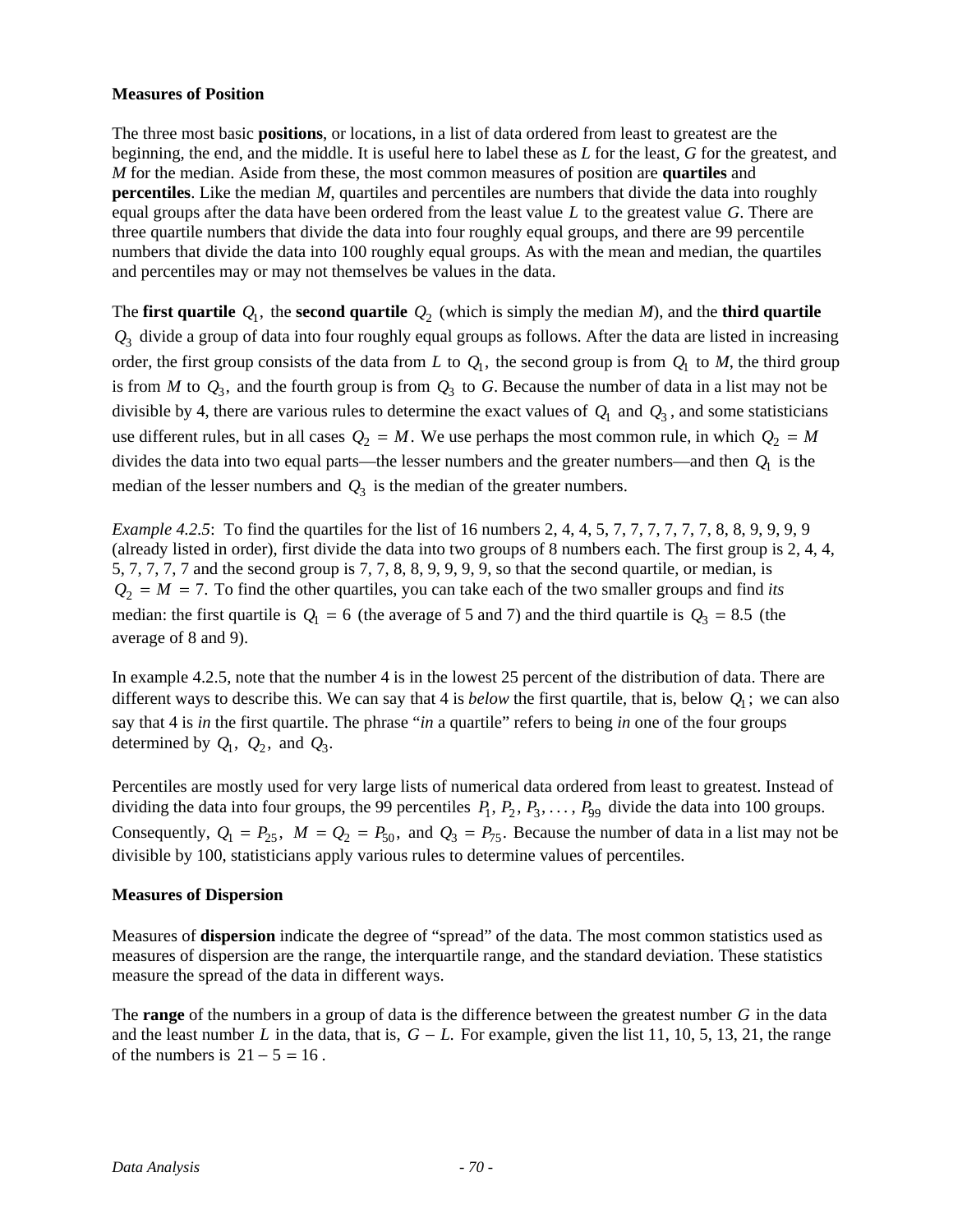### **Measures of Position**

The three most basic **positions**, or locations, in a list of data ordered from least to greatest are the beginning, the end, and the middle. It is useful here to label these as *L* for the least, *G* for the greatest, and *M* for the median. Aside from these, the most common measures of position are **quartiles** and **percentiles**. Like the median *M*, quartiles and percentiles are numbers that divide the data into roughly equal groups after the data have been ordered from the least value *L* to the greatest value *G*. There are three quartile numbers that divide the data into four roughly equal groups, and there are 99 percentile numbers that divide the data into 100 roughly equal groups. As with the mean and median, the quartiles and percentiles may or may not themselves be values in the data.

The first quartile  $Q_1$ , the second quartile  $Q_2$  (which is simply the median *M*), and the third quartile  $Q_3$  divide a group of data into four roughly equal groups as follows. After the data are listed in increasing order, the first group consists of the data from *L* to  $Q_1$ , the second group is from  $Q_1$  to *M*, the third group is from *M* to  $Q_3$ , and the fourth group is from  $Q_3$  to *G*. Because the number of data in a list may not be divisible by 4, there are various rules to determine the exact values of  $Q_1$  and  $Q_3$ , and some statisticians use different rules, but in all cases  $Q_2 = M$ . We use perhaps the most common rule, in which  $Q_2 = M$ divides the data into two equal parts—the lesser numbers and the greater numbers—and then  $Q_1$  is the median of the lesser numbers and  $Q_3$  is the median of the greater numbers.

*Example 4.2.5*: To find the quartiles for the list of 16 numbers 2, 4, 4, 5, 7, 7, 7, 7, 7, 7, 8, 8, 9, 9, 9, 9 (already listed in order), first divide the data into two groups of 8 numbers each. The first group is 2, 4, 4, 5, 7, 7, 7, 7 and the second group is 7, 7, 8, 8, 9, 9, 9, 9, so that the second quartile, or median, is  $Q_2 = M = 7$ . To find the other quartiles, you can take each of the two smaller groups and find *its* median: the first quartile is  $Q_1 = 6$  (the average of 5 and 7) and the third quartile is  $Q_3 = 8.5$  (the average of 8 and 9).

In example 4.2.5, note that the number 4 is in the lowest 25 percent of the distribution of data. There are different ways to describe this. We can say that 4 is *below* the first quartile, that is, below  $Q_1$ ; we can also say that 4 is *in* the first quartile. The phrase "*in* a quartile" refers to being *in* one of the four groups determined by  $Q_1$ ,  $Q_2$ , and  $Q_3$ .

Percentiles are mostly used for very large lists of numerical data ordered from least to greatest. Instead of dividing the data into four groups, the 99 percentiles  $P_1, P_2, P_3, \ldots, P_{99}$  divide the data into 100 groups. Consequently,  $Q_1 = P_{25}$ ,  $M = Q_2 = P_{50}$ , and  $Q_3 = P_{75}$ . Because the number of data in a list may not be divisible by 100, statisticians apply various rules to determine values of percentiles.

#### **Measures of Dispersion**

Measures of **dispersion** indicate the degree of "spread" of the data. The most common statistics used as measures of dispersion are the range, the interquartile range, and the standard deviation. These statistics measure the spread of the data in different ways.

The **range** of the numbers in a group of data is the difference between the greatest number *G* in the data and the least number  $L$  in the data, that is,  $G - L$ . For example, given the list 11, 10, 5, 13, 21, the range of the numbers is  $21 - 5 = 16$ .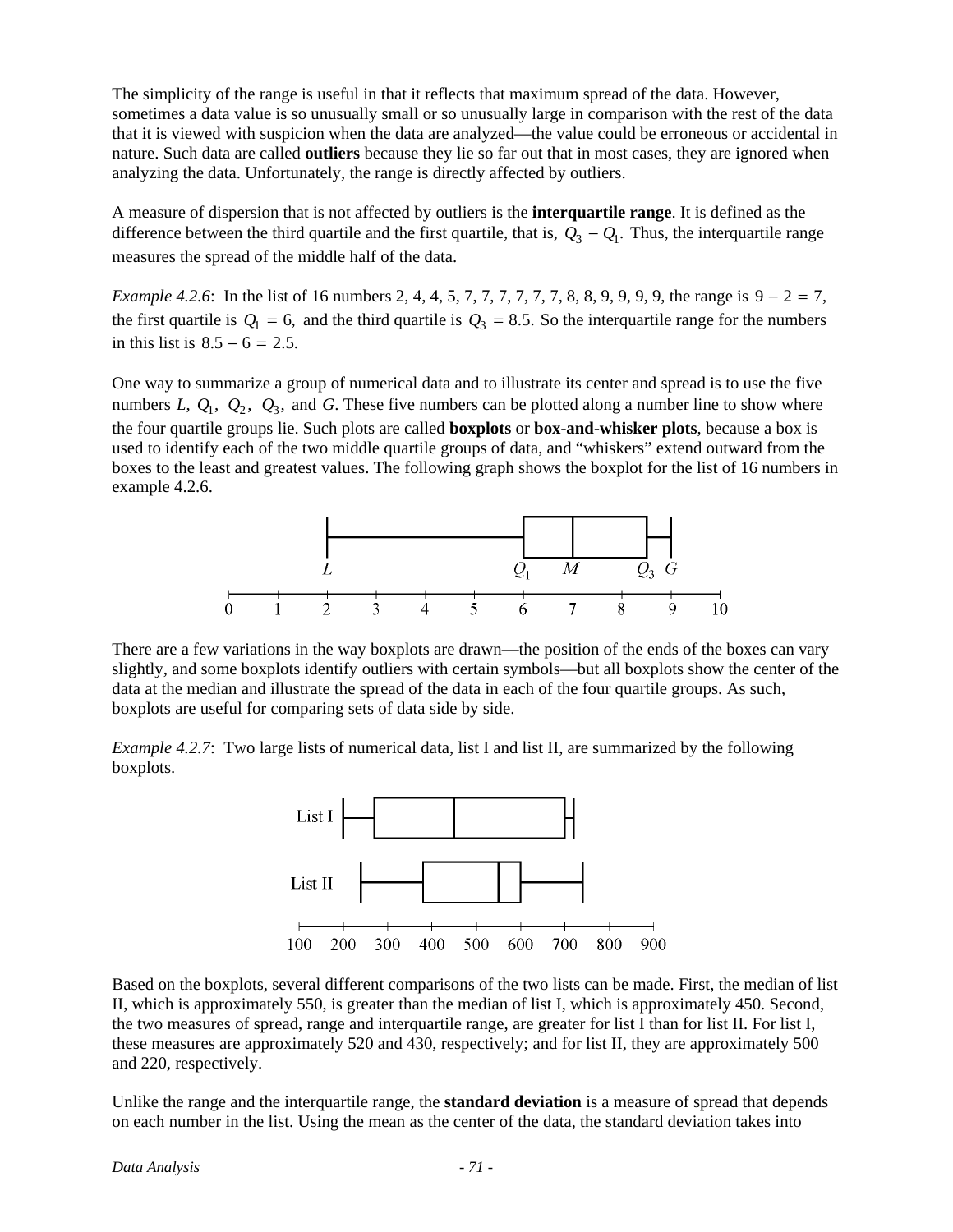The simplicity of the range is useful in that it reflects that maximum spread of the data. However, sometimes a data value is so unusually small or so unusually large in comparison with the rest of the data that it is viewed with suspicion when the data are analyzed—the value could be erroneous or accidental in nature. Such data are called **outliers** because they lie so far out that in most cases, they are ignored when analyzing the data. Unfortunately, the range is directly affected by outliers.

A measure of dispersion that is not affected by outliers is the **interquartile range**. It is defined as the difference between the third quartile and the first quartile, that is,  $Q_3 - Q_1$ . Thus, the interquartile range measures the spread of the middle half of the data.

*Example 4.2.6*: In the list of 16 numbers 2, 4, 4, 5, 7, 7, 7, 7, 7, 7, 8, 8, 9, 9, 9, 9, the range is  $9 - 2 = 7$ , the first quartile is  $Q_1 = 6$ , and the third quartile is  $Q_3 = 8.5$ . So the interquartile range for the numbers in this list is  $8.5 - 6 = 2.5$ .

One way to summarize a group of numerical data and to illustrate its center and spread is to use the five numbers  $L, Q_1, Q_2, Q_3$ , and G. These five numbers can be plotted along a number line to show where the four quartile groups lie. Such plots are called **boxplots** or **box-and-whisker plots**, because a box is used to identify each of the two middle quartile groups of data, and "whiskers" extend outward from the boxes to the least and greatest values. The following graph shows the boxplot for the list of 16 numbers in example 4.2.6.



There are a few variations in the way boxplots are drawn—the position of the ends of the boxes can vary slightly, and some boxplots identify outliers with certain symbols—but all boxplots show the center of the data at the median and illustrate the spread of the data in each of the four quartile groups. As such, boxplots are useful for comparing sets of data side by side.

*Example 4.2.7*: Two large lists of numerical data, list I and list II, are summarized by the following boxplots.



Based on the boxplots, several different comparisons of the two lists can be made. First, the median of list II, which is approximately 550, is greater than the median of list I, which is approximately 450. Second, the two measures of spread, range and interquartile range, are greater for list I than for list II. For list I, these measures are approximately 520 and 430, respectively; and for list II, they are approximately 500 and 220, respectively.

Unlike the range and the interquartile range, the **standard deviation** is a measure of spread that depends on each number in the list. Using the mean as the center of the data, the standard deviation takes into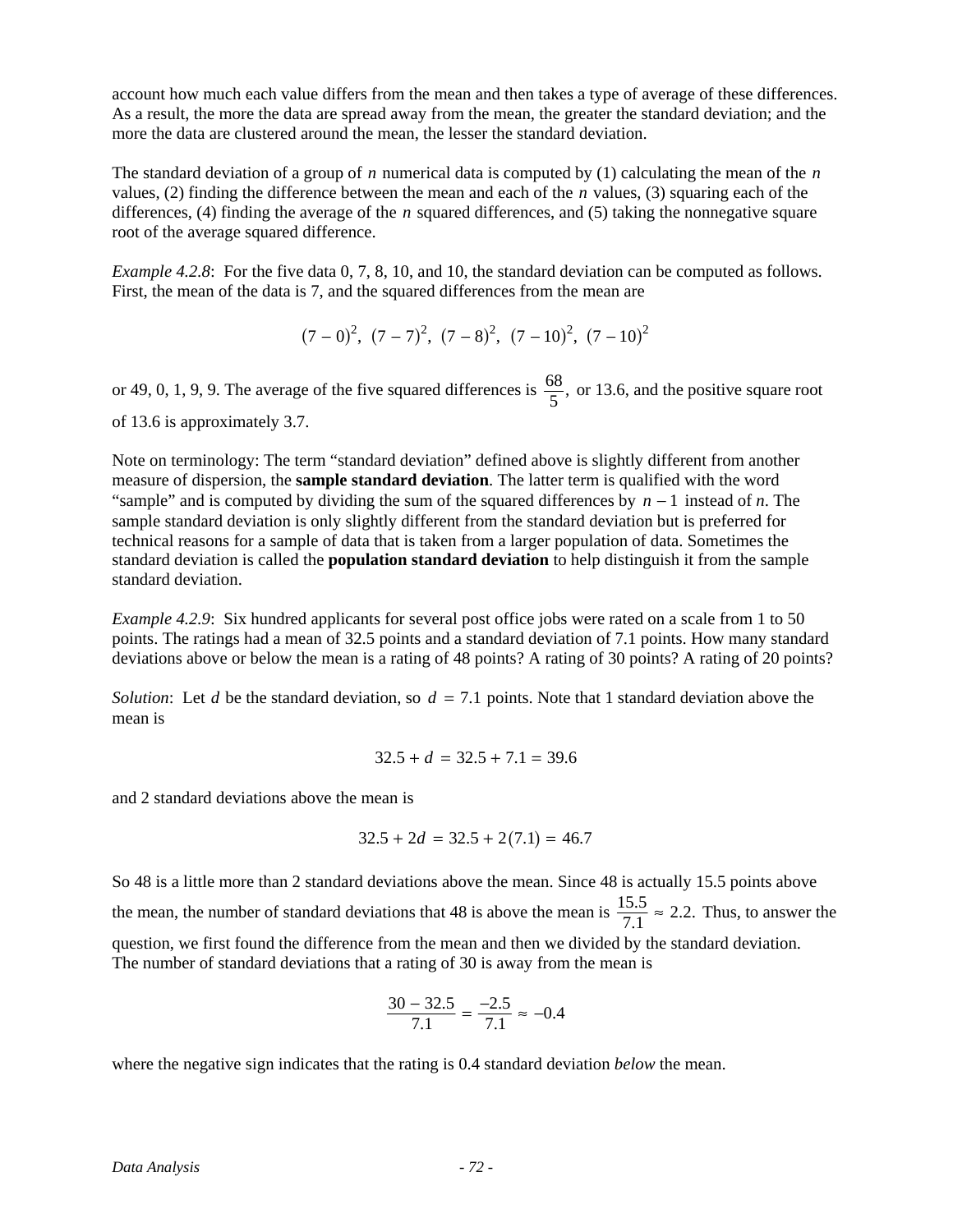account how much each value differs from the mean and then takes a type of average of these differences. As a result, the more the data are spread away from the mean, the greater the standard deviation; and the more the data are clustered around the mean, the lesser the standard deviation.

The standard deviation of a group of *n* numerical data is computed by (1) calculating the mean of the *n* values, (2) finding the difference between the mean and each of the *n* values, (3) squaring each of the differences, (4) finding the average of the *n* squared differences, and (5) taking the nonnegative square root of the average squared difference.

*Example 4.2.8*: For the five data 0, 7, 8, 10, and 10, the standard deviation can be computed as follows. First, the mean of the data is 7, and the squared differences from the mean are

$$
(7-0)^2
$$
,  $(7-7)^2$ ,  $(7-8)^2$ ,  $(7-10)^2$ ,  $(7-10)^2$ 

or 49, 0, 1, 9, 9. The average of the five squared differences is  $\frac{68}{5}$ , or 13.6, and the positive square root of 13.6 is approximately 3.7.

Note on terminology: The term "standard deviation" defined above is slightly different from another measure of dispersion, the **sample standard deviation**. The latter term is qualified with the word "sample" and is computed by dividing the sum of the squared differences by  $n - 1$  instead of *n*. The sample standard deviation is only slightly different from the standard deviation but is preferred for technical reasons for a sample of data that is taken from a larger population of data. Sometimes the standard deviation is called the **population standard deviation** to help distinguish it from the sample standard deviation.

*Example 4.2.9*: Six hundred applicants for several post office jobs were rated on a scale from 1 to 50 points. The ratings had a mean of 32.5 points and a standard deviation of 7.1 points. How many standard deviations above or below the mean is a rating of 48 points? A rating of 30 points? A rating of 20 points?

*Solution*: Let *d* be the standard deviation, so  $d = 7.1$  points. Note that 1 standard deviation above the mean is

$$
32.5 + d = 32.5 + 7.1 = 39.6
$$

and 2 standard deviations above the mean is

$$
32.5 + 2d = 32.5 + 2(7.1) = 46.7
$$

So 48 is a little more than 2 standard deviations above the mean. Since 48 is actually 15.5 points above the mean, the number of standard deviations that 48 is above the mean is  $\frac{15.5}{7.1} \approx 2.2$ . Thus, to answer the question, we first found the difference from the mean and then we divided by the standard deviation. The number of standard deviations that a rating of 30 is away from the mean is

$$
\frac{30 - 32.5}{7.1} = \frac{-2.5}{7.1} \approx -0.4
$$

where the negative sign indicates that the rating is 0.4 standard deviation *below* the mean.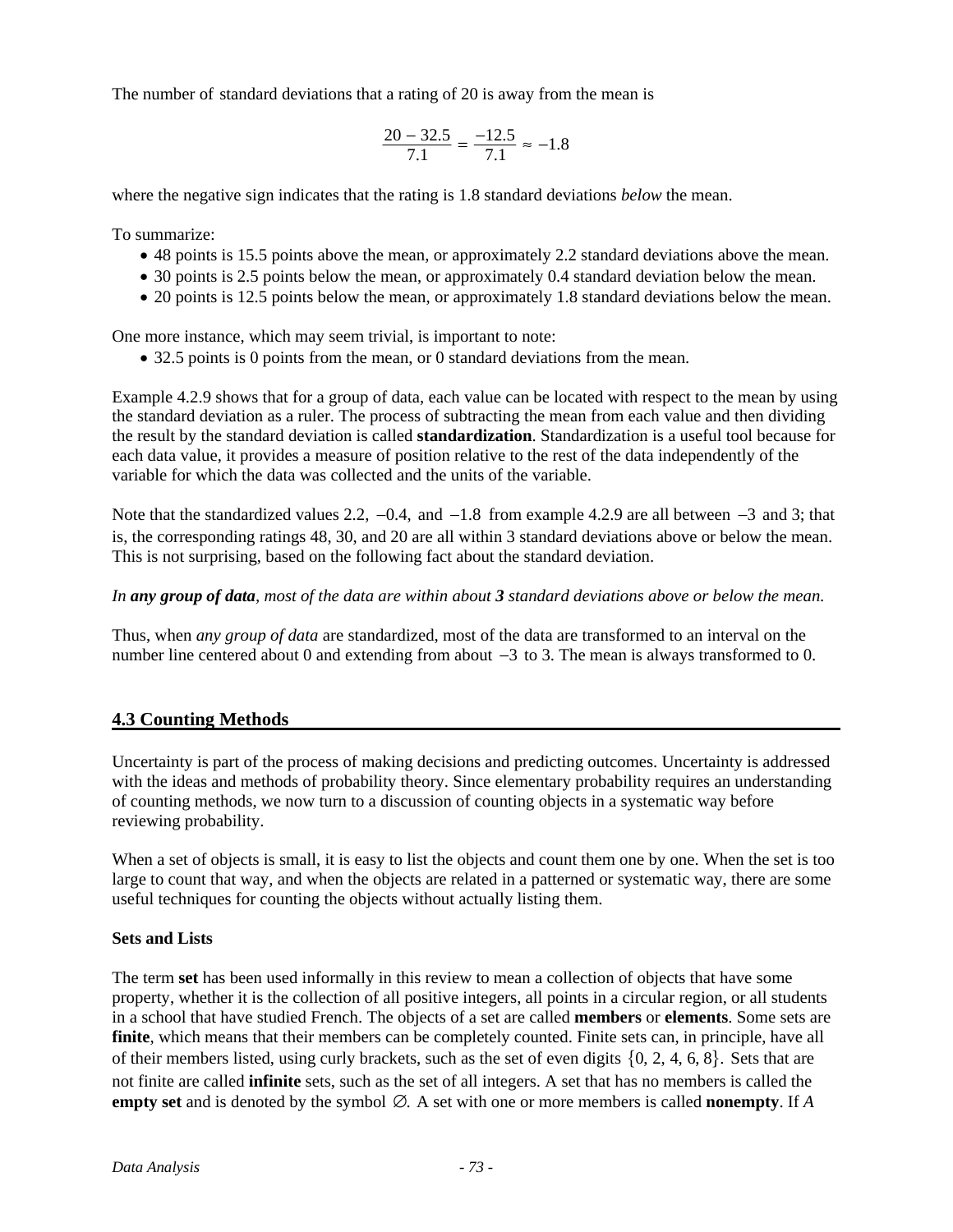The number of standard deviations that a rating of 20 is away from the mean is

$$
\frac{20 - 32.5}{7.1} = \frac{-12.5}{7.1} \approx -1.8
$$

where the negative sign indicates that the rating is 1.8 standard deviations *below* the mean.

To summarize:

- 48 points is 15.5 points above the mean, or approximately 2.2 standard deviations above the mean.
- 30 points is 2.5 points below the mean, or approximately 0.4 standard deviation below the mean.
- 20 points is 12.5 points below the mean, or approximately 1.8 standard deviations below the mean.

One more instance, which may seem trivial, is important to note:

• 32.5 points is 0 points from the mean, or 0 standard deviations from the mean.

Example 4.2.9 shows that for a group of data, each value can be located with respect to the mean by using the standard deviation as a ruler. The process of subtracting the mean from each value and then dividing the result by the standard deviation is called **standardization**. Standardization is a useful tool because for each data value, it provides a measure of position relative to the rest of the data independently of the variable for which the data was collected and the units of the variable.

Note that the standardized values 2.2,  $-0.4$ , and  $-1.8$  from example 4.2.9 are all between  $-3$  and 3; that is, the corresponding ratings 48, 30, and 20 are all within 3 standard deviations above or below the mean. This is not surprising, based on the following fact about the standard deviation.

### *In any group of data, most of the data are within about 3 standard deviations above or below the mean.*

Thus, when *any group of data* are standardized, most of the data are transformed to an interval on the number line centered about 0 and extending from about  $-3$  to 3. The mean is always transformed to 0.

# **4.3 Counting Methods**

Uncertainty is part of the process of making decisions and predicting outcomes. Uncertainty is addressed with the ideas and methods of probability theory. Since elementary probability requires an understanding of counting methods, we now turn to a discussion of counting objects in a systematic way before reviewing probability.

When a set of objects is small, it is easy to list the objects and count them one by one. When the set is too large to count that way, and when the objects are related in a patterned or systematic way, there are some useful techniques for counting the objects without actually listing them.

### **Sets and Lists**

The term **set** has been used informally in this review to mean a collection of objects that have some property, whether it is the collection of all positive integers, all points in a circular region, or all students in a school that have studied French. The objects of a set are called **members** or **elements**. Some sets are **finite**, which means that their members can be completely counted. Finite sets can, in principle, have all of their members listed, using curly brackets, such as the set of even digits  $\{0, 2, 4, 6, 8\}$ . Sets that are not finite are called **infinite** sets, such as the set of all integers. A set that has no members is called the **empty set** and is denoted by the symbol ∆. A set with one or more members is called **nonempty**. If *A*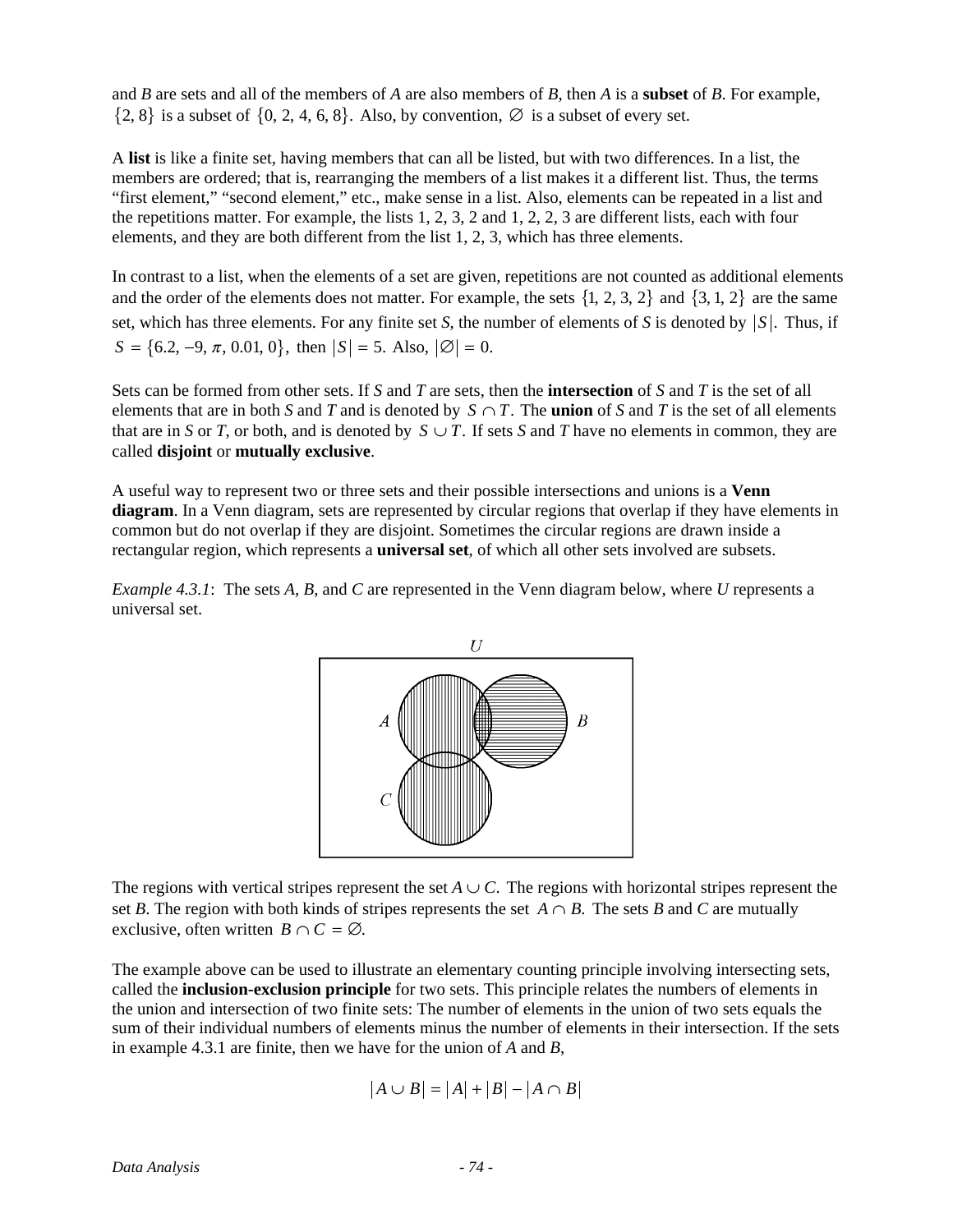and *B* are sets and all of the members of *A* are also members of *B*, then *A* is a **subset** of *B*. For example,  ${2, 8}$  is a subset of  ${0, 2, 4, 6, 8}$ . Also, by convention,  $\emptyset$  is a subset of every set.

A **list** is like a finite set, having members that can all be listed, but with two differences. In a list, the members are ordered; that is, rearranging the members of a list makes it a different list. Thus, the terms "first element," "second element," etc., make sense in a list. Also, elements can be repeated in a list and the repetitions matter. For example, the lists 1, 2, 3, 2 and 1, 2, 2, 3 are different lists, each with four elements, and they are both different from the list 1, 2, 3, which has three elements.

In contrast to a list, when the elements of a set are given, repetitions are not counted as additional elements and the order of the elements does not matter. For example, the sets  $\{1, 2, 3, 2\}$  and  $\{3, 1, 2\}$  are the same set, which has three elements. For any finite set *S*, the number of elements of *S* is denoted by  $|S|$ . Thus, if  $S = \{6.2, -9, \pi, 0.01, 0\}$ , then  $|S| = 5$ . Also,  $|\emptyset| = 0$ .

Sets can be formed from other sets. If *S* and *T* are sets, then the **intersection** of *S* and *T* is the set of all elements that are in both *S* and *T* and is denoted by  $S \cap T$ . The **union** of *S* and *T* is the set of all elements that are in *S* or *T*, or both, and is denoted by  $S \cup T$ . If sets *S* and *T* have no elements in common, they are called **disjoint** or **mutually exclusive**.

A useful way to represent two or three sets and their possible intersections and unions is a **Venn diagram**. In a Venn diagram, sets are represented by circular regions that overlap if they have elements in common but do not overlap if they are disjoint. Sometimes the circular regions are drawn inside a rectangular region, which represents a **universal set**, of which all other sets involved are subsets.

*Example 4.3.1*: The sets *A*, *B*, and *C* are represented in the Venn diagram below, where *U* represents a universal set.



The regions with vertical stripes represent the set  $A \cup C$ . The regions with horizontal stripes represent the set *B*. The region with both kinds of stripes represents the set  $A \cap B$ . The sets *B* and *C* are mutually exclusive, often written  $B \cap C = \emptyset$ .

The example above can be used to illustrate an elementary counting principle involving intersecting sets, called the **inclusion-exclusion principle** for two sets. This principle relates the numbers of elements in the union and intersection of two finite sets: The number of elements in the union of two sets equals the sum of their individual numbers of elements minus the number of elements in their intersection. If the sets in example 4.3.1 are finite, then we have for the union of *A* and *B*,

$$
|A \cup B| = |A| + |B| - |A \cap B|
$$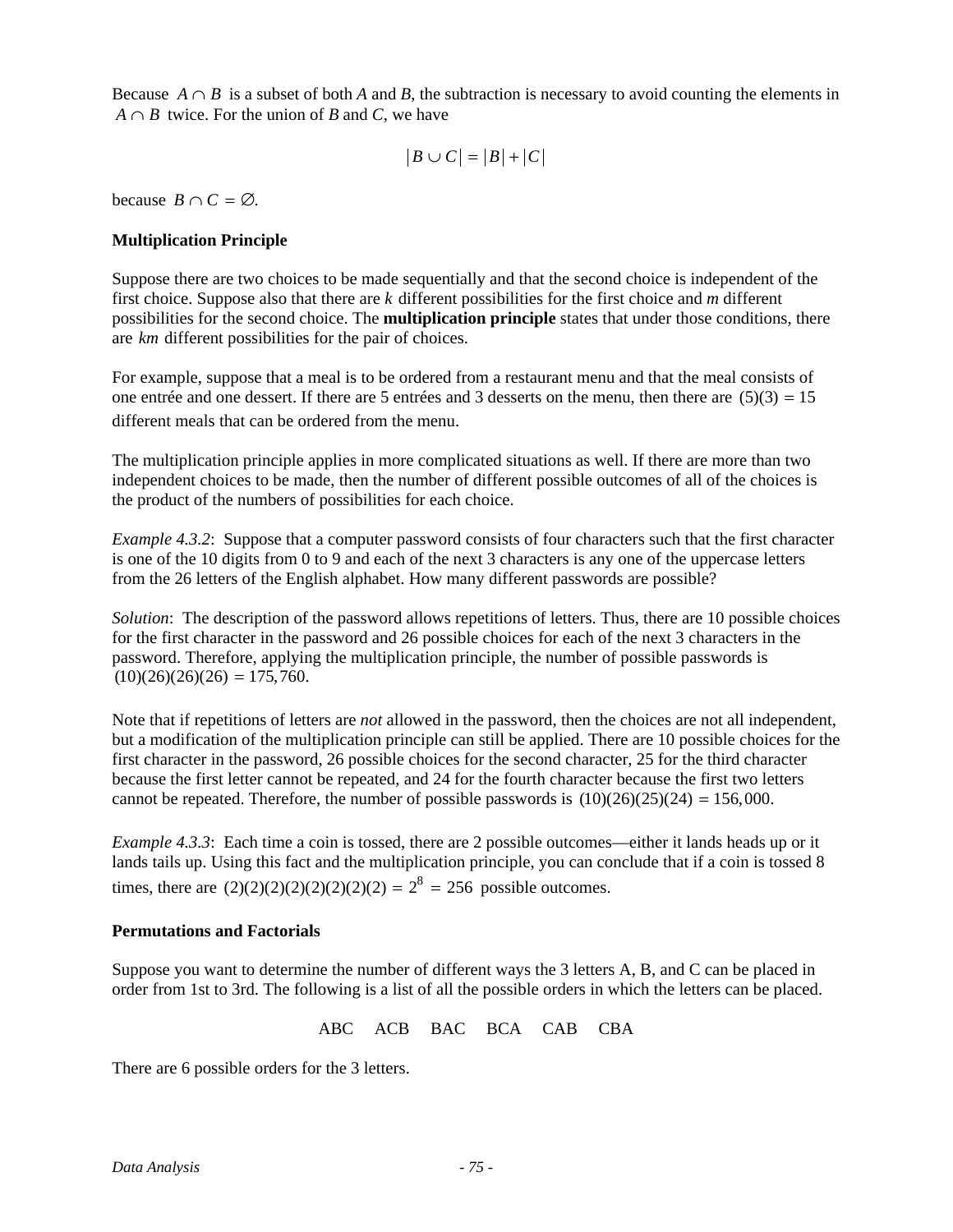Because  $A \cap B$  is a subset of both *A* and *B*, the subtraction is necessary to avoid counting the elements in  $A \cap B$  twice. For the union of *B* and *C*, we have

$$
|B \cup C| = |B| + |C|
$$

because  $B \cap C = \emptyset$ .

#### **Multiplication Principle**

Suppose there are two choices to be made sequentially and that the second choice is independent of the first choice. Suppose also that there are *k* different possibilities for the first choice and *m* different possibilities for the second choice. The **multiplication principle** states that under those conditions, there are *km* different possibilities for the pair of choices.

For example, suppose that a meal is to be ordered from a restaurant menu and that the meal consists of one entrée and one dessert. If there are 5 entrées and 3 desserts on the menu, then there are  $(5)(3) = 15$ different meals that can be ordered from the menu.

The multiplication principle applies in more complicated situations as well. If there are more than two independent choices to be made, then the number of different possible outcomes of all of the choices is the product of the numbers of possibilities for each choice.

*Example 4.3.2*: Suppose that a computer password consists of four characters such that the first character is one of the 10 digits from 0 to 9 and each of the next 3 characters is any one of the uppercase letters from the 26 letters of the English alphabet. How many different passwords are possible?

*Solution*: The description of the password allows repetitions of letters. Thus, there are 10 possible choices for the first character in the password and 26 possible choices for each of the next 3 characters in the password. Therefore, applying the multiplication principle, the number of possible passwords is  $(10)(26)(26)(26) = 175,760.$ 

Note that if repetitions of letters are *not* allowed in the password, then the choices are not all independent, but a modification of the multiplication principle can still be applied. There are 10 possible choices for the first character in the password, 26 possible choices for the second character, 25 for the third character because the first letter cannot be repeated, and 24 for the fourth character because the first two letters cannot be repeated. Therefore, the number of possible passwords is  $(10)(26)(25)(24) = 156,000$ .

*Example 4.3.3*: Each time a coin is tossed, there are 2 possible outcomes—either it lands heads up or it lands tails up. Using this fact and the multiplication principle, you can conclude that if a coin is tossed 8 times, there are  $(2)(2)(2)(2)(2)(2)(2)(2) = 2<sup>8</sup> = 256$  possible outcomes.

#### **Permutations and Factorials**

Suppose you want to determine the number of different ways the 3 letters A, B, and C can be placed in order from 1st to 3rd. The following is a list of all the possible orders in which the letters can be placed.

ABC ACB BAC BCA CAB CBA

There are 6 possible orders for the 3 letters.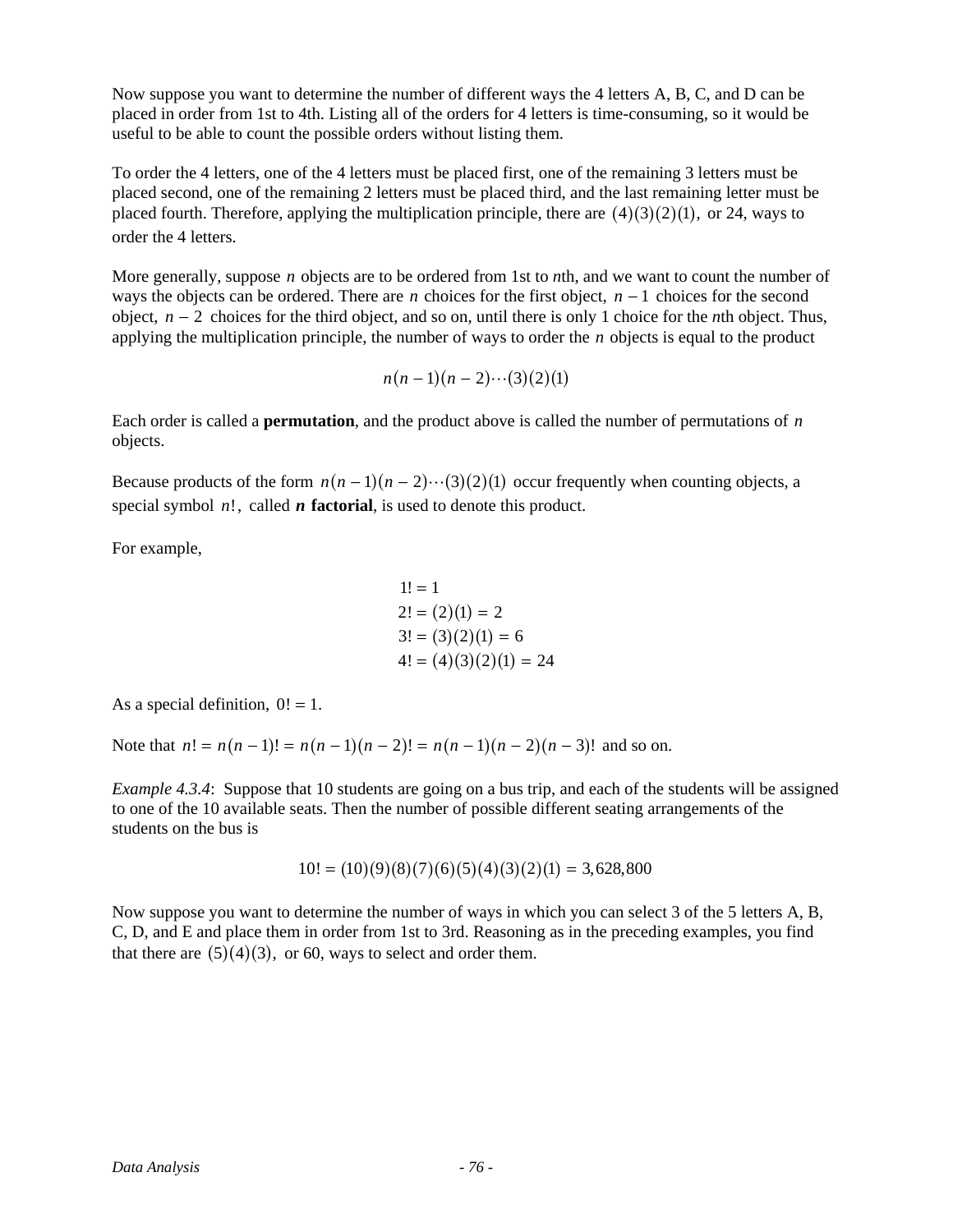Now suppose you want to determine the number of different ways the 4 letters A, B, C, and D can be placed in order from 1st to 4th. Listing all of the orders for 4 letters is time-consuming, so it would be useful to be able to count the possible orders without listing them.

To order the 4 letters, one of the 4 letters must be placed first, one of the remaining 3 letters must be placed second, one of the remaining 2 letters must be placed third, and the last remaining letter must be placed fourth. Therefore, applying the multiplication principle, there are  $(4)(3)(2)(1)$ , or 24, ways to order the 4 letters.

More generally, suppose *n* objects are to be ordered from 1st to *n*th, and we want to count the number of ways the objects can be ordered. There are *n* choices for the first object,  $n - 1$  choices for the second object,  $n - 2$  choices for the third object, and so on, until there is only 1 choice for the *n*th object. Thus, applying the multiplication principle, the number of ways to order the *n* objects is equal to the product

$$
n(n-1)(n-2)\cdots(3)(2)(1)
$$

Each order is called a **permutation**, and the product above is called the number of permutations of *n* objects.

Because products of the form  $n(n-1)(n-2)\cdots(3)(2)(1)$  occur frequently when counting objects, a special symbol *n*!, called *n* **factorial**, is used to denote this product.

For example,

( )( ) ( )( )( ) ( )( )( )( ) 1! 1 2! 2 1 2 3! 3 2 1 6 4! 4 3 2 1 24 = = = = = = =

As a special definition,  $0! = 1$ .

Note that  $n! = n(n-1)! = n(n-1)(n-2)! = n(n-1)(n-2)(n-3)!$  and so on.

*Example 4.3.4*: Suppose that 10 students are going on a bus trip, and each of the students will be assigned to one of the 10 available seats. Then the number of possible different seating arrangements of the students on the bus is

$$
10! = (10)(9)(8)(7)(6)(5)(4)(3)(2)(1) = 3,628,800
$$

Now suppose you want to determine the number of ways in which you can select 3 of the 5 letters A, B, C, D, and E and place them in order from 1st to 3rd. Reasoning as in the preceding examples, you find that there are  $(5)(4)(3)$ , or 60, ways to select and order them.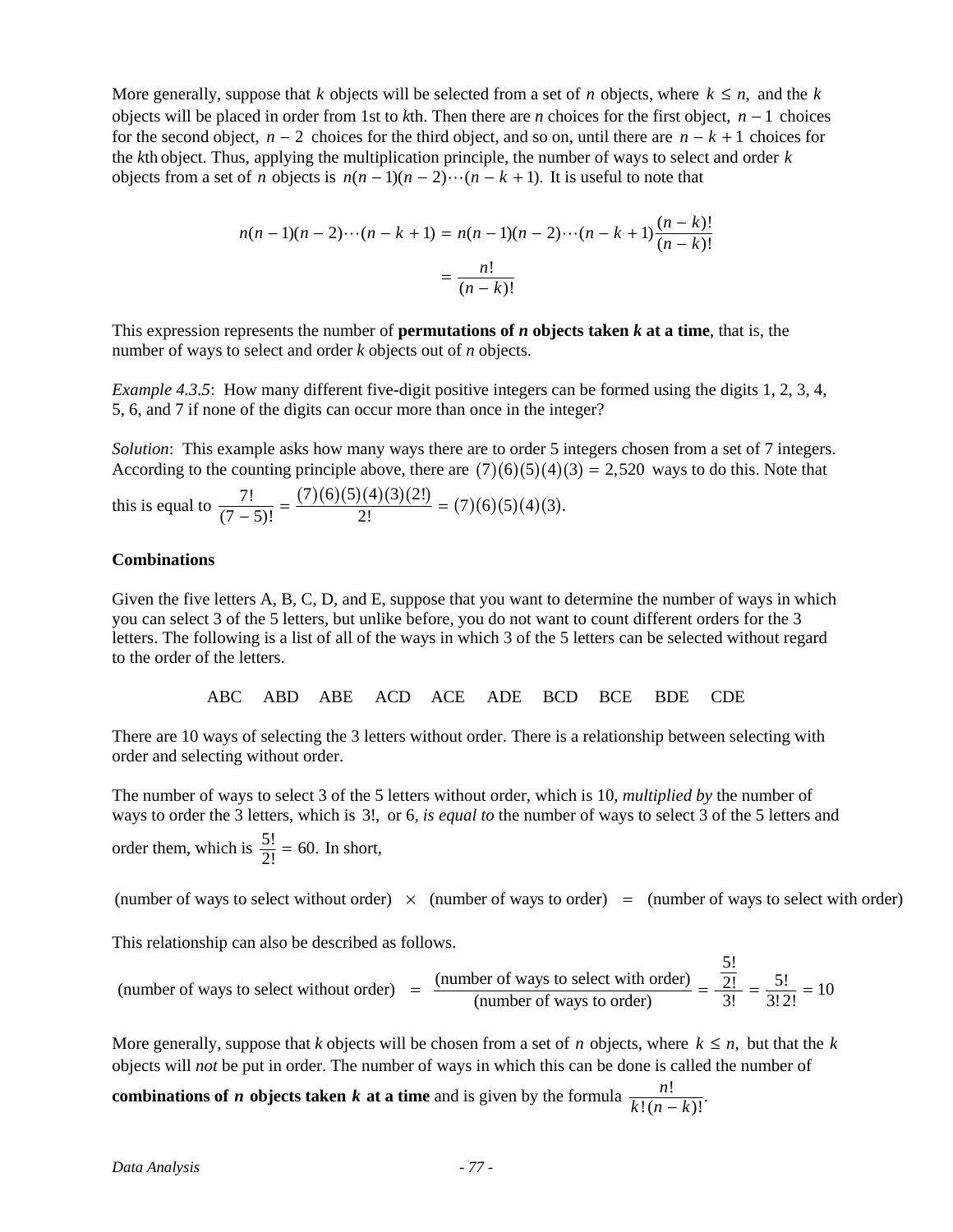More generally, suppose that *k* objects will be selected from a set of *n* objects, where  $k \leq n$ , and the *k* objects will be placed in order from 1st to kth. Then there are *n* choices for the first object,  $n - 1$  choices for the second object,  $n - 2$  choices for the third object, and so on, until there are  $n - k + 1$  choices for the *k*th object. Thus, applying the multiplication principle, the number of ways to select and order *k* objects from a set of *n* objects is  $n(n-1)(n-2)\cdots(n-k+1)$ . It is useful to note that

$$
n(n-1)(n-2)\cdots(n-k+1) = n(n-1)(n-2)\cdots(n-k+1)\frac{(n-k)!}{(n-k)!}
$$

$$
= \frac{n!}{(n-k)!}
$$

This expression represents the number of **permutations of** *n* **objects taken** *k* **at a time**, that is, the number of ways to select and order *k* objects out of *n* objects.

*Example 4.3.5*: How many different five-digit positive integers can be formed using the digits 1, 2, 3, 4, 5, 6, and 7 if none of the digits can occur more than once in the integer?

*Solution*: This example asks how many ways there are to order 5 integers chosen from a set of 7 integers. According to the counting principle above, there are  $(7)(6)(5)(4)(3) = 2,520$  ways to do this. Note that

this is equal to  $\frac{7!}{(7-5)!} = \frac{(7)(6)(5)(4)(3)(2!)}{2!} = (7)(6)(5)(4)(3).$ 

#### **Combinations**

Given the five letters A, B, C, D, and E, suppose that you want to determine the number of ways in which you can select 3 of the 5 letters, but unlike before, you do not want to count different orders for the 3 letters. The following is a list of all of the ways in which 3 of the 5 letters can be selected without regard to the order of the letters.

ABC ABD ABE ACD ACE ADE BCD BCE BDE CDE

There are 10 ways of selecting the 3 letters without order. There is a relationship between selecting with order and selecting without order.

The number of ways to select 3 of the 5 letters without order, which is 10, *multiplied by* the number of ways to order the 3 letters, which is 3!, or 6, *is equal to* the number of ways to select 3 of the 5 letters and order them, which is  $\frac{5!}{2!} = 60$ . In short,

(number of ways to select without order)  $\times$  (number of ways to order) = (number of ways to select with order)

This relationship can also be described as follows.

(number of ways to select without order) = 
$$
\frac{\text{(number of ways to select with order)}}{\text{(number of ways to order)}} = \frac{\frac{5!}{2!}}{\frac{3!}{3!}} = \frac{5!}{3!2!} = 10
$$

More generally, suppose that *k* objects will be chosen from a set of *n* objects, where  $k \leq n$ , but that the *k* objects will *not* be put in order. The number of ways in which this can be done is called the number of

**combinations of** *n* **objects taken** *k* **at a time and is given by the formula**  $\frac{n!}{k!(n-k)!}$ **.**  $k!$  ( $n-$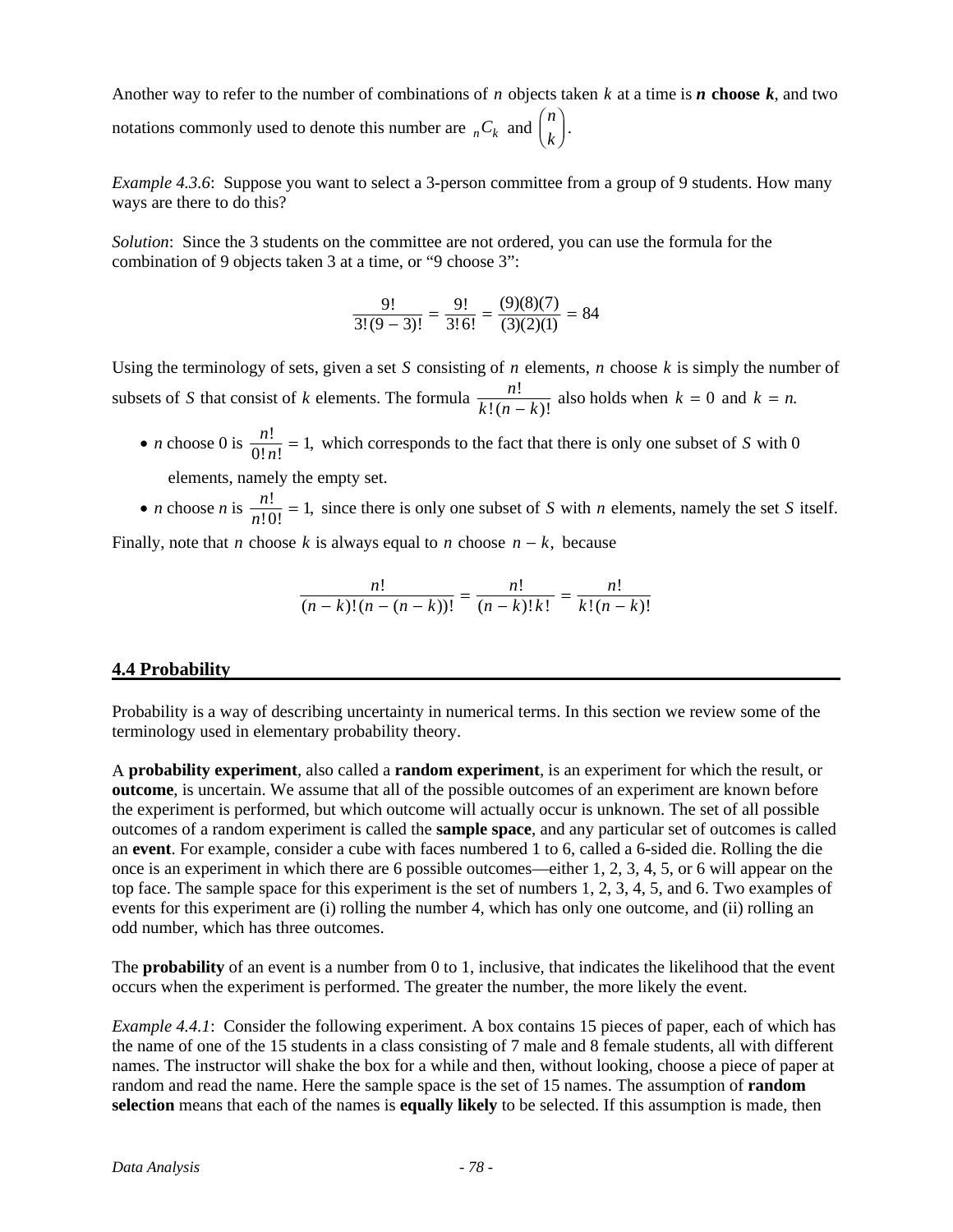Another way to refer to the number of combinations of *n* objects taken *k* at a time is *n* choose  $k$ , and two notations commonly used to denote this number are  ${}_{n}C_{k}$  and  $\binom{n}{k}$ .

*Example 4.3.6*: Suppose you want to select a 3-person committee from a group of 9 students. How many ways are there to do this?

*Solution*: Since the 3 students on the committee are not ordered, you can use the formula for the combination of 9 objects taken 3 at a time, or "9 choose 3":

$$
\frac{9!}{3!(9-3)!} = \frac{9!}{3!6!} = \frac{(9)(8)(7)}{(3)(2)(1)} = 84
$$

Using the terminology of sets, given a set *S* consisting of *n* elements, *n* choose *k* is simply the number of subsets of *S* that consist of *k* elements. The formula  $\frac{n!}{k!(n-k)!}$  $\frac{n!}{k!(n-k)!}$  also holds when  $k = 0$  and  $k = n$ .

- *n* choose 0 is  $\frac{n!}{0!n!} = 1$ , which corresponds to the fact that there is only one subset of *S* with 0 elements, namely the empty set.
- *n* choose *n* is  $\frac{n!}{n!0!} = 1$ , since there is only one subset of *S* with *n* elements, namely the set *S* itself.

Finally, note that *n* choose *k* is always equal to *n* choose  $n - k$ , because

$$
\frac{n!}{(n-k)!(n-(n-k))!} = \frac{n!}{(n-k)!\,k!} = \frac{n!}{k!(n-k)!}
$$

### **4.4 Probability**

Probability is a way of describing uncertainty in numerical terms. In this section we review some of the terminology used in elementary probability theory.

A **probability experiment**, also called a **random experiment**, is an experiment for which the result, or **outcome**, is uncertain. We assume that all of the possible outcomes of an experiment are known before the experiment is performed, but which outcome will actually occur is unknown. The set of all possible outcomes of a random experiment is called the **sample space**, and any particular set of outcomes is called an **event**. For example, consider a cube with faces numbered 1 to 6, called a 6-sided die. Rolling the die once is an experiment in which there are 6 possible outcomes—either 1, 2, 3, 4, 5, or 6 will appear on the top face. The sample space for this experiment is the set of numbers 1, 2, 3, 4, 5, and 6. Two examples of events for this experiment are (i) rolling the number 4, which has only one outcome, and (ii) rolling an odd number, which has three outcomes.

The **probability** of an event is a number from 0 to 1, inclusive, that indicates the likelihood that the event occurs when the experiment is performed. The greater the number, the more likely the event.

*Example 4.4.1*: Consider the following experiment. A box contains 15 pieces of paper, each of which has the name of one of the 15 students in a class consisting of 7 male and 8 female students, all with different names. The instructor will shake the box for a while and then, without looking, choose a piece of paper at random and read the name. Here the sample space is the set of 15 names. The assumption of **random selection** means that each of the names is **equally likely** to be selected. If this assumption is made, then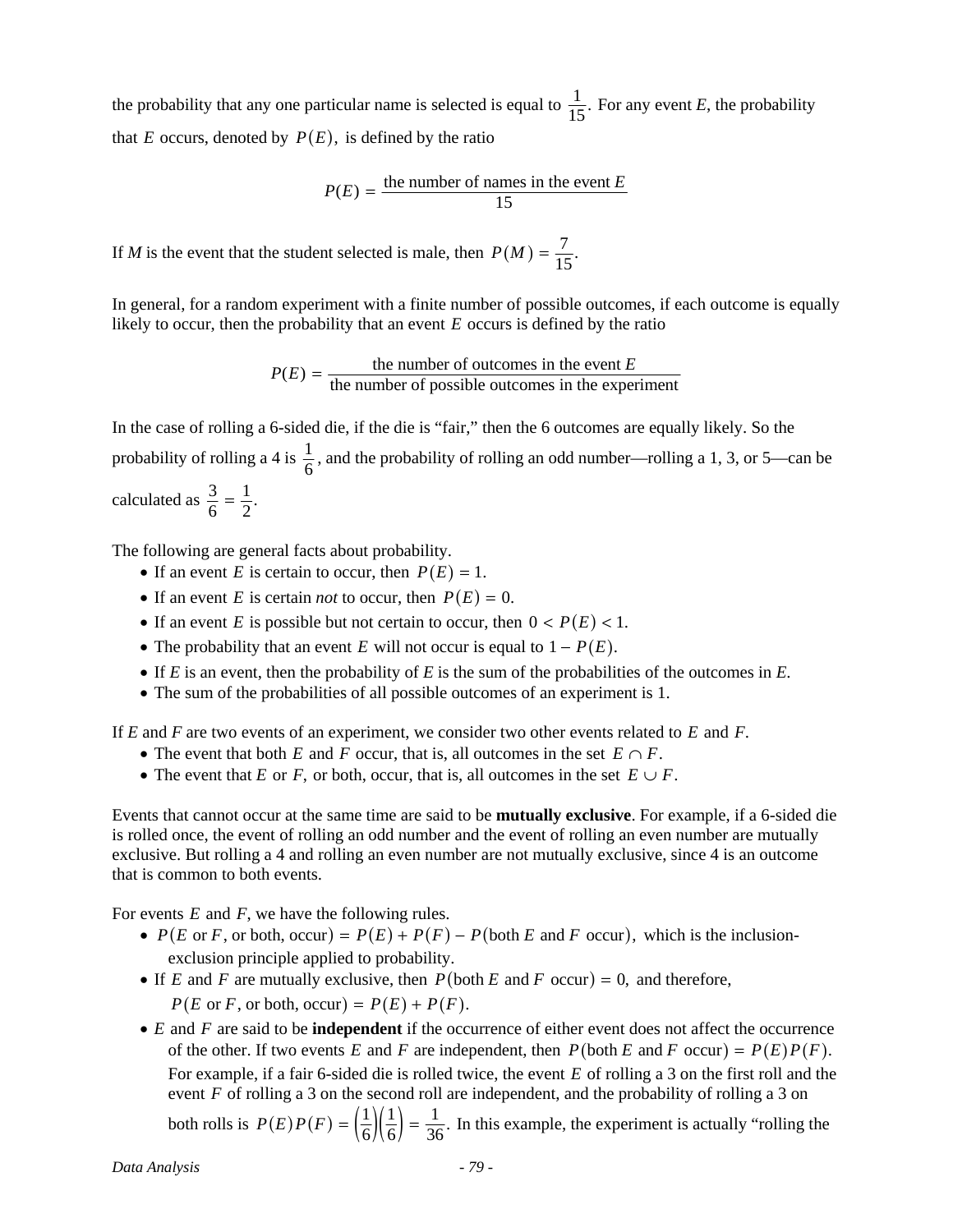the probability that any one particular name is selected is equal to  $\frac{1}{15}$ . For any event *E*, the probability that  $E$  occurs, denoted by  $P(E)$ , is defined by the ratio

$$
P(E) = \frac{\text{the number of names in the event } E}{15}
$$

If *M* is the event that the student selected is male, then  $P(M) = \frac{7}{15}$ .

In general, for a random experiment with a finite number of possible outcomes, if each outcome is equally likely to occur, then the probability that an event *E* occurs is defined by the ratio

$$
P(E) = \frac{\text{the number of outcomes in the event } E}{\text{the number of possible outcomes in the experiment}}
$$

In the case of rolling a 6-sided die, if the die is "fair," then the 6 outcomes are equally likely. So the probability of rolling a 4 is  $\frac{1}{6}$ , and the probability of rolling an odd number—rolling a 1, 3, or 5—can be calculated as  $\frac{3}{6} = \frac{1}{2}$ .

The following are general facts about probability.

- If an event *E* is certain to occur, then  $P(E) = 1$ .
- If an event *E* is certain *not* to occur, then  $P(E) = 0$ .
- If an event *E* is possible but not certain to occur, then  $0 < P(E) < 1$ .
- The probability that an event *E* will not occur is equal to  $1 P(E)$ .
- If *E* is an event, then the probability of *E* is the sum of the probabilities of the outcomes in *E*.
- The sum of the probabilities of all possible outcomes of an experiment is 1.

If *E* and *F* are two events of an experiment, we consider two other events related to *E* and *F*.

- The event that both *E* and *F* occur, that is, all outcomes in the set  $E \cap F$ .
- The event that *E* or *F*, or both, occur, that is, all outcomes in the set  $E \cup F$ .

Events that cannot occur at the same time are said to be **mutually exclusive**. For example, if a 6-sided die is rolled once, the event of rolling an odd number and the event of rolling an even number are mutually exclusive. But rolling a 4 and rolling an even number are not mutually exclusive, since 4 is an outcome that is common to both events.

For events *E* and *F*, we have the following rules.

- $P(E \text{ or } F, \text{ or both, occur}) = P(E) + P(F) P(\text{both } E \text{ and } F \text{ occur}),$  which is the inclusionexclusion principle applied to probability.
- If *E* and *F* are mutually exclusive, then  $P(\text{both } E \text{ and } F \text{ occur}) = 0$ , and therefore,  $P(E \text{ or } F, \text{ or both, occur}) = P(E) + P(F).$
- *E* and *F* are said to be **independent** if the occurrence of either event does not affect the occurrence of the other. If two events E and F are independent, then  $P(\text{both } E$  and  $F \text{ occur}) = P(E)P(F)$ . For example, if a fair 6-sided die is rolled twice, the event *E* of rolling a 3 on the first roll and the event *F* of rolling a 3 on the second roll are independent, and the probability of rolling a 3 on

both rolls is  $P(E)P(F) = \left(\frac{1}{6}\right)\left(\frac{1}{6}\right) = \frac{1}{36}$ . In this example, the experiment is actually "rolling the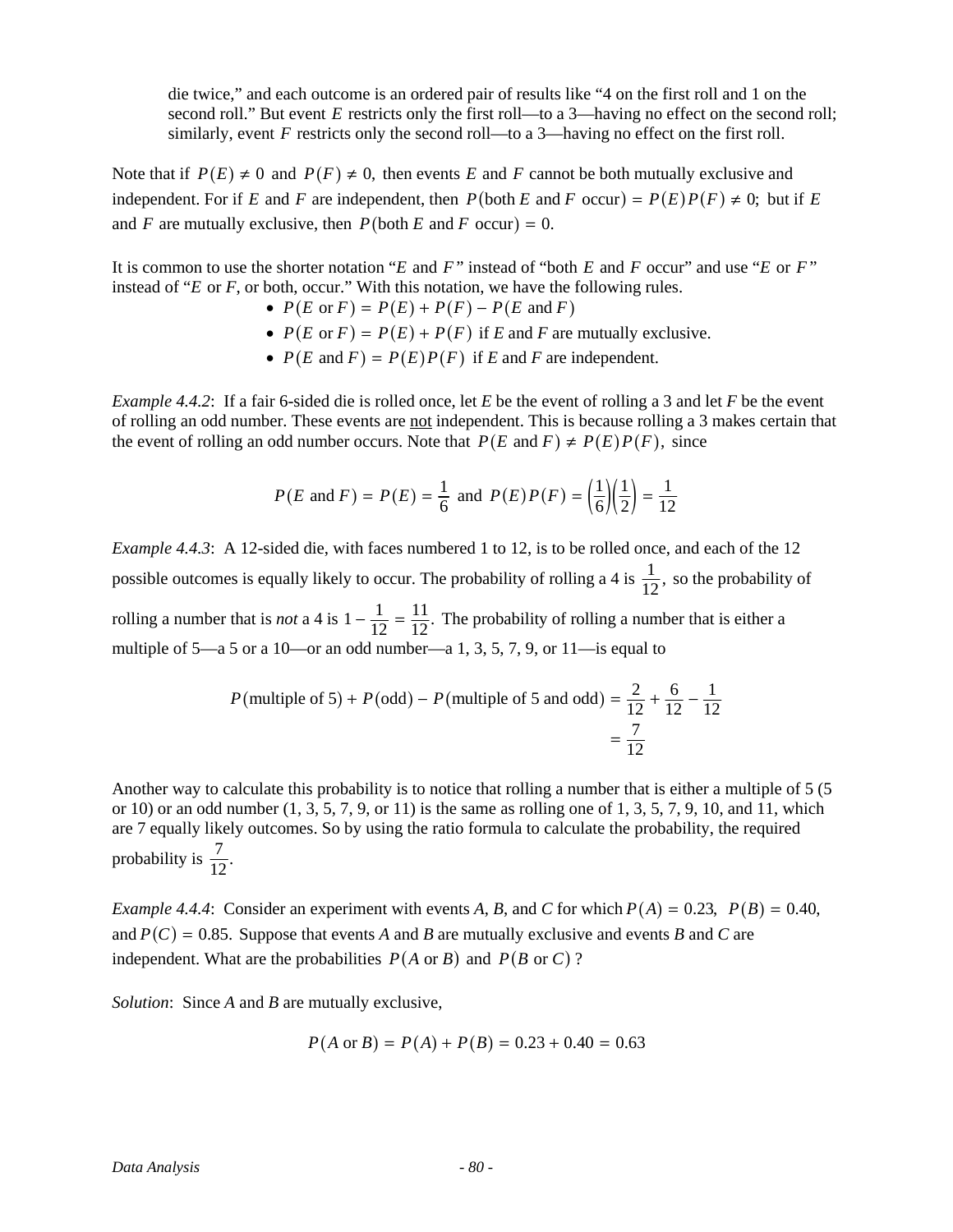die twice," and each outcome is an ordered pair of results like "4 on the first roll and 1 on the second roll." But event *E* restricts only the first roll—to a 3—having no effect on the second roll; similarly, event  $F$  restricts only the second roll—to a 3—having no effect on the first roll.

Note that if  $P(E) \neq 0$  and  $P(F) \neq 0$ , then events *E* and *F* cannot be both mutually exclusive and independent. For if *E* and *F* are independent, then  $P(\text{both } E$  and  $F$  occur) =  $P(E)P(F) \neq 0$ ; but if *E* and *F* are mutually exclusive, then  $P(\text{both } E \text{ and } F \text{ occur}) = 0$ .

It is common to use the shorter notation " $E$  and  $F$ " instead of "both  $E$  and  $F$  occur" and use " $E$  or  $F$ " instead of "*E* or *F*, or both, occur." With this notation, we have the following rules.

- $P(E \text{ or } F) = P(E) + P(F) P(E \text{ and } F)$
- $P(E \text{ or } F) = P(E) + P(F)$  if *E* and *F* are mutually exclusive.
- $P(E \text{ and } F) = P(E)P(F)$  if *E* and *F* are independent.

*Example 4.4.2*: If a fair 6-sided die is rolled once, let  $E$  be the event of rolling a 3 and let  $F$  be the event of rolling an odd number. These events are not independent. This is because rolling a 3 makes certain that the event of rolling an odd number occurs. Note that  $P(E \text{ and } F) \neq P(E)P(F)$ , since

$$
P(E \text{ and } F) = P(E) = \frac{1}{6} \text{ and } P(E)P(F) = \left(\frac{1}{6}\right)\left(\frac{1}{2}\right) = \frac{1}{12}
$$

*Example 4.4.3*: A 12-sided die, with faces numbered 1 to 12, is to be rolled once, and each of the 12 possible outcomes is equally likely to occur. The probability of rolling a 4 is  $\frac{1}{12}$ , so the probability of rolling a number that is *not* a 4 is  $1 - \frac{1}{12} = \frac{11}{12}$ . The probability of rolling a number that is either a multiple of  $5$ —a 5 or a 10—or an odd number—a 1, 3, 5, 7, 9, or 11—is equal to

$$
P(\text{multiple of 5}) + P(\text{odd}) - P(\text{multiple of 5 and odd}) = \frac{2}{12} + \frac{6}{12} - \frac{1}{12} = \frac{7}{12}
$$

Another way to calculate this probability is to notice that rolling a number that is either a multiple of 5 (5 or 10) or an odd number  $(1, 3, 5, 7, 9, 0r 11)$  is the same as rolling one of 1, 3, 5, 7, 9, 10, and 11, which are 7 equally likely outcomes. So by using the ratio formula to calculate the probability, the required probability is  $\frac{7}{12}$ .

*Example 4.4.4*: Consider an experiment with events *A*, *B*, and *C* for which  $P(A) = 0.23$ ,  $P(B) = 0.40$ , and  $P(C) = 0.85$ . Suppose that events A and B are mutually exclusive and events B and C are independent. What are the probabilities  $P(A \text{ or } B)$  and  $P(B \text{ or } C)$ ?

Solution: Since A and B are mutually exclusive,

$$
P(A \text{ or } B) = P(A) + P(B) = 0.23 + 0.40 = 0.63
$$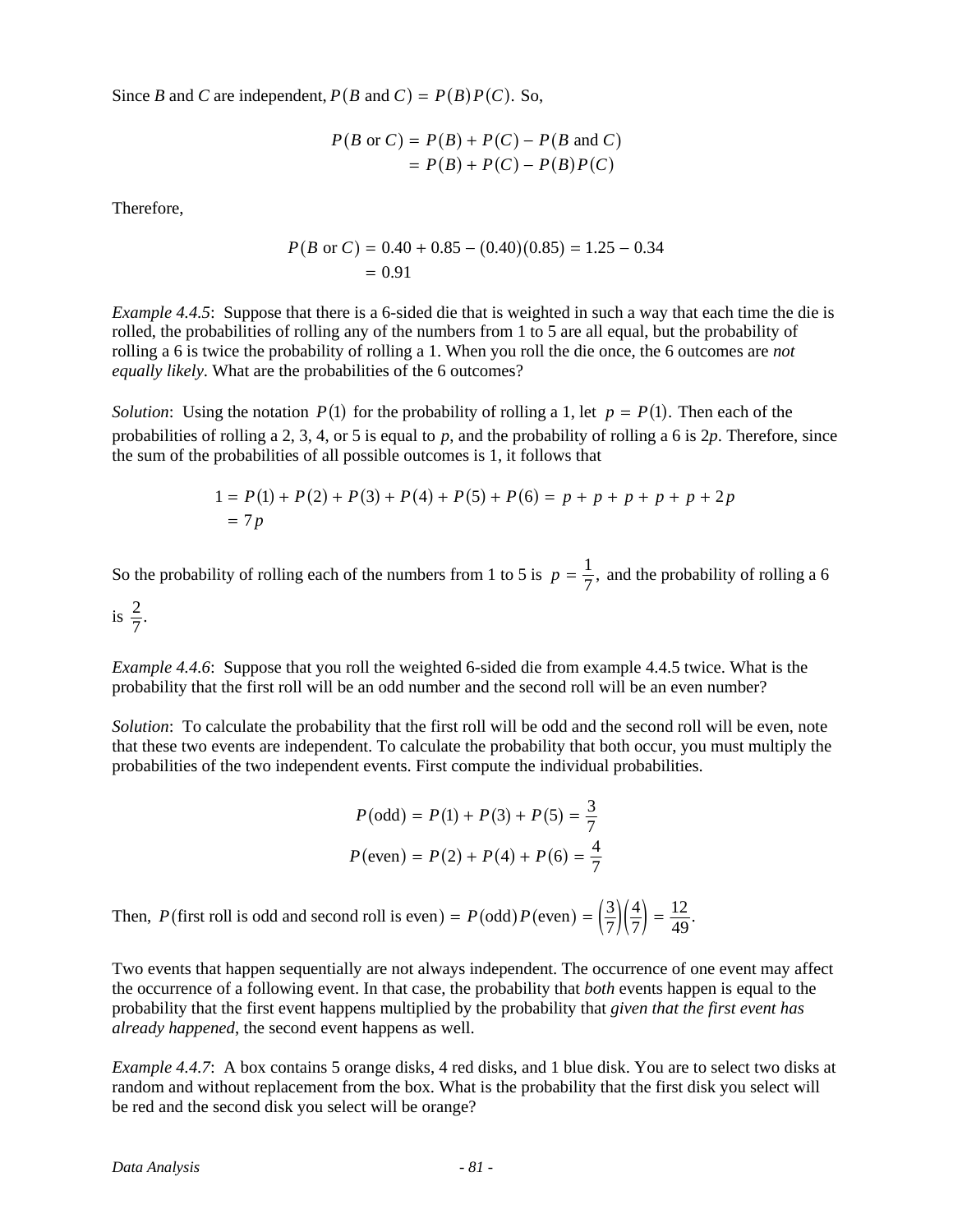Since *B* and *C* are independent,  $P(B \text{ and } C) = P(B)P(C)$ . So,

$$
P(B \text{ or } C) = P(B) + P(C) - P(B \text{ and } C)
$$

$$
= P(B) + P(C) - P(B)P(C)
$$

Therefore,

$$
P(B \text{ or } C) = 0.40 + 0.85 - (0.40)(0.85) = 1.25 - 0.34
$$
  
= 0.91

*Example 4.4.5*: Suppose that there is a 6-sided die that is weighted in such a way that each time the die is rolled, the probabilities of rolling any of the numbers from 1 to 5 are all equal, but the probability of rolling a 6 is twice the probability of rolling a 1. When you roll the die once, the 6 outcomes are *not equally likely*. What are the probabilities of the 6 outcomes?

*Solution*: Using the notation  $P(1)$  for the probability of rolling a 1, let  $p = P(1)$ . Then each of the probabilities of rolling a 2, 3, 4, or 5 is equal to *p*, and the probability of rolling a 6 is 2*p*. Therefore, since the sum of the probabilities of all possible outcomes is 1, it follows that

$$
1 = P(1) + P(2) + P(3) + P(4) + P(5) + P(6) = p + p + p + p + p + 2p
$$
  
= 7p

So the probability of rolling each of the numbers from 1 to 5 is  $p = \frac{1}{7}$ , and the probability of rolling a 6

is 
$$
\frac{2}{7}
$$
.

*Example 4.4.6*: Suppose that you roll the weighted 6-sided die from example 4.4.5 twice. What is the probability that the first roll will be an odd number and the second roll will be an even number?

*Solution*: To calculate the probability that the first roll will be odd and the second roll will be even, note that these two events are independent. To calculate the probability that both occur, you must multiply the probabilities of the two independent events. First compute the individual probabilities.

$$
P(\text{odd}) = P(1) + P(3) + P(5) = \frac{3}{7}
$$

$$
P(\text{even}) = P(2) + P(4) + P(6) = \frac{4}{7}
$$

Then,  $P$  (first roll is odd and second roll is even) =  $P$  (odd)  $P$  (even) =  $\left(\frac{3}{7}\right)\left(\frac{4}{7}\right) = \frac{12}{49}$ .

Two events that happen sequentially are not always independent. The occurrence of one event may affect the occurrence of a following event. In that case, the probability that *both* events happen is equal to the probability that the first event happens multiplied by the probability that *given that the first event has already happened*, the second event happens as well.

*Example 4.4.7*: A box contains 5 orange disks, 4 red disks, and 1 blue disk. You are to select two disks at random and without replacement from the box. What is the probability that the first disk you select will be red and the second disk you select will be orange?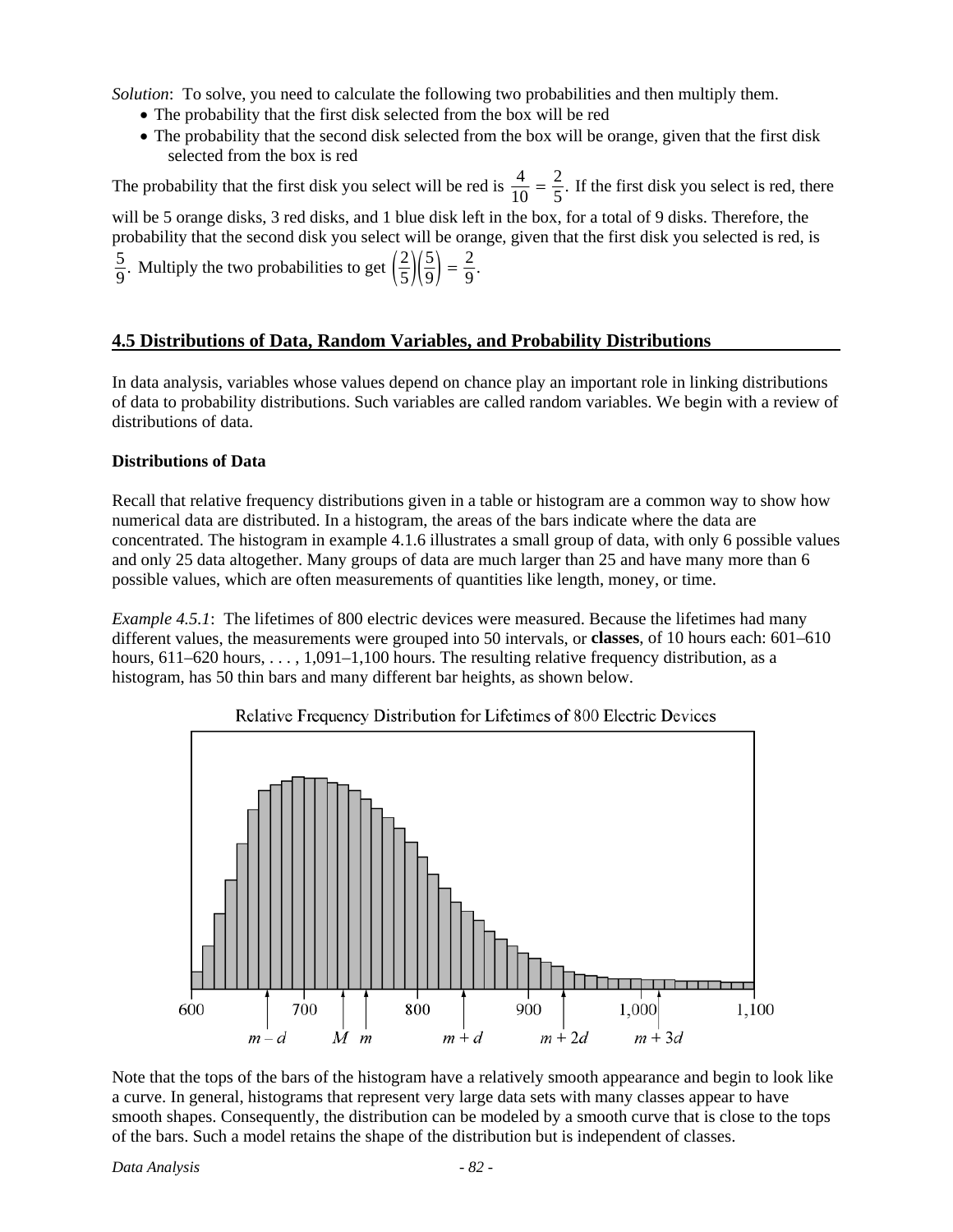*Solution*: To solve, you need to calculate the following two probabilities and then multiply them.

- The probability that the first disk selected from the box will be red
- The probability that the second disk selected from the box will be orange, given that the first disk selected from the box is red

The probability that the first disk you select will be red is  $\frac{4}{10} = \frac{2}{5}$ . If the first disk you select is red, there

will be 5 orange disks, 3 red disks, and 1 blue disk left in the box, for a total of 9 disks. Therefore, the probability that the second disk you select will be orange, given that the first disk you selected is red, is

 $\frac{5}{9}$ . Multiply the two probabilities to get  $\left(\frac{2}{5}\right)\left(\frac{5}{9}\right) = \frac{2}{9}$ .

### **4.5 Distributions of Data, Random Variables, and Probability Distributions**

In data analysis, variables whose values depend on chance play an important role in linking distributions of data to probability distributions. Such variables are called random variables. We begin with a review of distributions of data.

#### **Distributions of Data**

Recall that relative frequency distributions given in a table or histogram are a common way to show how numerical data are distributed. In a histogram, the areas of the bars indicate where the data are concentrated. The histogram in example 4.1.6 illustrates a small group of data, with only 6 possible values and only 25 data altogether. Many groups of data are much larger than 25 and have many more than 6 possible values, which are often measurements of quantities like length, money, or time.

*Example 4.5.1*: The lifetimes of 800 electric devices were measured. Because the lifetimes had many different values, the measurements were grouped into 50 intervals, or **classes**, of 10 hours each: 601–610 hours, 611–620 hours, ..., 1,091–1,100 hours. The resulting relative frequency distribution, as a histogram, has 50 thin bars and many different bar heights, as shown below.



Note that the tops of the bars of the histogram have a relatively smooth appearance and begin to look like a curve. In general, histograms that represent very large data sets with many classes appear to have smooth shapes. Consequently, the distribution can be modeled by a smooth curve that is close to the tops of the bars. Such a model retains the shape of the distribution but is independent of classes.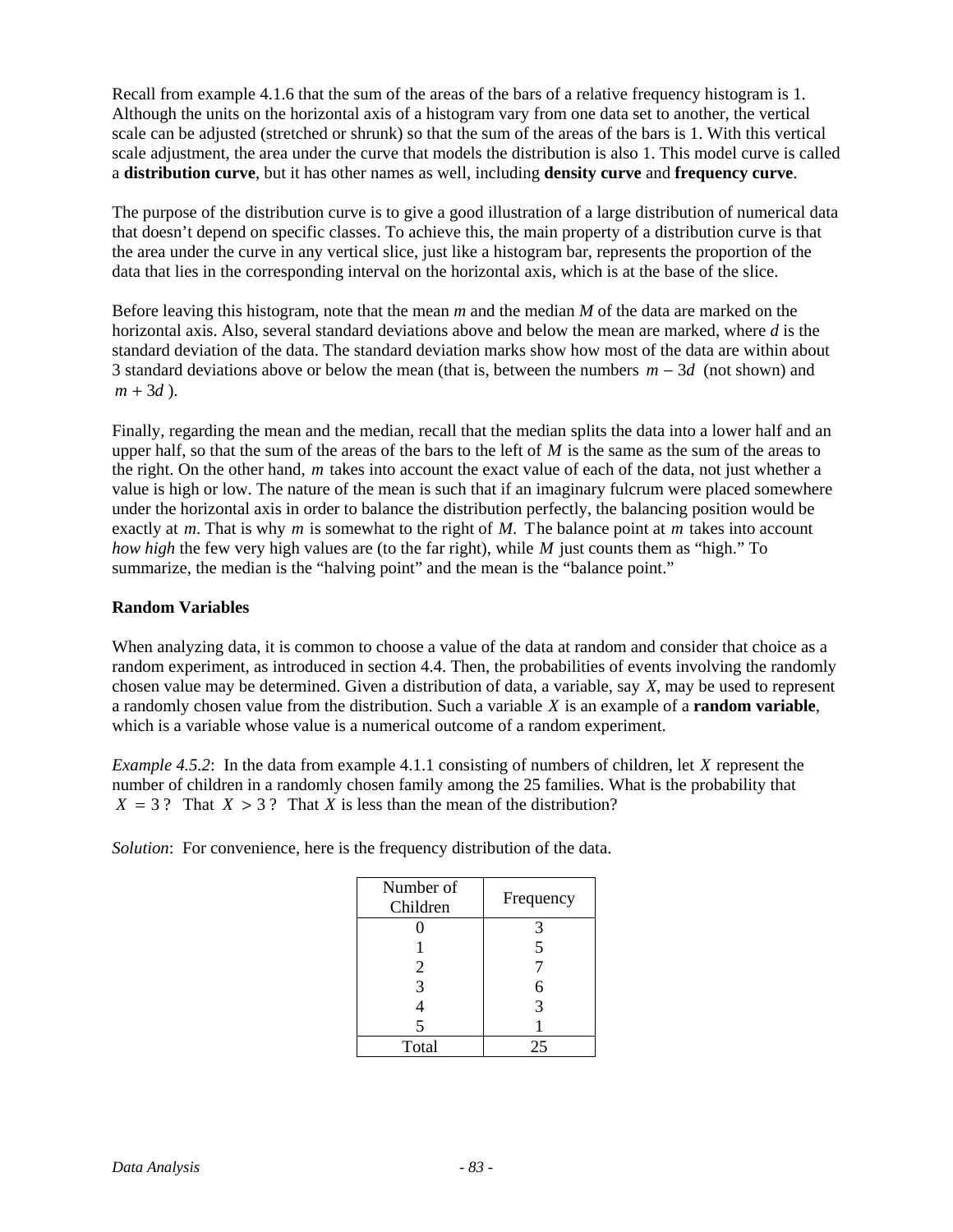Recall from example 4.1.6 that the sum of the areas of the bars of a relative frequency histogram is 1. Although the units on the horizontal axis of a histogram vary from one data set to another, the vertical scale can be adjusted (stretched or shrunk) so that the sum of the areas of the bars is 1. With this vertical scale adjustment, the area under the curve that models the distribution is also 1. This model curve is called a **distribution curve**, but it has other names as well, including **density curve** and **frequency curve**.

The purpose of the distribution curve is to give a good illustration of a large distribution of numerical data that doesn't depend on specific classes. To achieve this, the main property of a distribution curve is that the area under the curve in any vertical slice, just like a histogram bar, represents the proportion of the data that lies in the corresponding interval on the horizontal axis, which is at the base of the slice.

Before leaving this histogram, note that the mean *m* and the median *M* of the data are marked on the horizontal axis. Also, several standard deviations above and below the mean are marked, where *d* is the standard deviation of the data. The standard deviation marks show how most of the data are within about 3 standard deviations above or below the mean (that is, between the numbers  $m - 3d$  (not shown) and  $m + 3d$ ).

Finally, regarding the mean and the median, recall that the median splits the data into a lower half and an upper half, so that the sum of the areas of the bars to the left of *M* is the same as the sum of the areas to the right. On the other hand, *m* takes into account the exact value of each of the data, not just whether a value is high or low. The nature of the mean is such that if an imaginary fulcrum were placed somewhere under the horizontal axis in order to balance the distribution perfectly, the balancing position would be exactly at *m*. That is why *m* is somewhat to the right of *M*. The balance point at *m* takes into account *how high* the few very high values are (to the far right), while *M* just counts them as "high." To summarize, the median is the "halving point" and the mean is the "balance point."

### **Random Variables**

When analyzing data, it is common to choose a value of the data at random and consider that choice as a random experiment, as introduced in section 4.4. Then, the probabilities of events involving the randomly chosen value may be determined. Given a distribution of data, a variable, say *X*, may be used to represent a randomly chosen value from the distribution. Such a variable *X* is an example of a **random variable**, which is a variable whose value is a numerical outcome of a random experiment.

*Example 4.5.2*: In the data from example 4.1.1 consisting of numbers of children, let *X* represent the number of children in a randomly chosen family among the 25 families. What is the probability that  $X = 3$ ? *That*  $X > 3$ ? *That X* is less than the mean of the distribution?

*Solution*: For convenience, here is the frequency distribution of the data.

| Number of<br>Children    | Frequency |
|--------------------------|-----------|
|                          | 3         |
|                          | 5         |
| 2                        |           |
| 3                        | 6         |
|                          | 3         |
| $\overline{\mathcal{L}}$ |           |
| Total                    |           |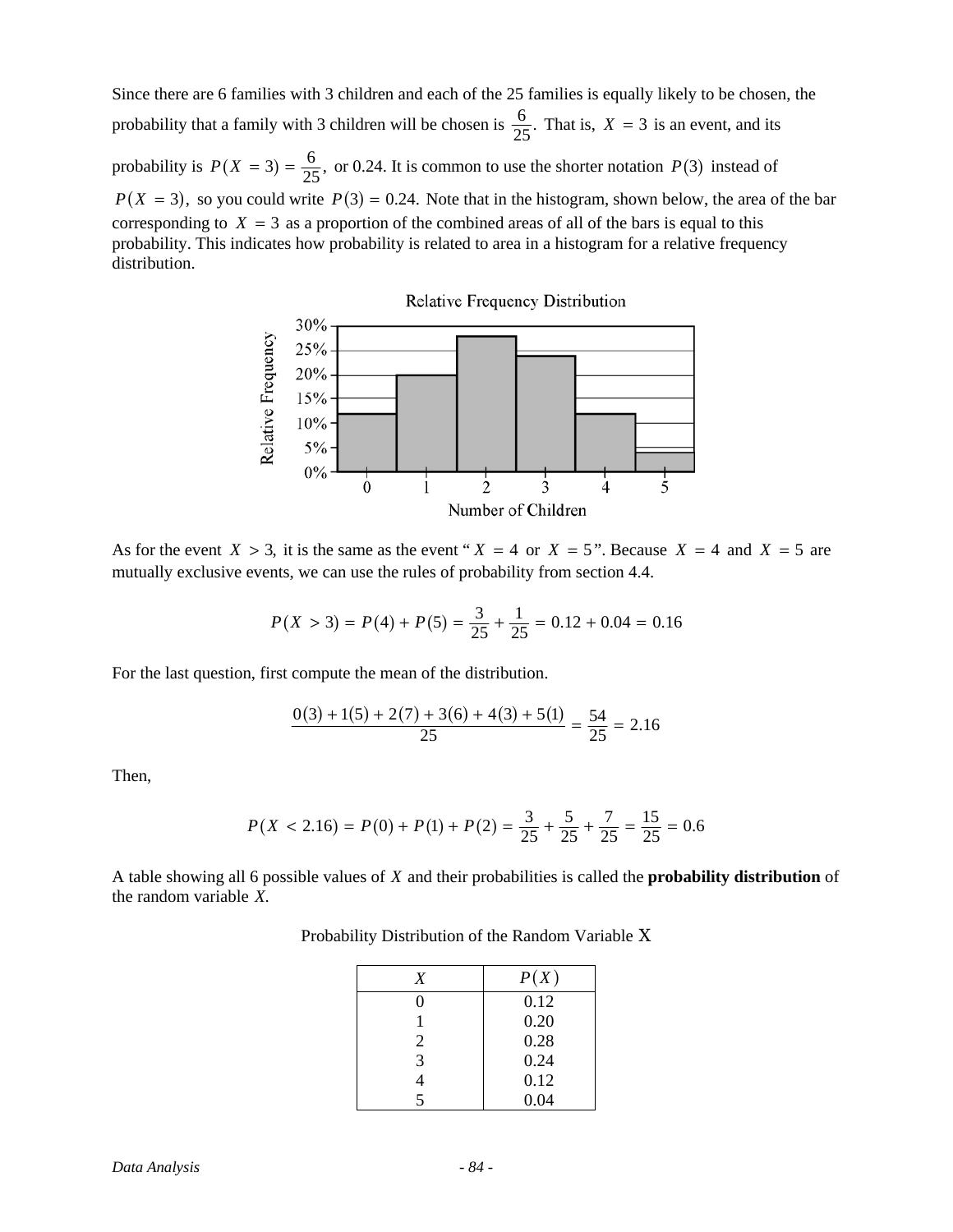Since there are 6 families with 3 children and each of the 25 families is equally likely to be chosen, the probability that a family with 3 children will be chosen is  $\frac{6}{25}$ . That is,  $X = 3$  is an event, and its probability is  $P(X = 3) = \frac{6}{25}$ , or 0.24. It is common to use the shorter notation  $P(3)$  instead of  $P(X = 3)$ , so you could write  $P(3) = 0.24$ . Note that in the histogram, shown below, the area of the bar corresponding to  $X = 3$  as a proportion of the combined areas of all of the bars is equal to this probability. This indicates how probability is related to area in a histogram for a relative frequency distribution.



As for the event  $X > 3$ , it is the same as the event "  $X = 4$  or  $X = 5$ ". Because  $X = 4$  and  $X = 5$  are mutually exclusive events, we can use the rules of probability from section 4.4.

$$
P(X > 3) = P(4) + P(5) = \frac{3}{25} + \frac{1}{25} = 0.12 + 0.04 = 0.16
$$

For the last question, first compute the mean of the distribution.

$$
\frac{0(3) + 1(5) + 2(7) + 3(6) + 4(3) + 5(1)}{25} = \frac{54}{25} = 2.16
$$

Then,

$$
P(X < 2.16) = P(0) + P(1) + P(2) = \frac{3}{25} + \frac{5}{25} + \frac{7}{25} = \frac{15}{25} = 0.6
$$

A table showing all 6 possible values of *X* and their probabilities is called the **probability distribution** of the random variable *X*.

| X                        | P(X) |
|--------------------------|------|
| Ω                        | 0.12 |
|                          | 0.20 |
| 2                        | 0.28 |
| 3                        | 0.24 |
| 4                        | 0.12 |
| $\overline{\phantom{0}}$ | 0.04 |

Probability Distribution of the Random Variable *X*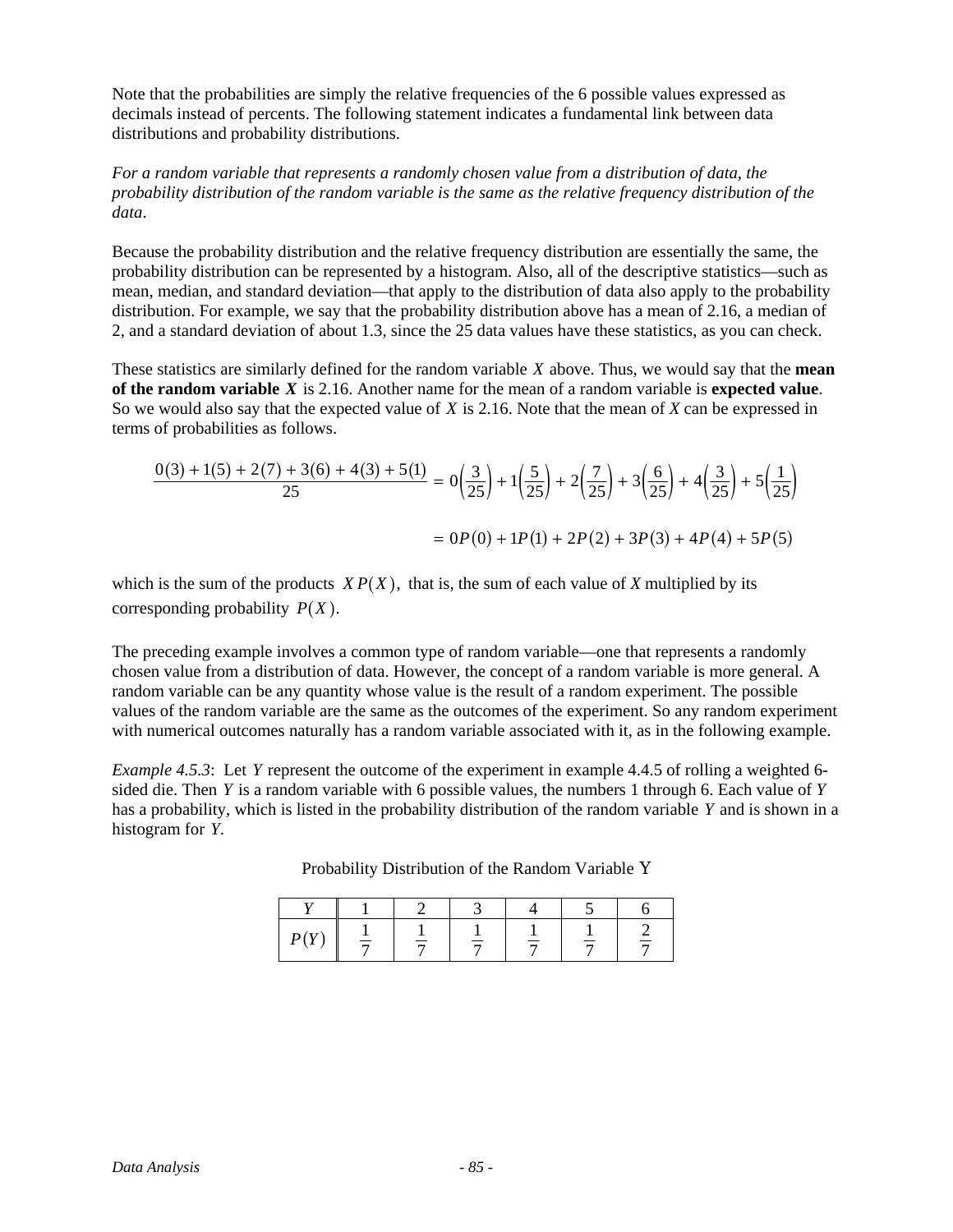Note that the probabilities are simply the relative frequencies of the 6 possible values expressed as decimals instead of percents. The following statement indicates a fundamental link between data distributions and probability distributions.

*For a random variable that represents a randomly chosen value from a distribution of data, the probability distribution of the random variable is the same as the relative frequency distribution of the data*.

Because the probability distribution and the relative frequency distribution are essentially the same, the probability distribution can be represented by a histogram. Also, all of the descriptive statistics—such as mean, median, and standard deviation—that apply to the distribution of data also apply to the probability distribution. For example, we say that the probability distribution above has a mean of 2.16, a median of 2, and a standard deviation of about 1.3, since the 25 data values have these statistics, as you can check.

These statistics are similarly defined for the random variable *X* above. Thus, we would say that the **mean of the random variable** *X* is 2.16. Another name for the mean of a random variable is **expected value**. So we would also say that the expected value of *X* is 2.16. Note that the mean of *X* can be expressed in terms of probabilities as follows.

$$
\frac{0(3) + 1(5) + 2(7) + 3(6) + 4(3) + 5(1)}{25} = 0\left(\frac{3}{25}\right) + 1\left(\frac{5}{25}\right) + 2\left(\frac{7}{25}\right) + 3\left(\frac{6}{25}\right) + 4\left(\frac{3}{25}\right) + 5\left(\frac{1}{25}\right)
$$

$$
= 0P(0) + 1P(1) + 2P(2) + 3P(3) + 4P(4) + 5P(5)
$$

which is the sum of the products  $XP(X)$ , that is, the sum of each value of *X* multiplied by its corresponding probability  $P(X)$ .

The preceding example involves a common type of random variable—one that represents a randomly chosen value from a distribution of data. However, the concept of a random variable is more general. A random variable can be any quantity whose value is the result of a random experiment. The possible values of the random variable are the same as the outcomes of the experiment. So any random experiment with numerical outcomes naturally has a random variable associated with it, as in the following example.

*Example 4.5.3*: Let *Y* represent the outcome of the experiment in example 4.4.5 of rolling a weighted 6 sided die. Then *Y* is a random variable with 6 possible values, the numbers 1 through 6. Each value of *Y* has a probability, which is listed in the probability distribution of the random variable *Y* and is shown in a histogram for *Y*.

| D(Y) |  |  |  |
|------|--|--|--|

Probability Distribution of the Random Variable *Y*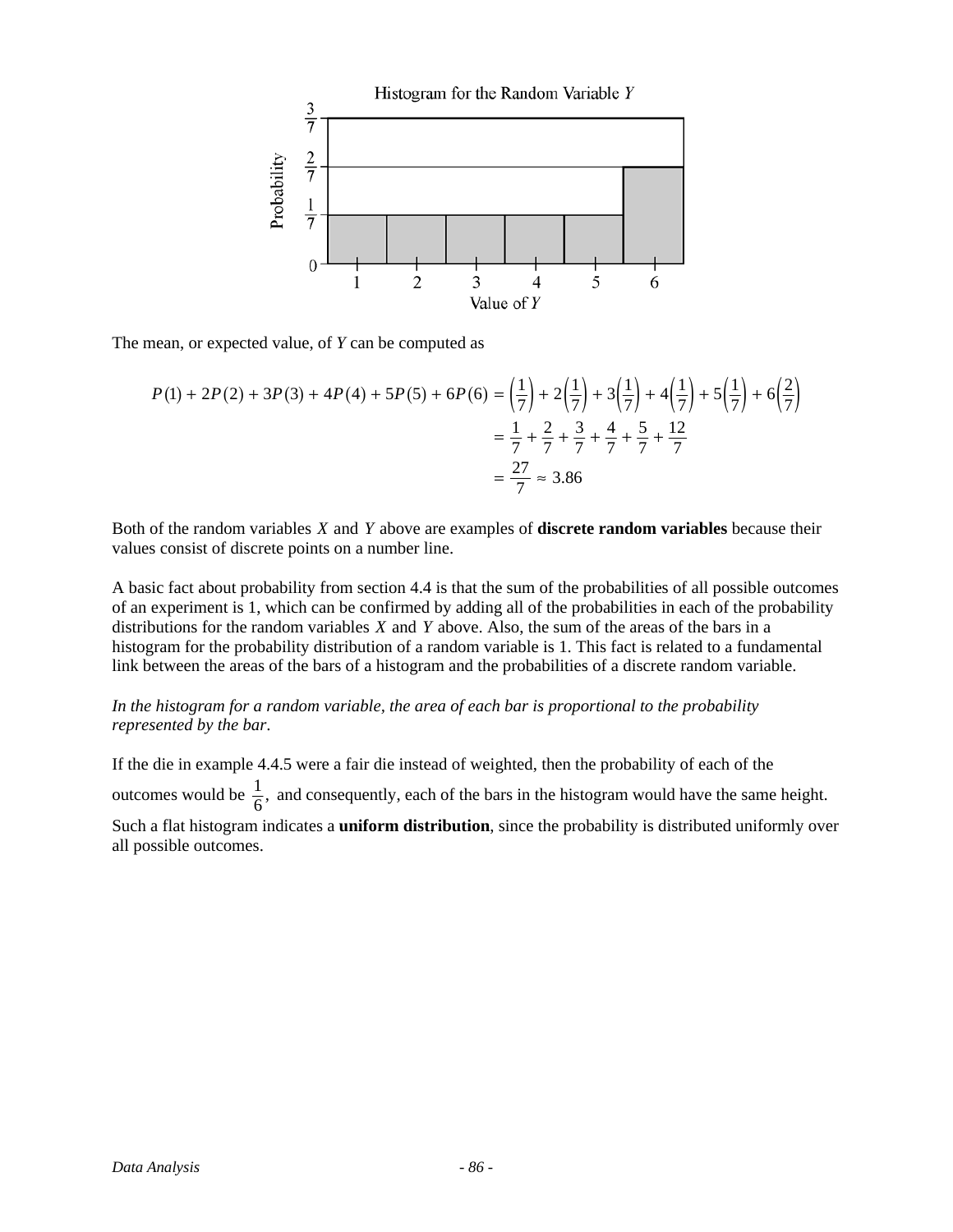

The mean, or expected value, of *Y* can be computed as

$$
P(1) + 2P(2) + 3P(3) + 4P(4) + 5P(5) + 6P(6) = \left(\frac{1}{7}\right) + 2\left(\frac{1}{7}\right) + 3\left(\frac{1}{7}\right) + 4\left(\frac{1}{7}\right) + 5\left(\frac{1}{7}\right) + 6\left(\frac{2}{7}\right)
$$

$$
= \frac{1}{7} + \frac{2}{7} + \frac{3}{7} + \frac{4}{7} + \frac{5}{7} + \frac{12}{7}
$$

$$
= \frac{27}{7} \approx 3.86
$$

Both of the random variables *X* and *Y* above are examples of **discrete random variables** because their values consist of discrete points on a number line.

A basic fact about probability from section 4.4 is that the sum of the probabilities of all possible outcomes of an experiment is 1, which can be confirmed by adding all of the probabilities in each of the probability distributions for the random variables *X* and *Y* above. Also, the sum of the areas of the bars in a histogram for the probability distribution of a random variable is 1. This fact is related to a fundamental link between the areas of the bars of a histogram and the probabilities of a discrete random variable.

*In the histogram for a random variable, the area of each bar is proportional to the probability represented by the bar*.

If the die in example 4.4.5 were a fair die instead of weighted, then the probability of each of the outcomes would be  $\frac{1}{6}$ , and consequently, each of the bars in the histogram would have the same height. Such a flat histogram indicates a **uniform distribution**, since the probability is distributed uniformly over all possible outcomes.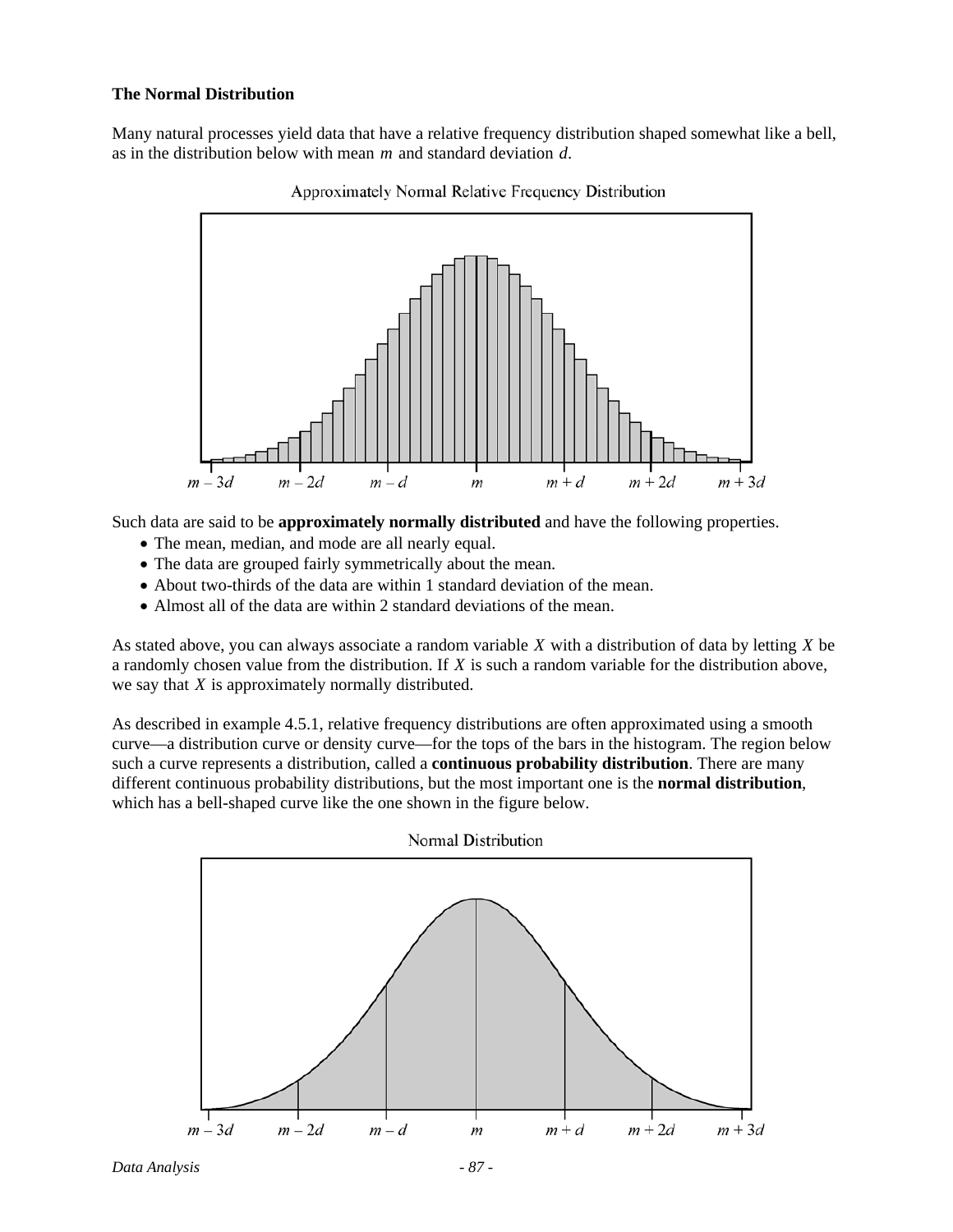### **The Normal Distribution**

Many natural processes yield data that have a relative frequency distribution shaped somewhat like a bell, as in the distribution below with mean *m* and standard deviation *d*.





Such data are said to be **approximately normally distributed** and have the following properties.

- The mean, median, and mode are all nearly equal.
- The data are grouped fairly symmetrically about the mean.
- About two-thirds of the data are within 1 standard deviation of the mean.
- Almost all of the data are within 2 standard deviations of the mean.

As stated above, you can always associate a random variable *X* with a distribution of data by letting *X* be a randomly chosen value from the distribution. If *X* is such a random variable for the distribution above, we say that *X* is approximately normally distributed.

As described in example 4.5.1, relative frequency distributions are often approximated using a smooth curve—a distribution curve or density curve—for the tops of the bars in the histogram. The region below such a curve represents a distribution, called a **continuous probability distribution**. There are many different continuous probability distributions, but the most important one is the **normal distribution**, which has a bell-shaped curve like the one shown in the figure below.

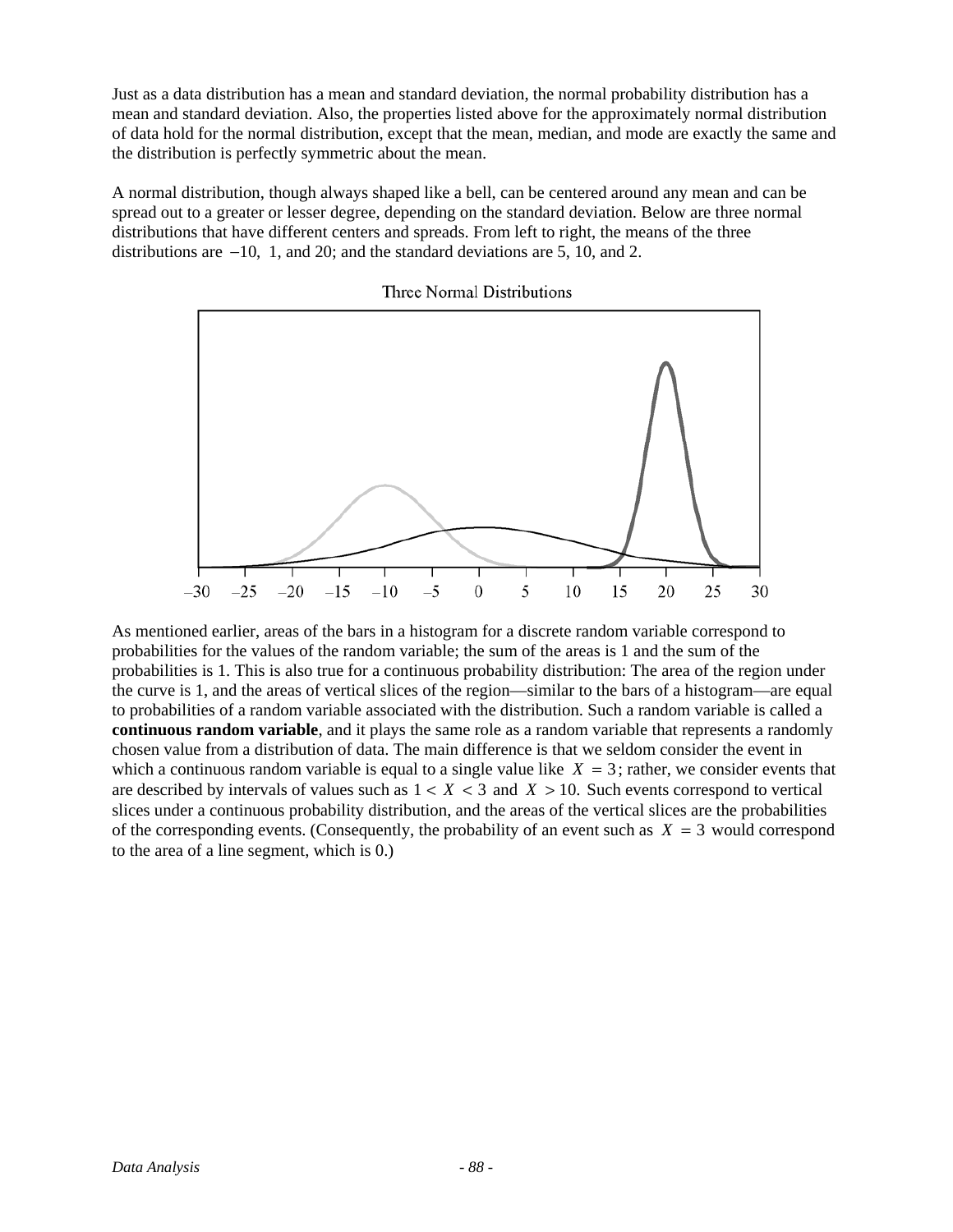Just as a data distribution has a mean and standard deviation, the normal probability distribution has a mean and standard deviation. Also, the properties listed above for the approximately normal distribution of data hold for the normal distribution, except that the mean, median, and mode are exactly the same and the distribution is perfectly symmetric about the mean.

A normal distribution, though always shaped like a bell, can be centered around any mean and can be spread out to a greater or lesser degree, depending on the standard deviation. Below are three normal distributions that have different centers and spreads. From left to right, the means of the three distributions are  $-10$ , 1, and 20; and the standard deviations are 5, 10, and 2.



**Three Normal Distributions** 

As mentioned earlier, areas of the bars in a histogram for a discrete random variable correspond to probabilities for the values of the random variable; the sum of the areas is 1 and the sum of the probabilities is 1. This is also true for a continuous probability distribution: The area of the region under the curve is 1, and the areas of vertical slices of the region—similar to the bars of a histogram—are equal to probabilities of a random variable associated with the distribution. Such a random variable is called a **continuous random variable**, and it plays the same role as a random variable that represents a randomly chosen value from a distribution of data. The main difference is that we seldom consider the event in which a continuous random variable is equal to a single value like  $X = 3$ ; rather, we consider events that are described by intervals of values such as  $1 < X < 3$  and  $X > 10$ . Such events correspond to vertical slices under a continuous probability distribution, and the areas of the vertical slices are the probabilities of the corresponding events. (Consequently, the probability of an event such as  $X = 3$  would correspond to the area of a line segment, which is 0.)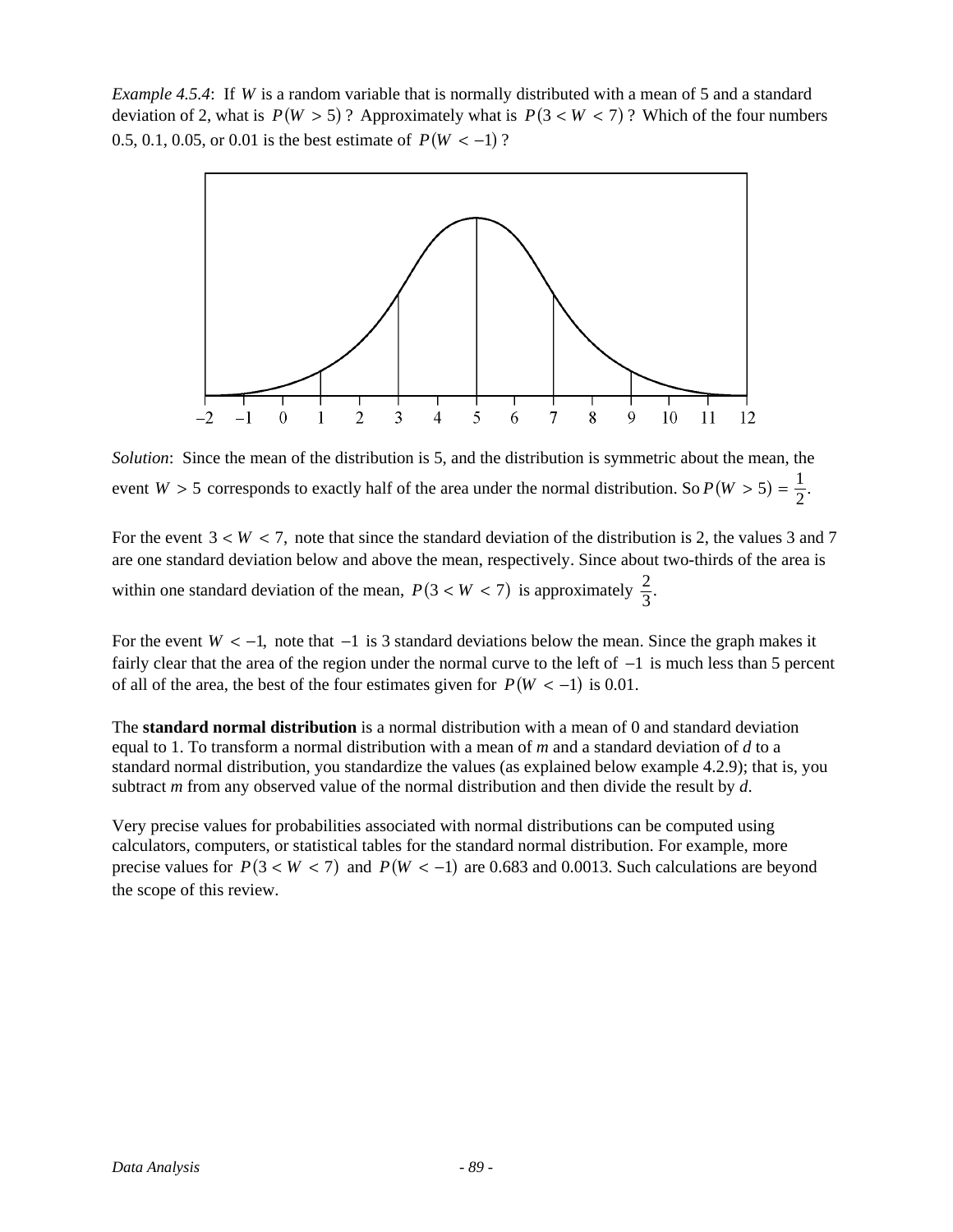*Example 4.5.4*: If *W* is a random variable that is normally distributed with a mean of 5 and a standard deviation of 2, what is  $P(W > 5)$ ? Approximately what is  $P(3 < W < 7)$ ? Which of the four numbers 0.5, 0.1, 0.05, or 0.01 is the best estimate of  $P(W<-1)$ ?



*Solution*: Since the mean of the distribution is 5, and the distribution is symmetric about the mean, the event *W* > 5 corresponds to exactly half of the area under the normal distribution. So  $P(W > 5) = \frac{1}{2}$ .

For the event  $3 < W < 7$ , note that since the standard deviation of the distribution is 2, the values 3 and 7 are one standard deviation below and above the mean, respectively. Since about two-thirds of the area is within one standard deviation of the mean,  $P(3 < W < 7)$  is approximately  $\frac{2}{3}$ .

For the event  $W < -1$ , note that  $-1$  is 3 standard deviations below the mean. Since the graph makes it fairly clear that the area of the region under the normal curve to the left of  $-1$  is much less than 5 percent of all of the area, the best of the four estimates given for  $P(W < -1)$  is 0.01.

The **standard normal distribution** is a normal distribution with a mean of 0 and standard deviation equal to 1. To transform a normal distribution with a mean of *m* and a standard deviation of *d* to a standard normal distribution, you standardize the values (as explained below example 4.2.9); that is, you subtract *m* from any observed value of the normal distribution and then divide the result by *d*.

Very precise values for probabilities associated with normal distributions can be computed using calculators, computers, or statistical tables for the standard normal distribution. For example, more precise values for  $P(3 < W < 7)$  and  $P(W < -1)$  are 0.683 and 0.0013. Such calculations are beyond the scope of this review.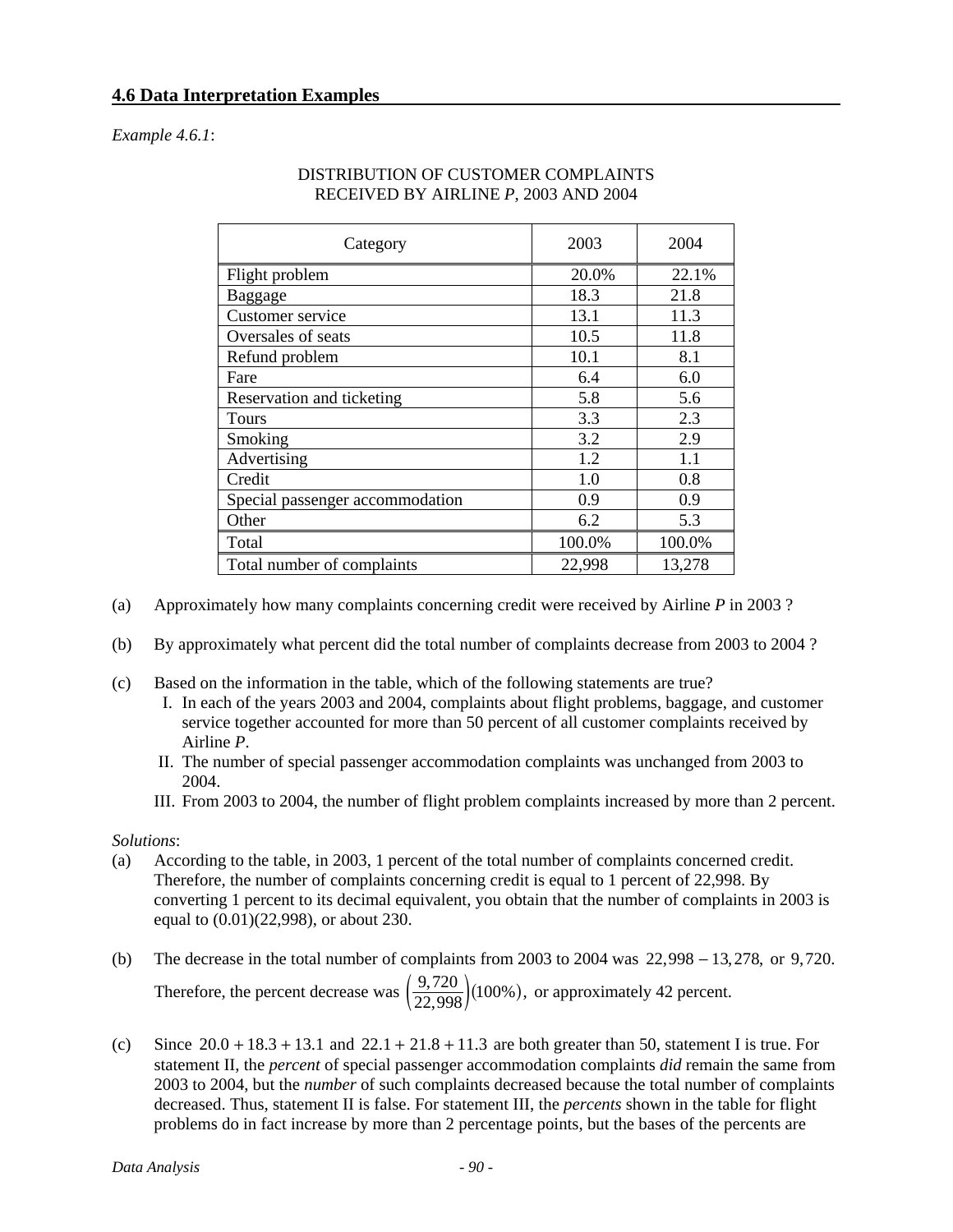### *Example 4.6.1*:

| Category                        | 2003   | 2004   |
|---------------------------------|--------|--------|
| Flight problem                  | 20.0%  | 22.1%  |
| Baggage                         | 18.3   | 21.8   |
| Customer service                | 13.1   | 11.3   |
| Oversales of seats              | 10.5   | 11.8   |
| Refund problem                  | 10.1   | 8.1    |
| Fare                            | 6.4    | 6.0    |
| Reservation and ticketing       | 5.8    | 5.6    |
| <b>Tours</b>                    | 3.3    | 2.3    |
| Smoking                         | 3.2    | 2.9    |
| Advertising                     | 1.2    | 1.1    |
| Credit                          | 1.0    | 0.8    |
| Special passenger accommodation | 0.9    | 0.9    |
| Other                           | 6.2    | 5.3    |
| Total                           | 100.0% | 100.0% |
| Total number of complaints      | 22,998 | 13,278 |

## DISTRIBUTION OF CUSTOMER COMPLAINTS RECEIVED BY AIRLINE *P*, 2003 AND 2004

- (a) Approximately how many complaints concerning credit were received by Airline *P* in 2003 ?
- (b) By approximately what percent did the total number of complaints decrease from 2003 to 2004 ?
- (c) Based on the information in the table, which of the following statements are true?
	- I. In each of the years 2003 and 2004, complaints about flight problems, baggage, and customer service together accounted for more than 50 percent of all customer complaints received by Airline *P*.
	- II. The number of special passenger accommodation complaints was unchanged from 2003 to 2004.
	- III. From 2003 to 2004, the number of flight problem complaints increased by more than 2 percent.

### *Solutions*:

- (a) According to the table, in 2003, 1 percent of the total number of complaints concerned credit. Therefore, the number of complaints concerning credit is equal to 1 percent of 22,998. By converting 1 percent to its decimal equivalent, you obtain that the number of complaints in 2003 is equal to (0.01)(22,998), or about 230.
- (b) The decrease in the total number of complaints from 2003 to 2004 was  $22,998 13,278$ , or  $9,720$ . Therefore, the percent decrease was  $\left(\frac{9,720}{22,998}\right)$  (100%), or approximately 42 percent.
- (c) Since  $20.0 + 18.3 + 13.1$  and  $22.1 + 21.8 + 11.3$  are both greater than 50, statement I is true. For statement II, the *percent* of special passenger accommodation complaints *did* remain the same from 2003 to 2004, but the *number* of such complaints decreased because the total number of complaints decreased. Thus, statement II is false. For statement III, the *percents* shown in the table for flight problems do in fact increase by more than 2 percentage points, but the bases of the percents are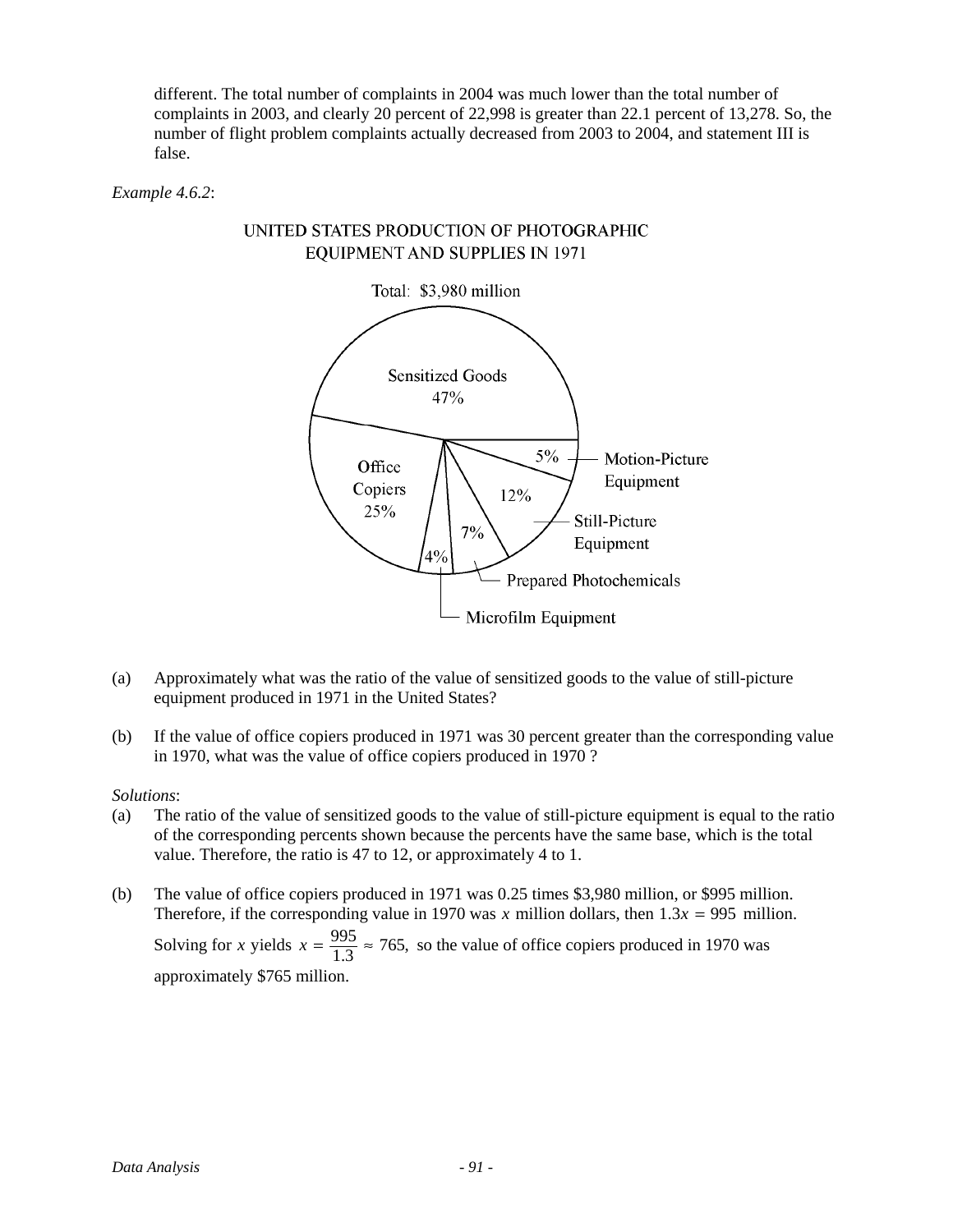different. The total number of complaints in 2004 was much lower than the total number of complaints in 2003, and clearly 20 percent of 22,998 is greater than 22.1 percent of 13,278. So, the number of flight problem complaints actually decreased from 2003 to 2004, and statement III is false.

*Example 4.6.2*:

# UNITED STATES PRODUCTION OF PHOTOGRAPHIC **EQUIPMENT AND SUPPLIES IN 1971**



- (a) Approximately what was the ratio of the value of sensitized goods to the value of still-picture equipment produced in 1971 in the United States?
- (b) If the value of office copiers produced in 1971 was 30 percent greater than the corresponding value in 1970, what was the value of office copiers produced in 1970 ?

### *Solutions*:

- (a) The ratio of the value of sensitized goods to the value of still-picture equipment is equal to the ratio of the corresponding percents shown because the percents have the same base, which is the total value. Therefore, the ratio is 47 to 12, or approximately 4 to 1.
- (b) The value of office copiers produced in 1971 was 0.25 times \$3,980 million, or \$995 million. Therefore, if the corresponding value in 1970 was x million dollars, then  $1.3x = 995$  million. Solving for *x* yields  $x = \frac{995}{1.3} \approx 765$ , so the value of office copiers produced in 1970 was approximately \$765 million.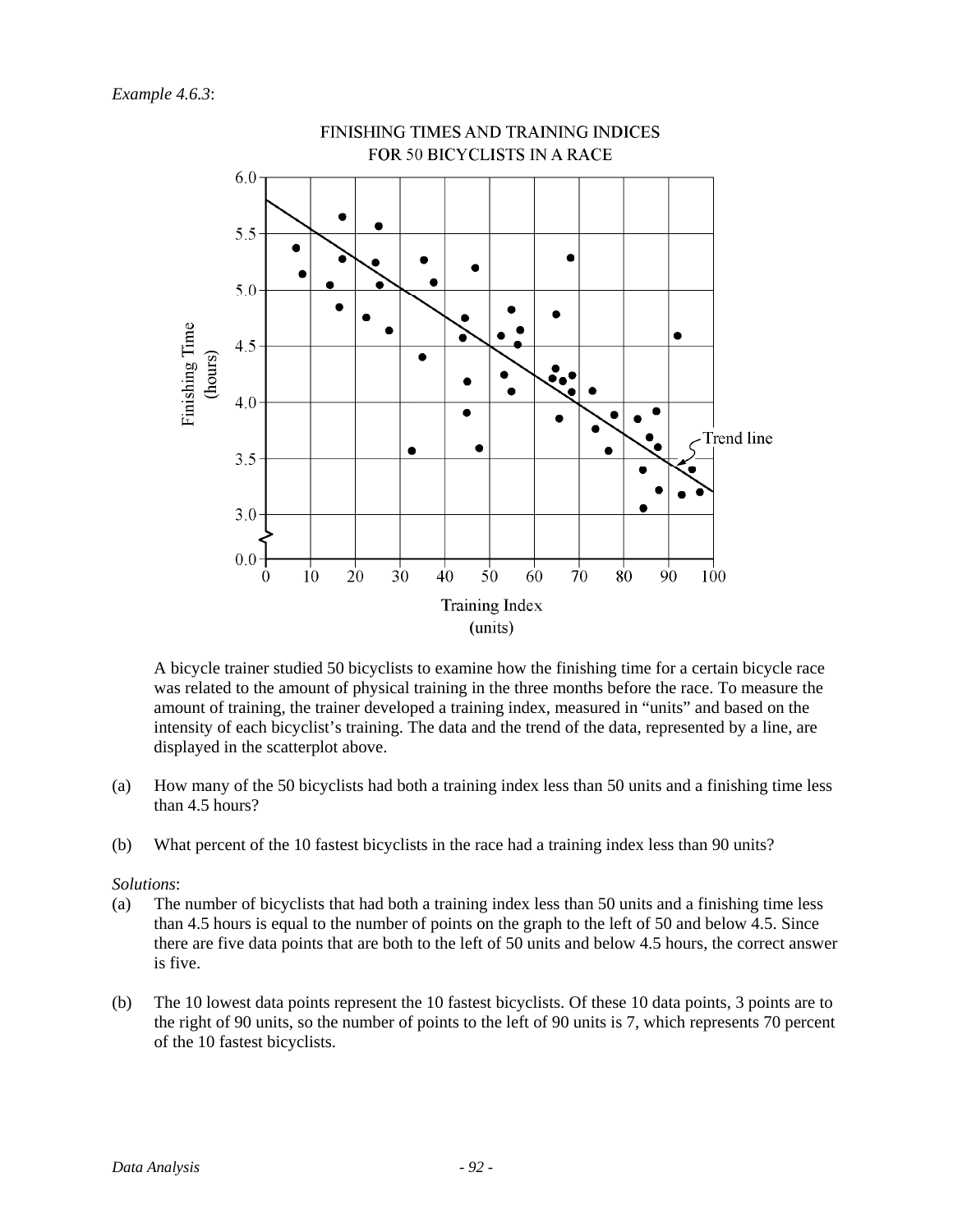

 A bicycle trainer studied 50 bicyclists to examine how the finishing time for a certain bicycle race was related to the amount of physical training in the three months before the race. To measure the amount of training, the trainer developed a training index, measured in "units" and based on the intensity of each bicyclist's training. The data and the trend of the data, represented by a line, are displayed in the scatterplot above.

- (a) How many of the 50 bicyclists had both a training index less than 50 units and a finishing time less than 4.5 hours?
- (b) What percent of the 10 fastest bicyclists in the race had a training index less than 90 units?

### *Solutions*:

- (a) The number of bicyclists that had both a training index less than 50 units and a finishing time less than 4.5 hours is equal to the number of points on the graph to the left of 50 and below 4.5. Since there are five data points that are both to the left of 50 units and below 4.5 hours, the correct answer is five.
- (b) The 10 lowest data points represent the 10 fastest bicyclists. Of these 10 data points, 3 points are to the right of 90 units, so the number of points to the left of 90 units is 7, which represents 70 percent of the 10 fastest bicyclists.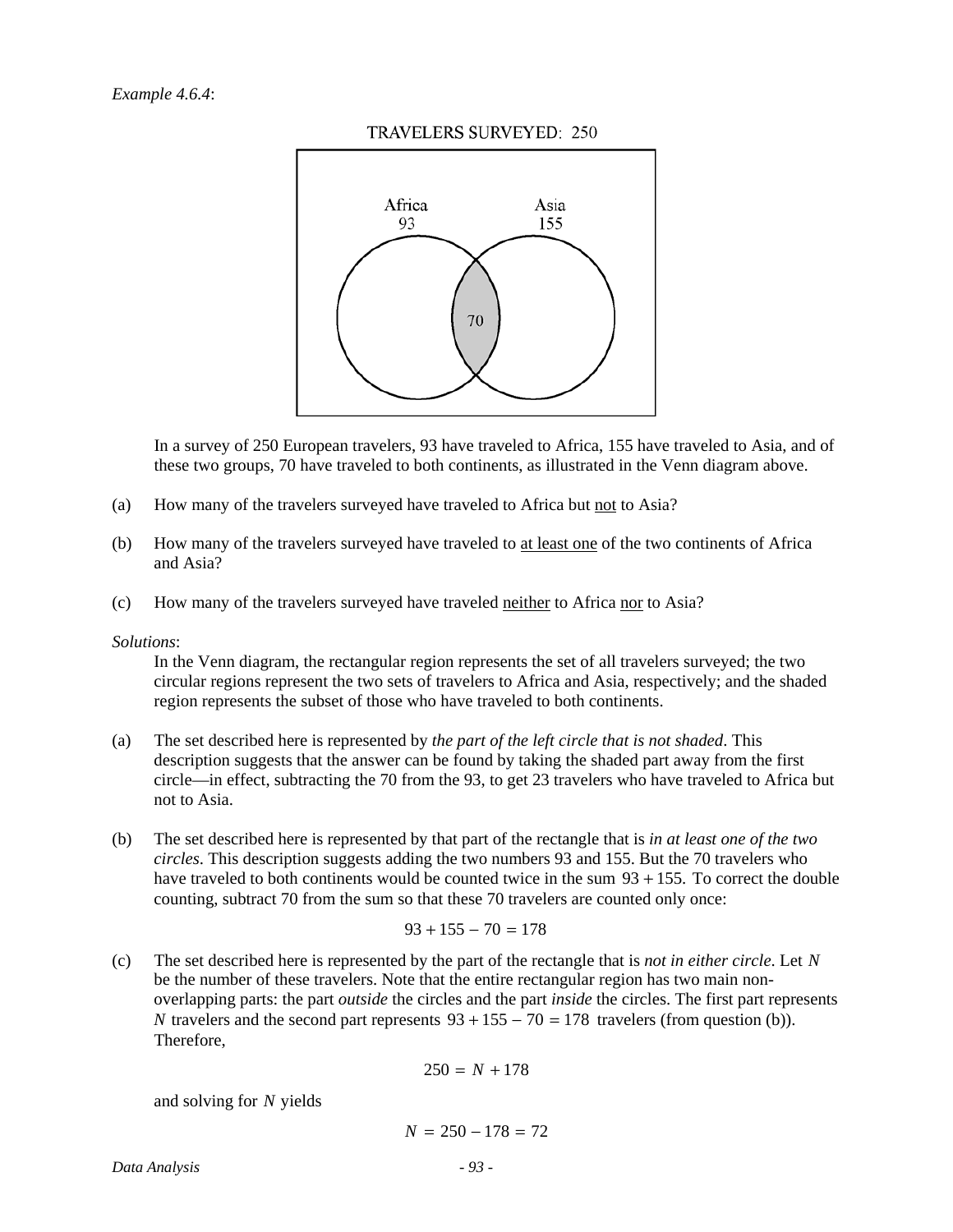## **TRAVELERS SURVEYED: 250**



 In a survey of 250 European travelers, 93 have traveled to Africa, 155 have traveled to Asia, and of these two groups, 70 have traveled to both continents, as illustrated in the Venn diagram above.

- (a) How many of the travelers surveyed have traveled to Africa but not to Asia?
- (b) How many of the travelers surveyed have traveled to at least one of the two continents of Africa and Asia?
- (c) How many of the travelers surveyed have traveled neither to Africa nor to Asia?

#### *Solutions*:

 In the Venn diagram, the rectangular region represents the set of all travelers surveyed; the two circular regions represent the two sets of travelers to Africa and Asia, respectively; and the shaded region represents the subset of those who have traveled to both continents.

- (a) The set described here is represented by *the part of the left circle that is not shaded*. This description suggests that the answer can be found by taking the shaded part away from the first circle—in effect, subtracting the 70 from the 93, to get 23 travelers who have traveled to Africa but not to Asia.
- (b) The set described here is represented by that part of the rectangle that is *in at least one of the two circles*. This description suggests adding the two numbers 93 and 155. But the 70 travelers who have traveled to both continents would be counted twice in the sum  $93 + 155$ . To correct the double counting, subtract 70 from the sum so that these 70 travelers are counted only once:

$$
93 + 155 - 70 = 178
$$

(c) The set described here is represented by the part of the rectangle that is *not in either circle*. Let *N* be the number of these travelers. Note that the entire rectangular region has two main nonoverlapping parts: the part *outside* the circles and the part *inside* the circles. The first part represents *N* travelers and the second part represents  $93 + 155 - 70 = 178$  travelers (from question (b)). Therefore,

$$
250 = N + 178
$$

and solving for *N* yields

$$
N = 250 - 178 = 72
$$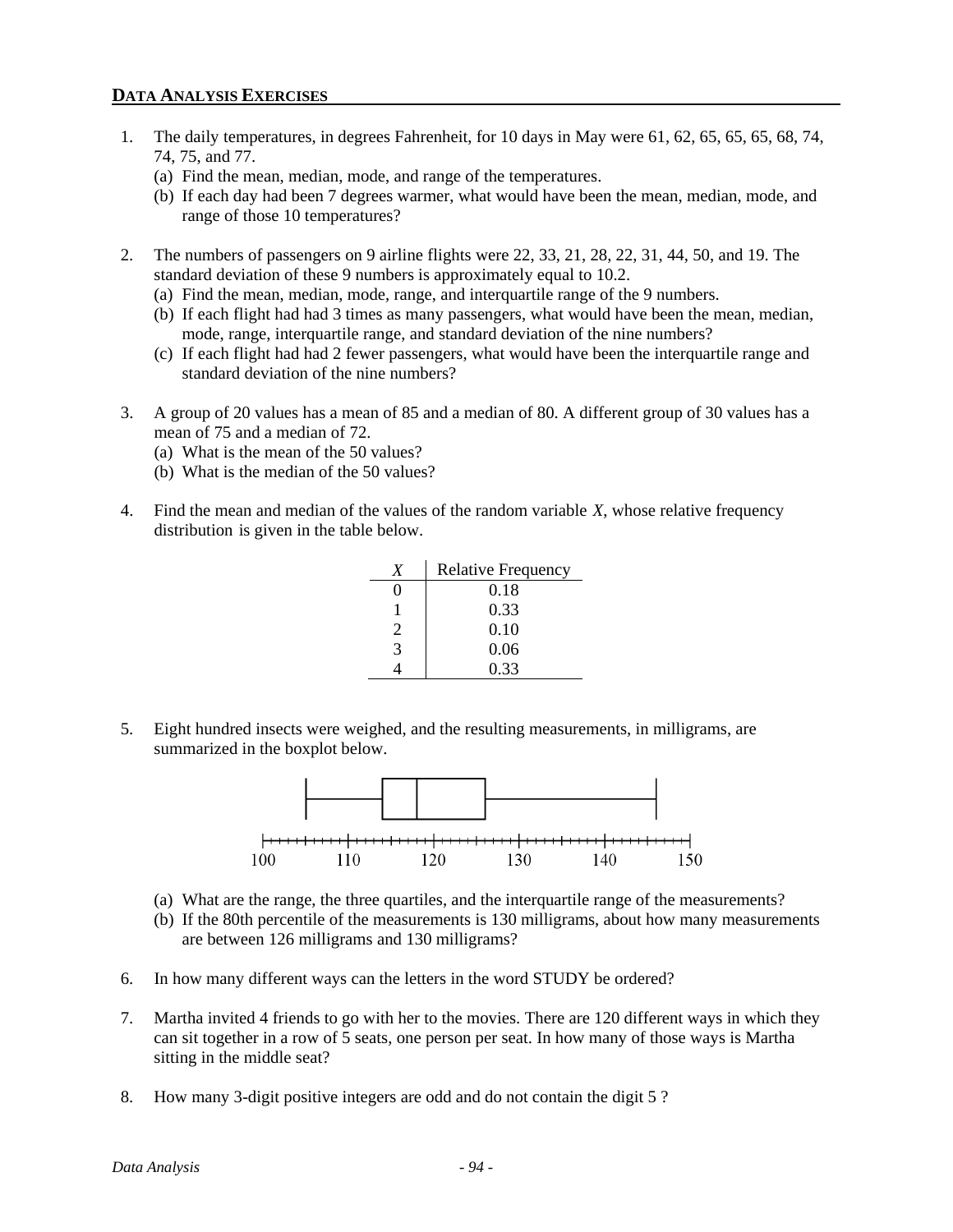- 1. The daily temperatures, in degrees Fahrenheit, for 10 days in May were 61, 62, 65, 65, 65, 68, 74, 74, 75, and 77.
	- (a) Find the mean, median, mode, and range of the temperatures.
	- (b) If each day had been 7 degrees warmer, what would have been the mean, median, mode, and range of those 10 temperatures?
- 2. The numbers of passengers on 9 airline flights were 22, 33, 21, 28, 22, 31, 44, 50, and 19. The standard deviation of these 9 numbers is approximately equal to 10.2.
	- (a) Find the mean, median, mode, range, and interquartile range of the 9 numbers.
	- (b) If each flight had had 3 times as many passengers, what would have been the mean, median, mode, range, interquartile range, and standard deviation of the nine numbers?
	- (c) If each flight had had 2 fewer passengers, what would have been the interquartile range and standard deviation of the nine numbers?
- 3. A group of 20 values has a mean of 85 and a median of 80. A different group of 30 values has a mean of 75 and a median of 72.
	- (a) What is the mean of the 50 values?
	- (b) What is the median of the 50 values?
- 4. Find the mean and median of the values of the random variable *X*, whose relative frequency distribution is given in the table below.

|   | <b>Relative Frequency</b> |  |
|---|---------------------------|--|
|   | 0.18                      |  |
|   | 0.33                      |  |
| 2 | 0.10                      |  |
| 3 | 0.06                      |  |
|   | 0.33                      |  |

 5. Eight hundred insects were weighed, and the resulting measurements, in milligrams, are summarized in the boxplot below.



- (a) What are the range, the three quartiles, and the interquartile range of the measurements?
- (b) If the 80th percentile of the measurements is 130 milligrams, about how many measurements are between 126 milligrams and 130 milligrams?
- 6. In how many different ways can the letters in the word STUDY be ordered?
- 7. Martha invited 4 friends to go with her to the movies. There are 120 different ways in which they can sit together in a row of 5 seats, one person per seat. In how many of those ways is Martha sitting in the middle seat?
- 8. How many 3-digit positive integers are odd and do not contain the digit 5 ?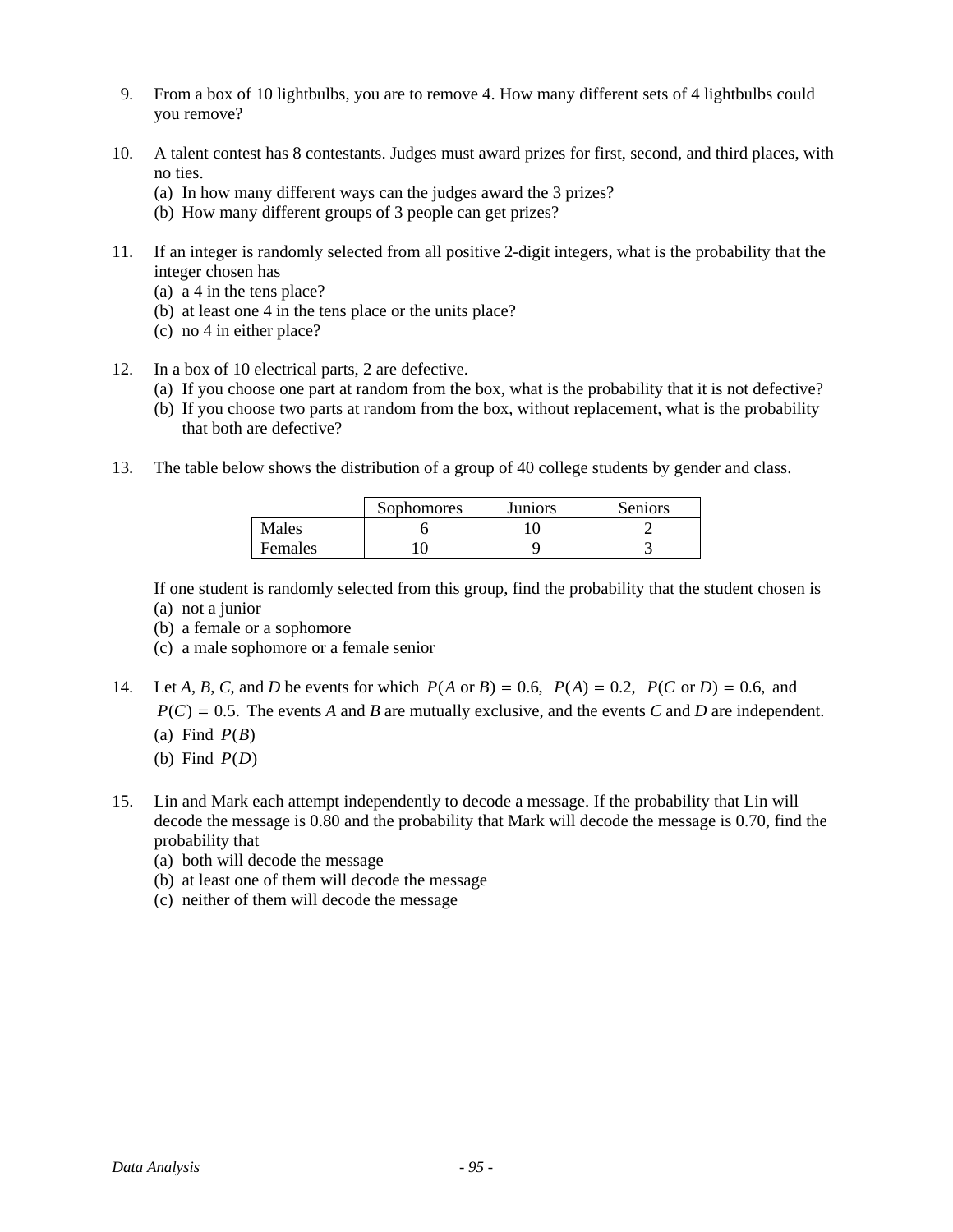- 9. From a box of 10 lightbulbs, you are to remove 4. How many different sets of 4 lightbulbs could you remove?
- 10. A talent contest has 8 contestants. Judges must award prizes for first, second, and third places, with no ties.
	- (a) In how many different ways can the judges award the 3 prizes?
	- (b) How many different groups of 3 people can get prizes?
- 11. If an integer is randomly selected from all positive 2-digit integers, what is the probability that the integer chosen has
	- (a) a 4 in the tens place?
	- (b) at least one 4 in the tens place or the units place?
	- (c) no 4 in either place?
- 12. In a box of 10 electrical parts, 2 are defective.
	- (a) If you choose one part at random from the box, what is the probability that it is not defective?
	- (b) If you choose two parts at random from the box, without replacement, what is the probability that both are defective?
- 13. The table below shows the distribution of a group of 40 college students by gender and class.

|         | Sophomores | Juniors | Seniors |
|---------|------------|---------|---------|
| Males   |            |         |         |
| Females |            |         | -       |

 If one student is randomly selected from this group, find the probability that the student chosen is (a) not a junior

- (b) a female or a sophomore
- (c) a male sophomore or a female senior
- 14. Let *A*, *B*, *C*, and *D* be events for which  $P(A \text{ or } B) = 0.6$ ,  $P(A) = 0.2$ ,  $P(C \text{ or } D) = 0.6$ , and  $P(C) = 0.5$ . The events *A* and *B* are mutually exclusive, and the events *C* and *D* are independent.
	- (a) Find  $P(B)$
	- (b) Find  $P(D)$
- 15. Lin and Mark each attempt independently to decode a message. If the probability that Lin will decode the message is 0.80 and the probability that Mark will decode the message is 0.70, find the probability that
	- (a) both will decode the message
	- (b) at least one of them will decode the message
	- (c) neither of them will decode the message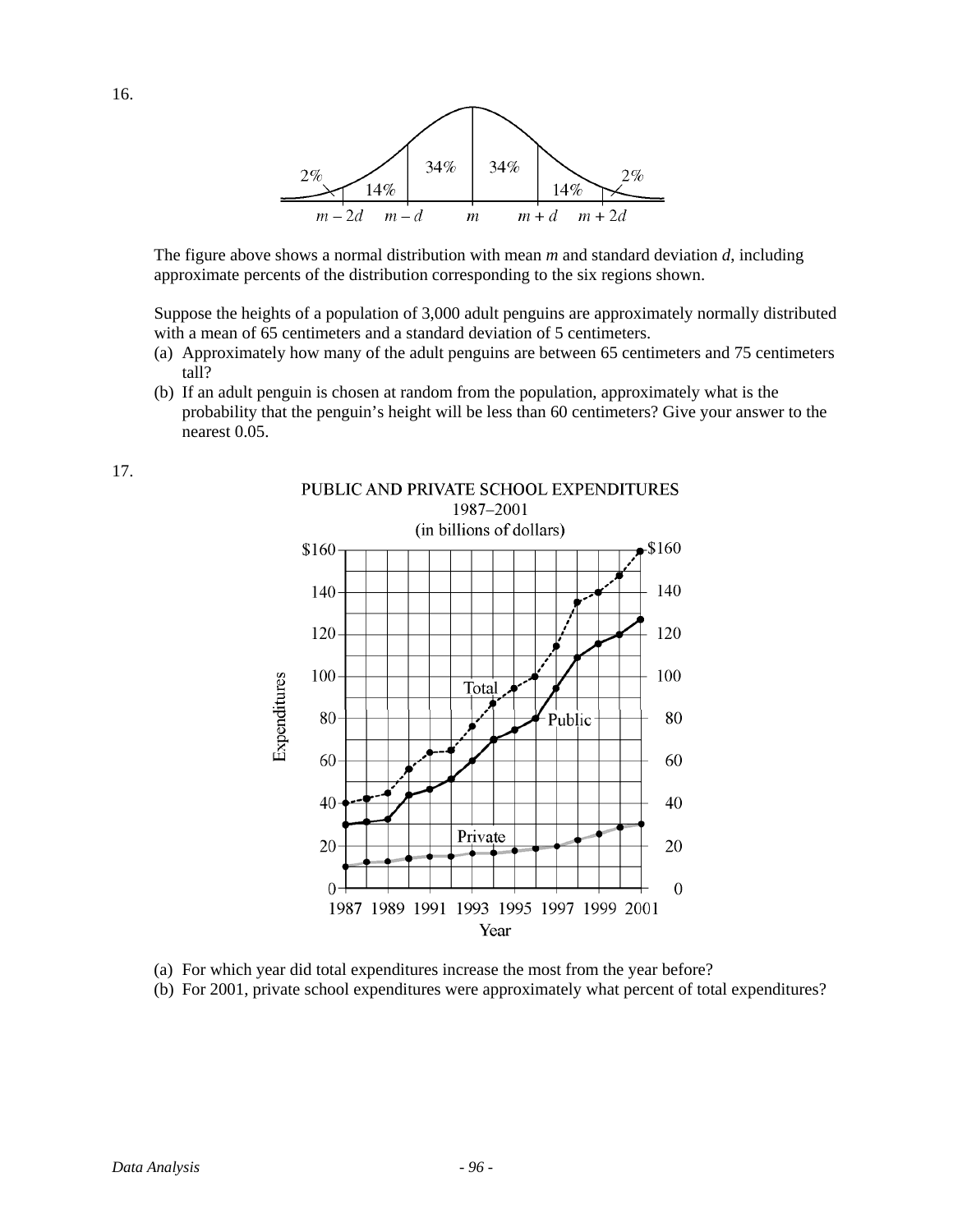

 The figure above shows a normal distribution with mean *m* and standard deviation *d*, including approximate percents of the distribution corresponding to the six regions shown.

 Suppose the heights of a population of 3,000 adult penguins are approximately normally distributed with a mean of 65 centimeters and a standard deviation of 5 centimeters.

- (a) Approximately how many of the adult penguins are between 65 centimeters and 75 centimeters tall?
- (b) If an adult penguin is chosen at random from the population, approximately what is the probability that the penguin's height will be less than 60 centimeters? Give your answer to the nearest 0.05.



- (a) For which year did total expenditures increase the most from the year before?
- (b) For 2001, private school expenditures were approximately what percent of total expenditures?

16.

17.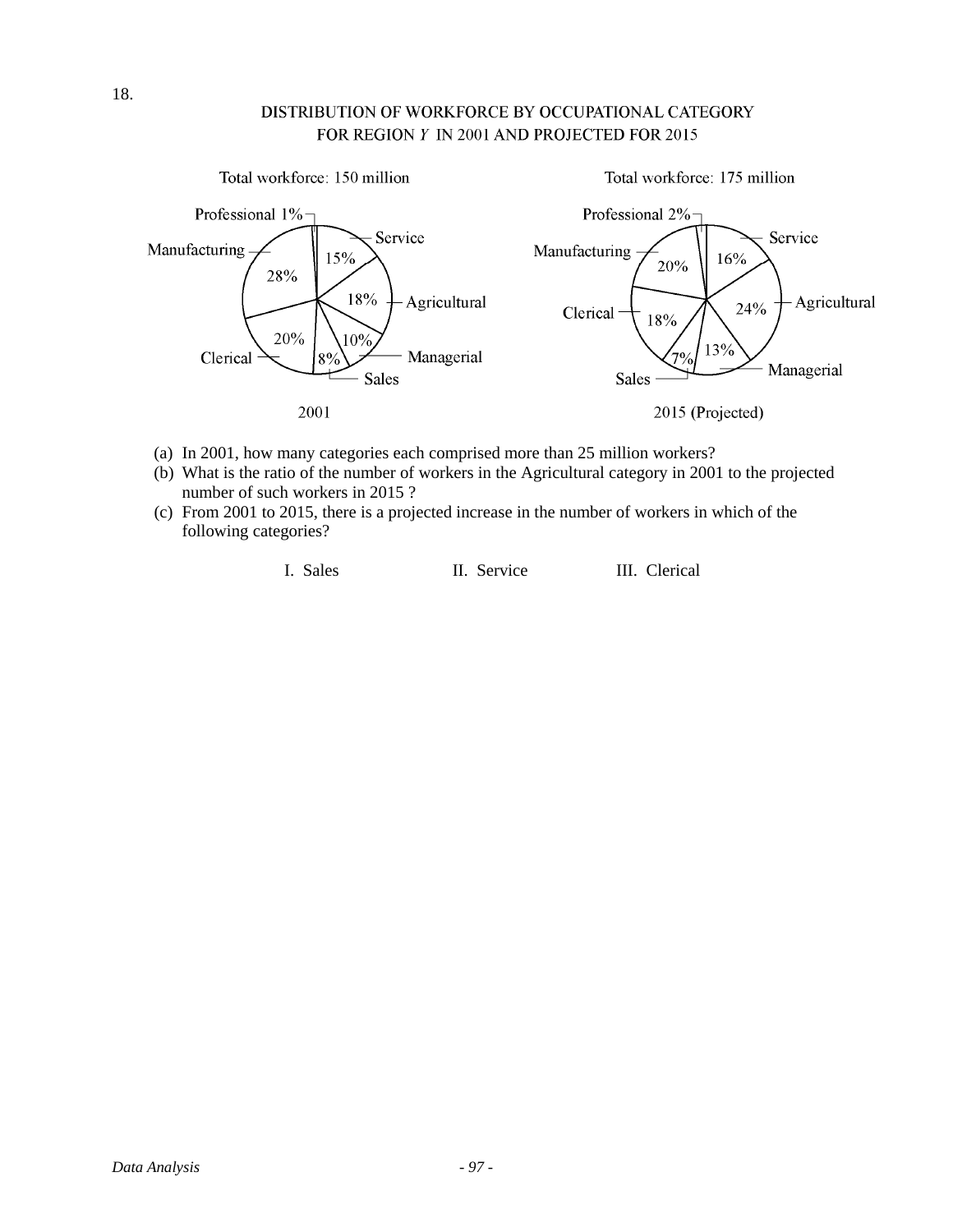## DISTRIBUTION OF WORKFORCE BY OCCUPATIONAL CATEGORY FOR REGION Y IN 2001 AND PROJECTED FOR 2015



- (a) In 2001, how many categories each comprised more than 25 million workers?
- (b) What is the ratio of the number of workers in the Agricultural category in 2001 to the projected number of such workers in 2015 ?
- (c) From 2001 to 2015, there is a projected increase in the number of workers in which of the following categories?

I. Sales II. Service III. Clerical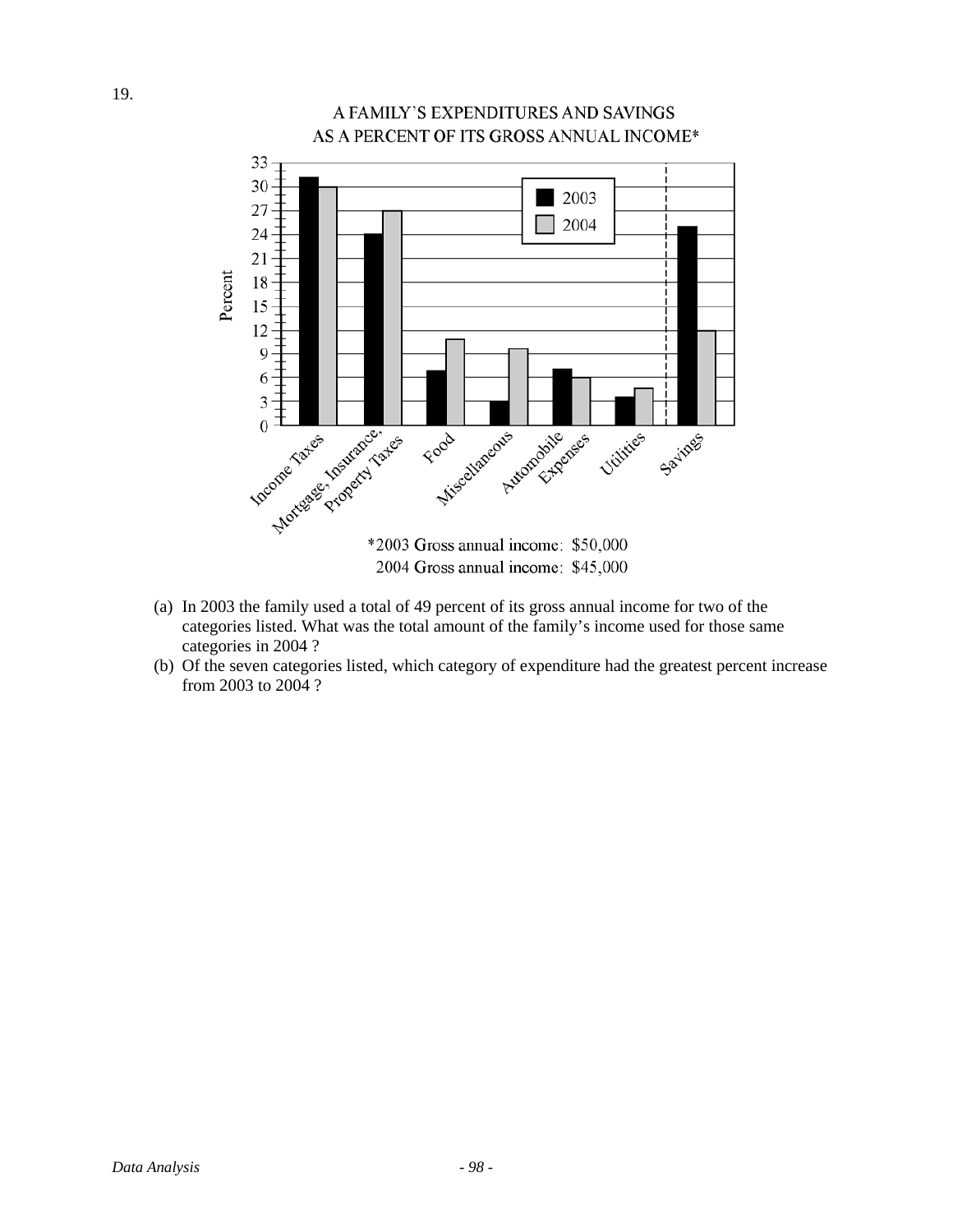

- (a) In 2003 the family used a total of 49 percent of its gross annual income for two of the categories listed. What was the total amount of the family's income used for those same categories in 2004 ?
- (b) Of the seven categories listed, which category of expenditure had the greatest percent increase from 2003 to 2004 ?